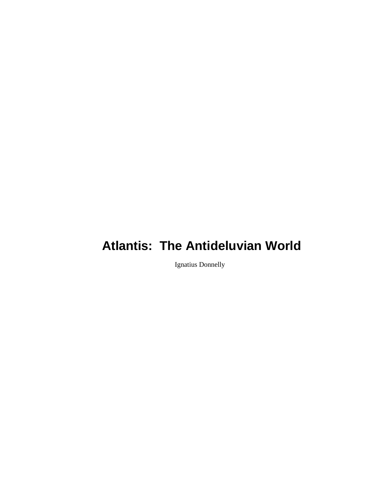Ignatius Donnelly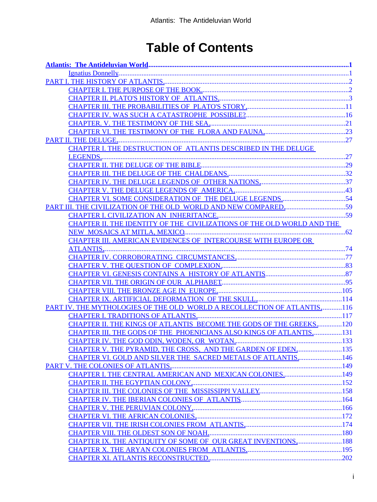## **Table of Contents**

| CHAPTER I. THE DESTRUCTION OF ATLANTIS DESCRIBED IN THE DELUGE          |  |
|-------------------------------------------------------------------------|--|
|                                                                         |  |
|                                                                         |  |
|                                                                         |  |
|                                                                         |  |
|                                                                         |  |
|                                                                         |  |
|                                                                         |  |
|                                                                         |  |
| CHAPTER II. THE IDENTITY OF THE CIVILIZATIONS OF THE OLD WORLD AND THE  |  |
|                                                                         |  |
| <b>CHAPTER III. AMERICAN EVIDENCES OF INTERCOURSE WITH EUROPE OR</b>    |  |
|                                                                         |  |
|                                                                         |  |
|                                                                         |  |
|                                                                         |  |
|                                                                         |  |
|                                                                         |  |
|                                                                         |  |
| PART IV. THE MYTHOLOGIES OF THE OLD WORLD A RECOLLECTION OF ATLANTIS116 |  |
|                                                                         |  |
| CHAPTER II. THE KINGS OF ATLANTIS BECOME THE GODS OF THE GREEKS120      |  |
| CHAPTER III. THE GODS OF THE PHOENICIANS ALSO KINGS OF ATLANTIS131      |  |
|                                                                         |  |
| CHAPTER V. THE PYRAMID, THE CROSS, AND THE GARDEN OF EDEN135            |  |
| <b>CHAPTER VI. GOLD AND SILVER THE SACRED METALS OF ATLANTIS146</b>     |  |
|                                                                         |  |
|                                                                         |  |
|                                                                         |  |
|                                                                         |  |
|                                                                         |  |
|                                                                         |  |
|                                                                         |  |
|                                                                         |  |
|                                                                         |  |
|                                                                         |  |
|                                                                         |  |
|                                                                         |  |
|                                                                         |  |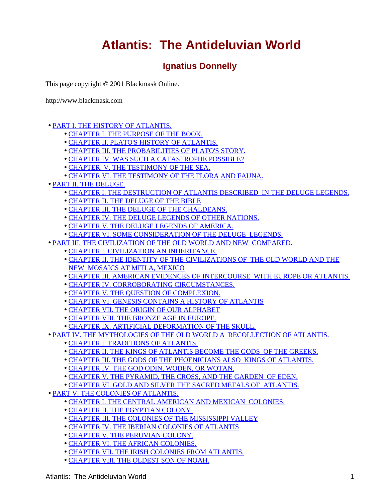### **Ignatius Donnelly**

<span id="page-2-0"></span>This page copyright © 2001 Blackmask Online.

http://www.blackmask.com

- [PART I. THE HISTORY OF ATLANTIS.](#page-3-0)
	- [CHAPTER I. THE PURPOSE OF THE BOOK.](#page-3-0)
	- [CHAPTER II. PLATO'S HISTORY OF ATLANTIS.](#page-4-0)
	- [CHAPTER III. THE PROBABILITIES OF PLATO'S STORY.](#page-12-0)
	- [CHAPTER IV. WAS SUCH A CATASTROPHE POSSIBLE?](#page-17-0)
	- [CHAPTER. V. THE TESTIMONY OF THE SEA.](#page-22-0)
	- [CHAPTER VI. THE TESTIMONY OF THE FLORA AND FAUNA.](#page-24-0)
- [PART II. THE DELUGE.](#page-28-0)
	- [CHAPTER I. THE DESTRUCTION OF ATLANTIS DESCRIBED IN THE DELUGE LEGENDS.](#page-28-0)
	- [CHAPTER II. THE DELUGE OF THE BIBLE](#page-30-0)
	- [CHAPTER III. THE DELUGE OF THE CHALDEANS.](#page-33-0)
	- [CHAPTER IV. THE DELUGE LEGENDS OF OTHER NATIONS.](#page-38-0)
	- [CHAPTER V. THE DELUGE LEGENDS OF AMERICA.](#page-44-0)
	- [CHAPTER VI. SOME CONSIDERATION OF THE DELUGE LEGENDS.](#page-55-0)
- [PART III. THE CIVILIZATION OF THE OLD WORLD AND NEW COMPARED.](#page-60-0)
	- [CHAPTER I. CIVILIZATION AN INHERITANCE.](#page-60-0)
	- **[CHAPTER II. THE IDENTITY OF THE CIVILIZATIONS OF THE OLD WORLD AND THE](#page-63-0)** [NEW MOSAICS AT MITLA, MEXICO](#page-63-0)
	- [CHAPTER III. AMERICAN EVIDENCES OF INTERCOURSE WITH EUROPE OR ATLANTIS.](#page-75-0)
	- [CHAPTER IV. CORROBORATING CIRCUMSTANCES.](#page-78-0)
	- [CHAPTER V. THE QUESTION OF COMPLEXION.](#page-84-0)
	- [CHAPTER VI. GENESIS CONTAINS A HISTORY OF ATLANTIS](#page-88-0)
	- [CHAPTER VII. THE ORIGIN OF OUR ALPHABET](#page-96-0)
	- [CHAPTER VIII. THE BRONZE AGE IN EUROPE.](#page-106-0)
	- [CHAPTER IX. ARTIFICIAL DEFORMATION OF THE SKULL.](#page-115-0)
- [PART IV. THE MYTHOLOGIES OF THE OLD WORLD A RECOLLECTION OF ATLANTIS.](#page-117-0)
	- [CHAPTER I. TRADITIONS OF ATLANTIS.](#page-118-0)
	- [CHAPTER II. THE KINGS OF ATLANTIS BECOME THE GODS OF THE GREEKS.](#page-121-0)
	- [CHAPTER III. THE GODS OF THE PHOENICIANS ALSO KINGS OF ATLANTIS.](#page-132-0)
	- [CHAPTER IV. THE GOD ODIN, WODEN, OR WOTAN.](#page-134-0)
	- [CHAPTER V. THE PYRAMID, THE CROSS, AND THE GARDEN OF EDEN.](#page-136-0)
	- [CHAPTER VI. GOLD AND SILVER THE SACRED METALS OF ATLANTIS.](#page-147-0)
- [PART V. THE COLONIES OF ATLANTIS.](#page-150-0)
	- [CHAPTER I. THE CENTRAL AMERICAN AND MEXICAN COLONIES.](#page-150-0)
	- [CHAPTER II. THE EGYPTIAN COLONY.](#page-153-0)
	- [CHAPTER III. THE COLONIES OF THE MISSISSIPPI VALLEY](#page-159-0)
	- [CHAPTER IV. THE IBERIAN COLONIES OF ATLANTIS](#page-165-0)
	- [CHAPTER V. THE PERUVIAN COLONY.](#page-167-0)
	- [CHAPTER VI. THE AFRICAN COLONIES.](#page-173-0)
	- [CHAPTER VII. THE IRISH COLONIES FROM ATLANTIS.](#page-175-0)
	- [CHAPTER VIII. THE OLDEST SON OF NOAH.](#page-181-0)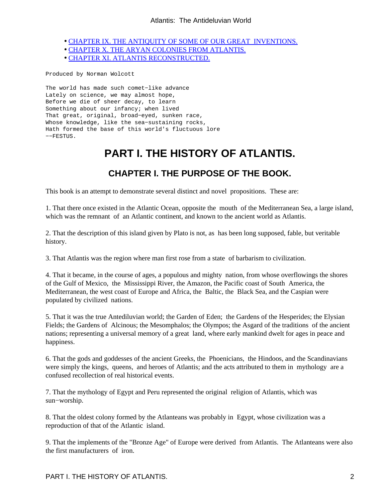- <span id="page-3-0"></span>• [CHAPTER IX. THE ANTIQUITY OF SOME OF OUR GREAT INVENTIONS.](#page-189-0)
- [CHAPTER X. THE ARYAN COLONIES FROM ATLANTIS.](#page-196-0)
- [CHAPTER XI. ATLANTIS RECONSTRUCTED.](#page-203-0)

Produced by Norman Wolcott

The world has made such comet−like advance Lately on science, we may almost hope, Before we die of sheer decay, to learn Something about our infancy; when lived That great, original, broad−eyed, sunken race, Whose knowledge, like the sea−sustaining rocks, Hath formed the base of this world's fluctuous lore −−FESTUS.

## **PART I. THE HISTORY OF ATLANTIS.**

### **CHAPTER I. THE PURPOSE OF THE BOOK.**

This book is an attempt to demonstrate several distinct and novel propositions. These are:

1. That there once existed in the Atlantic Ocean, opposite the mouth of the Mediterranean Sea, a large island, which was the remnant of an Atlantic continent, and known to the ancient world as Atlantis.

2. That the description of this island given by Plato is not, as has been long supposed, fable, but veritable history.

3. That Atlantis was the region where man first rose from a state of barbarism to civilization.

4. That it became, in the course of ages, a populous and mighty nation, from whose overflowings the shores of the Gulf of Mexico, the Mississippi River, the Amazon, the Pacific coast of South America, the Mediterranean, the west coast of Europe and Africa, the Baltic, the Black Sea, and the Caspian were populated by civilized nations.

5. That it was the true Antediluvian world; the Garden of Eden; the Gardens of the Hesperides; the Elysian Fields; the Gardens of Alcinous; the Mesomphalos; the Olympos; the Asgard of the traditions of the ancient nations; representing a universal memory of a great land, where early mankind dwelt for ages in peace and happiness.

6. That the gods and goddesses of the ancient Greeks, the Phoenicians, the Hindoos, and the Scandinavians were simply the kings, queens, and heroes of Atlantis; and the acts attributed to them in mythology are a confused recollection of real historical events.

7. That the mythology of Egypt and Peru represented the original religion of Atlantis, which was sun−worship.

8. That the oldest colony formed by the Atlanteans was probably in Egypt, whose civilization was a reproduction of that of the Atlantic island.

9. That the implements of the "Bronze Age" of Europe were derived from Atlantis. The Atlanteans were also the first manufacturers of iron.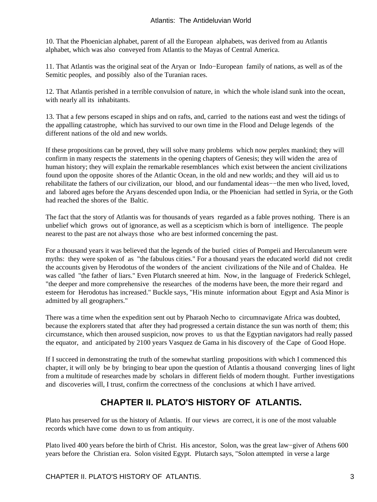<span id="page-4-0"></span>10. That the Phoenician alphabet, parent of all the European alphabets, was derived from au Atlantis alphabet, which was also conveyed from Atlantis to the Mayas of Central America.

11. That Atlantis was the original seat of the Aryan or Indo−European family of nations, as well as of the Semitic peoples, and possibly also of the Turanian races.

12. That Atlantis perished in a terrible convulsion of nature, in which the whole island sunk into the ocean, with nearly all its inhabitants.

13. That a few persons escaped in ships and on rafts, and, carried to the nations east and west the tidings of the appalling catastrophe, which has survived to our own time in the Flood and Deluge legends of the different nations of the old and new worlds.

If these propositions can be proved, they will solve many problems which now perplex mankind; they will confirm in many respects the statements in the opening chapters of Genesis; they will widen the area of human history; they will explain the remarkable resemblances which exist between the ancient civilizations found upon the opposite shores of the Atlantic Ocean, in the old and new worlds; and they will aid us to rehabilitate the fathers of our civilization, our blood, and our fundamental ideas−−the men who lived, loved, and labored ages before the Aryans descended upon India, or the Phoenician had settled in Syria, or the Goth had reached the shores of the Baltic.

The fact that the story of Atlantis was for thousands of years regarded as a fable proves nothing. There is an unbelief which grows out of ignorance, as well as a scepticism which is born of intelligence. The people nearest to the past are not always those who are best informed concerning the past.

For a thousand years it was believed that the legends of the buried cities of Pompeii and Herculaneum were myths: they were spoken of as "the fabulous cities." For a thousand years the educated world did not credit the accounts given by Herodotus of the wonders of the ancient civilizations of the Nile and of Chaldea. He was called "the father of liars." Even Plutarch sneered at him. Now, in the language of Frederick Schlegel, "the deeper and more comprehensive the researches of the moderns have been, the more their regard and esteem for Herodotus has increased." Buckle says, "His minute information about Egypt and Asia Minor is admitted by all geographers."

There was a time when the expedition sent out by Pharaoh Necho to circumnavigate Africa was doubted, because the explorers stated that after they had progressed a certain distance the sun was north of them; this circumstance, which then aroused suspicion, now proves to us that the Egyptian navigators had really passed the equator, and anticipated by 2100 years Vasquez de Gama in his discovery of the Cape of Good Hope.

If I succeed in demonstrating the truth of the somewhat startling propositions with which I commenced this chapter, it will only be by bringing to bear upon the question of Atlantis a thousand converging lines of light from a multitude of researches made by scholars in different fields of modern thought. Further investigations and discoveries will, I trust, confirm the correctness of the conclusions at which I have arrived.

### **CHAPTER II. PLATO'S HISTORY OF ATLANTIS.**

Plato has preserved for us the history of Atlantis. If our views are correct, it is one of the most valuable records which have come down to us from antiquity.

Plato lived 400 years before the birth of Christ. His ancestor, Solon, was the great law−giver of Athens 600 years before the Christian era. Solon visited Egypt. Plutarch says, "Solon attempted in verse a large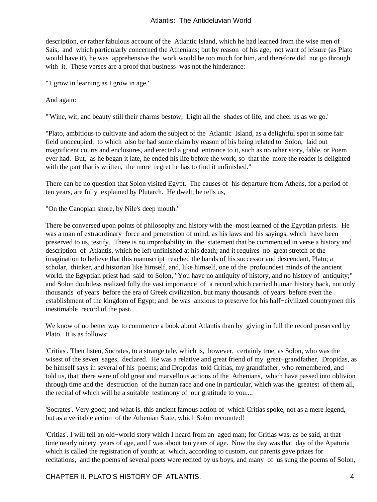description, or rather fabulous account of the Atlantic Island, which he had learned from the wise men of Sais, and which particularly concerned the Athenians; but by reason of his age, not want of leisure (as Plato would have it), he was apprehensive the work would be too much for him, and therefore did not go through with it. These verses are a proof that business was not the hinderance:

"'I grow in learning as I grow in age.'

And again:

"'Wine, wit, and beauty still their charms bestow, Light all the shades of life, and cheer us as we go.'

"Plato, ambitious to cultivate and adorn the subject of the Atlantic Island, as a delightful spot in some fair field unoccupied, to which also be had some claim by reason of his being related to Solon, laid out magnificent courts and enclosures, and erected a grand entrance to it, such as no other story, fable, or Poem ever had. But, as he began it late, he ended his life before the work, so that the more the reader is delighted with the part that is written, the more regret he has to find it unfinished."

There can be no question that Solon visited Egypt. The causes of his departure from Athens, for a period of ten years, are fully explained by Plutarch. He dwelt, be tells us,

"On the Canopian shore, by Nile's deep mouth."

There be conversed upon points of philosophy and history with the most learned of the Egyptian priests. He was a man of extraordinary force and penetration of mind, as his laws and his sayings, which have been preserved to us, testify. There is no improbability in the statement that be commenced in verse a history and description of Atlantis, which be left unfinished at his death; and it requires no great stretch of the imagination to believe that this manuscript reached the bands of his successor and descendant, Plato; a scholar, thinker, and historian like himself, and, like himself, one of the profoundest minds of the ancient world. the Egyptian priest had said to Solon, "You have no antiquity of history, and no history of antiquity;" and Solon doubtless realized fully the vast importance of a record which carried human history back, not only thousands of years before the era of Greek civilization, but many thousands of years before even the establishment of the kingdom of Egypt; and be was anxious to preserve for his half−civilized countrymen this inestimable record of the past.

We know of no better way to commence a book about Atlantis than by giving in full the record preserved by Plato. It is as follows:

'Critias'. Then listen, Socrates, to a strange tale, which is, however, certainly true, as Solon, who was the wisest of the seven sages, declared. He was a relative and great friend of my great−grandfather, Dropidas, as be himself says in several of his poems; and Dropidas told Critias, my grandfather, who remembered, and told us, that there were of old great and marvellous actions of the Athenians, which have passed into oblivion through time and the destruction of the human race and one in particular, which was the greatest of them all, the recital of which will be a suitable testimony of our gratitude to you....

'Socrates'. Very good; and what is. this ancient famous action of which Critias spoke, not as a mere legend, but as a veritable action of the Athenian State, which Solon recounted!

'Critias'. I will tell an old−world story which I heard from an aged man; for Critias was, as be said, at that time nearly ninety years of age, and I was about ten years of age. Now the day was that day of the Apaturia which is called the registration of youth; at which, according to custom, our parents gave prizes for recitations, and the poems of several poets were recited by us boys, and many of us sung the poems of Solon,

CHAPTER II. PLATO'S HISTORY OF ATLANTIS. 4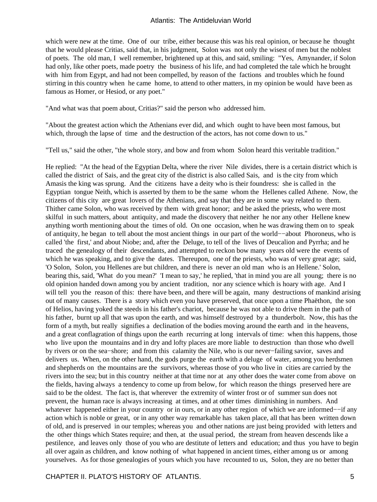which were new at the time. One of our tribe, either because this was his real opinion, or because he thought that he would please Critias, said that, in his judgment, Solon was not only the wisest of men but the noblest of poets. The old man, I well remember, brightened up at this, and said, smiling: "Yes, Amynander, if Solon had only, like other poets, made poetry the business of his life, and had completed the tale which he brought with him from Egypt, and had not been compelled, by reason of the factions and troubles which he found stirring in this country when he came home, to attend to other matters, in my opinion be would have been as famous as Homer, or Hesiod, or any poet."

"And what was that poem about, Critias?" said the person who addressed him.

"About the greatest action which the Athenians ever did, and which ought to have been most famous, but which, through the lapse of time and the destruction of the actors, has not come down to us."

"Tell us," said the other, "the whole story, and bow and from whom Solon heard this veritable tradition."

He replied: "At the head of the Egyptian Delta, where the river Nile divides, there is a certain district which is called the district of Sais, and the great city of the district is also called Sais, and is the city from which Amasis the king was sprung. And the citizens have a deity who is their foundress: she is called in the Egyptian tongue Neith, which is asserted by them to be the same whom the Hellenes called Athene. Now, the citizens of this city are great lovers of the Athenians, and say that they are in some way related to them. Thither came Solon, who was received by them with great honor; and be asked the priests, who were most skilful in such matters, about antiquity, and made the discovery that neither he nor any other Hellene knew anything worth mentioning about the times of old. On one occasion, when he was drawing them on to speak of antiquity, he began to tell about the most ancient things in our part of the world−−about Phoroneus, who is called 'the first,' and about Niobe; and, after the Deluge, to tell of the lives of Deucalion and Pyrrha; and he traced the genealogy of their descendants, and attempted to reckon bow many years old were the events of which he was speaking, and to give the dates. Thereupon, one of the priests, who was of very great age; said, 'O Solon, Solon, you Hellenes are but children, and there is never an old man who is an Hellene.' Solon, bearing this, said, 'What do you mean?' 'I mean to say,' he replied, 'that in mind you are all young; there is no old opinion handed down among you by ancient tradition, nor any science which is hoary with age. And I will tell you the reason of this: there have been, and there will be again, many destructions of mankind arising out of many causes. There is a story which even you have preserved, that once upon a time Phaëthon, the son of Helios, having yoked the steeds in his father's chariot, because he was not able to drive them in the path of his father, burnt up all that was upon the earth, and was himself destroyed by a thunderbolt. Now, this has the form of a myth, but really signifies a declination of the bodies moving around the earth and in the heavens, and a great conflagration of things upon the earth recurring at long intervals of time: when this happens, those who live upon the mountains and in dry and lofty places are more liable to destruction than those who dwell by rivers or on the sea−shore; and from this calamity the Nile, who is our never−failing savior, saves and delivers us. When, on the other hand, the gods purge the earth with a deluge of water, among you herdsmen and shepherds on the mountains are the survivors, whereas those of you who live in cities are carried by the rivers into the sea; but in this country neither at that time nor at any other does the water come from above on the fields, having always a tendency to come up from below, for which reason the things preserved here are said to be the oldest. The fact is, that wherever the extremity of winter frost or of summer sun does not prevent, the human race is always increasing at times, and at other times diminishing in numbers. And whatever happened either in your country or in ours, or in any other region of which we are informed−−if any action which is noble or great, or in any other way remarkable has taken place, all that has been written down of old, and is preserved in our temples; whereas you and other nations are just being provided with letters and the other things which States require; and then, at the usual period, the stream from heaven descends like a pestilence, and leaves only those of you who are destitute of letters and education; and thus you have to begin all over again as children, and know nothing of what happened in ancient times, either among us or among yourselves. As for those genealogies of yours which you have recounted to us, Solon, they are no better than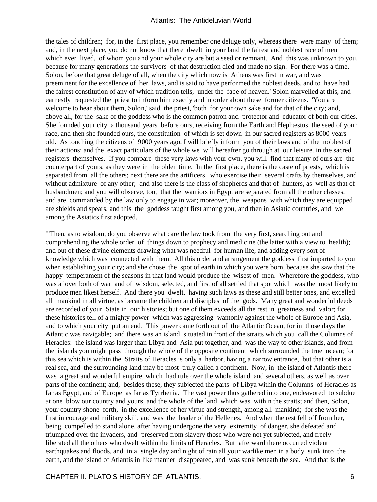the tales of children; for, in the first place, you remember one deluge only, whereas there were many of them; and, in the next place, you do not know that there dwelt in your land the fairest and noblest race of men which ever lived, of whom you and your whole city are but a seed or remnant. And this was unknown to you, because for many generations the survivors of that destruction died and made no sign. For there was a time, Solon, before that great deluge of all, when the city which now is Athens was first in war, and was preeminent for the excellence of her laws, and is said to have performed the noblest deeds, and to have had the fairest constitution of any of which tradition tells, under the face of heaven.' Solon marvelled at this, and earnestly requested the priest to inform him exactly and in order about these former citizens. 'You are welcome to hear about them, Solon,' said the priest, 'both for your own sake and for that of the city; and, above all, for the sake of the goddess who is the common patron and protector and educator of both our cities. She founded your city a thousand years before ours, receiving from the Earth and Hephæstus the seed of your race, and then she founded ours, the constitution of which is set down in our sacred registers as 8000 years old. As touching the citizens of 9000 years ago, I will briefly inform you of their laws and of the noblest of their actions; and the exact particulars of the whole we will hereafter go through at our leisure. in the sacred registers themselves. If you compare these very laws with your own, you will find that many of ours are the counterpart of yours, as they were in the olden time. In the first place, there is the caste of priests, which is separated from all the others; next there are the artificers, who exercise their several crafts by themselves, and without admixture of any other; and also there is the class of shepherds and that of hunters, as well as that of husbandmen; and you will observe, too, that the warriors in Egypt are separated from all the other classes, and are commanded by the law only to engage in war; moreover, the weapons with which they are equipped are shields and spears, and this the goddess taught first among you, and then in Asiatic countries, and we among the Asiatics first adopted.

"'Then, as to wisdom, do you observe what care the law took from the very first, searching out and comprehending the whole order of things down to prophecy and medicine (the latter with a view to health); and out of these divine elements drawing what was needful for human life, and adding every sort of knowledge which was connected with them. All this order and arrangement the goddess first imparted to you when establishing your city; and she chose the spot of earth in which you were born, because she saw that the happy temperament of the seasons in that land would produce the wisest of men. Wherefore the goddess, who was a lover both of war and of wisdom, selected, and first of all settled that spot which was the most likely to produce men likest herself. And there you dwelt, having such laws as these and still better ones, and excelled all mankind in all virtue, as became the children and disciples of the gods. Many great and wonderful deeds are recorded of your State in our histories; but one of them exceeds all the rest in greatness and valor; for these histories tell of a mighty power which was aggressing wantonly against the whole of Europe and Asia, and to which your city put an end. This power came forth out of the Atlantic Ocean, for in those days the Atlantic was navigable; and there was an island situated in front of the straits which you call the Columns of Heracles: the island was larger than Libya and Asia put together, and was the way to other islands, and from the islands you might pass through the whole of the opposite continent which surrounded the true ocean; for this sea which is within the Straits of Heracles is only a harbor, having a narrow entrance, but that other is a real sea, and the surrounding land may be most truly called a continent. Now, in the island of Atlantis there was a great and wonderful empire, which had rule over the whole island and several others, as well as over parts of the continent; and, besides these, they subjected the parts of Libya within the Columns of Heracles as far as Egypt, and of Europe as far as Tyrrhenia. The vast power thus gathered into one, endeavored to subdue at one blow our country and yours, and the whole of the land which was within the straits; and then, Solon, your country shone forth, in the excellence of her virtue and strength, among all mankind; for she was the first in courage and military skill, and was the leader of the Hellenes. And when the rest fell off from her, being compelled to stand alone, after having undergone the very extremity of danger, she defeated and triumphed over the invaders, and preserved from slavery those who were not yet subjected, and freely liberated all the others who dwelt within the limits of Heracles. But afterward there occurred violent earthquakes and floods, and in a single day and night of rain all your warlike men in a body sunk into the earth, and the island of Atlantis in like manner disappeared, and was sunk beneath the sea. And that is the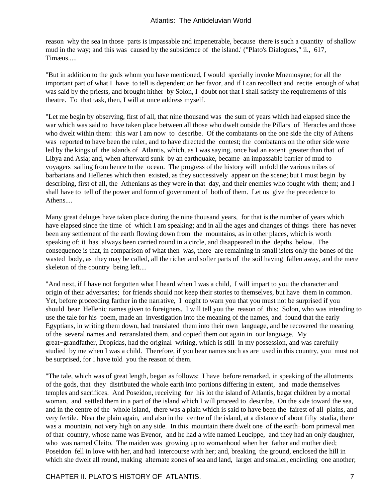reason why the sea in those parts is impassable and impenetrable, because there is such a quantity of shallow mud in the way; and this was caused by the subsidence of the island.' ("Plato's Dialogues," ii., 617, Timæus.....

"But in addition to the gods whom you have mentioned, I would specially invoke Mnemosyne; for all the important part of what I have to tell is dependent on her favor, and if I can recollect and recite enough of what was said by the priests, and brought hither by Solon, I doubt not that I shall satisfy the requirements of this theatre. To that task, then, I will at once address myself.

"Let me begin by observing, first of all, that nine thousand was the sum of years which had elapsed since the war which was said to have taken place between all those who dwelt outside the Pillars of Heracles and those who dwelt within them: this war I am now to describe. Of the combatants on the one side the city of Athens was reported to have been the ruler, and to have directed the contest; the combatants on the other side were led by the kings of the islands of Atlantis, which, as I was saying, once had an extent greater than that of Libya and Asia; and, when afterward sunk by an earthquake, became an impassable barrier of mud to voyagers sailing from hence to the ocean. The progress of the history will unfold the various tribes of barbarians and Hellenes which then existed, as they successively appear on the scene; but I must begin by describing, first of all, the Athenians as they were in that day, and their enemies who fought with them; and I shall have to tell of the power and form of government of both of them. Let us give the precedence to Athens....

Many great deluges have taken place during the nine thousand years, for that is the number of years which have elapsed since the time of which I am speaking; and in all the ages and changes of things there has never been any settlement of the earth flowing down from the mountains, as in other places, which is worth speaking of; it has always been carried round in a circle, and disappeared in the depths below. The consequence is that, in comparison of what then was, there are remaining in small islets only the bones of the wasted body, as they may be called, all the richer and softer parts of the soil having fallen away, and the mere skeleton of the country being left....

"And next, if I have not forgotten what I heard when I was a child, I will impart to you the character and origin of their adversaries; for friends should not keep their stories to themselves, but have them in common. Yet, before proceeding farther in the narrative, I ought to warn you that you must not be surprised if you should bear Hellenic names given to foreigners. I will tell you the reason of this: Solon, who was intending to use the tale for his poem, made an investigation into the meaning of the names, and found that the early Egyptians, in writing them down, had translated them into their own language, and be recovered the meaning of the several names and retranslated them, and copied them out again in our language. My great−grandfather, Dropidas, had the original writing, which is still in my possession, and was carefully studied by me when I was a child. Therefore, if you bear names such as are used in this country, you must not be surprised, for I have told you the reason of them.

"The tale, which was of great length, began as follows: I have before remarked, in speaking of the allotments of the gods, that they distributed the whole earth into portions differing in extent, and made themselves temples and sacrifices. And Poseidon, receiving for his lot the island of Atlantis, begat children by a mortal woman, and settled them in a part of the island which I will proceed to describe. On the side toward the sea, and in the centre of the whole island, there was a plain which is said to have been the fairest of all plains, and very fertile. Near the plain again, and also in the centre of the island, at a distance of about fifty stadia, there was a mountain, not very high on any side. In this mountain there dwelt one of the earth−born primeval men of that country, whose name was Evenor, and he had a wife named Leucippe, and they had an only daughter, who was named Cleito. The maiden was growing up to womanhood when her father and mother died; Poseidon fell in love with her, and had intercourse with her; and, breaking the ground, enclosed the hill in which she dwelt all round, making alternate zones of sea and land, larger and smaller, encircling one another;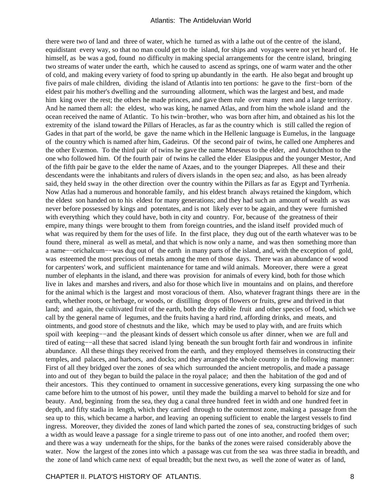there were two of land and three of water, which he turned as with a lathe out of the centre of the island, equidistant every way, so that no man could get to the island, for ships and voyages were not yet heard of. He himself, as be was a god, found no difficulty in making special arrangements for the centre island, bringing two streams of water under the earth, which he caused to ascend as springs, one of warm water and the other of cold, and making every variety of food to spring up abundantly in the earth. He also begat and brought up five pairs of male children, dividing the island of Atlantis into ten portions: he gave to the first−born of the eldest pair his mother's dwelling and the surrounding allotment, which was the largest and best, and made him king over the rest; the others he made princes, and gave them rule over many men and a large territory. And he named them all: the eldest, who was king, he named Atlas, and from him the whole island and the ocean received the name of Atlantic. To his twin−brother, who was born after him, and obtained as his lot the extremity of the island toward the Pillars of Heracles, as far as the country which is still called the region of Gades in that part of the world, be gave the name which in the Hellenic language is Eumelus, in the language of the country which is named after him, Gadeirus. Of the second pair of twins, he called one Ampheres and the other Evæmon. To the third pair of twins he gave the name Mneseus to the elder, and Autochthon to the one who followed him. Of the fourth pair of twins he called the elder Elasippus and the younger Mestor, And of the fifth pair be gave to the elder the name of Azaes, and to the younger Diaprepes. All these and their descendants were the inhabitants and rulers of divers islands in the open sea; and also, as has been already said, they held sway in the other direction over the country within the Pillars as far as Egypt and Tyrrhenia. Now Atlas had a numerous and honorable family, and his eldest branch always retained the kingdom, which the eldest son handed on to his eldest for many generations; and they had such an amount of wealth as was never before possessed by kings and potentates, and is not likely ever to be again, and they were furnished with everything which they could have, both in city and country. For, because of the greatness of their empire, many things were brought to them from foreign countries, and the island itself provided much of what was required by them for the uses of life. In the first place, they dug out of the earth whatever was to be found there, mineral as well as metal, and that which is now only a name, and was then something more than a name−−orichalcum−−was dug out of the earth in many parts of the island, and, with the exception of gold, was esteemed the most precious of metals among the men of those days. There was an abundance of wood for carpenters' work, and sufficient maintenance for tame and wild animals. Moreover, there were a great number of elephants in the island, and there was provision for animals of every kind, both for those which live in lakes and marshes and rivers, and also for those which live in mountains and on plains, and therefore for the animal which is the largest and most voracious of them. Also, whatever fragrant things there are in the earth, whether roots, or herbage, or woods, or distilling drops of flowers or fruits, grew and thrived in that land; and again, the cultivated fruit of the earth, both the dry edible fruit and other species of food, which we call by the general name of legumes, and the fruits having a hard rind, affording drinks, and meats, and ointments, and good store of chestnuts and the like, which may be used to play with, and are fruits which spoil with keeping––and the pleasant kinds of dessert which console us after dinner, when we are full and tired of eating−−all these that sacred island lying beneath the sun brought forth fair and wondrous in infinite abundance. All these things they received from the earth, and they employed themselves in constructing their temples, and palaces, and harbors, and docks; and they arranged the whole country in the following manner: First of all they bridged over the zones of sea which surrounded the ancient metropolis, and made a passage into and out of they began to build the palace in the royal palace; and then the habitation of the god and of their ancestors. This they continued to ornament in successive generations, every king surpassing the one who came before him to the utmost of his power, until they made the building a marvel to behold for size and for beauty. And, beginning from the sea, they dug a canal three hundred feet in width and one hundred feet in depth, and fifty stadia in length, which they carried through to the outermost zone, making a passage from the sea up to this, which became a harbor, and leaving an opening sufficient to enable the largest vessels to find ingress. Moreover, they divided the zones of land which parted the zones of sea, constructing bridges of such a width as would leave a passage for a single trireme to pass out of one into another, and roofed them over; and there was a way underneath for the ships, for the banks of the zones were raised considerably above the water. Now the largest of the zones into which a passage was cut from the sea was three stadia in breadth, and the zone of land which came next of equal breadth; but the next two, as well the zone of water as of land,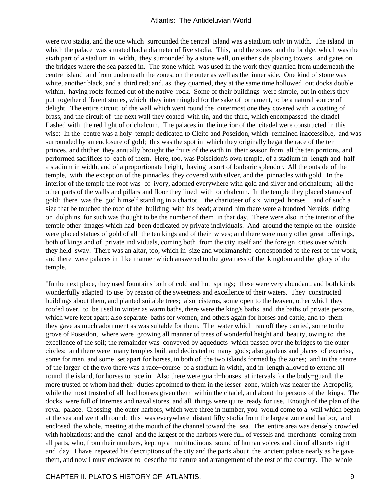were two stadia, and the one which surrounded the central island was a stadium only in width. The island in which the palace was situated had a diameter of five stadia. This, and the zones and the bridge, which was the sixth part of a stadium in width, they surrounded by a stone wall, on either side placing towers, and gates on the bridges where the sea passed in. The stone which was used in the work they quarried from underneath the centre island and from underneath the zones, on the outer as well as the inner side. One kind of stone was white, another black, and a third red; and, as they quarried, they at the same time hollowed out docks double within, having roofs formed out of the native rock. Some of their buildings were simple, but in others they put together different stones, which they intermingled for the sake of ornament, to be a natural source of delight. The entire circuit of the wall which went round the outermost one they covered with a coating of brass, and the circuit of the next wall they coated with tin, and the third, which encompassed the citadel flashed with the red light of orichalcum. The palaces in the interior of the citadel were constructed in this wise: In the centre was a holy temple dedicated to Cleito and Poseidon, which remained inaccessible, and was surrounded by an enclosure of gold; this was the spot in which they originally begat the race of the ten princes, and thither they annually brought the fruits of the earth in their season from all the ten portions, and performed sacrifices to each of them. Here, too, was Poiseidon's own temple, of a stadium in length and half a stadium in width, and of a proportionate height, having a sort of barbaric splendor. All the outside of the temple, with the exception of the pinnacles, they covered with silver, and the pinnacles with gold. In the interior of the temple the roof was of ivory, adorned everywhere with gold and silver and orichalcum; all the other parts of the walls and pillars and floor they lined with orichalcum. In the temple they placed statues of gold: there was the god himself standing in a chariot-−the charioteer of six winged horses--and of such a size that be touched the roof of the building with his bead; around him there were a hundred Nereids riding on dolphins, for such was thought to be the number of them in that day. There were also in the interior of the temple other images which had been dedicated by private individuals. And around the temple on the outside were placed statues of gold of all the ten kings and of their wives; and there were many other great offerings, both of kings and of private individuals, coming both from the city itself and the foreign cities over which they held sway. There was an altar, too, which in size and workmanship corresponded to the rest of the work, and there were palaces in like manner which answered to the greatness of the kingdom and the glory of the temple.

"In the next place, they used fountains both of cold and hot springs; these were very abundant, and both kinds wonderfully adapted to use by reason of the sweetness and excellence of their waters. They constructed buildings about them, and planted suitable trees; also cisterns, some open to the heaven, other which they roofed over, to be used in winter as warm baths, there were the king's baths, and the baths of private persons, which were kept apart; also separate baths for women, and others again for horses and cattle, and to them they gave as much adornment as was suitable for them. The water which ran off they carried, some to the grove of Poseidon, where were growing all manner of trees of wonderful height and beauty, owing to the excellence of the soil; the remainder was conveyed by aqueducts which passed over the bridges to the outer circles: and there were many temples built and dedicated to many gods; also gardens and places of exercise, some for men, and some set apart for horses, in both of the two islands formed by the zones; and in the centre of the larger of the two there was a race−course of a stadium in width, and in length allowed to extend all round the island, for horses to race in. Also there were guard−houses at intervals for the body−guard, the more trusted of whom had their duties appointed to them in the lesser zone, which was nearer the Acropolis; while the most trusted of all had houses given them within the citadel, and about the persons of the kings. The docks were full of triremes and naval stores, and all things were quite ready for use. Enough of the plan of the royal palace. Crossing the outer harbors, which were three in number, you would come to a wall which began at the sea and went all round: this was everywhere distant fifty stadia from the largest zone and harbor, and enclosed the whole, meeting at the mouth of the channel toward the sea. The entire area was densely crowded with habitations; and the canal and the largest of the harbors were full of vessels and merchants coming from all parts, who, from their numbers, kept up a multitudinous sound of human voices and din of all sorts night and day. I have repeated his descriptions of the city and the parts about the ancient palace nearly as he gave them, and now I must endeavor to describe the nature and arrangement of the rest of the country. The whole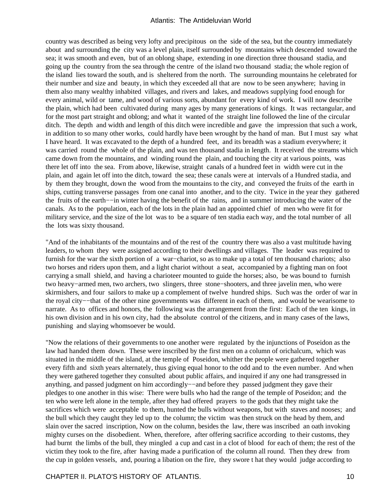country was described as being very lofty and precipitous on the side of the sea, but the country immediately about and surrounding the city was a level plain, itself surrounded by mountains which descended toward the sea; it was smooth and even, but of an oblong shape, extending in one direction three thousand stadia, and going up the country from the sea through the centre of the island two thousand stadia; the whole region of the island lies toward the south, and is sheltered from the north. The surrounding mountains he celebrated for their number and size and beauty, in which they exceeded all that are now to be seen anywhere; having in them also many wealthy inhabited villages, and rivers and lakes, and meadows supplying food enough for every animal, wild or tame, and wood of various sorts, abundant for every kind of work. I will now describe the plain, which had been cultivated during many ages by many generations of kings. It was rectangular, and for the most part straight and oblong; and what it wanted of the straight line followed the line of the circular ditch. The depth and width and length of this ditch were incredible and gave the impression that such a work, in addition to so many other works, could hardly have been wrought by the hand of man. But I must say what I have heard. It was excavated to the depth of a hundred feet, and its breadth was a stadium everywhere; it was carried round the whole of the plain, and was ten thousand stadia in length. It received the streams which came down from the mountains, and winding round the plain, and touching the city at various points, was there let off into the sea. From above, likewise, straight canals of a hundred feet in width were cut in the plain, and again let off into the ditch, toward the sea; these canals were at intervals of a Hundred stadia, and by them they brought, down the wood from the mountains to the city, and conveyed the fruits of the earth in ships, cutting transverse passages from one canal into another, and to the city. Twice in the year they gathered the fruits of the earth−−in winter having the benefit of the rains, and in summer introducing the water of the canals. As to the population, each of the lots in the plain had an appointed chief of men who were fit for military service, and the size of the lot was to be a square of ten stadia each way, and the total number of all the lots was sixty thousand.

"And of the inhabitants of the mountains and of the rest of the country there was also a vast multitude having leaders, to whom they were assigned according to their dwellings and villages. The leader was required to furnish for the war the sixth portion of a war−chariot, so as to make up a total of ten thousand chariots; also two horses and riders upon them, and a light chariot without a seat, accompanied by a fighting man on foot carrying a small shield, and having a charioteer mounted to guide the horses; also, be was bound to furnish two heavy−armed men, two archers, two slingers, three stone−shooters, and three javelin men, who were skirmishers, and four sailors to make up a complement of twelve hundred ships. Such was the order of war in the royal city−−that of the other nine governments was different in each of them, and would be wearisome to narrate. As to offices and honors, the following was the arrangement from the first: Each of the ten kings, in his own division and in his own city, had the absolute control of the citizens, and in many cases of the laws, punishing and slaying whomsoever be would.

"Now the relations of their governments to one another were regulated by the injunctions of Poseidon as the law had handed them down. These were inscribed by the first men on a column of orichalcum, which was situated in the middle of the island, at the temple of Poseidon, whither the people were gathered together every fifth and sixth years alternately, thus giving equal honor to the odd and to the even number. And when they were gathered together they consulted about public affairs, and inquired if any one had transgressed in anything, and passed judgment on him accordingly−−and before they passed judgment they gave their pledges to one another in this wise: There were bulls who had the range of the temple of Poseidon; and the ten who were left alone in the temple, after they had offered prayers to the gods that they might take the sacrifices which were acceptable to them, hunted the bulls without weapons, but with staves and nooses; and the bull which they caught they led up to the column; the victim was then struck on the head by them, and slain over the sacred inscription, Now on the column, besides the law, there was inscribed an oath invoking mighty curses on the disobedient. When, therefore, after offering sacrifice according to their customs, they had burnt the limbs of the bull, they mingled a cup and cast in a clot of blood for each of them; the rest of the victim they took to the fire, after having made a purification of the column all round. Then they drew from the cup in golden vessels, and, pouring a libation on the fire, they swore t hat they would judge according to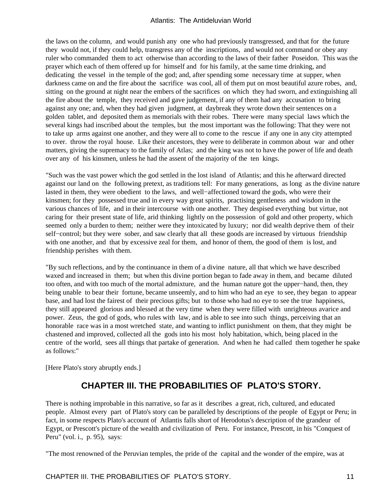<span id="page-12-0"></span>the laws on the column, and would punish any one who had previously transgressed, and that for the future they would not, if they could help, transgress any of the inscriptions, and would not command or obey any ruler who commanded them to act otherwise than according to the laws of their father Poseidon. This was the prayer which each of them offered up for himself and for his family, at the same time drinking, and dedicating the vessel in the temple of the god; and, after spending some necessary time at supper, when darkness came on and the fire about the sacrifice was cool, all of them put on most beautiful azure robes, and, sitting on the ground at night near the embers of the sacrifices on which they had sworn, and extinguishing all the fire about the temple, they received and gave judgement, if any of them had any accusation to bring against any one; and, when they had given judgment, at daybreak they wrote down their sentences on a golden tablet, and deposited them as memorials with their robes. There were many special laws which the several kings had inscribed about the temples, but the most important was the following: That they were not to take up arms against one another, and they were all to come to the rescue if any one in any city attempted to over. throw the royal house. Like their ancestors, they were to deliberate in common about war and other matters, giving the supremacy to the family of Atlas; and the king was not to have the power of life and death over any of his kinsmen, unless he had the assent of the majority of the ten kings.

"Such was the vast power which the god settled in the lost island of Atlantis; and this he afterward directed against our land on the following pretext, as traditions tell: For many generations, as long as the divine nature lasted in them, they were obedient to the laws, and well−affectioned toward the gods, who were their kinsmen; for they possessed true and in every way great spirits, practising gentleness and wisdom in the various chances of life, and in their intercourse with one another. They despised everything but virtue, not caring for their present state of life, arid thinking lightly on the possession of gold and other property, which seemed only a burden to them; neither were they intoxicated by luxury; nor did wealth deprive them of their self–control; but they were sober, and saw clearly that all these goods are increased by virtuous friendship with one another, and that by excessive zeal for them, and honor of them, the good of them is lost, and friendship perishes with them.

"By such reflections, and by the continuance in them of a divine nature, all that which we have described waxed and increased in them; but when this divine portion began to fade away in them, and became diluted too often, and with too much of the mortal admixture, and the human nature got the upper−hand, then, they being unable to bear their fortune, became unseemly, and to him who had an eye to see, they began to appear base, and had lost the fairest of their precious gifts; but to those who had no eye to see the true happiness, they still appeared glorious and blessed at the very time when they were filled with unrighteous avarice and power. Zeus, the god of gods, who rules with law, and is able to see into such things, perceiving that an honorable race was in a most wretched state, and wanting to inflict punishment on them, that they might be chastened and improved, collected all the gods into his most holy habitation, which, being placed in the centre of the world, sees all things that partake of generation. And when he had called them together he spake as follows:"

[Here Plato's story abruptly ends.]

### **CHAPTER III. THE PROBABILITIES OF PLATO'S STORY.**

There is nothing improbable in this narrative, so far as it describes a great, rich, cultured, and educated people. Almost every part of Plato's story can be paralleled by descriptions of the people of Egypt or Peru; in fact, in some respects Plato's account of Atlantis falls short of Herodotus's description of the grandeur of Egypt, or Prescott's picture of the wealth and civilization of Peru. For instance, Prescott, in his "Conquest of Peru" (vol. i., p. 95), says:

"The most renowned of the Peruvian temples, the pride of the capital and the wonder of the empire, was at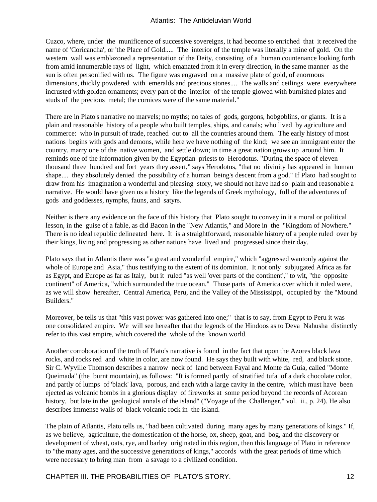Cuzco, where, under the munificence of successive sovereigns, it had become so enriched that it received the name of 'Coricancha', or 'the Place of Gold..... The interior of the temple was literally a mine of gold. On the western wall was emblazoned a representation of the Deity, consisting of a human countenance looking forth from amid innumerable rays of light, which emanated from it in every direction, in the same manner as the sun is often personified with us. The figure was engraved on a massive plate of gold, of enormous dimensions, thickly powdered with emeralds and precious stones.... The walls and ceilings were everywhere incrusted with golden ornaments; every part of the interior of the temple glowed with burnished plates and studs of the precious metal; the cornices were of the same material."

There are in Plato's narrative no marvels; no myths; no tales of gods, gorgons, hobgoblins, or giants. It is a plain and reasonable history of a people who built temples, ships, and canals; who lived by agriculture and commerce: who in pursuit of trade, reached out to all the countries around them. The early history of most nations begins with gods and demons, while here we have nothing of the kind; we see an immigrant enter the country, marry one of the native women, and settle down; in time a great nation grows up around him. It reminds one of the information given by the Egyptian priests to Herodotus. "During the space of eleven thousand three hundred and fort years they assert," says Herodotus, "that no divinity has appeared in human shape.... they absolutely denied the possibility of a human being's descent from a god." If Plato had sought to draw from his imagination a wonderful and pleasing story, we should not have had so plain and reasonable a narrative. He would have given us a history like the legends of Greek mythology, full of the adventures of gods and goddesses, nymphs, fauns, and satyrs.

Neither is there any evidence on the face of this history that Plato sought to convey in it a moral or political lesson, in the guise of a fable, as did Bacon in the "New Atlantis," and More in the "Kingdom of Nowhere." There is no ideal republic delineated here. It is a straightforward, reasonable history of a people ruled over by their kings, living and progressing as other nations have lived and progressed since their day.

Plato says that in Atlantis there was "a great and wonderful empire," which "aggressed wantonly against the whole of Europe and Asia," thus testifying to the extent of its dominion. It not only subjugated Africa as far as Egypt, and Europe as far as Italy, but it ruled "as well 'over parts of the continent'," to wit, "the opposite continent" of America, "which surrounded the true ocean." Those parts of America over which it ruled were, as we will show hereafter, Central America, Peru, and the Valley of the Mississippi, occupied by the "Mound Builders."

Moreover, be tells us that "this vast power was gathered into one;" that is to say, from Egypt to Peru it was one consolidated empire. We will see hereafter that the legends of the Hindoos as to Deva Nahusha distinctly refer to this vast empire, which covered the whole of the known world.

Another corroboration of the truth of Plato's narrative is found in the fact that upon the Azores black lava rocks, and rocks red and white in color, are now found. He says they built with white, red, and black stone. Sir C. Wyville Thomson describes a narrow neck of land between Fayal and Monte da Guia, called "Monte Queimada" (the burnt mountain), as follows: "It is formed partly of stratified tufa of a dark chocolate color, and partly of lumps of 'black' lava, porous, and each with a large cavity in the centre, which must have been ejected as volcanic bombs in a glorious display of fireworks at some period beyond the records of Acorean history, but late in the geological annals of the island" ("Voyage of the Challenger," vol. ii., p. 24). He also describes immense walls of black volcanic rock in the island.

The plain of Atlantis, Plato tells us, "had been cultivated during many ages by many generations of kings." If, as we believe, agriculture, the domestication of the horse, ox, sheep, goat, and bog, and the discovery or development of wheat, oats, rye, and barley originated in this region, then this language of Plato in reference to "the many ages, and the successive generations of kings," accords with the great periods of time which were necessary to bring man from a savage to a civilized condition.

CHAPTER III. THE PROBABILITIES OF PLATO'S STORY. 12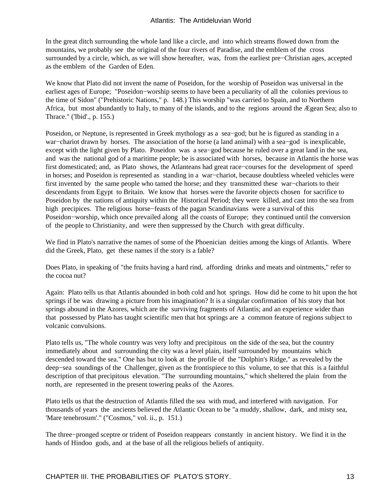In the great ditch surrounding the whole land like a circle, and into which streams flowed down from the mountains, we probably see the original of the four rivers of Paradise, and the emblem of the cross surrounded by a circle, which, as we will show hereafter, was, from the earliest pre−Christian ages, accepted as the emblem of the Garden of Eden.

We know that Plato did not invent the name of Poseidon, for the worship of Poseidon was universal in the earliest ages of Europe; "Poseidon−worship seems to have been a peculiarity of all the colonies previous to the time of Sidon" ("Prehistoric Nations," p. 148.) This worship "was carried to Spain, and to Northern Africa, but most abundantly to Italy, to many of the islands, and to the regions around the Ægean Sea; also to Thrace." ('Ibid'., p. 155.)

Poseidon, or Neptune, is represented in Greek mythology as a sea−god; but he is figured as standing in a war−chariot drawn by horses. The association of the horse (a land animal) with a sea−god is inexplicable, except with the light given by Plato. Poseidon was a sea−god because he ruled over a great land in the sea, and was the national god of a maritime people; be is associated with horses, because in Atlantis the horse was first domesticated; and, as Plato shows, the Atlanteans had great race−courses for the development of speed in horses; and Poseidon is represented as standing in a war−chariot, because doubtless wheeled vehicles were first invented by the same people who tamed the horse; and they transmitted these war−chariots to their descendants from Egypt to Britain. We know that horses were the favorite objects chosen for sacrifice to Poseidon by the nations of antiquity within the Historical Period; they were killed, and cast into the sea from high precipices. The religious horse−feasts of the pagan Scandinavians were a survival of this Poseidon−worship, which once prevailed along all the coasts of Europe; they continued until the conversion of the people to Christianity, and were then suppressed by the Church with great difficulty.

We find in Plato's narrative the names of some of the Phoenician deities among the kings of Atlantis. Where did the Greek, Plato, get these names if the story is a fable?

Does Plato, in speaking of "the fruits having a hard rind, affording drinks and meats and ointments," refer to the cocoa nut?

Again: Plato tells us that Atlantis abounded in both cold and hot springs. How did he come to hit upon the hot springs if be was drawing a picture from his imagination? It is a singular confirmation of his story that hot springs abound in the Azores, which are the surviving fragments of Atlantis; and an experience wider than that possessed by Plato has taught scientific men that hot springs are a common feature of regions subject to volcanic convulsions.

Plato tells us, "The whole country was very lofty and precipitous on the side of the sea, but the country immediately about and surrounding the city was a level plain, itself surrounded by mountains which descended toward the sea." One has but to look at the profile of the "Dolphin's Ridge," as revealed by the deep−sea soundings of the Challenger, given as the frontispiece to this volume, to see that this is a faithful description of that precipitous elevation. "The surrounding mountains," which sheltered the plain from the north, are represented in the present towering peaks of the Azores.

Plato tells us that the destruction of Atlantis filled the sea with mud, and interfered with navigation. For thousands of years the ancients believed the Atlantic Ocean to be "a muddy, shallow, dark, and misty sea, 'Mare tenebrosum'." ("Cosmos," vol. ii., p. 151.)

The three−pronged sceptre or trident of Poseidon reappears constantly in ancient history. We find it in the hands of Hindoo gods, and at the base of all the religious beliefs of antiquity.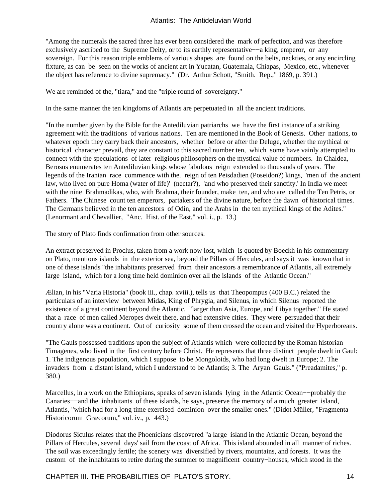"Among the numerals the sacred three has ever been considered the mark of perfection, and was therefore exclusively ascribed to the Supreme Deity, or to its earthly representative−−a king, emperor, or any sovereign. For this reason triple emblems of various shapes are found on the belts, neckties, or any encircling fixture, as can be seen on the works of ancient art in Yucatan, Guatemala, Chiapas, Mexico, etc., whenever the object has reference to divine supremacy." (Dr. Arthur Schott, "Smith. Rep.," 1869, p. 391.)

We are reminded of the, "tiara," and the "triple round of sovereignty."

In the same manner the ten kingdoms of Atlantis are perpetuated in all the ancient traditions.

"In the number given by the Bible for the Antediluvian patriarchs we have the first instance of a striking agreement with the traditions of various nations. Ten are mentioned in the Book of Genesis. Other nations, to whatever epoch they carry back their ancestors, whether before or after the Deluge, whether the mythical or historical character prevail, they are constant to this sacred number ten, which some have vainly attempted to connect with the speculations of later religious philosophers on the mystical value of numbers. In Chaldea, Berosus enumerates ten Antediluvian kings whose fabulous reign extended to thousands of years. The legends of the Iranian race commence with the. reign of ten Peisdadien (Poseidon?) kings, 'men of the ancient law, who lived on pure Homa (water of life)' (nectar?), 'and who preserved their sanctity.' In India we meet with the nine Brahmadikas, who, with Brahma, their founder, make ten, and who are called the Ten Petris, or Fathers. The Chinese count ten emperors, partakers of the divine nature, before the dawn of historical times. The Germans believed in the ten ancestors of Odin, and the Arabs in the ten mythical kings of the Adites." (Lenormant and Chevallier, "Anc. Hist. of the East," vol. i., p. 13.)

The story of Plato finds confirmation from other sources.

An extract preserved in Proclus, taken from a work now lost, which is quoted by Boeckh in his commentary on Plato, mentions islands in the exterior sea, beyond the Pillars of Hercules, and says it was known that in one of these islands "the inhabitants preserved from their ancestors a remembrance of Atlantis, all extremely large island, which for a long time held dominion over all the islands of the Atlantic Ocean."

Ælian, in his "Varia Historia" (book iii., chap. xviii.), tells us that Theopompus (400 B.C.) related the particulars of an interview between Midas, King of Phrygia, and Silenus, in which Silenus reported the existence of a great continent beyond the Atlantic, "larger than Asia, Europe, and Libya together." He stated that a race of men called Meropes dwelt there, and had extensive cities. They were persuaded that their country alone was a continent. Out of curiosity some of them crossed the ocean and visited the Hyperboreans.

"The Gauls possessed traditions upon the subject of Atlantis which were collected by the Roman historian Timagenes, who lived in the first century before Christ. He represents that three distinct people dwelt in Gaul: 1. The indigenous population, which I suppose to be Mongoloids, who had long dwelt in Europe; 2. The invaders from a distant island, which I understand to be Atlantis; 3. The Aryan Gauls." ("Preadamites," p. 380.)

Marcellus, in a work on the Ethiopians, speaks of seven islands lying in the Atlantic Ocean−−probably the Canaries−−and the inhabitants of these islands, he says, preserve the memory of a much greater island, Atlantis, "which had for a long time exercised dominion over the smaller ones." (Didot Müller, "Fragmenta Historicorum Græcorum," vol. iv., p. 443.)

Diodorus Siculus relates that the Phoenicians discovered "a large island in the Atlantic Ocean, beyond the Pillars of Hercules, several days' sail from the coast of Africa. This island abounded in all manner of riches. The soil was exceedingly fertile; the scenery was diversified by rivers, mountains, and forests. It was the custom of the inhabitants to retire during the summer to magnificent country−houses, which stood in the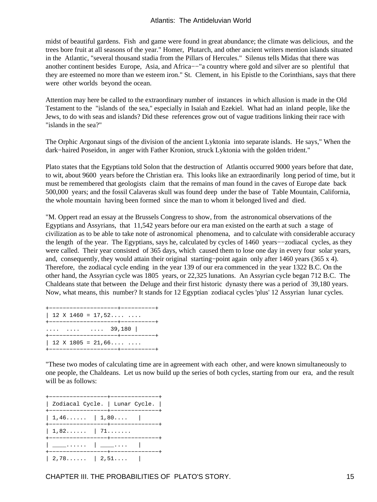midst of beautiful gardens. Fish and game were found in great abundance; the climate was delicious, and the trees bore fruit at all seasons of the year." Homer, Plutarch, and other ancient writers mention islands situated in the Atlantic, "several thousand stadia from the Pillars of Hercules." Silenus tells Midas that there was another continent besides Europe, Asia, and Africa−−"a country where gold and silver are so plentiful that they are esteemed no more than we esteem iron." St. Clement, in his Epistle to the Corinthians, says that there were other worlds beyond the ocean.

Attention may here be called to the extraordinary number of instances in which allusion is made in the Old Testament to the "islands of the sea," especially in Isaiah and Ezekiel. What had an inland people, like the Jews, to do with seas and islands? Did these references grow out of vague traditions linking their race with "islands in the sea?"

The Orphic Argonaut sings of the division of the ancient Lyktonia into separate islands. He says," When the dark−haired Poseidon, in anger with Father Kronion, struck Lyktonia with the golden trident."

Plato states that the Egyptians told Solon that the destruction of Atlantis occurred 9000 years before that date, to wit, about 9600 years before the Christian era. This looks like an extraordinarily long period of time, but it must be remembered that geologists claim that the remains of man found in the caves of Europe date back 500,000 years; and the fossil Calaveras skull was found deep under the base of Table Mountain, California, the whole mountain having been formed since the man to whom it belonged lived and died.

"M. Oppert read an essay at the Brussels Congress to show, from the astronomical observations of the Egyptians and Assyrians, that 11,542 years before our era man existed on the earth at such a stage of civilization as to be able to take note of astronomical phenomena, and to calculate with considerable accuracy the length of the year. The Egyptians, says he, calculated by cycles of 1460 years−−zodiacal cycles, as they were called. Their year consisted of 365 days, which caused them to lose one day in every four solar years, and, consequently, they would attain their original starting−point again only after 1460 years (365 x 4). Therefore, the zodiacal cycle ending in the year 139 of our era commenced in the year 1322 B.C. On the other hand, the Assyrian cycle was 1805 years, or 22,325 lunations. An Assyrian cycle began 712 B.C. The Chaldeans state that between the Deluge and their first historic dynasty there was a period of 39,180 years. Now, what means, this number? It stands for 12 Egyptian zodiacal cycles 'plus' 12 Assyrian lunar cycles.

|  |  | +---------------------+---------+ |
|--|--|-----------------------------------|
|  |  | 12 X 1460 = 17,52                 |
|  |  | +---------------------+---------+ |
|  |  | $\ldots$ $\ldots$ $\ldots$ 39,180 |
|  |  | +-------------------+---------+   |
|  |  | 12 X 1805 = 21,66                 |
|  |  | +-------------------+---------+   |

"These two modes of calculating time are in agreement with each other, and were known simultaneously to one people, the Chaldeans. Let us now build up the series of both cycles, starting from our era, and the result will be as follows:

| +-----------------+-------------+                                       |  |
|-------------------------------------------------------------------------|--|
| Zodiacal Cycle.   Lunar Cycle.  <br>+------------------+--------------- |  |
| $1, 46, \ldots$ $1, 80, \ldots$<br>+-----------------+--------------+   |  |
| $1,82,$ 71<br>+-----------------+-------------+                         |  |
| <u>  _ _</u>   ___<br>+----------------+-------------+                  |  |
| 2,78 2,51                                                               |  |

CHAPTER III. THE PROBABILITIES OF PLATO'S STORY. 15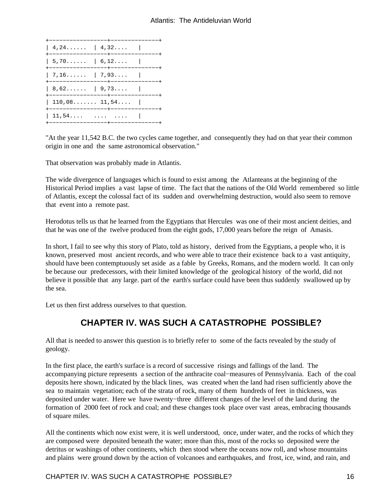<span id="page-17-0"></span>

|                                            | +------------------+--------------+                                      |
|--------------------------------------------|--------------------------------------------------------------------------|
| $\vert 4, 24, \ldots, \vert 4, 32, \ldots$ | $\sim$ 1<br>+------------------+--------------+                          |
| 5,70   6,12                                | $\sim$ 1<br>+-----------------+-------------+                            |
| 7,16   7,93                                | - 1<br>+------------------+--------------+                               |
| 8,62   9,73                                | $\sim$ 1<br>+-----------------+-------------+                            |
| 110,08 11,54                               |                                                                          |
| 11,54                                      | +-----------------+-------------+<br>+------------------+--------------- |
|                                            |                                                                          |

"At the year 11,542 B.C. the two cycles came together, and consequently they had on that year their common origin in one and the same astronomical observation."

That observation was probably made in Atlantis.

The wide divergence of languages which is found to exist among the Atlanteans at the beginning of the Historical Period implies a vast lapse of time. The fact that the nations of the Old World remembered so little of Atlantis, except the colossal fact of its sudden and overwhelming destruction, would also seem to remove that event into a remote past.

Herodotus tells us that he learned from the Egyptians that Hercules was one of their most ancient deities, and that he was one of the twelve produced from the eight gods, 17,000 years before the reign of Amasis.

In short, I fail to see why this story of Plato, told as history, derived from the Egyptians, a people who, it is known, preserved most ancient records, and who were able to trace their existence back to a vast antiquity, should have been contemptuously set aside as a fable by Greeks, Romans, and the modern world. It can only be because our predecessors, with their limited knowledge of the geological history of the world, did not believe it possible that any large. part of the earth's surface could have been thus suddenly swallowed up by the sea.

Let us then first address ourselves to that question.

### **CHAPTER IV. WAS SUCH A CATASTROPHE POSSIBLE?**

All that is needed to answer this question is to briefly refer to some of the facts revealed by the study of geology.

In the first place, the earth's surface is a record of successive risings and fallings of the land. The accompanying picture represents a section of the anthracite coal−measures of Pennsylvania. Each of the coal deposits here shown, indicated by the black lines, was created when the land had risen sufficiently above the sea to maintain vegetation; each of the strata of rock, many of them hundreds of feet in thickness, was deposited under water. Here we have twenty−three different changes of the level of the land during the formation of 2000 feet of rock and coal; and these changes took place over vast areas, embracing thousands of square miles.

All the continents which now exist were, it is well understood, once, under water, and the rocks of which they are composed were deposited beneath the water; more than this, most of the rocks so deposited were the detritus or washings of other continents, which then stood where the oceans now roll, and whose mountains and plains were ground down by the action of volcanoes and earthquakes, and frost, ice, wind, and rain, and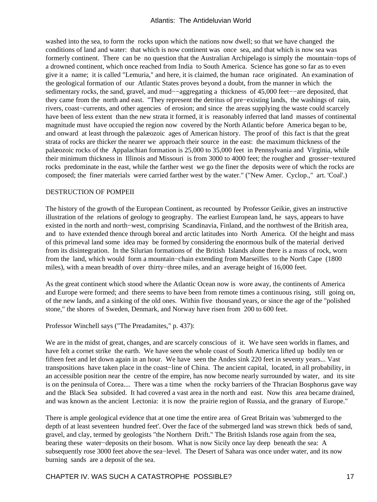washed into the sea, to form the rocks upon which the nations now dwell; so that we have changed the conditions of land and water: that which is now continent was once sea, and that which is now sea was formerly continent. There can be no question that the Australian Archipelago is simply the mountain−tops of a drowned continent, which once reached from India to South America. Science has gone so far as to even give it a name; it is called "Lemuria," and here, it is claimed, the human race originated. An examination of the geological formation of our Atlantic States proves beyond a doubt, from the manner in which the sedimentary rocks, the sand, gravel, and mud−−aggregating a thickness of 45,000 feet−−are deposited, that they came from the north and east. "They represent the detritus of pre−existing lands, the washings of rain, rivers, coast−currents, and other agencies of erosion; and since the areas supplying the waste could scarcely have been of less extent than the new strata it formed, it is reasonably inferred that land masses of continental magnitude must have occupied the region now covered by the North Atlantic before America began to be, and onward at least through the palæozoic ages of American history. The proof of this fact is that the great strata of rocks are thicker the nearer we approach their source in the east: the maximum thickness of the palæozoic rocks of the Appalachian formation is 25,000 to 35,000 feet in Pennsylvania and Virginia, while their minimum thickness in Illinois and Missouri is from 3000 to 4000 feet; the rougher and grosser−textured rocks predominate in the east, while the farther west we go the finer the deposits were of which the rocks are composed; the finer materials were carried farther west by the water." ("New Amer. Cyclop.," art. 'Coal'.)

#### DESTRUCTION OF POMPEII

The history of the growth of the European Continent, as recounted by Professor Geikie, gives an instructive illustration of the relations of geology to geography. The earliest European land, he says, appears to have existed in the north and north−west, comprising Scandinavia, Finland, and the northwest of the British area, and to have extended thence through boreal and arctic latitudes into North America. Of the height and mass of this primeval land some idea may be formed by considering the enormous bulk of the material derived from its disintegration. In the Silurian formations of the British Islands alone there is a mass of rock, worn from the land, which would form a mountain−chain extending from Marseilles to the North Cape (1800 miles), with a mean breadth of over thirty−three miles, and an average height of 16,000 feet.

As the great continent which stood where the Atlantic Ocean now is wore away, the continents of America and Europe were formed; and there seems to have been from remote times a continuous rising, still going on, of the new lands, and a sinking of the old ones. Within five thousand years, or since the age of the "polished stone," the shores of Sweden, Denmark, and Norway have risen from 200 to 600 feet.

Professor Winchell says ("The Preadamites," p. 437):

We are in the midst of great, changes, and are scarcely conscious of it. We have seen worlds in flames, and have felt a cornet strike the earth. We have seen the whole coast of South America lifted up bodily ten or fifteen feet and let down again in an hour. We have seen the Andes sink 220 feet in seventy years... Vast transpositions have taken place in the coast−line of China. The ancient capital, located, in all probability, in an accessible position near the centre of the empire, has now become nearly surrounded by water, and its site is on the peninsula of Corea.... There was a time when the rocky barriers of the Thracian Bosphorus gave way and the Black Sea subsided. It had covered a vast area in the north and east. Now this area became drained, and was known as the ancient Lectonia: it is now the prairie region of Russia, and the granary of Europe."

There is ample geological evidence that at one time the entire area of Great Britain was 'submerged to the depth of at least seventeen hundred feet'. Over the face of the submerged land was strewn thick beds of sand, gravel, and clay, termed by geologists "the Northern Drift." The British Islands rose again from the sea, bearing these water−deposits on their bosom. What is now Sicily once lay deep beneath the sea: A subsequently rose 3000 feet above the sea−level. The Desert of Sahara was once under water, and its now burning sands are a deposit of the sea.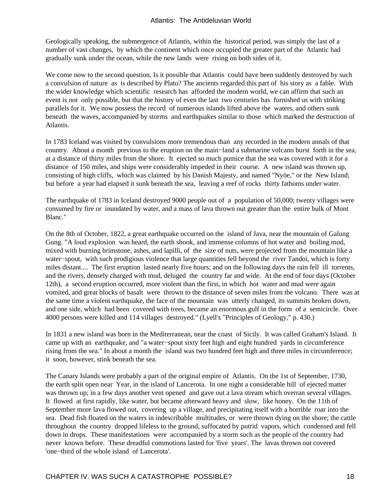Geologically speaking, the submergence of Atlantis, within the historical period, was simply the last of a number of vast changes, by which the continent which once occupied the greater part of the Atlantic had gradually sunk under the ocean, while the new lands were rising on both sides of it.

We come now to the second question, Is it possible that Atlantis could have been suddenly destroyed by such a convulsion of nature as is described by Plato? The ancients regarded this part of his story as a fable. With the wider knowledge which scientific research has afforded the modern world, we can affirm that such an event is not only possible, but that the history of even the last two centuries has furnished us with striking parallels for it. We now possess the record of numerous islands lifted above the waters, and others sunk beneath the waves, accompanied by storms and earthquakes similar to those which marked the destruction of Atlantis.

In 1783 Iceland was visited by convulsions more tremendous than any recorded in the modern annals of that country. About a month previous to the eruption on the main−land a submarine volcano burst forth in the sea, at a distance of thirty miles from the shore. It ejected so much pumice that the sea was covered with it for a distance of 150 miles, and ships were considerably impeded in their course. A new island was thrown up, consisting of high cliffs, which was claimed by his Danish Majesty, and named "Nyöe," or the New Island; but before a year had elapsed it sunk beneath the sea, leaving a reef of rocks thirty fathoms under water.

The earthquake of 1783 in Iceland destroyed 9000 people out of a population of 50,000; twenty villages were consumed by fire or inundated by water, and a mass of lava thrown out greater than the entire bulk of Mont Blanc."

On the 8th of October, 1822, a great earthquake occurred on the island of Java, near the mountain of Galung Gung. "A loud explosion was heard, the earth shook, and immense columns of hot water and boiling mud, mixed with burning brimstone, ashes, and lapilli, of the size of nuts, were projected from the mountain like a water−spout, with such prodigious violence that large quantities fell beyond the river Tandoi, which is forty miles distant.... The first eruption lasted nearly five hours; and on the following days the rain fell ill torrents, and the rivers, densely charged with mud, deluged the country far and wide. At the end of four days (October 12th), a second eruption occurred, more violent than the first, in which hot water and mud were again vomited, and great blocks of basalt were thrown to the distance of seven miles from the volcano. There was at the same time a violent earthquake, the face of the mountain was utterly changed, its summits broken down, and one side, which had been covered with trees, became an enormous gulf in the form of a semicircle. Over 4000 persons were killed and 114 villages destroyed." (Lyell's "Principles of Geology," p. 430.)

In 1831 a new island was born in the Mediterranean, near the coast of Sicily. It was called Graham's Island. It came up with an earthquake, and "a water−spout sixty feet high and eight hundred yards in circumference rising from the sea." In about a month the island was two hundred feet high and three miles in circumference; it soon, however, stink beneath the sea.

The Canary Islands were probably a part of the original empire of Atlantis. On the 1st of September, 1730, the earth split open near Year, in the island of Lancerota. In one night a considerable hill of ejected matter was thrown up; in a few days another vent opened and gave out a lava stream which overran several villages. It flowed at first rapidly, like water, but became afterward heavy and slow, like honey. On the 11th of September more lava flowed out, covering up a village, and precipitating itself with a horrible roar into the sea. Dead fish floated on the waters in indescribable multitudes, or were thrown dying on the shore; the cattle throughout the country dropped lifeless to the ground, suffocated by putrid vapors, which condensed and fell down in drops. These manifestations were accompanied by a storm such as the people of the country had never known before. These dreadful commotions lasted for 'five years'. The lavas thrown out covered 'one−third of the whole island of Lancerota'.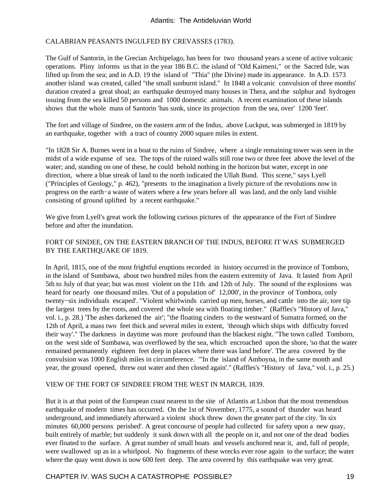#### CALABRIAN PEASANTS INGULFED BY CREVASSES (1783).

The Gulf of Santorin, in the Grecian Archipelago, has been for two thousand years a scene of active volcanic operations. Pliny informs us that in the year 186 B.C. the island of "Old Kaimeni," or the Sacred Isle, was lifted up from the sea; and in A.D. 19 the island of "Thia" (the Divine) made its appearance. In A.D. 1573 another island was created, called "the small sunburnt island." In 1848 a volcanic convulsion of three months' duration created a great shoal; an earthquake destroyed many houses in Thera, and the sulphur and hydrogen issuing from the sea killed 50 persons and 1000 domestic animals. A recent examination of these islands shows that the whole mass of Santorin 'has sunk, since its projection from the sea, over' 1200 'feet'.

The fort and village of Sindree, on the eastern arm of the Indus, above Luckput, was submerged in 1819 by an earthquake, together with a tract of country 2000 square miles in extent.

"In 1828 Sir A. Burnes went in a boat to the ruins of Sindree, where a single remaining tower was seen in the midst of a wide expanse of sea. The tops of the ruined walls still rose two or three feet above the level of the water; and, standing on one of these, he could behold nothing in the horizon but water, except in one direction, where a blue streak of land to the north indicated the Ullah Bund. This scene," says Lyell ("Principles of Geology," p. 462), "presents to the imagination a lively picture of the revolutions now in progress on the earth−a waste of waters where a few years before all was land, and the only land visible consisting of ground uplifted by a recent earthquake."

We give from Lyell's great work the following curious pictures of the appearance of the Fort of Sindree before and after the inundation.

#### FORT OF SINDEE, ON THE EASTERN BRANCH OF THE INDUS, BEFORE IT WAS SUBMERGED BY THE EARTHQUAKE OF 1819.

In April, 1815, one of the most frightful eruptions recorded in history occurred in the province of Tomboro, in the island of Sumbawa, about two hundred miles from the eastern extremity of Java. It lasted from April 5th to July of that year; but was most violent on the 11th and 12th of July. The sound of the explosions was heard for nearly one thousand miles. 'Out of a population of' 12,000', in the province of Tombora, only twenty−six individuals escaped'. "Violent whirlwinds carried up men, horses, and cattle into the air, tore tip the largest trees by the roots, and covered the whole sea with floating timber." (Raffles's "History of Java," vol. i., p. 28.) 'The ashes darkened the air'; "the floating cinders to the westward of Sumatra formed, on the 12th of April, a mass two feet thick and several miles in extent, 'through which ships with difficulty forced their way'." The darkness in daytime was more profound than the blackest night. "The town called Tomboro, on the west side of Sumbawa, was overflowed by the sea, which encroached upon the shore, 'so that the water remained permanently eighteen feet deep in places where there was land before'. The area covered by the convulsion was 1000 English miles in circumference. "'In the island of Amboyna, in the same month and year, the ground opened, threw out water and then closed again'." (Raffles's "History of Java," vol. i., p. 25.)

#### VIEW OF THE FORT OF SINDREE FROM THE WEST IN MARCH, 1839.

But it is at that point of the European coast nearest to the site of Atlantis at Lisbon that the most tremendous earthquake of modern times has occurred. On the 1st of November, 1775, a sound of thunder was heard underground, and immediately afterward a violent shock threw down the greater part of the city. 'In six minutes 60,000 persons perished'. A great concourse of people had collected for safety upon a new quay, built entirely of marble; but suddenly it sunk down with all the people on it, and not one of the dead bodies ever floated to the surface. A great number of small boats and vessels anchored near it, and, full of people, were swallowed up as in a whirlpool. No fragments of these wrecks ever rose again to the surface; the water where the quay went down is now 600 feet deep. The area covered by this earthquake was very great.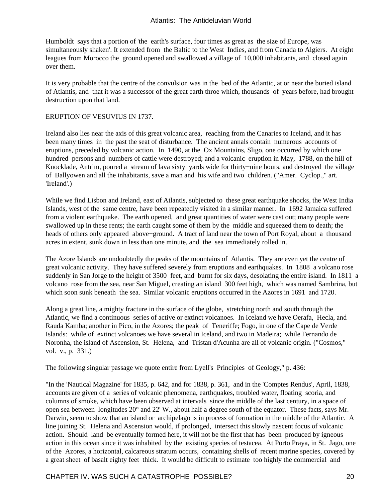Humboldt says that a portion of 'the earth's surface, four times as great as the size of Europe, was simultaneously shaken'. It extended from the Baltic to the West Indies, and from Canada to Algiers. At eight leagues from Morocco the ground opened and swallowed a village of 10,000 inhabitants, and closed again over them.

It is very probable that the centre of the convulsion was in the bed of the Atlantic, at or near the buried island of Atlantis, and that it was a successor of the great earth throe which, thousands of years before, had brought destruction upon that land.

#### ERUPTION OF VESUVIUS IN 1737.

Ireland also lies near the axis of this great volcanic area, reaching from the Canaries to Iceland, and it has been many times in the past the seat of disturbance. The ancient annals contain numerous accounts of eruptions, preceded by volcanic action. In 1490, at the Ox Mountains, Sligo, one occurred by which one hundred persons and numbers of cattle were destroyed; and a volcanic eruption in May, 1788, on the hill of Knocklade, Antrim, poured a stream of lava sixty yards wide for thirty−nine hours, and destroyed the village of Ballyowen and all the inhabitants, save a man and his wife and two children. ("Amer. Cyclop.," art. 'Ireland'.)

While we find Lisbon and Ireland, east of Atlantis, subjected to these great earthquake shocks, the West India Islands, west of the same centre, have been repeatedly visited in a similar manner. In 1692 Jamaica suffered from a violent earthquake. The earth opened, and great quantities of water were cast out; many people were swallowed up in these rents; the earth caught some of them by the middle and squeezed them to death; the heads of others only appeared above−ground. A tract of land near the town of Port Royal, about a thousand acres in extent, sunk down in less than one minute, and the sea immediately rolled in.

The Azore Islands are undoubtedly the peaks of the mountains of Atlantis. They are even yet the centre of great volcanic activity. They have suffered severely from eruptions and earthquakes. In 1808 a volcano rose suddenly in San Jorge to the height of 3500 feet, and burnt for six days, desolating the entire island. In 1811 a volcano rose from the sea, near San Miguel, creating an island 300 feet high, which was named Sambrina, but which soon sunk beneath the sea. Similar volcanic eruptions occurred in the Azores in 1691 and 1720.

Along a great line, a mighty fracture in the surface of the globe, stretching north and south through the Atlantic, we find a continuous series of active or extinct volcanoes. In Iceland we have Oerafa, Hecla, and Rauda Kamba; another in Pico, in the Azores; the peak of Teneriffe; Fogo, in one of the Cape de Verde Islands: while of extinct volcanoes we have several in Iceland, and two in Madeira; while Fernando de Noronha, the island of Ascension, St. Helena, and Tristan d'Acunha are all of volcanic origin. ("Cosmos," vol. v., p. 331.)

The following singular passage we quote entire from Lyell's Principles of Geology," p. 436:

"In the 'Nautical Magazine' for 1835, p. 642, and for 1838, p. 361, and in the 'Comptes Rendus', April, 1838, accounts are given of a series of volcanic phenomena, earthquakes, troubled water, floating scoria, and columns of smoke, which have been observed at intervals since the middle of the last century, in a space of open sea between longitudes 20° and 22' W., about half a degree south of the equator. These facts, says Mr. Darwin, seem to show that an island or archipelago is in process of formation in the middle of the Atlantic. A line joining St. Helena and Ascension would, if prolonged, intersect this slowly nascent focus of volcanic action. Should land be eventually formed here, it will not be the first that has been produced by igneous action in this ocean since it was inhabited by the existing species of testacea. At Porto Praya, in St. Jago, one of the Azores, a horizontal, calcareous stratum occurs, containing shells of recent marine species, covered by a great sheet of basalt eighty feet thick. It would be difficult to estimate too highly the commercial and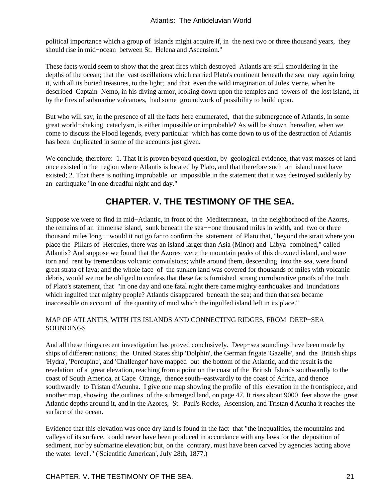<span id="page-22-0"></span>political importance which a group of islands might acquire if, in the next two or three thousand years, they should rise in mid−ocean between St. Helena and Ascension."

These facts would seem to show that the great fires which destroyed Atlantis are still smouldering in the depths of the ocean; that the vast oscillations which carried Plato's continent beneath the sea may again bring it, with all its buried treasures, to the light; and that even the wild imagination of Jules Verne, when he described Captain Nemo, in his diving armor, looking down upon the temples and towers of the lost island, ht by the fires of submarine volcanoes, had some groundwork of possibility to build upon.

But who will say, in the presence of all the facts here enumerated, that the submergence of Atlantis, in some great world−shaking cataclysm, is either impossible or improbable? As will be shown hereafter, when we come to discuss the Flood legends, every particular which has come down to us of the destruction of Atlantis has been duplicated in some of the accounts just given.

We conclude, therefore: 1. That it is proven beyond question, by geological evidence, that vast masses of land once existed in the region where Atlantis is located by Plato, and that therefore such an island must have existed; 2. That there is nothing improbable or impossible in the statement that it was destroyed suddenly by an earthquake "in one dreadful night and day."

### **CHAPTER. V. THE TESTIMONY OF THE SEA.**

Suppose we were to find in mid−Atlantic, in front of the Mediterranean, in the neighborhood of the Azores, the remains of an immense island, sunk beneath the sea−−one thousand miles in width, and two or three thousand miles long−−would it not go far to confirm the statement of Plato that, "beyond the strait where you place the Pillars of Hercules, there was an island larger than Asia (Minor) and Libya combined," called Atlantis? And suppose we found that the Azores were the mountain peaks of this drowned island, and were torn and rent by tremendous volcanic convulsions; while around them, descending into the sea, were found great strata of lava; and the whole face of the sunken land was covered for thousands of miles with volcanic débris, would we not be obliged to confess that these facts furnished strong corroborative proofs of the truth of Plato's statement, that "in one day and one fatal night there came mighty earthquakes and inundations which ingulfed that mighty people? Atlantis disappeared beneath the sea; and then that sea became inaccessible on account of the quantity of mud which the ingulfed island left in its place."

#### MAP OF ATLANTIS, WITH ITS ISLANDS AND CONNECTING RIDGES, FROM DEEP−SEA **SOUNDINGS**

And all these things recent investigation has proved conclusively. Deep−sea soundings have been made by ships of different nations; the United States ship 'Dolphin', the German frigate 'Gazelle', and the British ships 'Hydra', 'Porcupine', and 'Challenger' have mapped out the bottom of the Atlantic, and the result is the revelation of a great elevation, reaching from a point on the coast of the British Islands southwardly to the coast of South America, at Cape Orange, thence south−eastwardly to the coast of Africa, and thence southwardly to Tristan d'Acunha. I give one map showing the profile of this elevation in the frontispiece, and another map, showing the outlines of the submerged land, on page 47. It rises about 9000 feet above the great Atlantic depths around it, and in the Azores, St. Paul's Rocks, Ascension, and Tristan d'Acunha it reaches the surface of the ocean.

Evidence that this elevation was once dry land is found in the fact that "the inequalities, the mountains and valleys of its surface, could never have been produced in accordance with any laws for the deposition of sediment, nor by submarine elevation; but, on the contrary, must have been carved by agencies 'acting above the water level'." ('Scientific American', July 28th, 1877.)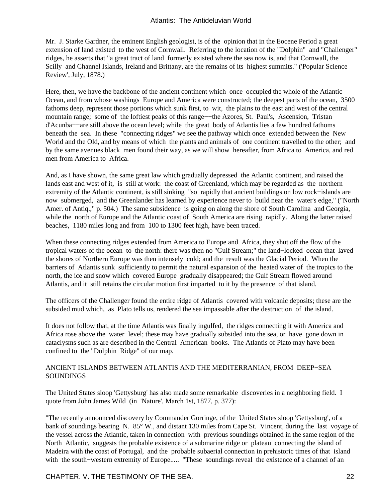Mr. J. Starke Gardner, the eminent English geologist, is of the opinion that in the Eocene Period a great extension of land existed to the west of Cornwall. Referring to the location of the "Dolphin" and "Challenger" ridges, he asserts that "a great tract of land formerly existed where the sea now is, and that Cornwall, the Scilly and Channel Islands, Ireland and Brittany, are the remains of its highest summits." ('Popular Science Review', July, 1878.)

Here, then, we have the backbone of the ancient continent which once occupied the whole of the Atlantic Ocean, and from whose washings Europe and America were constructed; the deepest parts of the ocean, 3500 fathoms deep, represent those portions which sunk first, to wit, the plains to the east and west of the central mountain range; some of the loftiest peaks of this range−−the Azores, St. Paul's, Ascension, Tristan d'Acunba−−are still above the ocean level; while the great body of Atlantis lies a few hundred fathoms beneath the sea. In these "connecting ridges" we see the pathway which once extended between the New World and the Old, and by means of which the plants and animals of one continent travelled to the other; and by the same avenues black men found their way, as we will show hereafter, from Africa to America, and red men from America to Africa.

And, as I have shown, the same great law which gradually depressed the Atlantic continent, and raised the lands east and west of it, is still at work: the coast of Greenland, which may be regarded as the northern extremity of the Atlantic continent, is still sinking "so rapidly that ancient buildings on low rock−islands are now submerged, and the Greenlander has learned by experience never to build near the water's edge," ("North Amer. of Antiq.," p. 504.) The same subsidence is going on along the shore of South Carolina and Georgia, while the north of Europe and the Atlantic coast of South America are rising rapidly. Along the latter raised beaches, 1180 miles long and from 100 to 1300 feet high, have been traced.

When these connecting ridges extended from America to Europe and Africa, they shut off the flow of the tropical waters of the ocean to the north: there was then no "Gulf Stream;" the land−locked ocean that laved the shores of Northern Europe was then intensely cold; and the result was the Glacial Period. When the barriers of Atlantis sunk sufficiently to permit the natural expansion of the heated water of the tropics to the north, the ice and snow which covered Europe gradually disappeared; the Gulf Stream flowed around Atlantis, and it still retains the circular motion first imparted to it by the presence of that island.

The officers of the Challenger found the entire ridge of Atlantis covered with volcanic deposits; these are the subsided mud which, as Plato tells us, rendered the sea impassable after the destruction of the island.

It does not follow that, at the time Atlantis was finally ingulfed, the ridges connecting it with America and Africa rose above the water−level; these may have gradually subsided into the sea, or have gone down in cataclysms such as are described in the Central American books. The Atlantis of Plato may have been confined to the "Dolphin Ridge" of our map.

#### ANCIENT ISLANDS BETWEEN ATLANTIS AND THE MEDITERRANIAN, FROM DEEP−SEA SOUNDINGS

The United States sloop 'Gettysburg' has also made some remarkable discoveries in a neighboring field. I quote from John James Wild (in 'Nature', March 1st, 1877, p. 377):

"The recently announced discovery by Commander Gorringe, of the United States sloop 'Gettysburg', of a bank of soundings bearing N. 85° W., and distant 130 miles from Cape St. Vincent, during the last voyage of the vessel across the Atlantic, taken in connection with previous soundings obtained in the same region of the North Atlantic, suggests the probable existence of a submarine ridge or plateau connecting the island of Madeira with the coast of Portugal, and the probable subaerial connection in prehistoric times of that island with the south−western extremity of Europe..... "These soundings reveal the existence of a channel of an

CHAPTER. V. THE TESTIMONY OF THE SEA. 22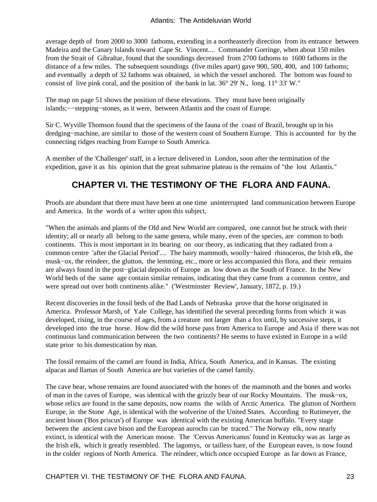<span id="page-24-0"></span>average depth of from 2000 to 3000 fathoms, extending in a northeasterly direction from its entrance between Madeira and the Canary Islands toward Cape St. Vincent.... Commander Gorringe, when about 150 miles from the Strait of Gibraltar, found that the soundings decreased from 2700 fathoms to 1600 fathoms in the distance of a few miles. The subsequent soundings (five miles apart) gave 900, 500, 400, and 100 fathoms; and eventually a depth of 32 fathoms was obtained, in which the vessel anchored. The bottom was found to consist of live pink coral, and the position of the bank in lat.  $36^{\circ}$  29' N., long.  $11^{\circ}$  33' W."

The map on page 51 shows the position of these elevations. They must have been originally islands;−−stepping−stones, as it were, between Atlantis and the coast of Europe.

Sir C. Wyville Thomson found that the specimens of the fauna of the coast of Brazil, brought up in his dredging−machine, are similar to those of the western coast of Southern Europe. This is accounted for by the connecting ridges reaching from Europe to South America.

A member of the 'Challenger' staff, in a lecture delivered in London, soon after the termination of the expedition, gave it as his opinion that the great submarine plateau is the remains of "the lost Atlantis."

### **CHAPTER VI. THE TESTIMONY OF THE FLORA AND FAUNA.**

Proofs are abundant that there must have been at one time uninterrupted land communication between Europe and America. In the words of a writer upon this subject,

"When the animals and plants of the Old and New World are compared, one cannot but be struck with their identity; all or nearly all belong to the same genera, while many, even of the species, are common to both continents. This is most important in its bearing on our theory, as indicating that they radiated from a common centre 'after the Glacial Period'.... The hairy mammoth, woolly−haired rhinoceros, the Irish elk, the musk−ox, the reindeer, the glutton, the lemming, etc., more or less accompanied this flora, and their remains are always found in the post−glacial deposits of Europe as low down as the South of France. In the New World beds of the same age contain similar remains, indicating that they came from a common centre, and were spread out over both continents alike." ('Westminster Review', January, 1872, p. 19.)

Recent discoveries in the fossil beds of the Bad Lands of Nebraska prove that the horse originated in America. Professor Marsh, of Yale College, has identified the several preceding forms from which it was developed, rising, in the course of ages, from a creature not larger than a fox until, by successive steps, it developed into the true horse. How did the wild horse pass from America to Europe and Asia if there was not continuous land communication between the two continents? He seems to have existed in Europe in a wild state prior to his domestication by man.

The fossil remains of the camel are found in India, Africa, South America, and in Kansas. The existing alpacas and llamas of South America are but varieties of the camel family.

The cave bear, whose remains are found associated with the hones of the mammoth and the bones and works of man in the caves of Europe, was identical with the grizzly bear of our Rocky Mountains. The musk−ox, whose relics are found in the same deposits, now roams the wilds of Arctic America. The glutton of Northern Europe, in the Stone Age, is identical with the wolverine of the United States. According to Rutimeyer, the ancient bison ('Bos priscus') of Europe was identical with the existing American buffalo. "Every stage between the ancient cave bison and the European aurochs can be traced." The Norway elk, now nearly extinct, is identical with the American moose. The 'Cervus Americanus' found in Kentucky was as large as the Irish elk, which it greatly resembled. The lagomys, or tailless hare, of the European eaves, is now found in the colder regions of North America. The reindeer, which once occupied Europe as far down as France,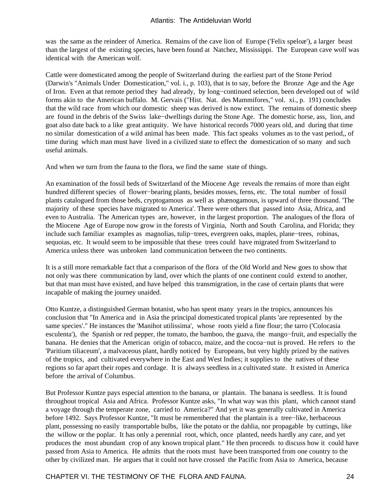was the same as the reindeer of America. Remains of the cave lion of Europe ('Felix speloæ'), a larger beast than the largest of the existing species, have been found at Natchez, Mississippi. The European cave wolf was identical with the American wolf.

Cattle were domesticated among the people of Switzerland during the earliest part of the Stone Period (Darwin's "Animals Under Domestication," vol. i., p. 103), that is to say, before the Bronze Age and the Age of Iron. Even at that remote period they had already, by long−continued selection, been developed out of wild forms akin to the American buffalo. M. Gervais ("Hist. Nat. des Mammifores," vol. xi., p. 191) concludes that the wild race from which our domestic sheep was derived is now extinct. The remains of domestic sheep are found in the debris of the Swiss lake−dwellings during the Stone Age. The domestic horse, ass, lion, and goat also date back to a like great antiquity. We have historical records 7000 years old, and during that time no similar domestication of a wild animal has been made. This fact speaks volumes as to the vast period,, of time during which man must have lived in a civilized state to effect the domestication of so many and such useful animals.

And when we turn from the fauna to the flora, we find the same state of things.

An examination of the fossil beds of Switzerland of the Miocene Age reveals the remains of more than eight hundred different species of flower−bearing plants, besides mosses, ferns, etc. The total number of fossil plants catalogued from those beds, cryptogamous as well as phænogamous, is upward of three thousand. 'The majority of these species have migrated to America'. There were others that passed into Asia, Africa, and even to Australia. The American types are, however, in the largest proportion. The analogues of the flora of the Miocene Age of Europe now grow in the forests of Virginia, North and South Carolina, and Florida; they include such familiar examples as magnolias, tulip−trees, evergreen oaks, maples, plane−trees, robinas, sequoias, etc. It would seem to be impossible that these trees could have migrated from Switzerland to America unless there was unbroken land communication between the two continents.

It is a still more remarkable fact that a comparison of the flora of the Old World and New goes to show that not only was there communication by land, over which the plants of one continent could extend to another, but that man must have existed, and have helped this transmigration, in the case of certain plants that were incapable of making the journey unaided.

Otto Kuntze, a distinguished German botanist, who has spent many years in the tropics, announces his conclusion that "In America and in Asia the principal domesticated tropical plants 'are represented by the same species'." He instances the 'Manihot utilissima', whose roots yield a fine flour; the tarro ('Colocasia esculenta'), the Spanish or red pepper, the tomato, the bamboo, the guava, the mango−fruit, and especially the banana. He denies that the American origin of tobacco, maize, and the cocoa−nut is proved. He refers to the 'Paritium tiliaceum', a malvaceous plant, hardly noticed by Europeans, but very highly prized by the natives of the tropics, and cultivated everywhere in the East and West Indies; it supplies to the natives of these regions so far apart their ropes and cordage. It is always seedless in a cultivated state. It existed in America before the arrival of Columbus.

But Professor Kuntze pays especial attention to the banana, or plantain. The banana is seedless. It is found throughout tropical Asia and Africa. Professor Kuntze asks, "In what way was this plant, which cannot stand a voyage through the temperate zone, carried to America?" And yet it was generally cultivated in America before 1492. Says Professor Kuntze, "It must be remembered that the plantain is a tree−like, herbaceous plant, possessing no easily transportable bulbs, like the potato or the dahlia, nor propagable by cuttings, like the willow or the poplar. It has only a perennial root, which, once planted, needs hardly any care, and yet produces the most abundant crop of any known tropical plant." He then proceeds to discuss how it could have passed from Asia to America. He admits that the roots must have been transported from one country to the other by civilized man. He argues that it could not have crossed the Pacific from Asia to America, because

CHAPTER VI. THE TESTIMONY OF THE FLORA AND FAUNA. 24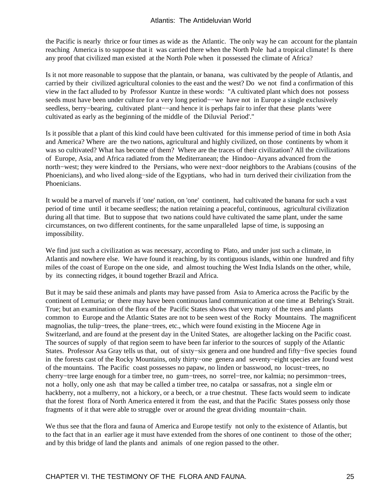the Pacific is nearly thrice or four times as wide as the Atlantic. The only way he can account for the plantain reaching America is to suppose that it was carried there when the North Pole had a tropical climate! Is there any proof that civilized man existed at the North Pole when it possessed the climate of Africa?

Is it not more reasonable to suppose that the plantain, or banana, was cultivated by the people of Atlantis, and carried by their civilized agricultural colonies to the east and the west? Do we not find a confirmation of this view in the fact alluded to by Professor Kuntze in these words: "A cultivated plant which does not possess seeds must have been under culture for a very long period—–we have not in Europe a single exclusively seedless, berry–bearing, cultivated plant––and hence it is perhaps fair to infer that these plants 'were cultivated as early as the beginning of the middle of the Diluvial Period'."

Is it possible that a plant of this kind could have been cultivated for this immense period of time in both Asia and America? Where are the two nations, agricultural and highly civilized, on those continents by whom it was so cultivated? What has become of them? Where are the traces of their civilization? All the civilizations of Europe, Asia, and Africa radiated from the Mediterranean; the Hindoo−Aryans advanced from the north−west; they were kindred to the Persians, who were next−door neighbors to the Arabians (cousins of the Phoenicians), and who lived along−side of the Egyptians, who had in turn derived their civilization from the Phoenicians.

It would be a marvel of marvels if 'one' nation, on 'one' continent, had cultivated the banana for such a vast period of time until it became seedless; the nation retaining a peaceful, continuous, agricultural civilization during all that time. But to suppose that two nations could have cultivated the same plant, under the same circumstances, on two different continents, for the same unparalleled lapse of time, is supposing an impossibility.

We find just such a civilization as was necessary, according to Plato, and under just such a climate, in Atlantis and nowhere else. We have found it reaching, by its contiguous islands, within one hundred and fifty miles of the coast of Europe on the one side, and almost touching the West India Islands on the other, while, by its connecting ridges, it bound together Brazil and Africa.

But it may be said these animals and plants may have passed from Asia to America across the Pacific by the continent of Lemuria; or there may have been continuous land communication at one time at Behring's Strait. True; but an examination of the flora of the Pacific States shows that very many of the trees and plants common to Europe and the Atlantic States are not to be seen west of the Rocky Mountains. The magnificent magnolias, the tulip−trees, the plane−trees, etc., which were found existing in the Miocene Age in Switzerland, and are found at the present day in the United States, are altogether lacking on the Pacific coast. The sources of supply of that region seem to have been far inferior to the sources of supply of the Atlantic States. Professor Asa Gray tells us that, out of sixty−six genera and one hundred and fifty−five species found in the forests cast of the Rocky Mountains, only thirty−one genera and seventy−eight species are found west of the mountains. The Pacific coast possesses no papaw, no linden or basswood, no locust−trees, no cherry−tree large enough for a timber tree, no gum−trees, no sorrel−tree, nor kalmia; no persimmon−trees, not a holly, only one ash that may be called a timber tree, no catalpa or sassafras, not a single elm or hackberry, not a mulberry, not a hickory, or a beech, or a true chestnut. These facts would seem to indicate that the forest flora of North America entered it from the east, and that the Pacific States possess only those fragments of it that were able to struggle over or around the great dividing mountain−chain.

We thus see that the flora and fauna of America and Europe testify not only to the existence of Atlantis, but to the fact that in an earlier age it must have extended from the shores of one continent to those of the other; and by this bridge of land the plants and animals of one region passed to the other.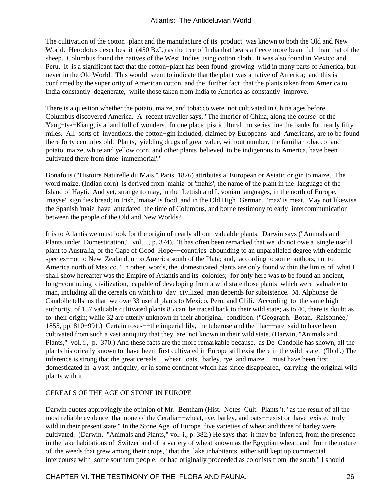The cultivation of the cotton−plant and the manufacture of its product was known to both the Old and New World. Herodotus describes it (450 B.C.) as the tree of India that bears a fleece more beautiful than that of the sheep. Columbus found the natives of the West Indies using cotton cloth. It was also found in Mexico and Peru. It is a significant fact that the cotton−plant has been found growing wild in many parts of America, but never in the Old World. This would seem to indicate that the plant was a native of America; and this is confirmed by the superiority of American cotton, and the further fact that the plants taken from America to India constantly degenerate, while those taken from India to America as constantly improve.

There is a question whether the potato, maize, and tobacco were not cultivated in China ages before Columbus discovered America. A recent traveller says, "The interior of China, along the course of the Yang−tse−Kiang, is a land full of wonders. In one place piscicultural nurseries line the banks for nearly fifty miles. All sorts of inventions, the cotton−gin included, claimed by Europeans and Americans, are to be found there forty centuries old. Plants, yielding drugs of great value, without number, the familiar tobacco and potato, maize, white and yellow corn, and other plants 'believed to be indigenous to America, have been cultivated there from time immemorial'."

Bonafous ("Histoire Naturelle du Mais," Paris, 1826) attributes a European or Asiatic origin to maize. The word maize, (Indian corn) is derived from 'mahiz' or 'mahis', the name of the plant in the language of the Island of Hayti. And yet, strange to may, in the Lettish and Livonian languages, in the north of Europe, 'mayse' signifies bread; in Irish, 'maise' is food, and in the Old High German, 'maz' is meat. May not likewise the Spanish 'maiz' have antedated the time of Columbus, and borne testimony to early intercommunication between the people of the Old and New Worlds?

It is to Atlantis we must look for the origin of nearly all our valuable plants. Darwin says ("Animals and Plants under Domestication," vol. i., p. 374), "It has often been remarked that we do not owe a single useful plant to Australia, or the Cape of Good Hope−−countries abounding to an unparalleled degree with endemic species−−or to New Zealand, or to America south of the Plata; and, according to some authors, not to America north of Mexico." In other words, the domesticated plants are only found within the limits of what I shall show hereafter was the Empire of Atlantis and its colonies; for only here was to be found an ancient, long−continuing civilization, capable of developing from a wild state those plants which were valuable to man, including all the cereals on which to−day civilized man depends for subsistence. M. Alphonse de Candolle tells us that we owe 33 useful plants to Mexico, Peru, and Chili. According to the same high authority, of 157 valuable cultivated plants 85 can be traced back to their wild state; as to 40, there is doubt as to their origin; while 32 are utterly unknown in their aboriginal condition. ("Geograph. Botan. Raisonnée," 1855, pp. 810−991.) Certain roses−−the imperial lily, the tuberose and the lilac−−are said to have been cultivated from such a vast antiquity that they are not known in their wild state. (Darwin, "Animals and Plants," vol. i., p. 370.) And these facts are the more remarkable because, as De Candolle has shown, all the plants historically known to have been first cultivated in Europe still exist there in the wild state. ('Ibid'.) The inference is strong that the great cereals−−wheat, oats, barley, rye, and maize−−must have been first domesticated in a vast antiquity, or in some continent which has since disappeared, carrying the original wild plants with it.

#### CEREALS OF THE AGE OF STONE IN EUROPE

Darwin quotes approvingly the opinion of Mr. Bentham (Hist. Notes Cult. Plants"), "as the result of all the most reliable evidence that none of the Ceralia−−wheat, rye, barley, and oats−−exist or have existed truly wild in their present state." In the Stone Age of Europe five varieties of wheat and three of barley were cultivated. (Darwin, "Animals and Plants," vol. i., p. 382.) He says that it may be inferred, from the presence in the lake habitations of Switzerland of a variety of wheat known as the Egyptian wheat, and from the nature of the weeds that grew among their crops, "that the lake inhabitants either still kept up commercial intercourse with some southern people, or had originally proceeded as colonists from the south." I should

CHAPTER VI. THE TESTIMONY OF THE FLORA AND FAUNA. 26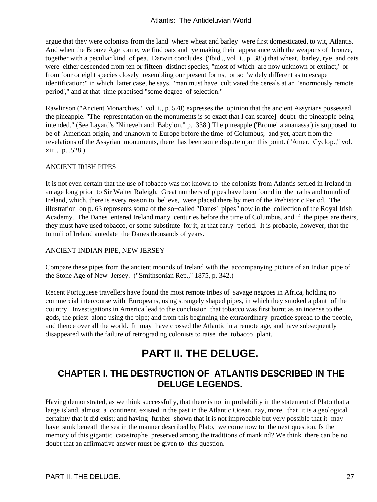<span id="page-28-0"></span>argue that they were colonists from the land where wheat and barley were first domesticated, to wit, Atlantis. And when the Bronze Age came, we find oats and rye making their appearance with the weapons of bronze, together with a peculiar kind of pea. Darwin concludes ('Ibid'., vol. i., p. 385) that wheat, barley, rye, and oats were either descended from ten or fifteen distinct species, "most of which are now unknown or extinct," or from four or eight species closely resembling our present forms, or so "widely different as to escape identification;" in which latter case, he says, "man must have cultivated the cereals at an 'enormously remote period'," and at that time practised "some degree of selection."

Rawlinson ("Ancient Monarchies," vol. i., p. 578) expresses the opinion that the ancient Assyrians possessed the pineapple. "The representation on the monuments is so exact that I can scarce] doubt the pineapple being intended." (See Layard's "Nineveh and Babylon," p. 338.) The pineapple ('Bromelia ananassa') is supposed to be of American origin, and unknown to Europe before the time of Columbus; and yet, apart from the revelations of the Assyrian monuments, there has been some dispute upon this point. ("Amer. Cyclop.," vol. xiii., p. .528.)

#### ANCIENT IRISH PIPES

It is not even certain that the use of tobacco was not known to the colonists from Atlantis settled in Ireland in an age long prior to Sir Walter Raleigh. Great numbers of pipes have been found in the raths and tumuli of Ireland, which, there is every reason to believe, were placed there by men of the Prehistoric Period. The illustration on p. 63 represents some of the so−called "Danes' pipes" now in the collection of the Royal Irish Academy. The Danes entered Ireland many centuries before the time of Columbus, and if the pipes are theirs, they must have used tobacco, or some substitute for it, at that early period. It is probable, however, that the tumuli of Ireland antedate the Danes thousands of years.

#### ANCIENT INDIAN PIPE, NEW JERSEY

Compare these pipes from the ancient mounds of Ireland with the accompanying picture of an Indian pipe of the Stone Age of New Jersey. ("Smithsonian Rep.," 1875, p. 342.)

Recent Portuguese travellers have found the most remote tribes of savage negroes in Africa, holding no commercial intercourse with Europeans, using strangely shaped pipes, in which they smoked a plant of the country. Investigations in America lead to the conclusion that tobacco was first burnt as an incense to the gods, the priest alone using the pipe; and from this beginning the extraordinary practice spread to the people, and thence over all the world. It may have crossed the Atlantic in a remote age, and have subsequently disappeared with the failure of retrograding colonists to raise the tobacco−plant.

## **PART II. THE DELUGE.**

### **CHAPTER I. THE DESTRUCTION OF ATLANTIS DESCRIBED IN THE DELUGE LEGENDS.**

Having demonstrated, as we think successfully, that there is no improbability in the statement of Plato that a large island, almost a continent, existed in the past in the Atlantic Ocean, nay, more, that it is a geological certainty that it did exist; and having further shown that it is not improbable but very possible that it may have sunk beneath the sea in the manner described by Plato, we come now to the next question, Is the memory of this gigantic catastrophe preserved among the traditions of mankind? We think there can be no doubt that an affirmative answer must be given to this question.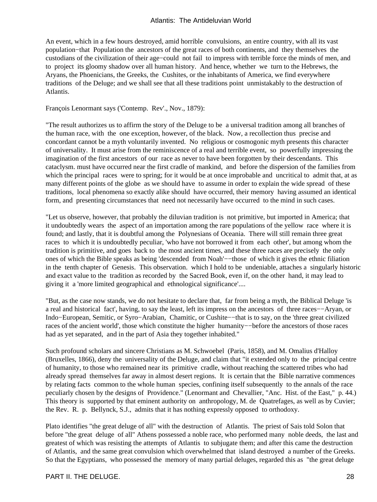An event, which in a few hours destroyed, amid horrible convulsions, an entire country, with all its vast population−that Population the ancestors of the great races of both continents, and they themselves the custodians of the civilization of their age−could not fail to impress with terrible force the minds of men, and to project its gloomy shadow over all human history. And hence, whether we turn to the Hebrews, the Aryans, the Phoenicians, the Greeks, the Cushites, or the inhabitants of America, we find everywhere traditions of the Deluge; and we shall see that all these traditions point unmistakably to the destruction of Atlantis.

François Lenormant says ('Contemp. Rev'., Nov., 1879):

"The result authorizes us to affirm the story of the Deluge to be a universal tradition among all branches of the human race, with the one exception, however, of the black. Now, a recollection thus precise and concordant cannot be a myth voluntarily invented. No religious or cosmogonic myth presents this character of universality. It must arise from the reminiscence of a real and terrible event, so powerfully impressing the imagination of the first ancestors of our race as never to have been forgotten by their descendants. This cataclysm. must have occurred near the first cradle of mankind, and before the dispersion of the families from which the principal races were to spring; for it would be at once improbable and uncritical to admit that, at as many different points of the globe as we should have to assume in order to explain the wide spread of these traditions, local phenomena so exactly alike should have occurred, their memory having assumed an identical form, and presenting circumstances that need not necessarily have occurred to the mind in such cases.

"Let us observe, however, that probably the diluvian tradition is not primitive, but imported in America; that it undoubtedly wears the aspect of an importation among the rare populations of the yellow race where it is found; and lastly, that it is doubtful among the Polynesians of Oceania. There will still remain three great races to which it is undoubtedly peculiar, 'who have not borrowed it from each other', but among whom the tradition is primitive, and goes back to the most ancient times, and these three races are precisely the only ones of which the Bible speaks as being 'descended from Noah'−−those of which it gives the ethnic filiation in the tenth chapter of Genesis. This observation. which I hold to be undeniable, attaches a singularly historic and exact value to the tradition as recorded by the Sacred Book, even if, on the other hand, it may lead to giving it a 'more limited geographical and ethnological significance'....

"But, as the case now stands, we do not hesitate to declare that, far from being a myth, the Biblical Deluge 'is a real and historical fact', having, to say the least, left its impress on the ancestors of three races−−Aryan, or Indo−European, Semitic, or Syro−Arabian, Chamitic, or Cushite−−that is to say, on the 'three great civilized races of the ancient world', those which constitute the higher humanity−−before the ancestors of those races had as yet separated, and in the part of Asia they together inhabited."

Such profound scholars and sincere Christians as M. Schwoebel (Paris, 1858), and M. Omalius d'Halloy (Bruxelles, 1866), deny the universality of the Deluge, and claim that "it extended only to the principal centre of humanity, to those who remained near its primitive cradle, without reaching the scattered tribes who had already spread themselves far away in almost desert regions. It is certain that the Bible narrative commences by relating facts common to the whole human species, confining itself subsequently to the annals of the race peculiarly chosen by the designs of Providence." (Lenormant and Chevallier, "Anc. Hist. of the East," p. 44.) This theory is supported by that eminent authority on anthropology, M. de Quatrefages, as well as by Cuvier; the Rev. R. p. Bellynck, S.J., admits that it has nothing expressly opposed to orthodoxy.

Plato identifies "the great deluge of all" with the destruction of Atlantis. The priest of Sais told Solon that before "the great deluge of all" Athens possessed a noble race, who performed many noble deeds, the last and greatest of which was resisting the attempts of Atlantis to subjugate them; and after this came the destruction of Atlantis, and the same great convulsion which overwhelmed that island destroyed a number of the Greeks. So that the Egyptians, who possessed the memory of many partial deluges, regarded this as "the great deluge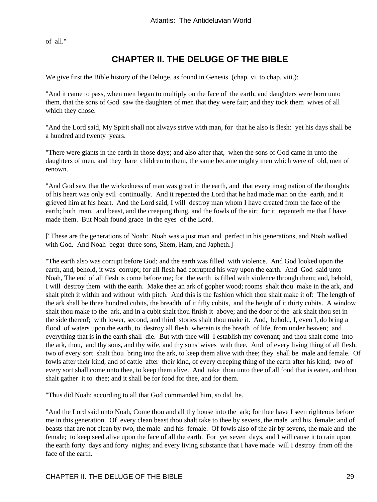<span id="page-30-0"></span>of all."

### **CHAPTER II. THE DELUGE OF THE BIBLE**

We give first the Bible history of the Deluge, as found in Genesis (chap. vi. to chap. viii.):

"And it came to pass, when men began to multiply on the face of the earth, and daughters were born unto them, that the sons of God saw the daughters of men that they were fair; and they took them wives of all which they chose.

"And the Lord said, My Spirit shall not always strive with man, for that he also is flesh: yet his days shall be a hundred and twenty years.

"There were giants in the earth in those days; and also after that, when the sons of God came in unto the daughters of men, and they bare children to them, the same became mighty men which were of old, men of renown.

"And God saw that the wickedness of man was great in the earth, and that every imagination of the thoughts of his heart was only evil continually. And it repented the Lord that he had made man on the earth, and it grieved him at his heart. And the Lord said, I will destroy man whom I have created from the face of the earth; both man, and beast, and the creeping thing, and the fowls of the air; for it repenteth me that I have made them. But Noah found grace in the eyes of the Lord.

["These are the generations of Noah: Noah was a just man and perfect in his generations, and Noah walked with God. And Noah begat three sons, Shem, Ham, and Japheth.]

"The earth also was corrupt before God; and the earth was filled with violence. And God looked upon the earth, and, behold, it was corrupt; for all flesh had corrupted his way upon the earth. And God said unto Noah, The end of all flesh is come before me; for the earth is filled with violence through them; and, behold, I will destroy them with the earth. Make thee an ark of gopher wood; rooms shalt thou make in the ark, and shalt pitch it within and without with pitch. And this is the fashion which thou shalt make it of: The length of the ark shall be three hundred cubits, the breadth of it fifty cubits, and the height of it thirty cubits. A window shalt thou make to the ark, and in a cubit shalt thou finish it above; and the door of the ark shalt thou set in the side thereof; with lower, second, and third stories shalt thou make it. And, behold, I, even I, do bring a flood of waters upon the earth, to destroy all flesh, wherein is the breath of life, from under heaven; and everything that is in the earth shall die. But with thee will I establish my covenant; and thou shalt come into the ark, thou, and thy sons, and thy wife, and thy sons' wives with thee. And of every living thing of all flesh, two of every sort shalt thou bring into the ark, to keep them alive with thee; they shall be male and female. Of fowls after their kind, and of cattle after their kind, of every creeping thing of the earth after his kind; two of every sort shall come unto thee, to keep them alive. And take thou unto thee of all food that is eaten, and thou shalt gather it to thee; and it shall be for food for thee, and for them.

"Thus did Noah; according to all that God commanded him, so did he.

"And the Lord said unto Noah, Come thou and all thy house into the ark; for thee have I seen righteous before me in this generation. Of every clean beast thou shalt take to thee by sevens, the male and his female: and of beasts that are not clean by two, the male and his female. Of fowls also of the air by sevens, the male and the female; to keep seed alive upon the face of all the earth. For yet seven days, and I will cause it to rain upon the earth forty days and forty nights; and every living substance that I have made will I destroy from off the face of the earth.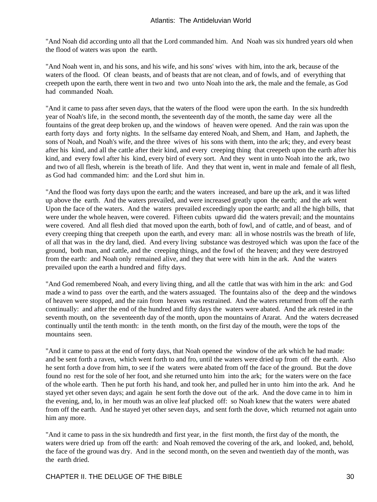"And Noah did according unto all that the Lord commanded him. And Noah was six hundred years old when the flood of waters was upon the earth.

"And Noah went in, and his sons, and his wife, and his sons' wives with him, into the ark, because of the waters of the flood. Of clean beasts, and of beasts that are not clean, and of fowls, and of everything that creepeth upon the earth, there went in two and two unto Noah into the ark, the male and the female, as God had commanded Noah.

"And it came to pass after seven days, that the waters of the flood were upon the earth. In the six hundredth year of Noah's life, in the second month, the seventeenth day of the month, the same day were all the fountains of the great deep broken up, and the windows of heaven were opened. And the rain was upon the earth forty days and forty nights. In the selfsame day entered Noah, and Shem, and Ham, and Japheth, the sons of Noah, and Noah's wife, and the three wives of his sons with them, into the ark; they, and every beast after his kind, and all the cattle after their kind, and every creeping thing that creepeth upon the earth after his kind, and every fowl after his kind, every bird of every sort. And they went in unto Noah into the ark, two and two of all flesh, wherein is the breath of life. And they that went in, went in male and female of all flesh, as God had commanded him: and the Lord shut him in.

"And the flood was forty days upon the earth; and the waters increased, and bare up the ark, and it was lifted up above the earth. And the waters prevailed, and were increased greatly upon the earth; and the ark went Upon the face of the waters. And the waters prevailed exceedingly upon the earth; and all the high bills, that were under the whole heaven, were covered. Fifteen cubits upward did the waters prevail; and the mountains were covered. And all flesh died that moved upon the earth, both of fowl, and of cattle, and of beast, and of every creeping thing that creepeth upon the earth, and every man: all in whose nostrils was the breath of life, of all that was in the dry land, died. And every living substance was destroyed which was upon the face of the ground, both man, and cattle, and the creeping things, and the fowl of the heaven; and they were destroyed from the earth: and Noah only remained alive, and they that were with him in the ark. And the waters prevailed upon the earth a hundred and fifty days.

"And God remembered Noah, and every living thing, and all the cattle that was with him in the ark: and God made a wind to pass over the earth, and the waters assuaged. The fountains also of the deep and the windows of heaven were stopped, and the rain from heaven was restrained. And the waters returned from off the earth continually: and after the end of the hundred and fifty days the waters were abated. And the ark rested in the seventh mouth, on the seventeenth day of the month, upon the mountains of Ararat. And the waters decreased continually until the tenth month: in the tenth month, on the first day of the mouth, were the tops of the mountains seen.

"And it came to pass at the end of forty days, that Noah opened the window of the ark which he had made: and be sent forth a raven, which went forth to and fro, until the waters were dried up from off the earth. Also he sent forth a dove from him, to see if the waters were abated from off the face of the ground. But the dove found no rest for the sole of her foot, and she returned unto him into the ark; for the waters were on the face of the whole earth. Then he put forth his hand, and took her, and pulled her in unto him into the ark. And he stayed yet other seven days; and again he sent forth the dove out of the ark. And the dove came in to him in the evening, and, lo, in her mouth was an olive leaf plucked off: so Noah knew that the waters were abated from off the earth. And he stayed yet other seven days, and sent forth the dove, which returned not again unto him any more.

"And it came to pass in the six hundredth and first year, in the first month, the first day of the month, the waters were dried up from off the earth: and Noah removed the covering of the ark, and looked, and, behold, the face of the ground was dry. And in the second month, on the seven and twentieth day of the month, was the earth dried.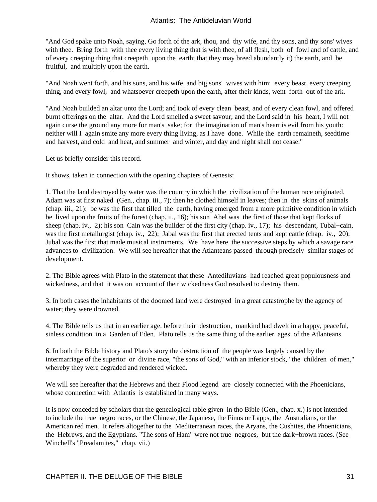"And God spake unto Noah, saying, Go forth of the ark, thou, and thy wife, and thy sons, and thy sons' wives with thee. Bring forth with thee every living thing that is with thee, of all flesh, both of fowl and of cattle, and of every creeping thing that creepeth upon the earth; that they may breed abundantly it) the earth, and be fruitful, and multiply upon the earth.

"And Noah went forth, and his sons, and his wife, and big sons' wives with him: every beast, every creeping thing, and every fowl, and whatsoever creepeth upon the earth, after their kinds, went forth out of the ark.

"And Noah builded an altar unto the Lord; and took of every clean beast, and of every clean fowl, and offered burnt offerings on the altar. And the Lord smelled a sweet savour; and the Lord said in his heart, I will not again curse the ground any more for man's sake; for the imagination of man's heart is evil from his youth: neither will I again smite any more every thing living, as I have done. While the earth remaineth, seedtime and harvest, and cold and heat, and summer and winter, and day and night shall not cease."

Let us briefly consider this record.

It shows, taken in connection with the opening chapters of Genesis:

1. That the land destroyed by water was the country in which the civilization of the human race originated. Adam was at first naked (Gen., chap. iii., 7); then he clothed himself in leaves; then in the skins of animals (chap. iii., 21): be was the first that tilled the earth, having emerged from a more primitive condition in which be lived upon the fruits of the forest (chap. ii., 16); his son Abel was the first of those that kept flocks of sheep (chap. iv., 2); his son Cain was the builder of the first city (chap. iv., 17); his descendant, Tubal−cain, was the first metallurgist (chap. iv., 22); Jabal was the first that erected tents and kept cattle (chap. iv., 20); Jubal was the first that made musical instruments. We have here the successive steps by which a savage race advances to civilization. We will see hereafter that the Atlanteans passed through precisely similar stages of development.

2. The Bible agrees with Plato in the statement that these Antediluvians had reached great populousness and wickedness, and that it was on account of their wickedness God resolved to destroy them.

3. In both cases the inhabitants of the doomed land were destroyed in a great catastrophe by the agency of water; they were drowned.

4. The Bible tells us that in an earlier age, before their destruction, mankind had dwelt in a happy, peaceful, sinless condition in a Garden of Eden. Plato tells us the same thing of the earlier ages of the Atlanteans.

6. In both the Bible history and Plato's story the destruction of the people was largely caused by the intermarriage of the superior or divine race, "the sons of God," with an inferior stock, "the children of men," whereby they were degraded and rendered wicked.

We will see hereafter that the Hebrews and their Flood legend are closely connected with the Phoenicians, whose connection with Atlantis is established in many ways.

It is now conceded by scholars that the genealogical table given in tho Bible (Gen., chap. x.) is not intended to include the true negro races, or the Chinese, the Japanese, the Finns or Lapps, the Australians, or the American red men. It refers altogether to the Mediterranean races, the Aryans, the Cushites, the Phoenicians, the Hebrews, and the Egyptians. "The sons of Ham" were not true negroes, but the dark−brown races. (See Winchell's "Preadamites," chap. vii.)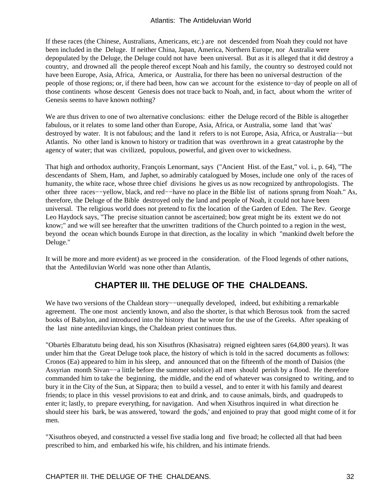<span id="page-33-0"></span>If these races (the Chinese, Australians, Americans, etc.) are not descended from Noah they could not have been included in the Deluge. If neither China, Japan, America, Northern Europe, nor Australia were depopulated by the Deluge, the Deluge could not have been universal. But as it is alleged that it did destroy a country, and drowned all the people thereof except Noah and his family, the country so destroyed could not have been Europe, Asia, Africa, America, or Australia, for there has been no universal destruction of the people of those regions; or, if there had been, how can we account for the existence to−day of people on all of those continents whose descent Genesis does not trace back to Noah, and, in fact, about whom the writer of Genesis seems to have known nothing?

We are thus driven to one of two alternative conclusions: either the Deluge record of the Bible is altogether fabulous, or it relates to some land other than Europe, Asia, Africa, or Australia, some land that 'was' destroyed by water. It is not fabulous; and the land it refers to is not Europe, Asia, Africa, or Australia−−but Atlantis. No other land is known to history or tradition that was overthrown in a great catastrophe by the agency of water; that was civilized, populous, powerful, and given over to wickedness.

That high and orthodox authority, François Lenormant, says ("Ancient Hist. of the East," vol. i., p. 64), "The descendants of Shem, Ham, and Japhet, so admirably catalogued by Moses, include one only of the races of humanity, the white race, whose three chief divisions he gives us as now recognized by anthropologists. The other three races−−yellow, black, and red−−have no place in the Bible list of nations sprung from Noah." As, therefore, the Deluge of the Bible destroyed only the land and people of Noah, it could not have been universal. The religious world does not pretend to fix the location of the Garden of Eden. The Rev. George Leo Haydock says, "The precise situation cannot be ascertained; bow great might be its extent we do not know;" and we will see hereafter that the unwritten traditions of the Church pointed to a region in the west, beyond the ocean which bounds Europe in that direction, as the locality in which "mankind dwelt before the Deluge."

It will be more and more evident) as we proceed in the consideration. of the Flood legends of other nations, that the Antediluvian World was none other than Atlantis,

### **CHAPTER III. THE DELUGE OF THE CHALDEANS.**

We have two versions of the Chaldean story−−unequally developed, indeed, but exhibiting a remarkable agreement. The one most anciently known, and also the shorter, is that which Berosus took from the sacred books of Babylon, and introduced into the history that he wrote for the use of the Greeks. After speaking of the last nine antediluvian kings, the Chaldean priest continues thus.

"Obartès Elbaratutu being dead, his son Xisuthros (Khasisatra) reigned eighteen sares (64,800 years). It was under him that the Great Deluge took place, the history of which is told in the sacred documents as follows: Cronos (Ea) appeared to him in his sleep, and announced that on the fifteenth of the month of Daisios (the Assyrian month Sivan−−a little before the summer solstice) all men should perish by a flood. He therefore commanded him to take the beginning, the middle, and the end of whatever was consigned to writing, and to bury it in the City of the Sun, at Sippara; then to build a vessel, and to enter it with his family and dearest friends; to place in this vessel provisions to eat and drink, and to cause animals, birds, and quadrupeds to enter it; lastly, to prepare everything, for navigation. And when Xisuthros inquired in what direction he should steer his bark, be was answered, 'toward the gods,' and enjoined to pray that good might come of it for men.

"Xisuthros obeyed, and constructed a vessel five stadia long and five broad; he collected all that had been prescribed to him, and embarked his wife, his children, and his intimate friends.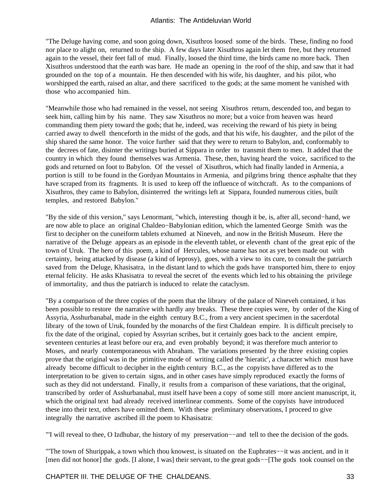"The Deluge having come, and soon going down, Xisuthros loosed some of the birds. These, finding no food nor place to alight on, returned to the ship. A few days later Xisuthros again let them free, but they returned again to the vessel, their feet fall of mud. Finally, loosed the third time, the birds came no more back. Then Xisuthros understood that the earth was bare. He made an opening in the roof of the ship, and saw that it had grounded on the top of a mountain. He then descended with his wife, his daughter, and his pilot, who worshipped the earth, raised an altar, and there sacrificed to the gods; at the same moment he vanished with those who accompanied him.

"Meanwhile those who had remained in the vessel, not seeing Xisutbros return, descended too, and began to seek him, calling him by his name. They saw Xisuthros no more; but a voice from heaven was heard commanding them piety toward the gods; that he, indeed, was receiving the reward of his piety in being carried away to dwell thenceforth in the midst of the gods, and that his wife, his daughter, and the pilot of the ship shared the same honor. The voice further said that they were to return to Babylon, and, conformably to the decrees of fate, disinter the writings buried at Sippara in order to transmit them to men. It added that the country in which they found themselves was Armenia. These, then, having heard the voice, sacrificed to the gods and returned on foot to Babylon. Of the vessel of Xisuthros, which had finally landed in Armenia, a portion is still to be found in the Gordyan Mountains in Armenia, and pilgrims bring thence asphalte that they have scraped from its fragments. It is used to keep off the influence of witchcraft. As to the companions of Xisuthros, they came to Babylon, disinterred the writings left at Sippara, founded numerous cities, built temples, and restored Babylon."

"By the side of this version," says Lenormant, "which, interesting though it be, is, after all, second−hand, we are now able to place an original Chaldeo−Babylonian edition, which the lamented George Smith was the first to decipher on the cuneiform tablets exhumed at Nineveh, and now in the British Museum. Here the narrative of the Deluge appears as an episode in the eleventh tablet, or eleventh chant of the great epic of the town of Uruk. The hero of this poem, a kind of Hercules, whose name has not as yet been made out with certainty, being attacked by disease (a kind of leprosy), goes, with a view to its cure, to consult the patriarch saved from the Deluge, Khasisatra, in the distant land to which the gods have transported him, there to enjoy eternal felicity. He asks Khasisatra to reveal the secret of the events which led to his obtaining the privilege of immortality, and thus the patriarch is induced to relate the cataclysm.

"By a comparison of the three copies of the poem that the library of the palace of Nineveh contained, it has been possible to restore the narrative with hardly any breaks. These three copies were, by order of the King of Assyria, Asshurbanabal, made in the eighth century B.C., from a very ancient specimen in the sacerdotal library of the town of Uruk, founded by the monarchs of the first Chaldean empire. It is difficult precisely to fix the date of the original, copied by Assyrian scribes, but it certainly goes back to the ancient empire, seventeen centuries at least before our era, and even probably beyond; it was therefore much anterior to Moses, and nearly contemporaneous with Abraham. The variations presented by the three existing copies prove that the original was in the primitive mode of writing called the 'hieratic', a character which must have already become difficult to decipher in the eighth century B.C., as the copyists have differed as to the interpretation to be given to certain signs, and in other cases have simply reproduced exactly the forms of such as they did not understand. Finally, it results from a comparison of these variations, that the original, transcribed by order of Asshurbanabal, must itself have been a copy of some still more ancient manuscript, it, which the original text had already received interlinear comments. Some of the copyists have introduced these into their text, others have omitted them. With these preliminary observations, I proceed to give integrally the narrative ascribed ill the poem to Khasisatra:

"'I will reveal to thee, O Izdhubar, the history of my preservation−−and tell to thee the decision of the gods.

"'The town of Shurippak, a town which thou knowest, is situated on the Euphrates−−it was ancient, and in it [men did not honor] the gods. [I alone, I was] their servant, to the great gods−−[The gods took counsel on the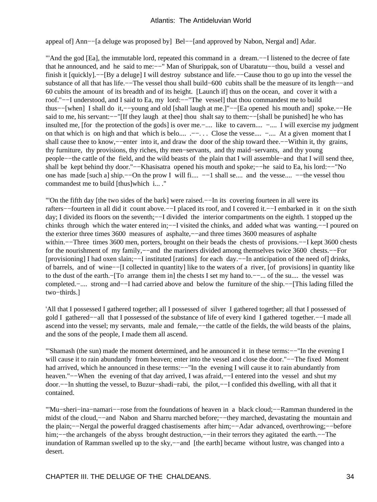appeal of] Ann−−[a deluge was proposed by] Bel−−[and approved by Nabon, Nergal and] Adar.

"'And the god [Ea], the immutable lord, repeated this command in a dream.−−I listened to the decree of fate that he announced, and he said to me:−−" Man of Shurippak, son of Ubaratutu−−thou, build a vessel and finish it [quickly].−−[By a deluge] I will destroy substance and life.−−Cause thou to go up into the vessel the substance of all that has life.—−The vessel thou shall build–600 cubits shall be the measure of its length—–and 60 cubits the amount of its breadth and of its height. [Launch if] thus on the ocean, and cover it with a roof."-−I understood, and I said to Ea, my lord:--"The vessel] that thou commandest me to build thus−−[when] I shall do it,−−young and old [shall laugh at me.]"−−[Ea opened his mouth and] spoke.−−He said to me, his servant:−−"[If they laugh at thee] thou shalt say to them:−−[shall be punished] he who has insulted me, [for the protection of the gods] is over me.−.... like to cavern.... −.... I will exercise my judgment on that which is on high and that which is belo.... .−... . Close the vesse.... −.... At a given moment that I shall cause thee to know,––enter into it, and draw the door of the ship toward thee.—Within it, thy grains, thy furniture, thy provisions, thy riches, thy men−servants, and thy maid−servants, and thy young people−−the cattle of the field, and the wild beasts of the plain that I will assemble−and that I will send thee, shall be kept behind thy door."−−Khasisatra opened his mouth and spoke;−−he said to Ea, his lord:−−"No one has made [such a] ship.−−On the prow I will fi....  $-1$  shall se.... and the vesse.... -−the vessel thou commandest me to build [thus]which i... ."

"'On the fifth day [the two sides of the bark] were raised.−−In its covering fourteen in all were its rafters−−fourteen in all did it count above.−−I placed its roof, and I covered it.−−I embarked in it on the sixth day; I divided its floors on the seventh;−−I divided the interior compartments on the eighth. 1 stopped up the chinks through which the water entered in;−−I visited the chinks, and added what was wanting.−−I poured on the exterior three times 3600 measures of asphalte,−−and three times 3600 measures of asphalte within.—−Three times 3600 men, porters, brought on their beads the chests of provisions.—I kept 3600 chests for the nourishment of my family,—–and the mariners divided among themselves twice 3600 chests.—–For [provisioning] I had oxen slain;−−I instituted [rations] for each day.−−In anticipation of the need of] drinks, of barrels, and of wine−−[I collected in quantity] like to the waters of a river, [of provisions] in quantity like to the dust of the earth.−[To arrange them in] the chests I set my hand to.−−... of the su.... the vessel was completed.−.... strong and−−I had carried above and below the furniture of the ship.−−[This lading filled the two−thirds.]

'All that I possessed I gathered together; all I possessed of silver I gathered together; all that I possessed of gold I gathered−−all that I possessed of the substance of life of every kind I gathered together.−−I made all ascend into the vessel; my servants, male and female,−−the cattle of the fields, the wild beasts of the plains, and the sons of the people, I made them all ascend.

"'Shamash (the sun) made the moment determined, and he announced it in these terms:−−"In the evening I will cause it to rain abundantly from heaven; enter into the vessel and close the door."–−The fixed Moment had arrived, which he announced in these terms:—−"In the evening I will cause it to rain abundantly from heaven."––When the evening of that day arrived, I was afraid,—–I entered into the vessel and shut my door.−−In shutting the vessel, to Buzur−shadi−rabi, the pilot,−−I confided this dwelling, with all that it contained.

"'Mu−sheri−ina−namari−−rose from the foundations of heaven in a black cloud;−−Ramman thundered in the midst of the cloud,−−and Nabon and Sharru marched before;−−they marched, devastating the mountain and the plain;−−Nergal the powerful dragged chastisements after him;−−Adar advanced, overthrowing;−−before him;−−the archangels of the abyss brought destruction,−−in their terrors they agitated the earth.−−The inundation of Ramman swelled up to the sky,−−and [the earth] became without lustre, was changed into a desert.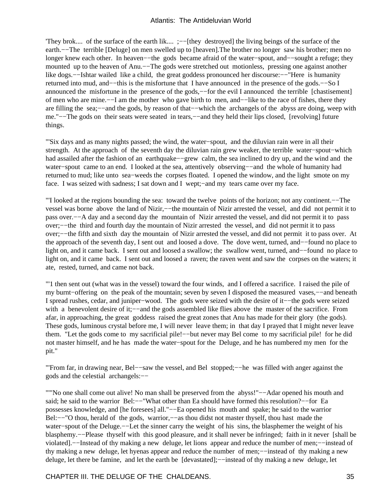'They brok.... of the surface of the earth lik.... ;−−[they destroyed] the living beings of the surface of the earth.−−The terrible [Deluge] on men swelled up to [heaven].The brother no longer saw his brother; men no longer knew each other. In heaven−−the gods became afraid of the water−spout, and−−sought a refuge; they mounted up to the heaven of Anu.−−The gods were stretched out motionless, pressing one against another like dogs.−−Ishtar wailed like a child, the great goddess pronounced her discourse:−−"Here is humanity returned into mud, and−−this is the misfortune that I have announced in the presence of the gods.−−So I announced the misfortune in the presence of the gods,−−for the evil I announced the terrible [chastisement] of men who are mine.−−I am the mother who gave birth to men, and−−like to the race of fishes, there they are filling the sea;−−and the gods, by reason of that−−which the archangels of the abyss are doing, weep with me."−−The gods on their seats were seated in tears,−−and they held their lips closed, [revolving] future things.

"'Six days and as many nights passed; the wind, the water−spout, and the diluvian rain were in all their strength. At the approach of the seventh day the diluvian rain grew weaker, the terrible water−spout−which had assailed after the fashion of an earthquake−−grew calm, the sea inclined to dry up, and the wind and the water−spout came to an end. I looked at the sea, attentively observing−−and the whole of humanity had returned to mud; like unto sea−weeds the corpses floated. I opened the window, and the light smote on my face. I was seized with sadness; I sat down and I wept;−and my tears came over my face.

"'I looked at the regions bounding the sea: toward the twelve points of the horizon; not any continent.−−The vessel was borne above the land of Nizir,−−the mountain of Nizir arrested the vessel, and did not permit it to pass over.−−A day and a second day the mountain of Nizir arrested the vessel, and did not permit it to pass over;−−the third and fourth day the mountain of Nizir arrested the vessel, and did not permit it to pass over;−−the fifth and sixth day the mountain of Nizir arrested the vessel, and did not permit it to pass over. At the approach of the seventh day, I sent out and loosed a dove. The dove went, turned, and−−found no place to light on, and it came back. I sent out and loosed a swallow; the swallow went, turned, and−−found no place to light on, and it came back. I sent out and loosed a raven; the raven went and saw the corpses on the waters; it ate, rested, turned, and came not back.

"'1 then sent out (what was in the vessel) toward the four winds, and I offered a sacrifice. I raised the pile of my burnt−offering on the peak of the mountain; seven by seven I disposed the measured vases,−−and beneath I spread rushes, cedar, and juniper−wood. The gods were seized with the desire of it−−the gods were seized with a benevolent desire of it;—–and the gods assembled like flies above the master of the sacrifice. From afar, in approaching, the great goddess raised the great zones that Anu has made for their glory (the gods). These gods, luminous crystal before me, I will never leave them; in that day I prayed that I might never leave them. "Let the gods come to my sacrificial pile!−−but never may Bel come to my sacrificial pile! for he did not master himself, and he has made the water−spout for the Deluge, and he has numbered my men for the pit."

"'From far, in drawing near, Bel−−saw the vessel, and Bel stopped;−−he was filled with anger against the gods and the celestial archangels:−−

"'"No one shall come out alive! No man shall be preserved from the abyss!"−−Adar opened his mouth and said; he said to the warrior Bel:−−"What other than Ea should have formed this resolution?-−for Ea possesses knowledge, and [he foresees] all."−−Ea opened his mouth and spake; he said to the warrior Bel:−−"O thou, herald of the gods, warrior,−−as thou didst not master thyself, thou hast made the water−spout of the Deluge.−−Let the sinner carry the weight of his sins, the blasphemer the weight of his blasphemy.−−Please thyself with this good pleasure, and it shall never be infringed; faith in it never [shall be violated].−−Instead of thy making a new deluge, let lions appear and reduce the number of men;−−instead of thy making a new deluge, let hyenas appear and reduce the number of men;−−instead of thy making a new deluge, let there be famine, and let the earth be [devastated];−−instead of thy making a new deluge, let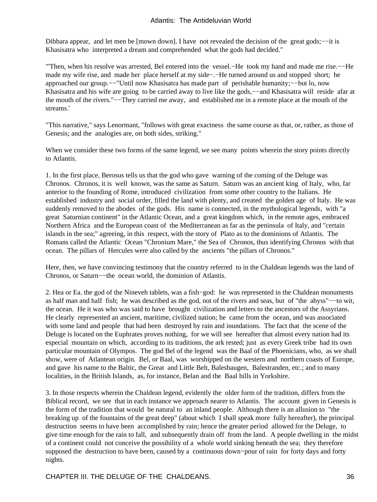Dibbara appear, and let men be [mown down]. I have not revealed the decision of the great gods;−−it is Khasisatra who interpreted a dream and comprehended what the gods had decided."

"'Then, when his resolve was arrested, Bel entered into the vessel.−He took my hand and made me rise.−−He made my wife rise, and made her place herself at my side−.−He turned around us and stopped short; he approached our group.−−"Until now Khasisatra has made part of perishable humanity;−−but lo, now Khasisatra and his wife are going to be carried away to live like the gods,−−and Khasisatra will reside afar at the mouth of the rivers."−−They carried me away, and established me in a remote place at the mouth of the streams.'

"This narrative," says Lenormant, "follows with great exactness the same course as that, or, rather, as those of Genesis; and the analogies are, on both sides, striking."

When we consider these two forms of the same legend, we see many points wherein the story points directly to Atlantis.

1. In the first place, Berosus tells us that the god who gave warning of the coming of the Deluge was Chronos. Chronos, it is well known, was the same as Saturn. Saturn was an ancient king of Italy, who, far anterior to the founding of Rome, introduced civilization from some other country to the Italians. He established industry and social order, filled the land with plenty, and created the golden age of Italy. He was suddenly removed to the abodes of the gods. His name is connected, in the mythological legends, with "a great Saturnian continent" in the Atlantic Ocean, and a great kingdom which, in the remote ages, embraced Northern Africa and the European coast of the Mediterranean as far as the peninsula of Italy, and "certain islands in the sea;" agreeing, in this respect, with the story of Plato as to the dominions of Atlantis. The Romans called the Atlantic Ocean "Chronium Mare," the Sea of Chronos, thus identifying Chronos with that ocean. The pillars of Hercules were also called by the ancients "the pillars of Chronos."

Here, then, we have convincing testimony that the country referred to in the Chaldean legends was the land of Chronos, or Saturn−−the ocean world, the dominion of Atlantis.

2. Hea or Ea. the god of the Nineveh tablets, was a fish−god: he was represented in the Chaldean monuments as half man and half fish; he was described as the god, not of the rivers and seas, but of "the abyss"−−to wit, the ocean. He it was who was said to have brought civilization and letters to the ancestors of the Assyrians. He clearly represented an ancient, maritime, civilized nation; he came from the ocean, and was associated with some land and people that had been destroyed by rain and inundations. The fact that the scene of the Deluge is located on the Euphrates proves nothing, for we will see hereafter that almost every nation had its especial mountain on which, according to its traditions, the ark rested; just as every Greek tribe had its own particular mountain of Olympos. The god Bel of the legend was the Baal of the Phoenicians, who, as we shall show, were of Atlantean origin. Bel, or Baal, was worshipped on the western and northern coasts of Europe, and gave his name to the Baltic, the Great and Little Belt, Balesbaugen, Balestranden, etc.; and to many localities, in the British Islands, as, for instance, Belan and the Baal hills in Yorkshire.

3. In those respects wherein the Chaldean legend, evidently the older form of the tradition, differs from the Biblical record, we see that in each instance we approach nearer to Atlantis. The account given in Genesis is the form of the tradition that would be natural to an inland people. Although there is an allusion to "the breaking up of the fountains of the great deep" (about which I shall speak more fully hereafter), the principal destruction seems to have been accomplished by rain; hence the greater period allowed for the Deluge, to give time enough for the rain to fall, and subsequently drain off from the land. A people dwelling in the midst of a continent could not conceive the possibility of a whole world sinking beneath the sea; they therefore supposed the destruction to have been, caused by a continuous down−pour of rain for forty days and forty nights.

CHAPTER III. THE DELUGE OF THE CHALDEANS. 36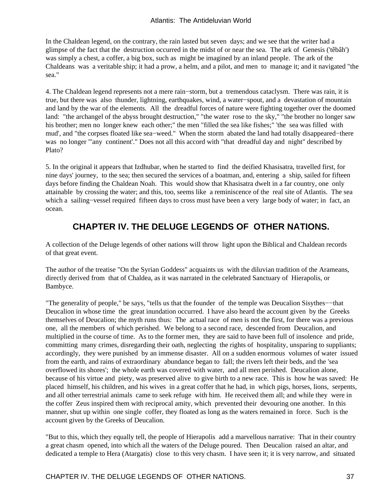In the Chaldean legend, on the contrary, the rain lasted but seven days; and we see that the writer had a glimpse of the fact that the destruction occurred in the midst of or near the sea. The ark of Genesis ('têbâh') was simply a chest, a coffer, a big box, such as might be imagined by an inland people. The ark of the Chaldeans was a veritable ship; it had a prow, a helm, and a pilot, and men to manage it; and it navigated "the sea."

4. The Chaldean legend represents not a mere rain−storm, but a tremendous cataclysm. There was rain, it is true, but there was also thunder, lightning, earthquakes, wind, a water−spout, and a devastation of mountain and land by the war of the elements. All the dreadful forces of nature were fighting together over the doomed land: "the archangel of the abyss brought destruction," "the water rose to the sky," "the brother no longer saw his brother; men no longer knew each other;" the men "filled the sea like fishes;" 'the sea was filled with mud', and "the corpses floated like sea−weed." When the storm abated the land had totally disappeared−there was no longer "'any continent'." Does not all this accord with "that dreadful day and night" described by Plato?

5. In the original it appears that Izdhubar, when he started to find the deified Khasisatra, travelled first, for nine days' journey, to the sea; then secured the services of a boatman, and, entering a ship, sailed for fifteen days before finding the Chaldean Noah. This would show that Khasisatra dwelt in a far country, one only attainable by crossing the water; and this, too, seems like a reminiscence of the real site of Atlantis. The sea which a sailing−vessel required fifteen days to cross must have been a very large body of water; in fact, an ocean.

# **CHAPTER IV. THE DELUGE LEGENDS OF OTHER NATIONS.**

A collection of the Deluge legends of other nations will throw light upon the Biblical and Chaldean records of that great event.

The author of the treatise "On the Syrian Goddess" acquaints us with the diluvian tradition of the Arameans, directly derived from that of Chaldea, as it was narrated in the celebrated Sanctuary of Hierapolis, or Bambyce.

"The generality of people," be says, "tells us that the founder of the temple was Deucalion Sisythes−−that Deucalion in whose time the great inundation occurred. I have also heard the account given by the Greeks themselves of Deucalion; the myth runs thus: The actual race of men is not the first, for there was a previous one, all the members of which perished. We belong to a second race, descended from Deucalion, and multiplied in the course of time. As to the former men, they are said to have been full of insolence and pride, committing many crimes, disregarding their oath, neglecting the rights of hospitality, unsparing to suppliants; accordingly, they were punished by an immense disaster. All on a sudden enormous volumes of water issued from the earth, and rains of extraordinary abundance began to fall; the rivers left their beds, and the 'sea overflowed its shores'; the whole earth was covered with water, and all men perished. Deucalion alone, because of his virtue and piety, was preserved alive to give birth to a new race. This is how he was saved: He placed himself, his children, and his wives in a great coffer that he had, in which pigs, horses, lions, serpents, and all other terrestrial animals came to seek refuge with him. He received them all; and while they were in the coffer Zeus inspired them with reciprocal amity, which prevented their devouring one another. In this manner, shut up within one single coffer, they floated as long as the waters remained in force. Such is the account given by the Greeks of Deucalion.

"But to this, which they equally tell, the people of Hierapolis add a marvellous narrative: That in their country a great chasm opened, into which all the waters of the Deluge poured. Then Deucalion raised an altar, and dedicated a temple to Hera (Atargatis) close to this very chasm. I have seen it; it is very narrow, and situated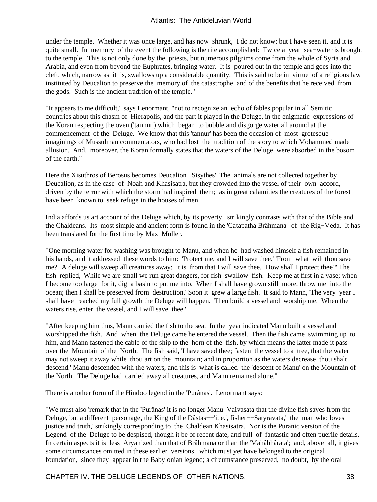under the temple. Whether it was once large, and has now shrunk, I do not know; but I have seen it, and it is quite small. In memory of the event the following is the rite accomplished: Twice a year sea−water is brought to the temple. This is not only done by the priests, but numerous pilgrims come from the whole of Syria and Arabia, and even from beyond the Euphrates, bringing water. It is poured out in the temple and goes into the cleft, which, narrow as it is, swallows up a considerable quantity. This is said to be in virtue of a religious law instituted by Deucalion to preserve the memory of the catastrophe, and of the benefits that he received from the gods. Such is the ancient tradition of the temple."

"It appears to me difficult," says Lenormant, "not to recognize an echo of fables popular in all Semitic countries about this chasm of Hierapolis, and the part it played in the Deluge, in the enigmatic expressions of the Koran respecting the oven ('tannur') which began to bubble and disgorge water all around at the commencement of the Deluge. We know that this 'tannur' has been the occasion of most grotesque imaginings of Mussulman commentators, who had lost the tradition of the story to which Mohammed made allusion. And, moreover, the Koran formally states that the waters of the Deluge were absorbed in the bosom of the earth."

Here the Xisuthros of Berosus becomes Deucalion−'Sisythes'. The animals are not collected together by Deucalion, as in the case of Noah and Khasisatra, but they crowded into the vessel of their own accord, driven by the terror with which the storm had inspired them; as in great calamities the creatures of the forest have been known to seek refuge in the houses of men.

India affords us art account of the Deluge which, by its poverty, strikingly contrasts with that of the Bible and the Chaldeans. Its most simple and ancient form is found in the 'Çatapatha Brâhmana' of the Rig−Veda. It has been translated for the first time by Max Müller.

"One morning water for washing was brought to Manu, and when he had washed himself a fish remained in his hands, and it addressed these words to him: 'Protect me, and I will save thee.' 'From what wilt thou save me?' 'A deluge will sweep all creatures away; it is from that I will save thee.' 'How shall I protect thee?' The fish replied, 'While we are small we run great dangers, for fish swallow fish. Keep me at first in a vase; when I become too large for it, dig a basin to put me into. When I shall have grown still more, throw me into the ocean; then I shall be preserved from destruction.' Soon it grew a large fish. It said to Mann, 'The very year I shall have reached my full growth the Deluge will happen. Then build a vessel and worship me. When the waters rise, enter the vessel, and I will save thee.'

"After keeping him thus, Mann carried the fish to the sea. In the year indicated Mann built a vessel and worshipped the fish. And when the Deluge came he entered the vessel. Then the fish came swimming up to him, and Mann fastened the cable of the ship to the horn of the fish, by which means the latter made it pass over the Mountain of the North. The fish said, 'I have saved thee; fasten the vessel to a tree, that the water may not sweep it away while thou art on the mountain; and in proportion as the waters decrease thou shalt descend.' Manu descended with the waters, and this is what is called the 'descent of Manu' on the Mountain of the North. The Deluge had carried away all creatures, and Mann remained alone."

There is another form of the Hindoo legend in the 'Purânas'. Lenormant says:

"We must also 'remark that in the 'Purânas' it is no longer Manu Vaivasata that the divine fish saves from the Deluge, but a different personage, the King of the Dâstas−−'i. e.', fisher−−Satyravata,' the man who loves justice and truth,' strikingly corresponding to the Chaldean Khasisatra. Nor is the Puranic version of the Legend of the Deluge to be despised, though it be of recent date, and full of fantastic and often puerile details. In certain aspects it is less Aryanized than that of Brâhmana or than the 'Mahâbhârata'; and, above all, it gives some circumstances omitted in these earlier versions, which must yet have belonged to the original foundation, since they appear in the Babylonian legend; a circumstance preserved, no doubt, by the oral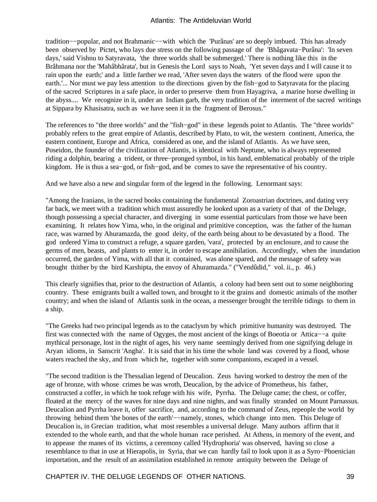tradition−−popular, and not Brahmanic−−with which the 'Purânas' are so deeply imbued. This has already been observed by Pictet, who lays due stress on the following passage of the 'Bhâgavata−Purâna': 'In seven days,' said Vishnu to Satyravata, 'the three worlds shall be submerged.' There is nothing like this in the Brâhmana nor the 'Mahâbhârata', but in Genesis the Lord says to Noah, 'Yet seven days and I will cause it to rain upon the earth;' and a little farther we read, 'After seven days the waters of the flood were upon the earth.'... Nor must we pay less attention to the directions given by the fish−god to Satyravata for the placing of the sacred Scriptures in a safe place, in order to preserve them from Hayagriva, a marine horse dwelling in the abyss.... We recognize in it, under an Indian garb, the very tradition of the interment of the sacred writings at Sippara by Khasisatra, such as we have seen it in the fragment of Berosus."

The references to "the three worlds" and the "fish−god" in these legends point to Atlantis. The "three worlds" probably refers to the great empire of Atlantis, described by Plato, to wit, the western continent, America, the eastern continent, Europe and Africa, considered as one, and the island of Atlantis. As we have seen, Poseidon, the founder of the civilization of Atlantis, is identical with Neptune, who is always represented riding a dolphin, bearing a trident, or three−pronged symbol, in his hand, emblematical probably of the triple kingdom. He is thus a sea−god, or fish−god, and be comes to save the representative of his country.

And we have also a new and singular form of the legend in the following. Lenormant says:

"Among the Iranians, in the sacred books containing the fundamental Zoroastrian doctrines, and dating very far back, we meet with a tradition which must assuredly be looked upon as a variety of that of the Deluge, though possessing a special character, and diverging in some essential particulars from those we have been examining. It relates how Yima, who, in the original and primitive conception, was the father of the human race, was warned by Ahuramazda, the good deity, of the earth being about to be devastated by a flood. The god ordered Yima to construct a refuge, a square garden, 'vara', protected by an enclosure, and to cause the germs of men, beasts, and plants to enter it, in order to escape annihilation. Accordingly, when the inundation occurred, the garden of Yima, with all that it contained, was alone spared, and the message of safety was brought thither by the bird Karshipta, the envoy of Ahuramazda." ("Vendûdid," vol. ii., p. 46.)

This clearly signifies that, prior to the destruction of Atlantis, a colony had been sent out to some neighboring country. These emigrants built a walled town, and brought to it the grains and domestic animals of the mother country; and when the island of Atlantis sunk in the ocean, a messenger brought the terrible tidings to them in a ship.

"The Greeks had two principal legends as to the cataclysm by which primitive humanity was destroyed. The first was connected with the name of Ogyges, the most ancient of the kings of Boeotia or Attica−−a quite mythical personage, lost in the night of ages, his very name seemingly derived from one signifying deluge in Aryan idioms, in Sanscrit 'Angha'. It is said that in his time the whole land was covered by a flood, whose waters reached the sky, and from which he, together with some companions, escaped in a vessel.

"The second tradition is the Thessalian legend of Deucalion. Zeus having worked to destroy the men of the age of bronze, with whose crimes be was wroth, Deucalion, by the advice of Prometheus, his father, constructed a coffer, in which he took refuge with his wife, Pyrrha. The Deluge came; the chest, or coffer, floated at the mercy of the waves for nine days and nine nights, and was finally stranded on Mount Parnassus. Deucalion and Pyrrha leave it, offer sacrifice, and, according to the command of Zeus, repeople the world by throwing behind them 'the bones of the earth'−−namely, stones, which change into men. This Deluge of Deucalion is, in Grecian tradition, what most resembles a universal deluge. Many authors affirm that it extended to the whole earth, and that the whole human race perished. At Athens, in memory of the event, and to appease the manes of its victims, a ceremony called 'Hydrophoria' was observed, having so close a resemblance to that in use at Hierapolis, in Syria, that we can hardly fail to look upon it as a Syro−Phoenician importation, and the result of an assimilation established in remote antiquity between the Deluge of

CHAPTER IV. THE DELUGE LEGENDS OF OTHER NATIONS.  $39$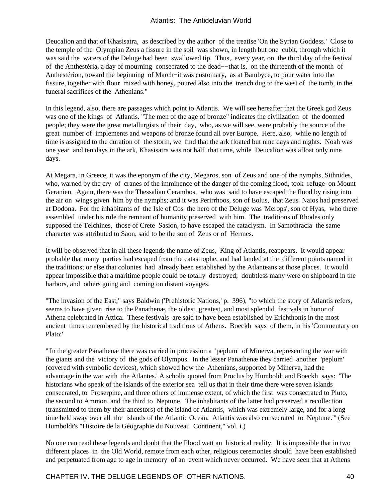Deucalion and that of Khasisatra, as described by the author of the treatise 'On the Syrian Goddess.' Close to the temple of the Olympian Zeus a fissure in the soil was shown, in length but one cubit, through which it was said the waters of the Deluge had been swallowed tip. Thus,, every year, on the third day of the festival of the Anthestéria, a day of mourning consecrated to the dead−−that is, on the thirteenth of the month of Anthestérion, toward the beginning of March−it was customary, as at Bambyce, to pour water into the fissure, together with flour mixed with honey, poured also into the trench dug to the west of the tomb, in the funeral sacrifices of the Athenians."

In this legend, also, there are passages which point to Atlantis. We will see hereafter that the Greek god Zeus was one of the kings of Atlantis. "The men of the age of bronze" indicates the civilization of the doomed people; they were the great metallurgists of their day, who, as we will see, were probably the source of the great number of implements and weapons of bronze found all over Europe. Here, also, while no length of time is assigned to the duration of the storm, we find that the ark floated but nine days and nights. Noah was one year and ten days in the ark, Khasisatra was not half that time, while Deucalion was afloat only nine days.

At Megara, in Greece, it was the eponym of the city, Megaros, son of Zeus and one of the nymphs, Sithnides, who, warned by the cry of cranes of the imminence of the danger of the coming flood, took refuge on Mount Geranien. Again, there was the Thessalian Cerambos, who was said to have escaped the flood by rising into the air on wings given him by the nymphs; and it was Perirrhoos, son of Eolus, that Zeus Naios had preserved at Dodona. For the inhabitants of the Isle of Cos the hero of the Deluge was 'Merops', son of Hyas, who there assembled under his rule the remnant of humanity preserved with him. The traditions of Rhodes only supposed the Telchines, those of Crete Sasion, to have escaped the cataclysm. In Samothracia the same character was attributed to Saon, said to be the son of Zeus or of Hermes.

It will be observed that in all these legends the name of Zeus, King of Atlantis, reappears. It would appear probable that many parties had escaped from the catastrophe, and had landed at the different points named in the traditions; or else that colonies had already been established by the Atlanteans at those places. It would appear impossible that a maritime people could be totally destroyed; doubtless many were on shipboard in the harbors, and others going and coming on distant voyages.

"The invasion of the East," says Baldwin ('Prehistoric Nations,' p. 396), "to which the story of Atlantis refers, seems to have given rise to the Panathenæ, the oldest, greatest, and most splendid festivals in honor of Athena celebrated in Attica. These festivals are said to have been established by Erichthonis in the most ancient times remembered by the historical traditions of Athens. Boeckh says of them, in his 'Commentary on Plato:'

"'In the greater Panathenæ there was carried in procession a 'peplum' of Minerva, representing the war with the giants and the victory of the gods of Olympus. In the lesser Panathenæ they carried another 'peplum' (covered with symbolic devices), which showed how the Athenians, supported by Minerva, had the advantage in the war with the Atlantes.' A scholia quoted from Proclus by Humboldt and Boeckh says: 'The historians who speak of the islands of the exterior sea tell us that in their time there were seven islands consecrated, to Proserpine, and three others of immense extent, of which the first was consecrated to Pluto, the second to Ammon, and the third to Neptune. The inhabitants of the latter had preserved a recollection (transmitted to them by their ancestors) of the island of Atlantis, which was extremely large, and for a long time held sway over all the islands of the Atlantic Ocean. Atlantis was also consecrated to Neptune."' (See Humboldt's "Histoire de la Géographie du Nouveau Continent," vol. i.)

No one can read these legends and doubt that the Flood watt an historical reality. It is impossible that in two different places in the Old World, remote from each other, religious ceremonies should have been established and perpetuated from age to age in memory of an event which never occurred. We have seen that at Athens

CHAPTER IV. THE DELUGE LEGENDS OF OTHER NATIONS. 40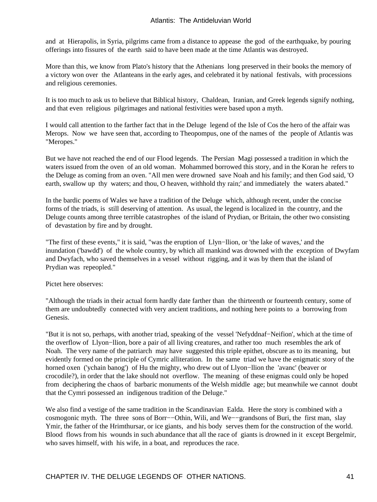and at Hierapolis, in Syria, pilgrims came from a distance to appease the god of the earthquake, by pouring offerings into fissures of the earth said to have been made at the time Atlantis was destroyed.

More than this, we know from Plato's history that the Athenians long preserved in their books the memory of a victory won over the Atlanteans in the early ages, and celebrated it by national festivals, with processions and religious ceremonies.

It is too much to ask us to believe that Biblical history, Chaldean, Iranian, and Greek legends signify nothing, and that even religious pilgrimages and national festivities were based upon a myth.

I would call attention to the farther fact that in the Deluge legend of the Isle of Cos the hero of the affair was Merops. Now we have seen that, according to Theopompus, one of the names of the people of Atlantis was "Meropes."

But we have not reached the end of our Flood legends. The Persian Magi possessed a tradition in which the waters issued from the oven of an old woman. Mohammed borrowed this story, and in the Koran he refers to the Deluge as coming from an oven. "All men were drowned save Noah and his family; and then God said, 'O earth, swallow up thy waters; and thou, O heaven, withhold thy rain;' and immediately the waters abated."

In the bardic poems of Wales we have a tradition of the Deluge which, although recent, under the concise forms of the triads, is still deserving of attention. As usual, the legend is localized in the country, and the Deluge counts among three terrible catastrophes of the island of Prydian, or Britain, the other two consisting of devastation by fire and by drought.

"The first of these events," it is said, "was the eruption of Llyn−llion, or 'the lake of waves,' and the inundation ('bawdd') of the whole country, by which all mankind was drowned with the exception of Dwyfam and Dwyfach, who saved themselves in a vessel without rigging, and it was by them that the island of Prydian was repeopled."

Pictet here observes:

"Although the triads in their actual form hardly date farther than the thirteenth or fourteenth century, some of them are undoubtedly connected with very ancient traditions, and nothing here points to a borrowing from Genesis.

"But it is not so, perhaps, with another triad, speaking of the vessel 'Nefyddnaf−Neifion', which at the time of the overflow of Llyon−llion, bore a pair of all living creatures, and rather too much resembles the ark of Noah. The very name of the patriarch may have suggested this triple epithet, obscure as to its meaning, but evidently formed on the principle of Cymric alliteration. In the same triad we have the enigmatic story of the horned oxen ('ychain banog') of Hu the mighty, who drew out of Llyon−llion the 'avanc' (beaver or crocodile?), in order that the lake should not overflow. The meaning of these enigmas could only be hoped from deciphering the chaos of barbaric monuments of the Welsh middle age; but meanwhile we cannot doubt that the Cymri possessed an indigenous tradition of the Deluge."

We also find a vestige of the same tradition in the Scandinavian Ealda. Here the story is combined with a cosmogonic myth. The three sons of Borr−−Othin, Wili, and We−−grandsons of Buri, the first man, slay Ymir, the father of the Hrimthursar, or ice giants, and his body serves them for the construction of the world. Blood flows from his wounds in such abundance that all the race of giants is drowned in it except Bergelmir, who saves himself, with his wife, in a boat, and reproduces the race.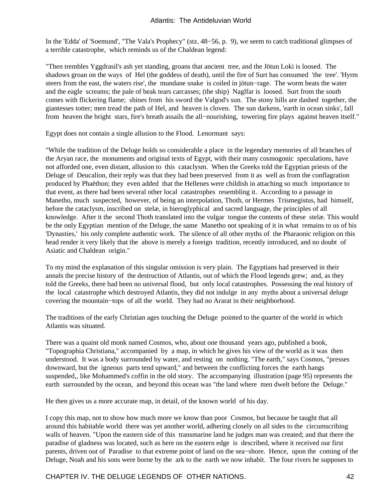In the 'Edda' of 'Soemund', "The Vala's Prophecy" (stz. 48−56, p. 9), we seem to catch traditional glimpses of a terrible catastrophe, which reminds us of the Chaldean legend:

"Then trembles Yggdrasil's ash yet standing, groans that ancient tree, and the Jötun Loki is loosed. The shadows groan on the ways of Hel (the goddess of death), until the fire of Surt has consumed 'the tree'. 'Hyrm steers from the east, the waters rise', the mundane snake is coiled in jötun−rage. The worm beats the water and the eagle screams; the pale of beak tears carcasses; (the ship) Naglfar is loosed. Surt from the south comes with flickering flame; shines from his sword the Valgod's sun. The stony hills are dashed together, the giantesses totter; men tread the path of Hel, and heaven is cloven. The sun darkens, 'earth in ocean sinks', fall from heaven the bright stars, fire's breath assails the all−nourishing, towering fire plays against heaven itself."

Egypt does not contain a single allusion to the Flood. Lenormant says:

"While the tradition of the Deluge holds so considerable a place in the legendary memories of all branches of the Aryan race, the monuments and original texts of Egypt, with their many cosmogonic speculations, have not afforded one, even distant, allusion to this cataclysm. When the Greeks told the Egyptian priests of the Deluge of Deucalion, their reply was that they had been preserved from it as well as from the conflagration produced by Phaëthon; they even added that the Hellenes were childish in attaching so much importance to that event, as there had been several other local catastrophes resembling it. According to a passage in Manetho, much suspected, however, of being an interpolation, Thoth, or Hermes Trismegistus, had himself, before the cataclysm, inscribed on stelæ, in hieroglyphical and sacred language, the principles of all knowledge. After it the second Thoth translated into the vulgar tongue the contents of these stelæ. This would be the only Egyptian mention of the Deluge, the same Manetho not speaking of it in what remains to us of his 'Dynasties,' his only complete authentic work. The silence of all other myths of the Pharaonic religion on this head render it very likely that the above is merely a foreign tradition, recently introduced, and no doubt of Asiatic and Chaldean origin."

To my mind the explanation of this singular omission is very plain. The Egyptians had preserved in their annals the precise history of the destruction of Atlantis, out of which the Flood legends grew; and, as they told the Greeks, there had been no universal flood, but only local catastrophes. Possessing the real history of the local catastrophe which destroyed Atlantis, they did not indulge in any myths about a universal deluge covering the mountain−tops of all the world. They had no Ararat in their neighborhood.

The traditions of the early Christian ages touching the Deluge pointed to the quarter of the world in which Atlantis was situated.

There was a quaint old monk named Cosmos, who, about one thousand years ago, published a book, "Topographia Christiana," accompanied by a map, in which he gives his view of the world as it was then understood. It was a body surrounded by water, and resting on nothing. "The earth," says Cosmos, "presses downward, but the igneous parts tend upward," and between the conflicting forces the earth hangs suspended,, like Mohammed's coffin in the old story. The accompanying illustration (page 95) represents the earth surrounded by the ocean, and beyond this ocean was "the land where men dwelt before the Deluge."

He then gives us a more accurate map, in detail, of the known world of his day.

I copy this map, not to show how much more we know than poor Cosmos, but because be taught that all around this habitable world there was yet another world, adhering closely on all sides to the circumscribing walls of heaven. "Upon the eastern side of this transmarine land he judges man was created; and that there the paradise of gladness was located, such as here on the eastern edge is described, where it received our first parents, driven out of Paradise to that extreme point of land on the sea−shore. Hence, upon the coming of the Deluge, Noah and his sons were borne by the ark to the earth we now inhabit. The four rivers he supposes to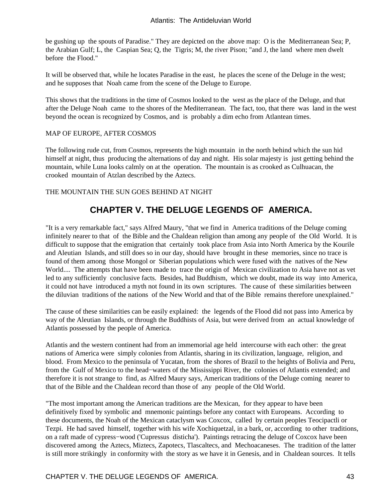be gushing up the spouts of Paradise." They are depicted on the above map: O is the Mediterranean Sea; P, the Arabian Gulf; L, the Caspian Sea; Q, the Tigris; M, the river Pison; "and J, the land where men dwelt before the Flood."

It will be observed that, while he locates Paradise in the east, he places the scene of the Deluge in the west; and he supposes that Noah came from the scene of the Deluge to Europe.

This shows that the traditions in the time of Cosmos looked to the west as the place of the Deluge, and that after the Deluge Noah came to the shores of the Mediterranean. The fact, too, that there was land in the west beyond the ocean is recognized by Cosmos, and is probably a dim echo from Atlantean times.

#### MAP OF EUROPE, AFTER COSMOS

The following rude cut, from Cosmos, represents the high mountain in the north behind which the sun hid himself at night, thus producing the alternations of day and night. His solar majesty is just getting behind the mountain, while Luna looks calmly on at the operation. The mountain is as crooked as Culhuacan, the crooked mountain of Atzlan described by the Aztecs.

## THE MOUNTAIN THE SUN GOES BEHIND AT NIGHT

# **CHAPTER V. THE DELUGE LEGENDS OF AMERICA.**

"It is a very remarkable fact," says Alfred Maury, "that we find in America traditions of the Deluge coming infinitely nearer to that of the Bible and the Chaldean religion than among any people of the Old World. It is difficult to suppose that the emigration that certainly took place from Asia into North America by the Kourile and Aleutian Islands, and still does so in our day, should have brought in these memories, since no trace is found of them among those Mongol or Siberian populations which were fused with the natives of the New World.... The attempts that have been made to trace the origin of Mexican civilization to Asia have not as vet led to any sufficiently conclusive facts. Besides, had Buddhism, which we doubt, made its way into America, it could not have introduced a myth not found in its own scriptures. The cause of these similarities between the diluvian traditions of the nations of the New World and that of the Bible remains therefore unexplained."

The cause of these similarities can be easily explained: the legends of the Flood did not pass into America by way of the Aleutian Islands, or through the Buddhists of Asia, but were derived from an actual knowledge of Atlantis possessed by the people of America.

Atlantis and the western continent had from an immemorial age held intercourse with each other: the great nations of America were simply colonies from Atlantis, sharing in its civilization, language, religion, and blood. From Mexico to the peninsula of Yucatan, from the shores of Brazil to the heights of Bolivia and Peru, from the Gulf of Mexico to the head−waters of the Mississippi River, the colonies of Atlantis extended; and therefore it is not strange to find, as Alfred Maury says, American traditions of the Deluge coming nearer to that of the Bible and the Chaldean record than those of any people of the Old World.

"The most important among the American traditions are the Mexican, for they appear to have been definitively fixed by symbolic and mnemonic paintings before any contact with Europeans. According to these documents, the Noah of the Mexican cataclysm was Coxcox, called by certain peoples Teocipactli or Tezpi. He had saved himself, together with his wife Xochiquetzal, in a bark, or, according to other traditions, on a raft made of cypress−wood ('Cupressus disticha'). Paintings retracing the deluge of Coxcox have been discovered among the Aztecs, Miztecs, Zapotecs, Tlascaltecs, and Mechoacaneses. The tradition of the latter is still more strikingly in conformity with the story as we have it in Genesis, and in Chaldean sources. It tells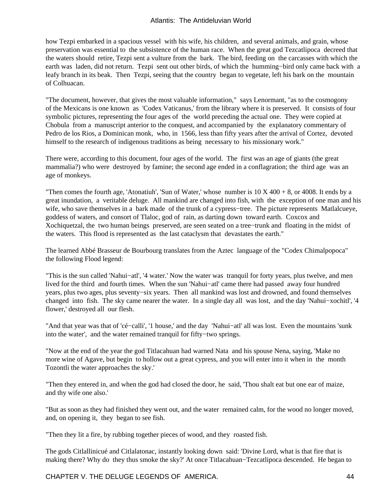how Tezpi embarked in a spacious vessel with his wife, his children, and several animals, and grain, whose preservation was essential to the subsistence of the human race. When the great god Tezcatlipoca decreed that the waters should retire, Tezpi sent a vulture from the bark. The bird, feeding on the carcasses with which the earth was laden, did not return. Tezpi sent out other birds, of which the humming−bird only came back with a leafy branch in its beak. Then Tezpi, seeing that the country began to vegetate, left his bark on the mountain of Colhuacan.

"The document, however, that gives the most valuable information," says Lenormant, "as to the cosmogony of the Mexicans is one known as 'Codex Vaticanus,' from the library where it is preserved. It consists of four symbolic pictures, representing the four ages of the world preceding the actual one. They were copied at Chobula from a manuscript anterior to the conquest, and accompanied by the explanatory commentary of Pedro de los Rios, a Dominican monk, who, in 1566, less than fifty years after the arrival of Cortez, devoted himself to the research of indigenous traditions as being necessary to his missionary work."

There were, according to this document, four ages of the world. The first was an age of giants (the great mammalia?) who were destroyed by famine; the second age ended in a conflagration; the third age was an age of monkeys.

"Then comes the fourth age, 'Atonatiuh', 'Sun of Water,' whose number is  $10 \text{ X } 400 + 8$ , or 4008. It ends by a great inundation, a veritable deluge. All mankind are changed into fish, with the exception of one man and his wife, who save themselves in a bark made of the trunk of a cypress−tree. The picture represents Matlalcueye, goddess of waters, and consort of Tlaloc, god of rain, as darting down toward earth. Coxcox and Xochiquetzal, the two human beings preserved, are seen seated on a tree−trunk and floating in the midst of the waters. This flood is represented as the last cataclysm that devastates the earth."

The learned Abbé Brasseur de Bourbourg translates from the Aztec language of the "Codex Chimalpopoca" the following Flood legend:

"This is the sun called 'Nahui−atl', '4 water.' Now the water was tranquil for forty years, plus twelve, and men lived for the third and fourth times. When the sun 'Nahui−atl' came there had passed away four hundred years, plus two ages, plus seventy−six years. Then all mankind was lost and drowned, and found themselves changed into fish. The sky came nearer the water. In a single day all was lost, and the day 'Nahui−xochitl', '4 flower,' destroyed all our flesh.

"And that year was that of 'cé−calli', '1 house,' and the day 'Nahui−atl' all was lost. Even the mountains 'sunk into the water', and the water remained tranquil for fifty−two springs.

"Now at the end of the year the god Titlacahuan had warned Nata and his spouse Nena, saying, 'Make no more wine of Agave, but begin to hollow out a great cypress, and you will enter into it when in the month Tozontli the water approaches the sky.'

"Then they entered in, and when the god had closed the door, he said, 'Thou shalt eat but one ear of maize, and thy wife one also.'

"But as soon as they had finished they went out, and the water remained calm, for the wood no longer moved, and, on opening it, they began to see fish.

"Then they lit a fire, by rubbing together pieces of wood, and they roasted fish.

The gods Citlallinicué and Citlalatonac, instantly looking down said: 'Divine Lord, what is that fire that is making there? Why do they thus smoke the sky?' At once Titlacahuan−Tezcatlipoca descended. He began to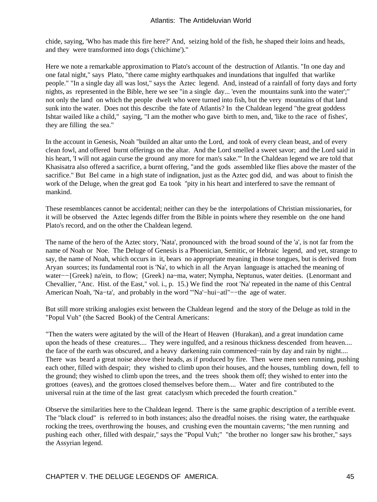chide, saying, 'Who has made this fire here?' And, seizing hold of the fish, he shaped their loins and heads, and they were transformed into dogs ('chichime')."

Here we note a remarkable approximation to Plato's account of the destruction of Atlantis. "In one day and one fatal night," says Plato, "there came mighty earthquakes and inundations that ingulfed that warlike people." "In a single day all was lost," says the Aztec legend. And, instead of a rainfall of forty days and forty nights, as represented in the Bible, here we see "in a single day... 'even the mountains sunk into the water';" not only the land on which the people dwelt who were turned into fish, but the very mountains of that land sunk into the water. Does not this describe the fate of Atlantis? In the Chaldean legend "the great goddess Ishtar wailed like a child," saying, "I am the mother who gave birth to men, and, 'like to the race of fishes', they are filling the sea."

In the account in Genesis, Noah "builded an altar unto the Lord, and took of every clean beast, and of every clean fowl, and offered burnt offerings on the altar. And the Lord smelled a sweet savor; and the Lord said in his heart, 'I will not again curse the ground any more for man's sake.'" In the Chaldean legend we are told that Khasisatra also offered a sacrifice, a burnt offering, "and the gods assembled like flies above the master of the sacrifice." But Bel came in a high state of indignation, just as the Aztec god did, and was about to finish the work of the Deluge, when the great god Ea took ''pity in his heart and interfered to save the remnant of mankind.

These resemblances cannot be accidental; neither can they be the interpolations of Christian missionaries, for it will be observed the Aztec legends differ from the Bible in points where they resemble on the one hand Plato's record, and on the other the Chaldean legend.

The name of the hero of the Aztec story, 'Nata', pronounced with the broad sound of the 'a', is not far from the name of Noah or Noe. The Deluge of Genesis is a Phoenician, Semitic, or Hebraic legend, and yet, strange to say, the name of Noah, which occurs in it, bears no appropriate meaning in those tongues, but is derived from Aryan sources; its fundamental root is 'Na', to which in all the Aryan language is attached the meaning of water−−{Greek} na'ein, to flow; {Greek} na~ma, water; Nympha, Neptunus, water deities. (Lenormant and Chevallier, "Anc. Hist. of the East," vol. i., p. 15.) We find the root 'Na' repeated in the name of this Central American Noah, 'Na−ta', and probably in the word "'Na'−hui−atl"−−the age of water.

But still more striking analogies exist between the Chaldean legend and the story of the Deluge as told in the "Popul Vuh" (the Sacred Book) of the Central Americans:

"Then the waters were agitated by the will of the Heart of Heaven (Hurakan), and a great inundation came upon the heads of these creatures.... They were ingulfed, and a resinous thickness descended from heaven.... the face of the earth was obscured, and a heavy darkening rain commenced−rain by day and rain by night.... There was beard a great noise above their heads, as if produced by fire. Then were men seen running, pushing each other, filled with despair; they wished to climb upon their houses, and the houses, tumbling down, fell to the ground; they wished to climb upon the trees, and the trees shook them off; they wished to enter into the grottoes (eaves), and the grottoes closed themselves before them.... Water and fire contributed to the universal ruin at the time of the last great cataclysm which preceded the fourth creation."

Observe the similarities here to the Chaldean legend. There is the same graphic description of a terrible event. The "black cloud" is referred to in both instances; also the dreadful noises. the rising water, the earthquake rocking the trees, overthrowing the houses, and crushing even the mountain caverns; "the men running and pushing each other, filled with despair," says the "Popul Vuh;" "the brother no longer saw his brother," says the Assyrian legend.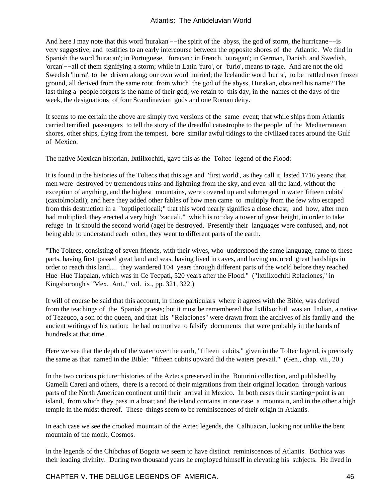And here I may note that this word 'hurakan'−−the spirit of the abyss, the god of storm, the hurricane−−is very suggestive, and testifies to an early intercourse between the opposite shores of the Atlantic. We find in Spanish the word 'huracan'; in Portuguese, 'furacan'; in French, 'ouragan'; in German, Danish, and Swedish, 'orcan'−−all of them signifying a storm; while in Latin 'furo', or 'furio', means to rage. And are not the old Swedish 'hurra', to be driven along; our own word hurried; the Icelandic word 'hurra', to be rattled over frozen ground, all derived from the same root from which the god of the abyss, Hurakan, obtained his name? The last thing a people forgets is the name of their god; we retain to this day, in the names of the days of the week, the designations of four Scandinavian gods and one Roman deity.

It seems to me certain the above are simply two versions of the same event; that while ships from Atlantis carried terrified passengers to tell the story of the dreadful catastrophe to the people of the Mediterranean shores, other ships, flying from the tempest, bore similar awful tidings to the civilized races around the Gulf of Mexico.

The native Mexican historian, Ixtlilxochitl, gave this as the Toltec legend of the Flood:

It is found in the histories of the Toltecs that this age and 'first world', as they call it, lasted 1716 years; that men were destroyed by tremendous rains and lightning from the sky, and even all the land, without the exception of anything, and the highest mountains, were covered up and submerged in water 'fifteen cubits' (caxtolmolatli); and here they added other fables of how men came to multiply from the few who escaped from this destruction in a "toptlipetlocali;" that this word nearly signifies a close chest; and how, after men had multiplied, they erected a very high "zacuali," which is to−day a tower of great height, in order to take refuge in it should the second world (age) be destroyed. Presently their languages were confused, and, not being able to understand each other, they went to different parts of the earth.

"The Toltecs, consisting of seven friends, with their wives, who understood the same language, came to these parts, having first passed great land and seas, having lived in caves, and having endured great hardships in order to reach this land.... they wandered 104 years through different parts of the world before they reached Hue Hue Tlapalan, which was in Ce Tecpatl, 520 years after the Flood." ("Ixtlilxochitl Relaciones," in Kingsborough's "Mex. Ant.," vol. ix., pp. 321, 322.)

It will of course be said that this account, in those particulars where it agrees with the Bible, was derived from the teachings of the Spanish priests; but it must be remembered that Ixtlilxochitl was an Indian, a native of Tezeuco, a son of the queen, and that his "Relaciones" were drawn from the archives of his family and the ancient writings of his nation: he had no motive to falsify documents that were probably in the hands of hundreds at that time.

Here we see that the depth of the water over the earth, "fifteen cubits," given in the Toltec legend, is precisely the same as that named in the Bible: "fifteen cubits upward did the waters prevail." (Gen., chap. vii., 20.)

In the two curious picture−histories of the Aztecs preserved in the Boturini collection, and published by Gamelli Careri and others, there is a record of their migrations from their original location through various parts of the North American continent until their arrival in Mexico. In both cases their starting−point is an island, from which they pass in a boat; and the island contains in one case a mountain, and in the other a high temple in the midst thereof. These things seem to be reminiscences of their origin in Atlantis.

In each case we see the crooked mountain of the Aztec legends, the Calhuacan, looking not unlike the bent mountain of the monk, Cosmos.

In the legends of the Chibchas of Bogota we seem to have distinct reminiscences of Atlantis. Bochica was their leading divinity. During two thousand years he employed himself in elevating his subjects. He lived in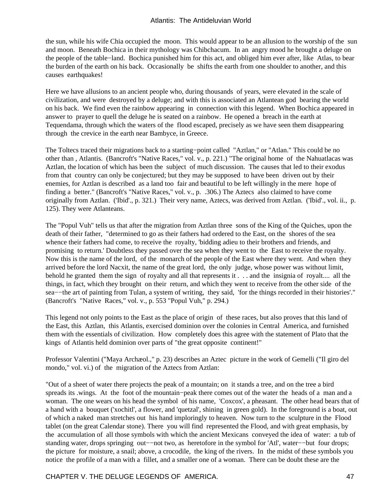the sun, while his wife Chia occupied the moon. This would appear to be an allusion to the worship of the sun and moon. Beneath Bochica in their mythology was Chibchacum. In an angry mood he brought a deluge on the people of the table−land. Bochica punished him for this act, and obliged him ever after, like Atlas, to bear the burden of the earth on his back. Occasionally be shifts the earth from one shoulder to another, and this causes earthquakes!

Here we have allusions to an ancient people who, during thousands of years, were elevated in the scale of civilization, and were destroyed by a deluge; and with this is associated an Atlantean god bearing the world on his back. We find even the rainbow appearing in connection with this legend. When Bochica appeared in answer to prayer to quell the deluge he is seated on a rainbow. He opened a breach in the earth at Tequendama, through which the waters of the flood escaped, precisely as we have seen them disappearing through the crevice in the earth near Bambyce, in Greece.

The Toltecs traced their migrations back to a starting−point called "Aztlan," or "Atlan." This could be no other than , Atlantis. (Bancroft's "Native Races," vol. v., p. 221.) "The original home of the Nahuatlacas was Aztlan, the location of which has been the subject of much discussion. The causes that led to their exodus from that country can only be conjectured; but they may be supposed to have been driven out by their enemies, for Aztlan is described as a land too fair and beautiful to be left willingly in the mere hope of finding a better." (Bancroft's "Native Races," vol. v., p. .306.) The Aztecs also claimed to have come originally from Aztlan. ('Ibid'., p. 321.) Their very name, Aztecs, was derived from Aztlan. ('Ibid'., vol. ii., p. 125). They were Atlanteans.

The "Popul Vuh" tells us that after the migration from Aztlan three sons of the King of the Quiches, upon the death of their father, "determined to go as their fathers had ordered to the East, on the shores of the sea whence their fathers had come, to receive the royalty, 'bidding adieu to their brothers and friends, and promising to return.' Doubtless they passed over the sea when they went to the East to receive the royalty. Now this is the name of the lord, of the monarch of the people of the East where they went. And when they arrived before the lord Nacxit, the name of the great lord, the only judge, whose power was without limit, behold he granted them the sign of royalty and all that represents it . . . and the insignia of royalt.... all the things, in fact, which they brought on their return, and which they went to receive from the other side of the sea--the art of painting from Tulan, a system of writing, they said, 'for the things recorded in their histories'." (Bancroft's "Native Races," vol. v., p. 553 "Popul Vuh," p. 294.)

This legend not only points to the East as the place of origin of these races, but also proves that this land of the East, this Aztlan, this Atlantis, exercised dominion over the colonies in Central America, and furnished them with the essentials of civilization. How completely does this agree with the statement of Plato that the kings of Atlantis held dominion over parts of "the great opposite continent!"

Professor Valentini ("Maya Archæol.," p. 23) describes an Aztec picture in the work of Gemelli ("Il giro del mondo," vol. vi.) of the migration of the Aztecs from Aztlan:

"Out of a sheet of water there projects the peak of a mountain; on it stands a tree, and on the tree a bird spreads its .wings. At the foot of the mountain−peak there comes out of the water the heads of a man and a woman. The one wears on his head the symbol of his name, 'Coxcox', a pheasant. The other head bears that of a hand with a bouquet ('xochitl', a flower, and 'quetzal', shining in green gold). In the foreground is a boat, out of which a naked man stretches out his hand imploringly to heaven. Now turn to the sculpture in the Flood tablet (on the great Calendar stone). There you will find represented the Flood, and with great emphasis, by the accumulation of all those symbols with which the ancient Mexicans conveyed the idea of water: a tub of standing water, drops springing out−−not two, as heretofore in the symbol for 'Atl', water–−but four drops; the picture for moisture, a snail; above, a crocodile, the king of the rivers. In the midst of these symbols you notice the profile of a man with a fillet, and a smaller one of a woman. There can be doubt these are the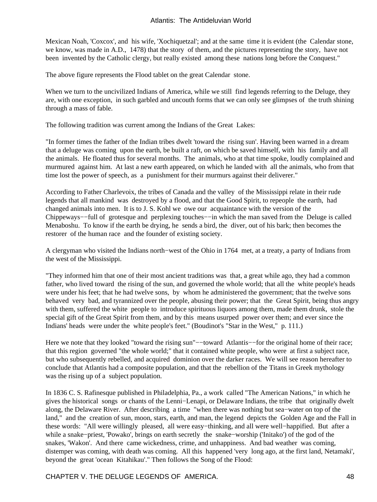Mexican Noah, 'Coxcox', and his wife, 'Xochiquetzal'; and at the same time it is evident (the Calendar stone, we know, was made in A.D., 1478) that the story of them, and the pictures representing the story, have not been invented by the Catholic clergy, but really existed among these nations long before the Conquest."

The above figure represents the Flood tablet on the great Calendar stone.

When we turn to the uncivilized Indians of America, while we still find legends referring to the Deluge, they are, with one exception, in such garbled and uncouth forms that we can only see glimpses of the truth shining through a mass of fable.

The following tradition was current among the Indians of the Great Lakes:

"In former times the father of the Indian tribes dwelt 'toward the rising sun'. Having been warned in a dream that a deluge was coming upon the earth, be built a raft, on which be saved himself, with his family and all the animals. He floated thus for several months. The animals, who at that time spoke, loudly complained and murmured against him. At last a new earth appeared, on which he landed with all the animals, who from that time lost the power of speech, as a punishment for their murmurs against their deliverer."

According to Father Charlevoix, the tribes of Canada and the valley of the Mississippi relate in their rude legends that all mankind was destroyed by a flood, and that the Good Spirit, to repeople the earth, had changed animals into men. It is to J. S. Kohl we owe our acquaintance with the version of the Chippeways−−full of grotesque and perplexing touches−−in which the man saved from the Deluge is called Menaboshu. To know if the earth be drying, he sends a bird, the diver, out of his bark; then becomes the restorer of the human race and the founder of existing society.

A clergyman who visited the Indians north−west of the Ohio in 1764 met, at a treaty, a party of Indians from the west of the Mississippi.

"They informed him that one of their most ancient traditions was that, a great while ago, they had a common father, who lived toward the rising of the sun, and governed the whole world; that all the white people's heads were under his feet; that he had twelve sons, by whom he administered the government; that the twelve sons behaved very bad, and tyrannized over the people, abusing their power; that the Great Spirit, being thus angry with them, suffered the white people to introduce spirituous liquors among them, made them drunk, stole the special gift of the Great Spirit from them, and by this means usurped power over them; and ever since the Indians' heads were under the white people's feet." (Boudinot's "Star in the West," p. 111.)

Here we note that they looked "toward the rising sun"--toward Atlantis--for the original home of their race; that this region governed "the whole world;" that it contained white people, who were at first a subject race, but who subsequently rebelled, and acquired dominion over the darker races. We will see reason hereafter to conclude that Atlantis had a composite population, and that the rebellion of the Titans in Greek mythology was the rising up of a subject population.

In 1836 C. S. Rafinesque published in Philadelphia, Pa., a work called "The American Nations," in which he gives the historical songs or chants of the Lenni−Lenapi, or Delaware Indians, the tribe that originally dwelt along, the Delaware River. After describing a time "when there was nothing but sea−water on top of the land," and the creation of sun, moon, stars, earth, and man, the legend depicts the Golden Age and the Fall in these words: "All were willingly pleased, all were easy−thinking, and all were well−happified. But after a while a snake−priest, 'Powako', brings on earth secretly the snake−worship ('Initako') of the god of the snakes, 'Wakon'. And there came wickedness, crime, and unhappiness. And bad weather was coming, distemper was coming, with death was coming. All this happened 'very long ago, at the first land, Netamaki', beyond the great 'ocean Kitahikau'." Then follows the Song of the Flood: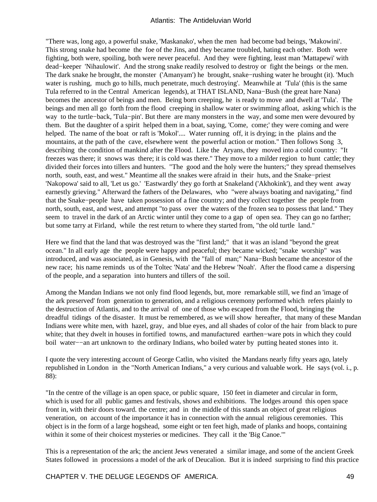"There was, long ago, a powerful snake, 'Maskanako', when the men had become bad beings, 'Makowini'. This strong snake had become the foe of the Jins, and they became troubled, hating each other. Both were fighting, both were, spoiling, both were never peaceful. And they were fighting, least man 'Mattapewi' with dead−keeper 'Nihaulowit'. And the strong snake readily resolved to destroy or fight the beings or the men. The dark snake he brought, the monster ('Amanyam') he brought, snake−rushing water he brought (it). 'Much water is rushing, much go to hills, much penetrate, much destroying'. Meanwhile at 'Tula' (this is the same Tula referred to in the Central American legends), at THAT ISLAND, Nana−Bush (the great hare Nana) becomes the ancestor of beings and men. Being born creeping, he is ready to move and dwell at 'Tula'. The beings and men all go forth from the flood creeping in shallow water or swimming afloat, asking which is the way to the turtle−back, 'Tula−pin'. But there are many monsters in the way, and some men were devoured by them. But the daughter of a spirit helped them in a boat, saying, 'Come, come;' they were coming and were helped. The name of the boat or raft is 'Mokol'.... Water running off, it is drying; in the plains and the mountains, at the path of the cave, elsewhere went the powerful action or motion." Then follows Song 3, describing the condition of mankind after the Flood. Like the Aryans, they moved into a cold country: "It freezes was there; it snows was there; it is cold was there." They move to a milder region to hunt cattle; they divided their forces into tillers and hunters. "The good and the holy were the hunters;" they spread themselves north, south, east, and west." Meantime all the snakes were afraid in their huts, and the Snake−priest 'Nakopowa' said to all, 'Let us go.' 'Eastwardly' they go forth at Snakeland ('Akhokink'), and they went away earnestly grieving." Afterward the fathers of the Delawares, who "were always boating and navigating," find that the Snake−people have taken possession of a fine country; and they collect together the people from north, south, east, and west, and attempt "to pass over the waters of the frozen sea to possess that land." They seem to travel in the dark of an Arctic winter until they come to a gap of open sea. They can go no farther; but some tarry at Firland, while the rest return to where they started from, "the old turtle land."

Here we find that the land that was destroyed was the "first land;" that it was an island "beyond the great ocean." In all early age the people were happy and peaceful; they became wicked; "snake worship" was introduced, and was associated, as in Genesis, with the "fall of man;" Nana−Bush became the ancestor of the new race; his name reminds us of the Toltec 'Nata' and the Hebrew 'Noah'. After the flood came a dispersing of the people, and a separation into hunters and tillers of the soil.

Among the Mandan Indians we not only find flood legends, but, more remarkable still, we find an 'image of the ark preserved' from generation to generation, and a religious ceremony performed which refers plainly to the destruction of Atlantis, and to the arrival of one of those who escaped from the Flood, bringing the dreadful tidings of the disaster. It must be remembered, as we will show hereafter, that many of these Mandan Indians were white men, with hazel, gray, and blue eyes, and all shades of color of the hair from black to pure white; that they dwelt in houses in fortified towns, and manufactured earthen−ware pots in which they could boil water−−an art unknown to the ordinary Indians, who boiled water by putting heated stones into it.

I quote the very interesting account of George Catlin, who visited the Mandans nearly fifty years ago, lately republished in London in the "North American Indians," a very curious and valuable work. He says (vol. i., p. 88):

"In the centre of the village is an open space, or public square, 150 feet in diameter and circular in form, which is used for all public games and festivals, shows and exhibitions. The lodges around this open space front in, with their doors toward. the centre; and in the middle of this stands an object of great religious veneration, on account of the importance it has in connection with the annual religious ceremonies. This object is in the form of a large hogshead, some eight or ten feet high, made of planks and hoops, containing within it some of their choicest mysteries or medicines. They call it the 'Big Canoe.'"

This is a representation of the ark; the ancient Jews venerated a similar image, and some of the ancient Greek States followed in processions a model of the ark of Deucalion. But it is indeed surprising to find this practice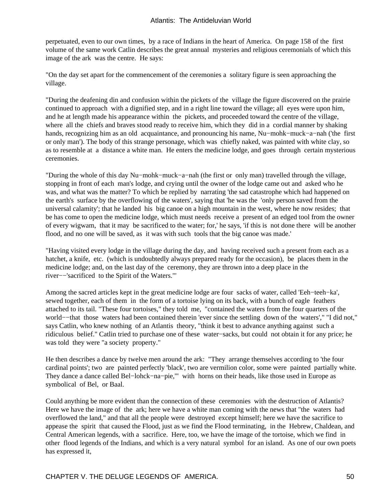perpetuated, even to our own times, by a race of Indians in the heart of America. On page 158 of the first volume of the same work Catlin describes the great annual mysteries and religious ceremonials of which this image of the ark was the centre. He says:

"On the day set apart for the commencement of the ceremonies a solitary figure is seen approaching the village.

"During the deafening din and confusion within the pickets of the village the figure discovered on the prairie continued to approach with a dignified step, and in a right line toward the village; all eyes were upon him, and he at length made his appearance within the pickets, and proceeded toward the centre of the village, where all the chiefs and braves stood ready to receive him, which they did in a cordial manner by shaking hands, recognizing him as an old acquaintance, and pronouncing his name, Nu−mohk−muck−a−nah ('the first or only man'). The body of this strange personage, which was chiefly naked, was painted with white clay, so as to resemble at a distance a white man. He enters the medicine lodge, and goes through certain mysterious ceremonies.

"During the whole of this day Nu−mohk−muck−a−nah (the first or only man) travelled through the village, stopping in front of each man's lodge, and crying until the owner of the lodge came out and asked who he was, and what was the matter? To which be replied by narrating 'the sad catastrophe which had happened on the earth's surface by the overflowing of the waters', saying that 'he was the 'only person saved from the universal calamity'; that he landed his big canoe on a high mountain in the west, where he now resides; that be has come to open the medicine lodge, which must needs receive a present of an edged tool from the owner of every wigwam, that it may be sacrificed to the water; for,' he says, 'if this is not done there will be another flood, and no one will be saved, as it was with such tools that the big canoe was made.'

"Having visited every lodge in the village during the day, and having received such a present from each as a hatchet, a knife, etc. (which is undoubtedly always prepared ready for the occasion), be places them in the medicine lodge; and, on the last day of the ceremony, they are thrown into a deep place in the river−−'sacrificed to the Spirit of the Waters."'

Among the sacred articles kept in the great medicine lodge are four sacks of water, called 'Eeh−teeh−ka', sewed together, each of them in the form of a tortoise lying on its back, with a bunch of eagle feathers attached to its tail. "These four tortoises," they told me, "contained the waters from the four quarters of the world−−that those waters had been contained therein 'ever since the settling down of the waters'," "I did not," says Catlin, who knew nothing of an Atlantis theory, "think it best to advance anything against such a ridiculous belief." Catlin tried to purchase one of these water−sacks, but could not obtain it for any price; he was told they were "a society property."

He then describes a dance by twelve men around the ark: "They arrange themselves according to 'the four cardinal points'; two are painted perfectly 'black', two are vermilion color, some were painted partially white. They dance a dance called Bel−lohck−na−pie,'" with horns on their heads, like those used in Europe as symbolical of Bel, or Baal.

Could anything be more evident than the connection of these ceremonies with the destruction of Atlantis? Here we have the image of the ark; here we have a white man coming with the news that "the waters had overflowed the land," and that all the people were destroyed except himself; here we have the sacrifice to appease the spirit that caused the Flood, just as we find the Flood terminating, in the Hebrew, Chaldean, and Central American legends, with a sacrifice. Here, too, we have the image of the tortoise, which we find in other flood legends of the Indians, and which is a very natural symbol for an island. As one of our own poets has expressed it,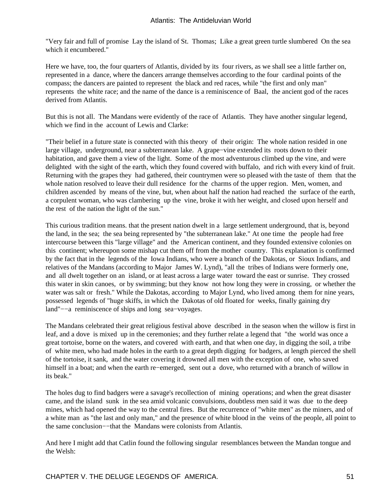"Very fair and full of promise Lay the island of St. Thomas; Like a great green turtle slumbered On the sea which it encumbered."

Here we have, too, the four quarters of Atlantis, divided by its four rivers, as we shall see a little farther on, represented in a dance, where the dancers arrange themselves according to the four cardinal points of the compass; the dancers are painted to represent the black and red races, while "the first and only man" represents the white race; and the name of the dance is a reminiscence of Baal, the ancient god of the races derived from Atlantis.

But this is not all. The Mandans were evidently of the race of Atlantis. They have another singular legend, which we find in the account of Lewis and Clarke:

"Their belief in a future state is connected with this theory of their origin: The whole nation resided in one large village, underground, near a subterranean lake. A grape−vine extended its roots down to their habitation, and gave them a view of the light. Some of the most adventurous climbed up the vine, and were delighted with the sight of the earth, which they found covered with buffalo, and rich with every kind of fruit. Returning with the grapes they had gathered, their countrymen were so pleased with the taste of them that the whole nation resolved to leave their dull residence for the charms of the upper region. Men, women, and children ascended by means of the vine, but, when about half the nation had reached the surface of the earth, a corpulent woman, who was clambering up the vine, broke it with her weight, and closed upon herself and the rest of the nation the light of the sun."

This curious tradition means. that the present nation dwelt in a large settlement underground, that is, beyond the land, in the sea; the sea being represented by "the subterranean lake." At one time the people had free intercourse between this "large village" and the American continent, and they founded extensive colonies on this continent; whereupon some mishap cut them off from the mother country. This explanation is confirmed by the fact that in the legends of the Iowa Indians, who were a branch of the Dakotas, or Sioux Indians, and relatives of the Mandans (according to Major James W. Lynd), "all the tribes of Indians were formerly one, and all dwelt together on an island, or at least across a large water toward the east or sunrise. They crossed this water in skin canoes, or by swimming; but they know not how long they were in crossing, or whether the water was salt or fresh." While the Dakotas, according to Major Lynd, who lived among them for nine years, possessed legends of "huge skiffs, in which the Dakotas of old floated for weeks, finally gaining dry land"−−a reminiscence of ships and long sea−voyages.

The Mandans celebrated their great religious festival above described in the season when the willow is first in leaf, and a dove is mixed up in the ceremonies; and they further relate a legend that "the world was once a great tortoise, borne on the waters, and covered with earth, and that when one day, in digging the soil, a tribe of white men, who had made holes in the earth to a great depth digging for badgers, at length pierced the shell of the tortoise, it sank, and the water covering it drowned all men with the exception of one, who saved himself in a boat; and when the earth re−emerged, sent out a dove, who returned with a branch of willow in its beak."

The holes dug to find badgers were a savage's recollection of mining operations; and when the great disaster came, and the island sunk in the sea amid volcanic convulsions, doubtless men said it was due to the deep mines, which had opened the way to the central fires. But the recurrence of "white men" as the miners, and of a white man as "the last and only man," and the presence of white blood in the veins of the people, all point to the same conclusion−−that the Mandans were colonists from Atlantis.

And here I might add that Catlin found the following singular resemblances between the Mandan tongue and the Welsh:

CHAPTER V. THE DELUGE LEGENDS OF AMERICA. THE STATE RESIDENCE AND STATE AND THE STATE OF STATE AND THE STATE O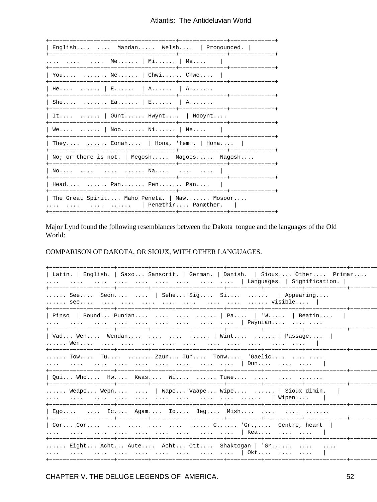| $\vert$ English  Mandan Welsh $\vert$ Pronounced. $\vert$          |
|--------------------------------------------------------------------|
| Me   Mi   Me                                                       |
| You $\ldots$ Ne   Chwi Chwe                                        |
| He    E   A   A                                                    |
| She  Ea   E   A                                                    |
| It $\ldots$   Ount Hwynt   Hooynt                                  |
| We $\ldots$   Noo Ni   Ne                                          |
| They $\ldots$ Eonah   Hona, 'fem'.   Hona                          |
| No; or there is not.   Megosh Nagoes Nagosh                        |
| No    Na                                                           |
|                                                                    |
| The Great Spirit Maho Peneta.   Maw Mosoor<br>  Penæthir Panæther. |

Major Lynd found the following resemblances between the Dakota tongue and the languages of the Old World:

COMPARISON OF DAKOTA, OR SIOUX, WITH OTHER LANGUAGES.

|                               |  |  |                                                                    | Latin.   English.   Saxo Sanscrit.   German.   Danish.   Sioux Other Primar |  |
|-------------------------------|--|--|--------------------------------------------------------------------|-----------------------------------------------------------------------------|--|
|                               |  |  | See Seon    Sehe Sig Si    Appearing                               |                                                                             |  |
|                               |  |  | Pinso   Pound Punian      Pa   'W   Beatin                         |                                                                             |  |
|                               |  |  | Vad Wen Wendan      Wint    Passage                                |                                                                             |  |
|                               |  |  | Tow Tu  Zaun Tun Tonw 'Gaelic                                      |                                                                             |  |
|                               |  |  | Qui Who Hw Kwas Wi Tuwe                                            |                                                                             |  |
|                               |  |  | $\ldots$ Weapo Wepn $\ldots$ Wape Vaape Wipe $\ldots$ Sioux dimin. |                                                                             |  |
|                               |  |  | Ego      Ic  Agam  Ic  Jeg  Mish                                   |                                                                             |  |
|                               |  |  |                                                                    |                                                                             |  |
| $\mathbf{1}$ and $\mathbf{1}$ |  |  | Eight Acht Aute Acht Ott Shaktogan   'Gr.,                         |                                                                             |  |
|                               |  |  |                                                                    |                                                                             |  |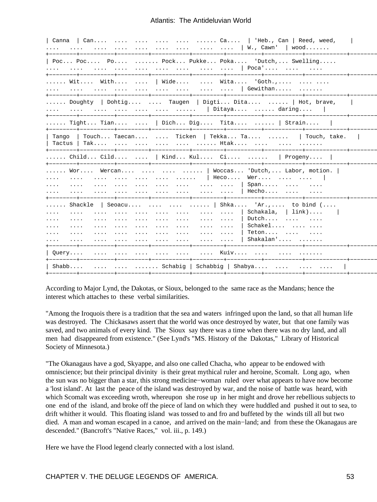| Canna | Can.... .... .... .... .... ...... Ca.... | 'Heb., Can | Reed, weed, .... .... .... .... .... .... .... .... .... | W., Cawn' | wood....... +−−−−−−−−+−−−−−−−−−−+−−−−−−−−−+−−−−−−−−−−−+−−−−−−−−−+−−−−−−−−−−+−−−−−−−−−−−+−−−−−−−−−−−−+−−−−−−−−−−−−−−−−+ | Poc... Poc.... Po.... ....... Pock... Pukke... Poka.... 'Dutch,... Swelling..... .... .... .... .... .... .... .... .... .... | Poca'.... .... .... +−−−−−−−−+−−−−−−−−−−+−−−−−−−−−+−−−−−−−−−−−+−−−−−−−−−+−−−−−−−−−−+−−−−−−−−−−−+−−−−−−−−−−−−+−−−−−−−−−−−−−−−−+ ...... Wit.... With.... .... | Wide.... .... Wita.... 'Goth.,.... .... .... .... .... .... .... .... .... .... .... .... | Gewithan..... ....... +−−−−−−−−+−−−−−−−−−−+−−−−−−−−−+−−−−−−−−−−−+−−−−−−−−−+−−−−−−−−−−+−−−−−−−−−−−+−−−−−−−−−−−−+−−−−−−−−−−−−−−−−+ ...... Doughty | Dohtig.... .... Taugen | Digti... Dita.... ...... | Hot, brave, | .... .... .... .... .... .... ...... | Ditaya.... ...... daring.... | +−−−−−−−−+−−−−−−−−−−+−−−−−−−−−+−−−−−−−−−−−+−−−−−−−−−+−−−−−−−−−−+−−−−−−−−−−−+−−−−−−−−−−−−+−−−−−−−−−−−−−−−−+ ...... Tight... Tian.... .... | Dich... Dig.... Tita.... ...... | Strain.... | +−−−−−−−−+−−−−−−−−−−+−−−−−−−−−+−−−−−−−−−−−+−−−−−−−−−+−−−−−−−−−−+−−−−−−−−−−−+−−−−−−−−−−−−+−−−−−−−−−−−−−−−−+ | Tango | Touch... Taecan.... .... Ticken | Tekka... Ta.... ...... | Touch, take. | | Tactus | Tak.... .... .... ..... ..... ....... Htak.... ..... ..... ......... +−−−−−−−−+−−−−−−−−−−+−−−−−−−−−+−−−−−−−−−−−+−−−−−−−−−+−−−−−−−−−−+−−−−−−−−−−−+−−−−−−−−−−−−+−−−−−−−−−−−−−−−−+ ...... Child... Cild.... .... | Kind... Kul.... Ci.... ...... | Progeny.... | +−−−−−−−−+−−−−−−−−−−+−−−−−−−−−+−−−−−−−−−−−+−−−−−−−−−+−−−−−−−−−−+−−−−−−−−−−−+−−−−−−−−−−−−+−−−−−−−−−−−−−−−−+ ...... Wor.... Wercan.... .... .... ...... | Woccas... 'Dutch,... Labor, motion. | .... .... .... .... .... .... ...... | Heco.... Wer.... .... .... | .... .... .... .... .... .... .... .... .... | Span..... .... .... .... .... .... .... .... .... .... .... .... | Hecho.... .... .... +−−−−−−−−+−−−−−−−−−−+−−−−−−−−−+−−−−−−−−−−−+−−−−−−−−−+−−−−−−−−−−+−−−−−−−−−−−+−−−−−−−−−−−−+−−−−−−−−−−−−−−−−+ ...... Shackle | Seoacu.... .... .... ...... | Shka.... 'Ar.,.... to bind (.... .... .... .... .... .... .... .... .... .... | Schakala, | link).... | .... .... .... .... .... .... .... .... .... | Dutch.... .... .... .... .... .... .... .... .... .... .... .... | Schakel.... .... .... .... .... .... .... .... .... .... .... .... | Teton.... .... .... .... .... .... .... .... .... .... .... .... | Shakalan'.... ....... +−−−−−−−−+−−−−−−−−−−+−−−−−−−−−+−−−−−−−−−−−+−−−−−−−−−+−−−−−−−−−−+−−−−−−−−−−−+−−−−−−−−−−−−+−−−−−−−−−−−−−−−−+ | Query.... .... .... .... .... .... ..... Kuiv.... .... ..... ........ +−−−−−−−−+−−−−−−−−−−+−−−−−−−−−+−−−−−−−−−−−+−−−−−−−−−+−−−−−−−−−−+−−−−−−−−−−−+−−−−−−−−−−−−+−−−−−−−−−−−−−−−−+ | Shabb.... .... .... ....... Schabig | Schabbig | Shabya.... .... .... .... | +−−−−−−−−+−−−−−−−−−−+−−−−−−−−−+−−−−−−−−−−−+−−−−−−−−−+−−−−−−−−−−+−−−−−−−−−−−+−−−−−−−−−−−−+−−−−−−−−−−−−−−−−+

According to Major Lynd, the Dakotas, or Sioux, belonged to the same race as the Mandans; hence the interest which attaches to these verbal similarities.

"Among the Iroquois there is a tradition that the sea and waters infringed upon the land, so that all human life was destroyed. The Chickasaws assert that the world was once destroyed by water, but that one family was saved, and two animals of every kind. The Sioux say there was a time when there was no dry land, and all men had disappeared from existence." (See Lynd's "MS. History of the Dakotas," Library of Historical Society of Minnesota.)

"The Okanagaus have a god, Skyappe, and also one called Chacha, who appear to be endowed with omniscience; but their principal divinity is their great mythical ruler and heroine, Scomalt. Long ago, when the sun was no bigger than a star, this strong medicine−woman ruled over what appears to have now become a 'lost island'. At last the peace of the island was destroyed by war, and the noise of battle was heard, with which Scomalt was exceeding wroth, whereupon she rose up in her might and drove her rebellious subjects to one end of the island, and broke off the piece of land on which they were huddled and pushed it out to sea, to drift whither it would. This floating island was tossed to and fro and buffeted by the winds till all but two died. A man and woman escaped in a canoe, and arrived on the main−land; and from these the Okanagaus are descended." (Bancroft's "Native Races," vol. iii., p. 149.)

Here we have the Flood legend clearly connected with a lost island.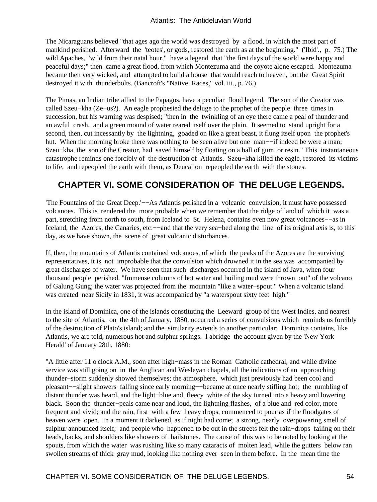The Nicaraguans believed "that ages ago the world was destroyed by a flood, in which the most part of mankind perished. Afterward the 'teotes', or gods, restored the earth as at the beginning." ('Ibid'., p. 75.) The wild Apaches, "wild from their natal hour," have a legend that "the first days of the world were happy and peaceful days;" then came a great flood, from which Montezuma and the coyote alone escaped. Montezuma became then very wicked, and attempted to build a house that would reach to heaven, but the Great Spirit destroyed it with thunderbolts. (Bancroft's "Native Races," vol. iii., p. 76.)

The Pimas, an Indian tribe allied to the Papagos, have a peculiar flood legend. The son of the Creator was called Szeu−kha (Ze−us?). An eagle prophesied the deluge to the prophet of the people three times in succession, but his warning was despised; "then in the twinkling of an eye there came a peal of thunder and an awful crash, and a green mound of water reared itself over the plain. It seemed to stand upright for a second, then, cut incessantly by the lightning, goaded on like a great beast, it flung itself upon the prophet's hut. When the morning broke there was nothing to be seen alive but one man−−if indeed be were a man; Szeu−kha, the son of the Creator, had saved himself by floating on a ball of gum or resin." This instantaneous catastrophe reminds one forcibly of the destruction of Atlantis. Szeu−kha killed the eagle, restored its victims to life, and repeopled the earth with them, as Deucalion repeopled the earth with the stones.

# **CHAPTER VI. SOME CONSIDERATION OF THE DELUGE LEGENDS.**

'The Fountains of the Great Deep.'−−As Atlantis perished in a volcanic convulsion, it must have possessed volcanoes. This is rendered the more probable when we remember that the ridge of land of which it was a part, stretching from north to south, from Iceland to St. Helena, contains even now great volcanoes−−as in Iceland, the Azores, the Canaries, etc.−−and that the very sea−bed along the line of its original axis is, to this day, as we have shown, the scene of great volcanic disturbances.

If, then, the mountains of Atlantis contained volcanoes, of which the peaks of the Azores are the surviving representatives, it is not improbable that the convulsion which drowned it in the sea was accompanied by great discharges of water. We have seen that such discharges occurred in the island of Java, when four thousand people perished. "Immense columns of hot water and boiling mud were thrown out" of the volcano of Galung Gung; the water was projected from the mountain "like a water−spout." When a volcanic island was created near Sicily in 1831, it was accompanied by "a waterspout sixty feet high."

In the island of Dominica, one of the islands constituting the Leeward group of the West Indies, and nearest to the site of Atlantis, on the 4th of January, 1880, occurred a series of convulsions which reminds us forcibly of the destruction of Plato's island; and the similarity extends to another particular: Dominica contains, like Atlantis, we are told, numerous hot and sulphur springs. I abridge the account given by the 'New York Herald' of January 28th, 1880:

"A little after 11 o'clock A.M., soon after high−mass in the Roman Catholic cathedral, and while divine service was still going on in the Anglican and Wesleyan chapels, all the indications of an approaching thunder−storm suddenly showed themselves; the atmosphere, which just previously had been cool and pleasant−−slight showers falling since early morning−−became at once nearly stifling hot; the rumbling of distant thunder was heard, and the light−blue and fleecy white of the sky turned into a heavy and lowering black. Soon the thunder−peals came near and loud, the lightning flashes, of a blue and red color, more frequent and vivid; and the rain, first with a few heavy drops, commenced to pour as if the floodgates of heaven were open. In a moment it darkened, as if night had come; a strong, nearly overpowering smell of sulphur announced itself; and people who happened to be out in the streets felt the rain−drops failing on their heads, backs, and shoulders like showers of hailstones. The cause of this was to be noted by looking at the spouts, from which the water was rushing like so many cataracts of molten lead, while the gutters below ran swollen streams of thick gray mud, looking like nothing ever seen in them before. In the mean time the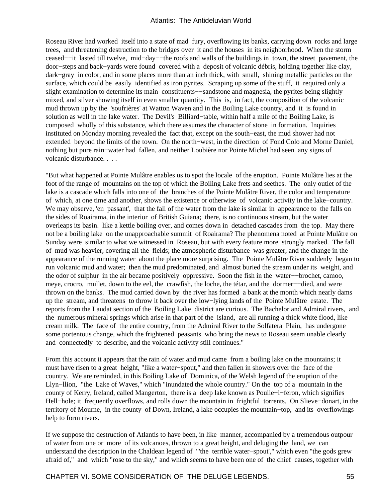Roseau River had worked itself into a state of mad fury, overflowing its banks, carrying down rocks and large trees, and threatening destruction to the bridges over it and the houses in its neighborhood. When the storm ceased−−it lasted till twelve, mid−day−−the roofs and walls of the buildings in town, the street pavement, the door−steps and back−yards were found covered with a deposit of volcanic débris, holding together like clay, dark−gray in color, and in some places more than an inch thick, with small, shining metallic particles on the surface, which could be easily identified as iron pyrites. Scraping up some of the stuff, it required only a slight examination to determine its main constituents−−sandstone and magnesia, the pyrites being slightly mixed, and silver showing itself in even smaller quantity. This is, in fact, the composition of the volcanic mud thrown up by the 'soufrières' at Watton Waven and in the Boiling Lake country, and it is found in solution as well in the lake water. The Devil's Billiard−table, within half a mile of the Boiling Lake, is composed wholly of this substance, which there assumes the character of stone in formation. Inquiries instituted on Monday morning revealed the fact that, except on the south−east, the mud shower had not extended beyond the limits of the town. On the north−west, in the direction of Fond Colo and Morne Daniel, nothing but pure rain−water had fallen, and neither Loubière nor Pointe Michel had seen any signs of volcanic disturbance

"But what happened at Pointe Mulâtre enables us to spot the locale of the eruption. Pointe Mulâtre lies at the foot of the range of mountains on the top of which the Boiling Lake frets and seethes. The only outlet of the lake is a cascade which falls into one of the branches of the Pointe Mulâtre River, the color and temperature of which, at one time and another, shows the existence or otherwise of volcanic activity in the lake−country. We may observe, 'en passant', that the fall of the water from the lake is similar in appearance to the falls on the sides of Roairama, in the interior of British Guiana; there, is no continuous stream, but the water overleaps its basin. like a kettle boiling over, and comes down in detached cascades from the top. May there not be a boiling lake on the unapproachable summit of Roairama? The phenomena noted at Pointe Mulâtre on Sunday were similar to what we witnessed in Roseau, but with every feature more strongly marked. The fall of mud was heavier, covering all the fields; the atmospheric disturbance was greater, and the change in the appearance of the running water about the place more surprising. The Pointe Mulâtre River suddenly began to run volcanic mud and water; then the mud predominated, and almost buried the stream under its weight, and the odor of sulphur in the air became positively oppressive. Soon the fish in the water−−brochet, camoo, meye, crocro, mullet, down to the eel, the crawfish, the loche, the tétar, and the dormer−−died, and were thrown on the banks. The mud carried down by the river has formed a bank at the month which nearly dams up the stream, and threatens to throw it back over the low−lying lands of the Pointe Mulâtre estate. The reports from the Laudat section of the Boiling Lake district are curious. The Bachelor and Admiral rivers, and the numerous mineral springs which arise in that part of the island, are all running a thick white flood, like cream milk. The face of the entire country, from the Admiral River to the Solfatera Plain, has undergone some portentous change, which the frightened peasants who bring the news to Roseau seem unable clearly and connectedly to describe, and the volcanic activity still continues."

From this account it appears that the rain of water and mud came from a boiling lake on the mountains; it must have risen to a great height, "like a water−spout," and then fallen in showers over the face of the country. We are reminded, in this Boiling Lake of Dominica, of the Welsh legend of the eruption of the Llyn−llion, "the Lake of Waves," which "inundated the whole country." On the top of a mountain in the county of Kerry, Ireland, called Mangerton, there is a deep lake known as Poulle−i−feron, which signifies Hell−hole; it frequently overflows, and rolls down the mountain in frightful torrents. On Slieve−donart, in the territory of Mourne, in the county of Down, Ireland, a lake occupies the mountain−top, and its overflowings help to form rivers.

If we suppose the destruction of Atlantis to have been, in like manner, accompanied by a tremendous outpour of water from one or more of its volcanoes, thrown to a great height, and deluging the land, we can understand the description in the Chaldean legend of "'the terrible water−spout'," which even "the gods grew afraid of," and which "rose to the sky," and which seems to have been one of the chief causes, together with

CHAPTER VI. SOME CONSIDERATION OF THE DELUGE LEGENDS.  $55$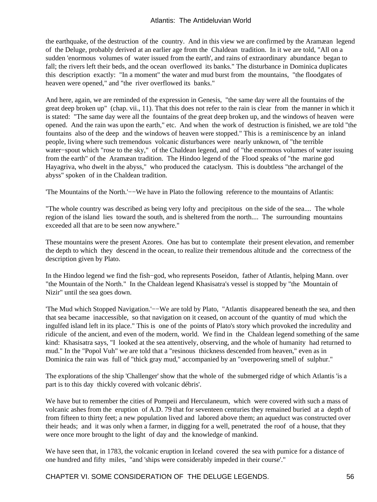the earthquake, of the destruction of the country. And in this view we are confirmed by the Aramæan legend of the Deluge, probably derived at an earlier age from the Chaldean tradition. In it we are told, "All on a sudden 'enormous volumes of water issued from the earth', and rains of extraordinary abundance began to fall; the rivers left their beds, and the ocean overflowed its banks." The disturbance in Dominica duplicates this description exactly: "In a moment" the water and mud burst from the mountains, "the floodgates of heaven were opened," and "the river overflowed its banks."

And here, again, we are reminded of the expression in Genesis, "the same day were all the fountains of the great deep broken up" (chap. vii., 11). That this does not refer to the rain is clear from the manner in which it is stated: "The same day were all the fountains of the great deep broken up, and the windows of heaven were opened. And the rain was upon the earth," etc. And when the work of destruction is finished, we are told "the fountains also of the deep and the windows of heaven were stopped." This is a reminiscence by an inland people, living where such tremendous volcanic disturbances were nearly unknown, of "the terrible water−spout which "rose to the sky," of the Chaldean legend, and of "the enormous volumes of water issuing from the earth" of the Aramæan tradition. The Hindoo legend of the Flood speaks of "the marine god Hayagriva, who dwelt in the abyss," who produced the cataclysm. This is doubtless "the archangel of the abyss" spoken of in the Chaldean tradition.

'The Mountains of the North.'−−We have in Plato the following reference to the mountains of Atlantis:

"The whole country was described as being very lofty and precipitous on the side of the sea.... The whole region of the island lies toward the south, and is sheltered from the north.... The surrounding mountains exceeded all that are to be seen now anywhere."

These mountains were the present Azores. One has but to contemplate their present elevation, and remember the depth to which they descend in the ocean, to realize their tremendous altitude and the correctness of the description given by Plato.

In the Hindoo legend we find the fish−god, who represents Poseidon, father of Atlantis, helping Mann. over "the Mountain of the North." In the Chaldean legend Khasisatra's vessel is stopped by "the Mountain of Nizir" until the sea goes down.

'The Mud which Stopped Navigation.'−−We are told by Plato, "Atlantis disappeared beneath the sea, and then that sea became inaccessible, so that navigation on it ceased, on account of the quantity of mud which the ingulfed island left in its place." This is one of the points of Plato's story which provoked the incredulity and ridicule of the ancient, and even of the modern, world. We find in the Chaldean legend something of the same kind: Khasisatra says, "I looked at the sea attentively, observing, and the whole of humanity had returned to mud." In the "Popol Vuh" we are told that a "resinous thickness descended from heaven," even as in Dominica the rain was full of "thick gray mud," accompanied by an "overpowering smell of sulphur."

The explorations of the ship 'Challenger' show that the whole of the submerged ridge of which Atlantis 'is a part is to this day thickly covered with volcanic débris'.

We have but to remember the cities of Pompeii and Herculaneum, which were covered with such a mass of volcanic ashes from the eruption of A.D. 79 that for seventeen centuries they remained buried at a depth of from fifteen to thirty feet; a new population lived and labored above them; an aqueduct was constructed over their heads; and it was only when a farmer, in digging for a well, penetrated the roof of a house, that they were once more brought to the light of day and the knowledge of mankind.

We have seen that, in 1783, the volcanic eruption in Iceland covered the sea with pumice for a distance of one hundred and fifty miles, "and 'ships were considerably impeded in their course'."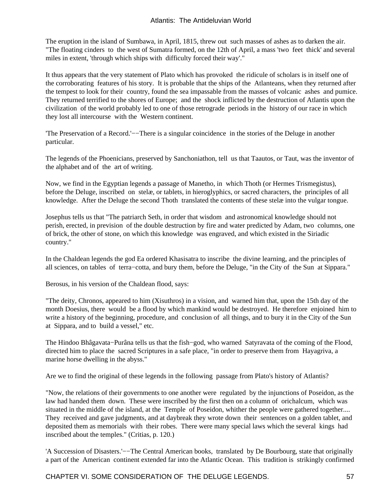The eruption in the island of Sumbawa, in April, 1815, threw out such masses of ashes as to darken the air. "The floating cinders to the west of Sumatra formed, on the 12th of April, a mass 'two feet thick' and several miles in extent, 'through which ships with difficulty forced their way'."

It thus appears that the very statement of Plato which has provoked the ridicule of scholars is in itself one of the corroborating features of his story. It is probable that the ships of the Atlanteans, when they returned after the tempest to look for their country, found the sea impassable from the masses of volcanic ashes and pumice. They returned terrified to the shores of Europe; and the shock inflicted by the destruction of Atlantis upon the civilization of the world probably led to one of those retrograde periods in the history of our race in which they lost all intercourse with the Western continent.

'The Preservation of a Record.'−−There is a singular coincidence in the stories of the Deluge in another particular.

The legends of the Phoenicians, preserved by Sanchoniathon, tell us that Taautos, or Taut, was the inventor of the alphabet and of the art of writing.

Now, we find in the Egyptian legends a passage of Manetho, in which Thoth (or Hermes Trismegistus), before the Deluge, inscribed on stelæ, or tablets, in hieroglyphics, or sacred characters, the principles of all knowledge. After the Deluge the second Thoth translated the contents of these stelæ into the vulgar tongue.

Josephus tells us that "The patriarch Seth, in order that wisdom and astronomical knowledge should not perish, erected, in prevision of the double destruction by fire and water predicted by Adam, two columns, one of brick, the other of stone, on which this knowledge was engraved, and which existed in the Siriadic country."

In the Chaldean legends the god Ea ordered Khasisatra to inscribe the divine learning, and the principles of all sciences, on tables of terra−cotta, and bury them, before the Deluge, "in the City of the Sun at Sippara."

Berosus, in his version of the Chaldean flood, says:

"The deity, Chronos, appeared to him (Xisuthros) in a vision, and warned him that, upon the 15th day of the month Doesius, there would be a flood by which mankind would be destroyed. He therefore enjoined him to write a history of the beginning, procedure, and conclusion of all things, and to bury it in the City of the Sun at Sippara, and to build a vessel," etc.

The Hindoo Bhâgavata−Purâna tells us that the fish−god, who warned Satyravata of the coming of the Flood, directed him to place the sacred Scriptures in a safe place, "in order to preserve them from Hayagriva, a marine horse dwelling in the abyss."

Are we to find the original of these legends in the following passage from Plato's history of Atlantis?

"Now, the relations of their governments to one another were regulated by the injunctions of Poseidon, as the law had handed them down. These were inscribed by the first then on a column of orichalcum, which was situated in the middle of the island, at the Temple of Poseidon, whither the people were gathered together.... They received and gave judgments, and at daybreak they wrote down their sentences on a golden tablet, and deposited them as memorials with their robes. There were many special laws which the several kings had inscribed about the temples." (Critias, p. 120.)

'A Succession of Disasters.'−−The Central American books, translated by De Bourbourg, state that originally a part of the American continent extended far into the Atlantic Ocean. This tradition is strikingly confirmed

CHAPTER VI. SOME CONSIDERATION OF THE DELUGE LEGENDS.  $57$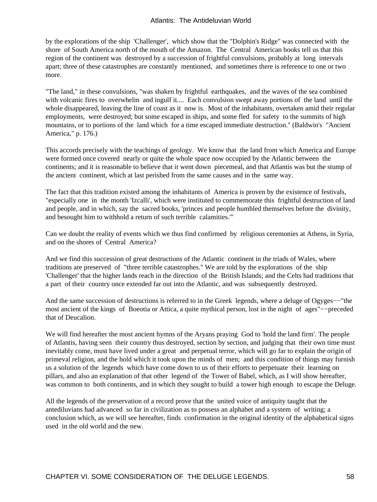by the explorations of the ship 'Challenger', which show that the "Dolphin's Ridge" was connected with the shore of South America north of the mouth of the Amazon. The Central American books tell us that this region of the continent was destroyed by a succession of frightful convulsions, probably at long intervals apart; three of these catastrophes are constantly mentioned, and sometimes there is reference to one or two more.

"The land," in these convulsions, "was shaken by frightful earthquakes, and the waves of the sea combined with volcanic fires to overwhelm and ingulf it.... Each convulsion swept away portions of the land until the whole disappeared, leaving the line of coast as it now is. Most of the inhabitants, overtaken amid their regular employments, were destroyed; but some escaped in ships, and some fled for safety to the summits of high mountains, or to portions of the land which for a time escaped immediate destruction." (Baldwin's "Ancient America," p. 176.)

This accords precisely with the teachings of geology. We know that the land from which America and Europe were formed once covered nearly or quite the whole space now occupied by the Atlantic between the continents; and it is reasonable to believe that it went down piecemeal, and that Atlantis was but the stump of the ancient continent, which at last perished from the same causes and in the same way.

The fact that this tradition existed among the inhabitants of America is proven by the existence of festivals, "especially one in the month 'Izcalli', which were instituted to commemorate this frightful destruction of land and people, and in which, say the sacred books, 'princes and people humbled themselves before the divinity, and besought him to withhold a return of such terrible calamities.'"

Can we doubt the reality of events which we thus find confirmed by religious ceremonies at Athens, in Syria, and on the shores of Central America?

And we find this succession of great destructions of the Atlantic continent in the triads of Wales, where traditions are preserved of "three terrible catastrophes." We are told by the explorations of the ship 'Challenger' that the higher lands reach in the direction of the British Islands; and the Celts had traditions that a part of their country once extended far out into the Atlantic, and was subsequently destroyed.

And the same succession of destructions is referred to in the Greek legends, where a deluge of Ogyges−−"the most ancient of the kings of Boeotia or Attica, a quite mythical person, lost in the night of ages"−−preceded that of Deucalion.

We will find hereafter the most ancient hymns of the Aryans praying God to 'hold the land firm'. The people of Atlantis, having seen their country thus destroyed, section by section, and judging that their own time must inevitably come, must have lived under a great and perpetual terror, which will go far to explain the origin of primeval religion, and the hold which it took upon the minds of men; and this condition of things may furnish us a solution of the legends which have come down to us of their efforts to perpetuate their learning on pillars, and also an explanation of that other legend of the Tower of Babel, which, as I will show hereafter, was common to both continents, and in which they sought to build a tower high enough to escape the Deluge.

All the legends of the preservation of a record prove that the united voice of antiquity taught that the antediluvians had advanced so far in civilization as to possess an alphabet and a system of writing; a conclusion which, as we will see hereafter, finds confirmation in the original identity of the alphabetical signs used in the old world and the new.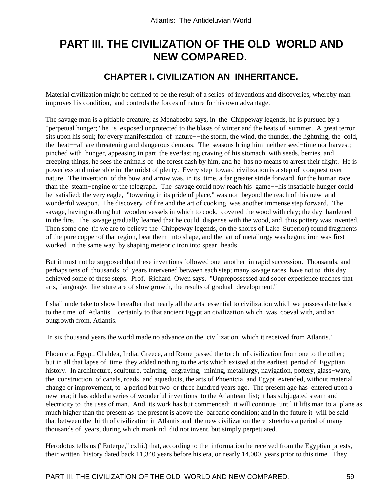# **PART III. THE CIVILIZATION OF THE OLD WORLD AND NEW COMPARED.**

# **CHAPTER I. CIVILIZATION AN INHERITANCE.**

Material civilization might be defined to be the result of a series of inventions and discoveries, whereby man improves his condition, and controls the forces of nature for his own advantage.

The savage man is a pitiable creature; as Menabosbu says, in the Chippeway legends, he is pursued by a "perpetual hunger;" he is exposed unprotected to the blasts of winter and the heats of summer. A great terror sits upon his soul; for every manifestation of nature−−the storm, the wind, the thunder, the lightning, the cold, the heat−−all are threatening and dangerous demons. The seasons bring him neither seed−time nor harvest; pinched with hunger, appeasing in part the everlasting craving of his stomach with seeds, berries, and creeping things, he sees the animals of the forest dash by him, and he has no means to arrest their flight. He is powerless and miserable in the midst of plenty. Every step toward civilization is a step of conquest over nature. The invention of the bow and arrow was, in its time, a far greater stride forward for the human race than the steam−engine or the telegraph. The savage could now reach his game−−his insatiable hunger could be satisfied; the very eagle, "towering in its pride of place," was not beyond the reach of this new and wonderful weapon. The discovery of fire and the art of cooking was another immense step forward. The savage, having nothing but wooden vessels in which to cook, covered the wood with clay; the day hardened in the fire. The savage gradually learned that he could dispense with the wood, and thus pottery was invented. Then some one (if we are to believe the Chippeway legends, on the shores of Lake Superior) found fragments of the pure copper of that region, beat them into shape, and the art of metallurgy was begun; iron was first worked in the same way by shaping meteoric iron into spear−heads.

But it must not be supposed that these inventions followed one another in rapid succession. Thousands, and perhaps tens of thousands, of years intervened between each step; many savage races have not to this day achieved some of these steps. Prof. Richard Owen says, "Unprepossessed and sober experience teaches that arts, language, literature are of slow growth, the results of gradual development."

I shall undertake to show hereafter that nearly all the arts essential to civilization which we possess date back to the time of Atlantis−−certainly to that ancient Egyptian civilization which was coeval with, and an outgrowth from, Atlantis.

'In six thousand years the world made no advance on the civilization which it received from Atlantis.'

Phoenicia, Egypt, Chaldea, India, Greece, and Rome passed the torch of civilization from one to the other; but in all that lapse of time they added nothing to the arts which existed at the earliest period of Egyptian history. In architecture, sculpture, painting, engraving, mining, metallurgy, navigation, pottery, glass−ware, the construction of canals, roads, and aqueducts, the arts of Phoenicia and Egypt extended, without material change or improvement, to a period but two or three hundred years ago. The present age has entered upon a new era; it has added a series of wonderful inventions to the Atlantean list; it has subjugated steam and electricity to the uses of man. And its work has but commenced: it will continue until it lifts man to a plane as much higher than the present as the present is above the barbaric condition; and in the future it will be said that between the birth of civilization in Atlantis and the new civilization there stretches a period of many thousands of years, during which mankind did not invent, but simply perpetuated.

Herodotus tells us ("Euterpe," cxlii.) that, according to the information he received from the Egyptian priests, their written history dated back 11,340 years before his era, or nearly 14,000 years prior to this time. They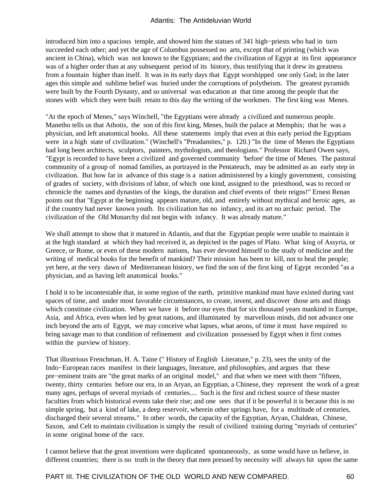introduced him into a spacious temple, and showed him the statues of 341 high−priests who had in turn succeeded each other; and yet the age of Columbus possessed no arts, except that of printing (which was ancient in China), which was not known to the Egyptians; and the civilization of Egypt at its first appearance was of a higher order than at any subsequent period of its history, thus testifying that it drew its greatness from a fountain higher than itself. It was in its early days that Egypt worshipped one only God; in the later ages this simple and sublime belief was buried under the corruptions of polytheism. The greatest pyramids were built by the Fourth Dynasty, and so universal was education at that time among the people that the stones with which they were built retain to this day the writing of the workmen. The first king was Menes.

"At the epoch of Menes," says Winchell, "the Egyptians were already a civilized and numerous people. Manetho tells us that Athotis, the son of this first king, Menes, built the palace at Memphis; that he was a physician, and left anatomical books. All these statements imply that even at this early period the Egyptians were in a high state of civilization." (Winchell's "Preadamites," p. 120.) "In the time of Menes the Egyptians had long been architects, sculptors, painters, mythologists, and theologians." Professor Richard Owen says, "Egypt is recorded to have been a civilized and governed community 'before' the time of Menes. The pastoral community of a group of nomad families, as portrayed in the Pentateuch, may be admitted as an early step in civilization. But how far in advance of this stage is a nation administered by a kingly government, consisting of grades of society, with divisions of labor, of which one kind, assigned to the priesthood, was to record or chronicle the names and dynasties of the kings, the duration and chief events of their reigns!" Ernest Renan points out that "Egypt at the beginning appears mature, old, and entirely without mythical and heroic ages, as if the country had never known youth. Its civilization has no infancy, and its art no archaic period. The civilization of the Old Monarchy did not begin with infancy. It was already mature."

We shall attempt to show that it matured in Atlantis, and that the Egyptian people were unable to maintain it at the high standard at which they had received it, as depicted in the pages of Plato. What king of Assyria, or Greece, or Rome, or even of these modern nations, has ever devoted himself to the study of medicine and the writing of medical books for the benefit of mankind? Their mission has been to kill, not to heal the people; yet here, at the very dawn of Mediterranean history, we find the son of the first king of Egypt recorded "as a physician, and as having left anatomical books."

I hold it to be incontestable that, in some region of the earth, primitive mankind must have existed during vast spaces of time, and under most favorable circumstances, to create, invent, and discover those arts and things which constitute civilization. When we have it before our eyes that for six thousand years mankind in Europe, Asia, and Africa, even when led by great nations, and illuminated by marvellous minds, did not advance one inch beyond the arts of Egypt, we may conceive what lapses, what aeons, of time it must have required to bring savage man to that condition of refinement and civilization possessed by Egypt when it first comes within the purview of history.

That illustrious Frenchman, H. A. Taine (" History of English Literature," p. 23), sees the unity of the Indo−European races manifest in their languages, literature, and philosophies, and argues that these pre−eminent traits are "the great marks of an original model," and that when we meet with them "fifteen, twenty, thirty centuries before our era, in an Aryan, an Egyptian, a Chinese, they represent the work of a great many ages, perhaps of several myriads of centuries.... Such is the first and richest source of these master faculties from which historical events take their rise; and one sees that if it be powerful it is because this is no simple spring, but a kind of lake, a deep reservoir, wherein other springs have, for a multitude of centuries, discharged their several streams." In other words, the capacity of the Egyptian, Aryan, Chaldean, Chinese, Saxon, and Celt to maintain civilization is simply the result of civilized training during "myriads of centuries" in some original home of the race.

I cannot believe that the great inventions were duplicated spontaneously, as some would have us believe, in different countries; there is no truth in the theory that men pressed by necessity will always hit upon the same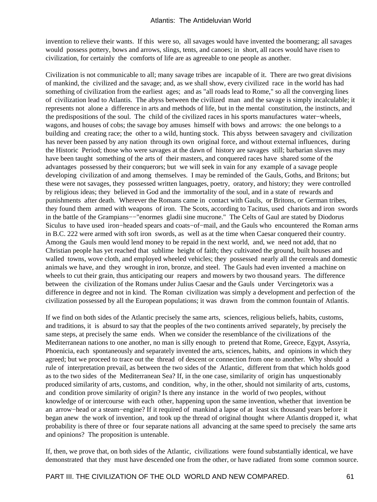invention to relieve their wants. If this were so, all savages would have invented the boomerang; all savages would possess pottery, bows and arrows, slings, tents, and canoes; in short, all races would have risen to civilization, for certainly the comforts of life are as agreeable to one people as another.

Civilization is not communicable to all; many savage tribes are incapable of it. There are two great divisions of mankind, the civilized and the savage; and, as we shall show, every civilized race in the world has had something of civilization from the earliest ages; and as "all roads lead to Rome," so all the converging lines of civilization lead to Atlantis. The abyss between the civilized man and the savage is simply incalculable; it represents not alone a difference in arts and methods of life, but in the mental constitution, the instincts, and the predispositions of the soul. The child of the civilized races in his sports manufactures water−wheels, wagons, and houses of cobs; the savage boy amuses himself with bows and arrows: the one belongs to a building and creating race; the other to a wild, hunting stock. This abyss between savagery and civilization has never been passed by any nation through its own original force, and without external influences, during the Historic Period; those who were savages at the dawn of history are savages still; barbarian slaves may have been taught something of the arts of their masters, and conquered races have shared some of the advantages possessed by their conquerors; but we will seek in vain for any example of a savage people developing civilization of and among themselves. I may be reminded of the Gauls, Goths, and Britons; but these were not savages, they possessed written languages, poetry, oratory, and history; they were controlled by religious ideas; they believed in God and the immortality of the soul, and in a state of rewards and punishments after death. Wherever the Romans came in contact with Gauls, or Britons, or German tribes, they found them armed with weapons of iron. The Scots, according to Tacitus, used chariots and iron swords in the battle of the Grampians−−"enormes gladii sine mucrone." The Celts of Gaul are stated by Diodorus Siculus to have used iron−headed spears and coats−of−mail, and the Gauls who encountered the Roman arms in B.C. 222 were armed with soft iron swords, as well as at the time when Caesar conquered their country. Among the Gauls men would lend money to be repaid in the next world, and, we need not add, that no Christian people has yet reached that sublime height of faith; they cultivated the ground, built houses and walled towns, wove cloth, and employed wheeled vehicles; they possessed nearly all the cereals and domestic animals we have, and they wrought in iron, bronze, and steel. The Gauls had even invented a machine on wheels to cut their grain, thus anticipating our reapers and mowers by two thousand years. The difference between the civilization of the Romans under Julius Caesar and the Gauls under Vercingetorix was a difference in degree and not in kind. The Roman civilization was simply a development and perfection of the civilization possessed by all the European populations; it was drawn from the common fountain of Atlantis.

If we find on both sides of the Atlantic precisely the same arts, sciences, religious beliefs, habits, customs, and traditions, it is absurd to say that the peoples of the two continents arrived separately, by precisely the same steps, at precisely the same ends. When we consider the resemblance of the civilizations of the Mediterranean nations to one another, no man is silly enough to pretend that Rome, Greece, Egypt, Assyria, Phoenicia, each spontaneously and separately invented the arts, sciences, habits, and opinions in which they agreed; but we proceed to trace out the thread of descent or connection from one to another. Why should a rule of interpretation prevail, as between the two sides of the Atlantic, different from that which holds good as to the two sides of the Mediterranean Sea? If, in the one case, similarity of origin has unquestionably produced similarity of arts, customs, and condition, why, in the other, should not similarity of arts, customs, and condition prove similarity of origin? Is there any instance in the world of two peoples, without knowledge of or intercourse with each other, happening upon the same invention, whether that invention be an arrow−head or a steam−engine? If it required of mankind a lapse of at least six thousand years before it began anew the work of invention, and took up the thread of original thought where Atlantis dropped it, what probability is there of three or four separate nations all advancing at the same speed to precisely the same arts and opinions? The proposition is untenable.

If, then, we prove that, on both sides of the Atlantic, civilizations were found substantially identical, we have demonstrated that they must have descended one from the other, or have radiated from some common source.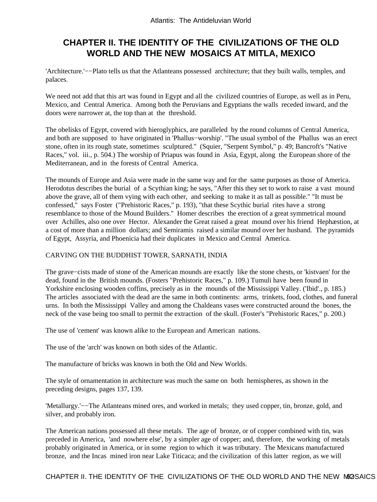# **CHAPTER II. THE IDENTITY OF THE CIVILIZATIONS OF THE OLD WORLD AND THE NEW MOSAICS AT MITLA, MEXICO**

'Architecture.'−−Plato tells us that the Atlanteans possessed architecture; that they built walls, temples, and palaces.

We need not add that this art was found in Egypt and all the civilized countries of Europe, as well as in Peru, Mexico, and Central America. Among both the Peruvians and Egyptians the walls receded inward, and the doors were narrower at, the top than at the threshold.

The obelisks of Egypt, covered with hieroglyphics, are paralleled by the round columns of Central America, and both are supposed to have originated in 'Phallus−worship'. "The usual symbol of the Phallus was an erect stone, often in its rough state, sometimes sculptured." (Squier, "Serpent Symbol," p. 49; Bancroft's "Native Races," vol. iii., p. 504.) The worship of Priapus was found in Asia, Egypt, along the European shore of the Mediterranean, and in the forests of Central America.

The mounds of Europe and Asia were made in the same way and for the same purposes as those of America. Herodotus describes the burial of a Scythian king; he says, "After this they set to work to raise a vast mound above the grave, all of them vying with each other, and seeking to make it as tall as possible." "It must be confessed," says Foster ("Prehistoric Races," p. 193), "that these Scythic burial rites have a strong resemblance to those of the Mound Builders." Homer describes the erection of a great symmetrical mound over Achilles, also one over Hector. Alexander the Great raised a great mound over his friend Hephæstion, at a cost of more than a million dollars; and Semiramis raised a similar mound over her husband. The pyramids of Egypt, Assyria, and Phoenicia had their duplicates in Mexico and Central America.

#### CARVING ON THE BUDDHIST TOWER, SARNATH, INDIA

The grave−cists made of stone of the American mounds are exactly like the stone chests, or 'kistvaen' for the dead, found in the British mounds. (Fosters "Prehistoric Races," p. 109.) Tumuli have been found in Yorkshire enclosing wooden coffins, precisely as in the mounds of the Mississippi Valley. ('Ibid'., p. 185.) The articles associated with the dead are the same in both continents: arms, trinkets, food, clothes, and funeral urns. In both the Mississippi Valley and among the Chaldeans vases were constructed around the bones, the neck of the vase being too small to permit the extraction of the skull. (Foster's "Prehistoric Races," p. 200.)

The use of 'cement' was known alike to the European and American nations.

The use of the 'arch' was known on both sides of the Atlantic.

The manufacture of bricks was known in both the Old and New Worlds.

The style of ornamentation in architecture was much the same on both hemispheres, as shown in the preceding designs, pages 137, 139.

'Metallurgy.'−−The Atlanteans mined ores, and worked in metals; they used copper, tin, bronze, gold, and silver, and probably iron.

The American nations possessed all these metals. The age of bronze, or of copper combined with tin, was preceded in America, 'and nowhere else', by a simpler age of copper; and, therefore, the working of metals probably originated in America, or in some region to which it was tributary. The Mexicans manufactured bronze, and the Incas mined iron near Lake Titicaca; and the civilization of this latter region, as we will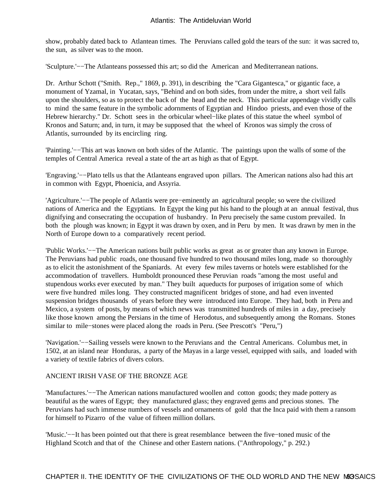show, probably dated back to Atlantean times. The Peruvians called gold the tears of the sun: it was sacred to, the sun, as silver was to the moon.

'Sculpture.'−−The Atlanteans possessed this art; so did the American and Mediterranean nations.

Dr. Arthur Schott ("Smith. Rep.," 1869, p. 391), in describing the "Cara Gigantesca," or gigantic face, a monument of Yzamal, in Yucatan, says, "Behind and on both sides, from under the mitre, a short veil falls upon the shoulders, so as to protect the back of the head and the neck. This particular appendage vividly calls to mind the same feature in the symbolic adornments of Egyptian and Hindoo priests, and even those of the Hebrew hierarchy." Dr. Schott sees in the orbicular wheel−like plates of this statue the wheel symbol of Kronos and Saturn; and, in turn, it may be supposed that the wheel of Kronos was simply the cross of Atlantis, surrounded by its encircling ring.

'Painting.'−−This art was known on both sides of the Atlantic. The paintings upon the walls of some of the temples of Central America reveal a state of the art as high as that of Egypt.

'Engraving.'−−Plato tells us that the Atlanteans engraved upon pillars. The American nations also had this art in common with Egypt, Phoenicia, and Assyria.

'Agriculture.'−−The people of Atlantis were pre−eminently an agricultural people; so were the civilized nations of America and the Egyptians. In Egypt the king put his hand to the plough at an annual festival, thus dignifying and consecrating the occupation of husbandry. In Peru precisely the same custom prevailed. In both the plough was known; in Egypt it was drawn by oxen, and in Peru by men. It was drawn by men in the North of Europe down to a comparatively recent period.

'Public Works.'−−The American nations built public works as great as or greater than any known in Europe. The Peruvians had public roads, one thousand five hundred to two thousand miles long, made so thoroughly as to elicit the astonishment of the Spaniards. At every few miles taverns or hotels were established for the accommodation of travellers. Humboldt pronounced these Peruvian roads "among the most useful and stupendous works ever executed by man." They built aqueducts for purposes of irrigation some of which were five hundred miles long. They constructed magnificent bridges of stone, and had even invented suspension bridges thousands of years before they were introduced into Europe. They had, both in Peru and Mexico, a system of posts, by means of which news was transmitted hundreds of miles in a day, precisely like those known among the Persians in the time of Herodotus, and subsequently among the Romans. Stones similar to mile–stones were placed along the roads in Peru. (See Prescott's "Peru,")

'Navigation.'−−Sailing vessels were known to the Peruvians and the Central Americans. Columbus met, in 1502, at an island near Honduras, a party of the Mayas in a large vessel, equipped with sails, and loaded with a variety of textile fabrics of divers colors.

#### ANCIENT IRISH VASE OF THE BRONZE AGE

'Manufactures.'−−The American nations manufactured woollen and cotton goods; they made pottery as beautiful as the wares of Egypt; they manufactured glass; they engraved gems and precious stones. The Peruvians had such immense numbers of vessels and ornaments of gold that the Inca paid with them a ransom for himself to Pizarro of the value of fifteen million dollars.

'Music.'−−It has been pointed out that there is great resemblance between the five−toned music of the Highland Scotch and that of the Chinese and other Eastern nations. ("Anthropology," p. 292.)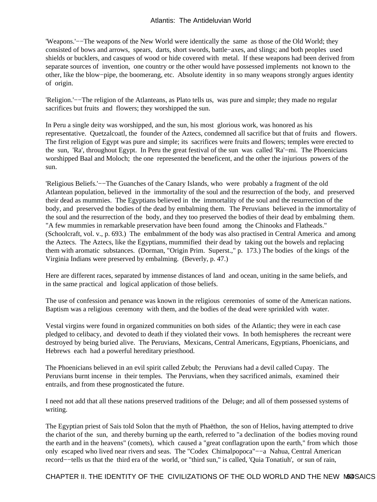'Weapons.'−−The weapons of the New World were identically the same as those of the Old World; they consisted of bows and arrows, spears, darts, short swords, battle−axes, and slings; and both peoples used shields or bucklers, and casques of wood or hide covered with metal. If these weapons had been derived from separate sources of invention, one country or the other would have possessed implements not known to the other, like the blow−pipe, the boomerang, etc. Absolute identity in so many weapons strongly argues identity of origin.

'Religion.'−−The religion of the Atlanteans, as Plato tells us, was pure and simple; they made no regular sacrifices but fruits and flowers; they worshipped the sun.

In Peru a single deity was worshipped, and the sun, his most glorious work, was honored as his representative. Quetzalcoatl, the founder of the Aztecs, condemned all sacrifice but that of fruits and flowers. The first religion of Egypt was pure and simple; its sacrifices were fruits and flowers; temples were erected to the sun, 'Ra', throughout Egypt. In Peru the great festival of the sun was called 'Ra'−mi. The Phoenicians worshipped Baal and Moloch; the one represented the beneficent, and the other the injurious powers of the sun.

'Religious Beliefs.'−−The Guanches of the Canary Islands, who were probably a fragment of the old Atlantean population, believed in the immortality of the soul and the resurrection of the body, and preserved their dead as mummies. The Egyptians believed in the immortality of the soul and the resurrection of the body, and preserved the bodies of the dead by embalming them. The Peruvians believed in the immortality of the soul and the resurrection of the body, and they too preserved the bodies of their dead by embalming them. "A few mummies in remarkable preservation have been found among the Chinooks and Flatheads." (Schoolcraft, vol. v., p. 693.) The embalmment of the body was also practised in Central America and among the Aztecs. The Aztecs, like the Egyptians, mummified their dead by taking out the bowels and replacing them with aromatic substances. (Dorman, "Origin Prim. Superst.," p. 173.) The bodies of the kings of the Virginia Indians were preserved by embalming. (Beverly, p. 47.)

Here are different races, separated by immense distances of land and ocean, uniting in the same beliefs, and in the same practical and logical application of those beliefs.

The use of confession and penance was known in the religious ceremonies of some of the American nations. Baptism was a religious ceremony with them, and the bodies of the dead were sprinkled with water.

Vestal virgins were found in organized communities on both sides of the Atlantic; they were in each case pledged to celibacy, and devoted to death if they violated their vows. In both hemispheres the recreant were destroyed by being buried alive. The Peruvians, Mexicans, Central Americans, Egyptians, Phoenicians, and Hebrews each had a powerful hereditary priesthood.

The Phoenicians believed in an evil spirit called Zebub; the Peruvians had a devil called Cupay. The Peruvians burnt incense in their temples. The Peruvians, when they sacrificed animals, examined their entrails, and from these prognosticated the future.

I need not add that all these nations preserved traditions of the Deluge; and all of them possessed systems of writing.

The Egyptian priest of Sais told Solon that the myth of Phaëthon, the son of Helios, having attempted to drive the chariot of the sun, and thereby burning up the earth, referred to "a declination of the bodies moving round the earth and in the heavens" (comets), which caused a "great conflagration upon the earth," from which those only escaped who lived near rivers and seas. The "Codex Chimalpopoca"−−a Nahua, Central American record−−tells us that the third era of the world, or "third sun," is called, 'Quia Tonatiuh', or sun of rain,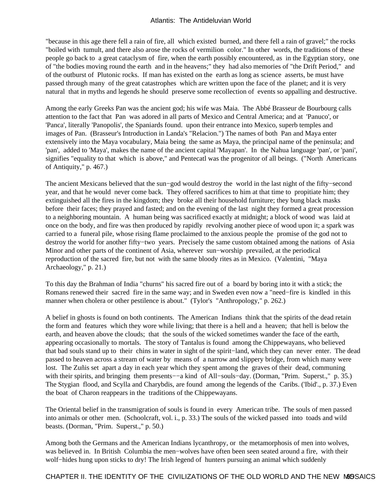"because in this age there fell a rain of fire, all which existed burned, and there fell a rain of gravel;" the rocks "boiled with tumult, and there also arose the rocks of vermilion color." In other words, the traditions of these people go back to a great cataclysm of fire, when the earth possibly encountered, as in the Egyptian story, one of "the bodies moving round the earth and in the heavens;" they had also memories of "the Drift Period," and of the outburst of Plutonic rocks. If man has existed on the earth as long as science asserts, be must have passed through many of the great catastrophes which are written upon the face of the planet; and it is very natural that in myths and legends he should preserve some recollection of events so appalling and destructive.

Among the early Greeks Pan was the ancient god; his wife was Maia. The Abbé Brasseur de Bourbourg calls attention to the fact that Pan was adored in all parts of Mexico and Central America; and at 'Panuco', or 'Panca', literally 'Panopolis', the Spaniards found. upon their entrance into Mexico, superb temples and images of Pan. (Brasseur's Introduction in Landa's "Relacion.") The names of both Pan and Maya enter extensively into the Maya vocabulary, Maia being the same as Maya, the principal name of the peninsula; and 'pan', added to 'Maya', makes the name of the ancient capital 'Mayapan'. In the Nahua language 'pan', or 'pani', signifies "equality to that which is above," and Pentecatl was the progenitor of all beings. ("North Americans of Antiquity," p. 467.)

The ancient Mexicans believed that the sun−god would destroy the world in the last night of the fifty−second year, and that he would never come back. They offered sacrifices to him at that time to propitiate him; they extinguished all the fires in the kingdom; they broke all their household furniture; they bung black masks before their faces; they prayed and fasted; and on the evening of the last night they formed a great procession to a neighboring mountain. A human being was sacrificed exactly at midnight; a block of wood was laid at once on the body, and fire was then produced by rapidly revolving another piece of wood upon it; a spark was carried to a funeral pile, whose rising flame proclaimed to the anxious people the promise of the god not to destroy the world for another fifty−two years. Precisely the same custom obtained among the nations of Asia Minor and other parts of the continent of Asia, wherever sun−worship prevailed, at the periodical reproduction of the sacred fire, but not with the same bloody rites as in Mexico. (Valentini, "Maya Archaeology," p. 21.)

To this day the Brahman of India "churns" his sacred fire out of a board by boring into it with a stick; the Romans renewed their sacred fire in the same way; and in Sweden even now a "need−fire is kindled in this manner when cholera or other pestilence is about." (Tylor's "Anthropology," p. 262.)

A belief in ghosts is found on both continents. The American Indians think that the spirits of the dead retain the form and features which they wore while living; that there is a hell and a heaven; that hell is below the earth, and heaven above the clouds; that the souls of the wicked sometimes wander the face of the earth, appearing occasionally to mortals. The story of Tantalus is found among the Chippewayans, who believed that bad souls stand up to their chins in water in sight of the spirit−land, which they can never enter. The dead passed to heaven across a stream of water by means of a narrow and slippery bridge, from which many were lost. The Zuñis set apart a day in each year which they spent among the graves of their dead, communing with their spirits, and bringing them presents−−a kind of All–souls−day. (Dorman, "Prim. Superst.," p. 35.) The Stygian flood, and Scylla and Charybdis, are found among the legends of the Caribs. ('Ibid'., p. 37.) Even the boat of Charon reappears in the traditions of the Chippewayans.

The Oriental belief in the transmigration of souls is found in every American tribe. The souls of men passed into animals or other men. (Schoolcraft, vol. i., p. 33.) The souls of the wicked passed into toads and wild beasts. (Dorman, "Prim. Superst.," p. 50.)

Among both the Germans and the American Indians lycanthropy, or the metamorphosis of men into wolves, was believed in. In British Columbia the men−wolves have often been seen seated around a fire, with their wolf−hides hung upon sticks to dry! The Irish legend of hunters pursuing an animal which suddenly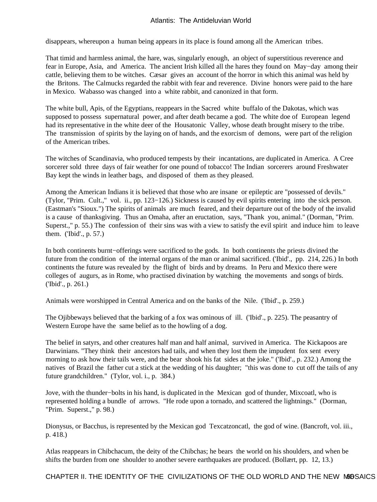disappears, whereupon a human being appears in its place is found among all the American tribes.

That timid and harmless animal, the hare, was, singularly enough, an object of superstitious reverence and fear in Europe, Asia, and America. The ancient Irish killed all the hares they found on May−day among their cattle, believing them to be witches. Cæsar gives an account of the horror in which this animal was held by the Britons. The Calmucks regarded the rabbit with fear and reverence. Divine honors were paid to the hare in Mexico. Wabasso was changed into a white rabbit, and canonized in that form.

The white bull, Apis, of the Egyptians, reappears in the Sacred white buffalo of the Dakotas, which was supposed to possess supernatural power, and after death became a god. The white doe of European legend had its representative in the white deer of the Housatonic Valley, whose death brought misery to the tribe. The transmission of spirits by the laying on of hands, and the exorcism of demons, were part of the religion of the American tribes.

The witches of Scandinavia, who produced tempests by their incantations, are duplicated in America. A Cree sorcerer sold three days of fair weather for one pound of tobacco! The Indian sorcerers around Freshwater Bay kept the winds in leather bags, and disposed of them as they pleased.

Among the American Indians it is believed that those who are insane or epileptic are "possessed of devils." (Tylor, "Prim. Cult.," vol. ii., pp. 123−126.) Sickness is caused by evil spirits entering into the sick person. (Eastman's "Sioux.") The spirits of animals are much feared, and their departure out of the body of the invalid is a cause of thanksgiving. Thus an Omaha, after an eructation, says, "Thank you, animal." (Dorman, "Prim. Superst.," p. 55.) The confession of their sins was with a view to satisfy the evil spirit and induce him to leave them. ('Ibid'., p. 57.)

In both continents burnt−offerings were sacrificed to the gods. In both continents the priests divined the future from the condition of the internal organs of the man or animal sacrificed. ('Ibid'., pp. 214, 226.) In both continents the future was revealed by the flight of birds and by dreams. In Peru and Mexico there were colleges of augurs, as in Rome, who practised divination by watching the movements and songs of birds. ('Ibid'., p. 261.)

Animals were worshipped in Central America and on the banks of the Nile. ('Ibid'., p. 259.)

The Ojibbeways believed that the barking of a fox was ominous of ill. ('Ibid'., p. 225). The peasantry of Western Europe have the same belief as to the howling of a dog.

The belief in satyrs, and other creatures half man and half animal, survived in America. The Kickapoos are Darwinians. "They think their ancestors had tails, and when they lost them the impudent fox sent every morning to ask how their tails were, and the bear shook his fat sides at the joke." ('Ibid'., p. 232.) Among the natives of Brazil the father cut a stick at the wedding of his daughter; "this was done to cut off the tails of any future grandchildren." (Tylor, vol. i., p. 384.)

Jove, with the thunder−bolts in his hand, is duplicated in the Mexican god of thunder, Mixcoatl, who is represented holding a bundle of arrows. "He rode upon a tornado, and scattered the lightnings." (Dorman, "Prim. Superst.," p. 98.)

Dionysus, or Bacchus, is represented by the Mexican god Texcatzoncatl, the god of wine. (Bancroft, vol. iii., p. 418.)

Atlas reappears in Chibchacum, the deity of the Chibchas; he bears the world on his shoulders, and when be shifts the burden from one shoulder to another severe earthquakes are produced. (Bollært, pp. 12, 13.)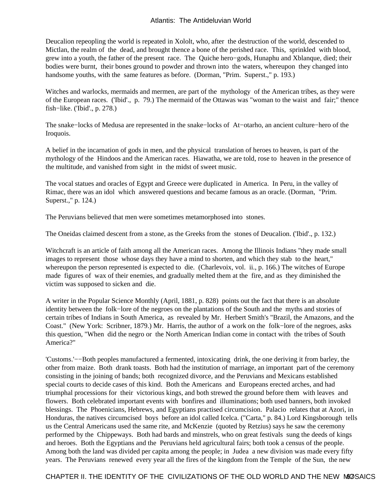Deucalion repeopling the world is repeated in Xololt, who, after the destruction of the world, descended to Mictlan, the realm of the dead, and brought thence a bone of the perished race. This, sprinkled with blood, grew into a youth, the father of the present race. The Quiche hero−gods, Hunaphu and Xblanque, died; their bodies were burnt, their bones ground to powder and thrown into the waters, whereupon they changed into handsome youths, with the same features as before. (Dorman, "Prim. Superst.," p. 193.)

Witches and warlocks, mermaids and mermen, are part of the mythology of the American tribes, as they were of the European races. ('Ibid'., p. 79.) The mermaid of the Ottawas was "woman to the waist and fair;" thence fish−like. ('Ibid'., p. 278.)

The snake−locks of Medusa are represented in the snake−locks of At−otarho, an ancient culture−hero of the Iroquois.

A belief in the incarnation of gods in men, and the physical translation of heroes to heaven, is part of the mythology of the Hindoos and the American races. Hiawatha, we are told, rose to heaven in the presence of the multitude, and vanished from sight in the midst of sweet music.

The vocal statues and oracles of Egypt and Greece were duplicated in America. In Peru, in the valley of Rimac, there was an idol which answered questions and became famous as an oracle. (Dorman, "Prim. Superst.," p. 124.)

The Peruvians believed that men were sometimes metamorphosed into stones.

The Oneidas claimed descent from a stone, as the Greeks from the stones of Deucalion. ('Ibid'., p. 132.)

Witchcraft is an article of faith among all the American races. Among the Illinois Indians "they made small images to represent those whose days they have a mind to shorten, and which they stab to the heart," whereupon the person represented is expected to die. (Charlevoix, vol. ii., p. 166.) The witches of Europe made figures of wax of their enemies, and gradually melted them at the fire, and as they diminished the victim was supposed to sicken and die.

A writer in the Popular Science Monthly (April, 1881, p. 828) points out the fact that there is an absolute identity between the folk−lore of the negroes on the plantations of the South and the myths and stories of certain tribes of Indians in South America, as revealed by Mr. Herbert Smith's "Brazil, the Amazons, and the Coast." (New York: Scribner, 1879.) Mr. Harris, the author of a work on the folk−lore of the negroes, asks this question, "When did the negro or the North American Indian come in contact with the tribes of South America?"

'Customs.'−−Both peoples manufactured a fermented, intoxicating drink, the one deriving it from barley, the other from maize. Both drank toasts. Both had the institution of marriage, an important part of the ceremony consisting in the joining of bands; both recognized divorce, and the Peruvians and Mexicans established special courts to decide cases of this kind. Both the Americans and Europeans erected arches, and had triumphal processions for their victorious kings, and both strewed the ground before them with leaves and flowers. Both celebrated important events with bonfires and illuminations; both used banners, both invoked blessings. The Phoenicians, Hebrews, and Egyptians practised circumcision. Palacio relates that at Azori, in Honduras, the natives circumcised boys before an idol called Icelca. ("Carta," p. 84.) Lord Kingsborough tells us the Central Americans used the same rite, and McKenzie (quoted by Retzius) says he saw the ceremony performed by the Chippeways. Both had bards and minstrels, who on great festivals sung the deeds of kings and heroes. Both the Egyptians and the Peruvians held agricultural fairs; both took a census of the people. Among both the land was divided per capita among the people; in Judea a new division was made every fifty years. The Peruvians renewed every year all the fires of the kingdom from the Temple of the Sun, the new

CHAPTER II. THE IDENTITY OF THE CIVILIZATIONS OF THE OLD WORLD AND THE NEW MOOSAICS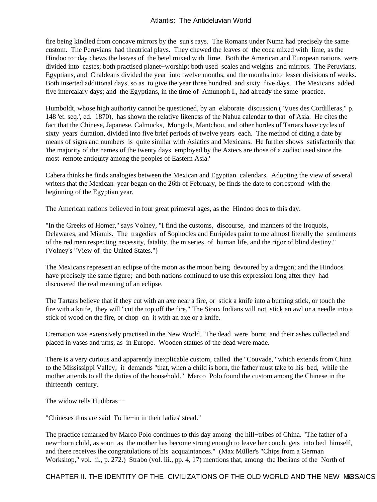fire being kindled from concave mirrors by the sun's rays. The Romans under Numa had precisely the same custom. The Peruvians had theatrical plays. They chewed the leaves of the coca mixed with lime, as the Hindoo to−day chews the leaves of the betel mixed with lime. Both the American and European nations were divided into castes; both practised planet−worship; both used scales and weights and mirrors. The Peruvians, Egyptians, and Chaldeans divided the year into twelve months, and the months into lesser divisions of weeks. Both inserted additional days, so as to give the year three hundred and sixty−five days. The Mexicans added five intercalary days; and the Egyptians, in the time of Amunoph I., had already the same practice.

Humboldt, whose high authority cannot be questioned, by an elaborate discussion ("Vues des Cordilleras," p. 148 'et. seq.', ed. 1870), has shown the relative likeness of the Nahua calendar to that of Asia. He cites the fact that the Chinese, Japanese, Calmucks, Mongols, Mantchou, and other hordes of Tartars have cycles of sixty years' duration, divided into five brief periods of twelve years each. The method of citing a date by means of signs and numbers is quite similar with Asiatics and Mexicans. He further shows satisfactorily that 'the majority of the names of the twenty days employed by the Aztecs are those of a zodiac used since the most remote antiquity among the peoples of Eastern Asia.'

Cabera thinks he finds analogies between the Mexican and Egyptian calendars. Adopting the view of several writers that the Mexican year began on the 26th of February, be finds the date to correspond with the beginning of the Egyptian year.

The American nations believed in four great primeval ages, as the Hindoo does to this day.

"In the Greeks of Homer," says Volney, "I find the customs, discourse, and manners of the Iroquois, Delawares, and Miamis. The tragedies of Sophocles and Euripides paint to me almost literally the sentiments of the red men respecting necessity, fatality, the miseries of human life, and the rigor of blind destiny." (Volney's "View of the United States.")

The Mexicans represent an eclipse of the moon as the moon being devoured by a dragon; and the Hindoos have precisely the same figure; and both nations continued to use this expression long after they had discovered the real meaning of an eclipse.

The Tartars believe that if they cut with an axe near a fire, or stick a knife into a burning stick, or touch the fire with a knife, they will "cut the top off the fire." The Sioux Indians will not stick an awl or a needle into a stick of wood on the fire, or chop on it with an axe or a knife.

Cremation was extensively practised in the New World. The dead were burnt, and their ashes collected and placed in vases and urns, as in Europe. Wooden statues of the dead were made.

There is a very curious and apparently inexplicable custom, called the "Couvade," which extends from China to the Mississippi Valley; it demands "that, when a child is born, the father must take to his bed, while the mother attends to all the duties of the household." Marco Polo found the custom among the Chinese in the thirteenth century.

The widow tells Hudibras––

"Chineses thus are said To lie−in in their ladies' stead."

The practice remarked by Marco Polo continues to this day among the hill−tribes of China. "The father of a new−born child, as soon as the mother has become strong enough to leave her couch, gets into bed himself, and there receives the congratulations of his acquaintances." (Max Müller's "Chips from a German Workshop," vol. ii., p. 272.) Strabo (vol. iii., pp. 4, 17) mentions that, among the Iberians of the North of

CHAPTER II. THE IDENTITY OF THE CIVILIZATIONS OF THE OLD WORLD AND THE NEW M68 SAICS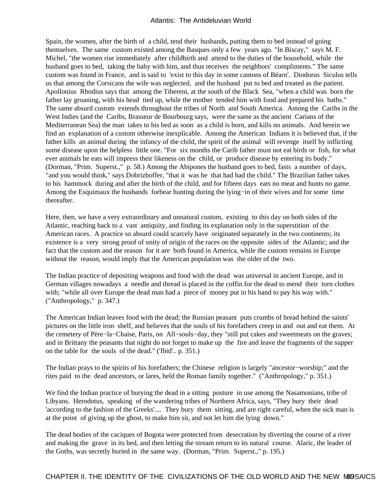Spain, the women, after the birth of a child, tend their husbands, putting them to bed instead of going themselves. The same custom existed among the Basques only a few years ago. "In Biscay," says M. F. Michel, "the women rise immediately after childbirth and attend to the duties of the household, while the husband goes to bed, taking the baby with him, and thus receives the neighbors' compliments." The same custom was found in France, and is said to 'exist to this day in some cantons of Béarn'. Diodorus Siculus tells us that among the Corsicans the wife was neglected, and the husband put to bed and treated as the patient. Apollonius Rhodius says that among the Tibereni, at the south of the Black Sea, "when a child was born the father lay groaning, with his head tied up, while the mother tended him with food and prepared his baths." The same absurd custom extends throughout the tribes of North and South America. Among the Caribs in the West Indies (and the Caribs, Brasseur de Bourbourg says, were the same as the ancient Carians of the Mediterranean Sea) the man takes to his bed as soon as a child is born, and kills no animals. And herein we find an explanation of a custom otherwise inexplicable. Among the American Indians it is believed that, if the father kills an animal during the infancy of the child, the spirit of the animal will revenge itself by inflicting some disease upon the helpless little one. "For six months the Carib father must not eat birds or fish, for what ever animals he eats will impress their likeness on the child, or produce disease by entering its body." (Dorman, "Prim. Superst.," p. 58.) Among the Abipones the husband goes to bed, fasts a number of days, "and you would think," says Dobrizboffer, "that it was he that had had the child." The Brazilian father takes to his hammock during and after the birth of the child, and for fifteen days eats no meat and hunts no game. Among the Esquimaux the husbands forbear hunting during the lying−in of their wives and for some time thereafter.

Here, then, we have a very extraordinary and unnatural custom, existing to this day on both sides of the Atlantic, reaching back to a vast antiquity, and finding its explanation only in the superstition of the American races. A practice so absurd could scarcely have originated separately in the two continents; its existence is a very strong proof of unity of origin of the races on the opposite sides of the Atlantic; and the fact that the custom and the reason for it are both found in America, while the custom remains in Europe without the reason, would imply that the American population was the older of the two.

The Indian practice of depositing weapons and food with the dead was universal in ancient Europe, and in German villages nowadays a needle and thread is placed in the coffin for the dead to mend their torn clothes with; "while all over Europe the dead man had a piece of money put in his hand to pay his way with." ("Anthropology," p. 347.)

The American Indian leaves food with the dead; the Russian peasant puts crumbs of bread behind the saints' pictures on the little iron shelf, and believes that the souls of his forefathers creep in and out and eat them. At the cemetery of Père−la−Chaise, Paris, on All−souls−day, they "still put cakes and sweetmeats on the graves; and in Brittany the peasants that night do not forget to make up the fire and leave the fragments of the supper on the table for the souls of the dead." ('Ibid'.. p. 351.)

The Indian prays to the spirits of his forefathers; the Chinese religion is largely "ancestor−worship;" and the rites paid to the dead ancestors, or lares, held the Roman family together." ("Anthropology," p. 351.)

We find the Indian practice of burying the dead in a sitting posture in use among the Nasamonians, tribe of Libyans. Herodotus, speaking of the wandering tribes of Northern Africa, says, "They bury their dead 'according to the fashion of the Greeks'.... They bury them sitting, and are right careful, when the sick man is at the point of giving up the ghost, to make him sit, and not let him die lying down."

The dead bodies of the caciques of Bogota were protected from desecration by diverting the course of a river and making the grave in its bed, and then letting the stream return to its natural course. Alaric, the leader of the Goths, was secretly buried in the same way. (Dorman, "Prim. Superst.," p. 195.)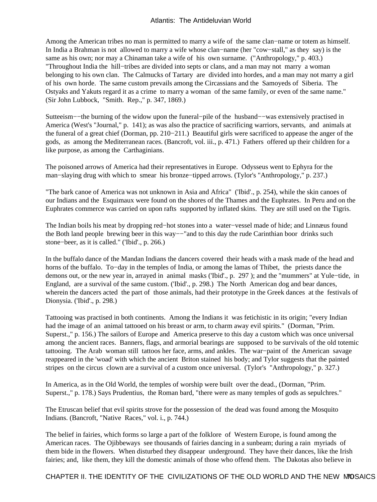Among the American tribes no man is permitted to marry a wife of the same clan−name or totem as himself. In India a Brahman is not allowed to marry a wife whose clan−name (her "cow−stall," as they say) is the same as his own; nor may a Chinaman take a wife of his own surname. ("Anthropology," p. 403.) "Throughout India the hill−tribes are divided into septs or clans, and a man may not marry a woman belonging to his own clan. The Calmucks of Tartary are divided into hordes, and a man may not marry a girl of his own horde. The same custom prevails among the Circassians and the Samoyeds of Siberia. The Ostyaks and Yakuts regard it as a crime to marry a woman of the same family, or even of the same name." (Sir John Lubbock, "Smith. Rep.," p. 347, 1869.)

Sutteeism−−the burning of the widow upon the funeral−pile of the husband−−was extensively practised in America (West's "Journal," p. 141); as was also the practice of sacrificing warriors, servants, and animals at the funeral of a great chief (Dorman, pp. 210−211.) Beautiful girls were sacrificed to appease the anger of the gods, as among the Mediterranean races. (Bancroft, vol. iii., p. 471.) Fathers offered up their children for a like purpose, as among the Carthaginians.

The poisoned arrows of America had their representatives in Europe. Odysseus went to Ephyra for the man−slaying drug with which to smear his bronze−tipped arrows. (Tylor's "Anthropology," p. 237.)

"The bark canoe of America was not unknown in Asia and Africa" ('Ibid'., p. 254), while the skin canoes of our Indians and the Esquimaux were found on the shores of the Thames and the Euphrates. In Peru and on the Euphrates commerce was carried on upon rafts supported by inflated skins. They are still used on the Tigris.

The Indian boils his meat by dropping red−hot stones into a water−vessel made of hide; and Linnæus found the Both land people brewing beer in this way−−"and to this day the rude Carinthian boor drinks such stone−beer, as it is called." ('Ibid'., p. 266.)

In the buffalo dance of the Mandan Indians the dancers covered their heads with a mask made of the head and horns of the buffalo. To−day in the temples of India, or among the lamas of Thibet, the priests dance the demons out, or the new year in, arrayed in animal masks ('Ibid'., p. 297 ); and the "mummers" at Yule−tide, in England, are a survival of the same custom. ('Ibid'., p. 298.) The North American dog and bear dances, wherein the dancers acted the part of those animals, had their prototype in the Greek dances at the festivals of Dionysia. ('Ibid'., p. 298.)

Tattooing was practised in both continents. Among the Indians it was fetichistic in its origin; "every Indian had the image of an animal tattooed on his breast or arm, to charm away evil spirits." (Dorman, "Prim. Superst.," p. 156.) The sailors of Europe and America preserve to this day a custom which was once universal among the ancient races. Banners, flags, and armorial bearings are supposed to be survivals of the old totemic tattooing. The Arab woman still tattoos her face, arms, and ankles. The war−paint of the American savage reappeared in the 'woad' with which the ancient Briton stained his body; and Tylor suggests that the painted stripes on the circus clown are a survival of a custom once universal. (Tylor's "Anthropology," p. 327.)

In America, as in the Old World, the temples of worship were built over the dead., (Dorman, "Prim. Superst.," p. 178.) Says Prudentius, the Roman bard, "there were as many temples of gods as sepulchres."

The Etruscan belief that evil spirits strove for the possession of the dead was found among the Mosquito Indians. (Bancroft, "Native Races," vol. i., p. 744.)

The belief in fairies, which forms so large a part of the folklore of Western Europe, is found among the American races. The Ojibbeways see thousands of fairies dancing in a sunbeam; during a rain myriads of them bide in the flowers. When disturbed they disappear underground. They have their dances, like the Irish fairies; and, like them, they kill the domestic animals of those who offend them. The Dakotas also believe in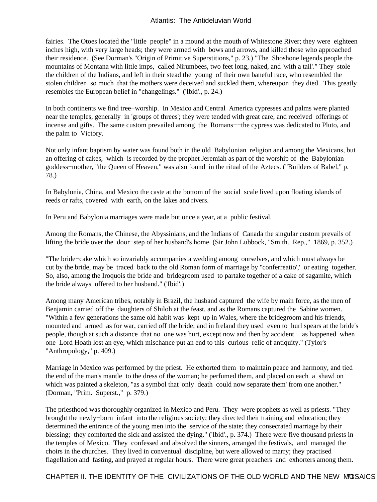fairies. The Otoes located the "little people" in a mound at the mouth of Whitestone River; they were eighteen inches high, with very large heads; they were armed with bows and arrows, and killed those who approached their residence. (See Dorman's "Origin of Primitive Superstitions," p. 23.) "The Shoshone legends people the mountains of Montana with little imps, called Nirumbees, two feet long, naked, and 'with a tail'." They stole the children of the Indians, and left in their stead the young of their own baneful race, who resembled the stolen children so much that the mothers were deceived and suckled them, whereupon they died. This greatly resembles the European belief in "changelings." ('Ibid'., p. 24.)

In both continents we find tree−worship. In Mexico and Central America cypresses and palms were planted near the temples, generally in 'groups of threes'; they were tended with great care, and received offerings of incense and gifts. The same custom prevailed among the Romans−−the cypress was dedicated to Pluto, and the palm to Victory.

Not only infant baptism by water was found both in the old Babylonian religion and among the Mexicans, but an offering of cakes, which is recorded by the prophet Jeremiah as part of the worship of the Babylonian goddess–mother, "the Queen of Heaven," was also found in the ritual of the Aztecs. ("Builders of Babel," p. 78.)

In Babylonia, China, and Mexico the caste at the bottom of the social scale lived upon floating islands of reeds or rafts, covered with earth, on the lakes and rivers.

In Peru and Babylonia marriages were made but once a year, at a public festival.

Among the Romans, the Chinese, the Abyssinians, and the Indians of Canada the singular custom prevails of lifting the bride over the door−step of her husband's home. (Sir John Lubbock, "Smith. Rep.," 1869, p. 352.)

"The bride−cake which so invariably accompanies a wedding among ourselves, and which must always be cut by the bride, may be traced back to the old Roman form of marriage by ''conferreatio',' or eating together. So, also, among the Iroquois the bride and bridegroom used to partake together of a cake of sagamite, which the bride always offered to her husband." ('Ibid'.)

Among many American tribes, notably in Brazil, the husband captured the wife by main force, as the men of Benjamin carried off the daughters of Shiloh at the feast, and as the Romans captured the Sabine women. "Within a few generations the same old habit was kept up in Wales, where the bridegroom and his friends, mounted and armed as for war, carried off the bride; and in Ireland they used even to hurl spears at the bride's people, though at such a distance that no one was hurt, except now and then by accident−−as happened when one Lord Hoath lost an eye, which mischance put an end to this curious relic of antiquity." (Tylor's "Anthropology," p. 409.)

Marriage in Mexico was performed by the priest. He exhorted them to maintain peace and harmony, and tied the end of the man's mantle to the dress of the woman; he perfumed them, and placed on each a shawl on which was painted a skeleton, "as a symbol that 'only death could now separate them' from one another." (Dorman, "Prim. Superst.," p. 379.)

The priesthood was thoroughly organized in Mexico and Peru. They were prophets as well as priests. "They brought the newly−born infant into the religious society; they directed their training and education; they determined the entrance of the young men into the service of the state; they consecrated marriage by their blessing; they comforted the sick and assisted the dying." ('Ibid'., p. 374.) There were five thousand priests in the temples of Mexico. They confessed and absolved the sinners, arranged the festivals, and managed the choirs in the churches. They lived in conventual discipline, but were allowed to marry; they practised flagellation and fasting, and prayed at regular hours. There were great preachers and exhorters among them.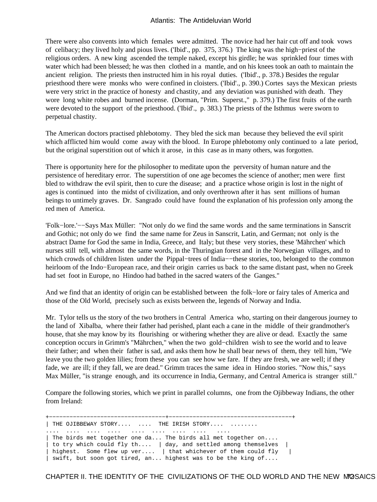There were also convents into which females were admitted. The novice had her hair cut off and took vows of celibacy; they lived holy and pious lives. ('Ibid'., pp. 375, 376.) The king was the high−priest of the religious orders. A new king ascended the temple naked, except his girdle; he was sprinkled four times with water which had been blessed; he was then clothed in a mantle, and on his knees took an oath to maintain the ancient religion. The priests then instructed him in his royal duties. ('Ibid'., p. 378.) Besides the regular priesthood there were monks who were confined in cloisters. ('Ibid'., p. 390.) Cortes says the Mexican priests were very strict in the practice of honesty and chastity, and any deviation was punished with death. They wore long white robes and burned incense. (Dorman, "Prim. Superst.," p. 379.) The first fruits of the earth were devoted to the support of the priesthood. ('Ibid'., p. 383.) The priests of the Isthmus were sworn to perpetual chastity.

The American doctors practised phlebotomy. They bled the sick man because they believed the evil spirit which afflicted him would come away with the blood. In Europe phlebotomy only continued to a late period, but the original superstition out of which it arose, in this case as in many others, was forgotten.

There is opportunity here for the philosopher to meditate upon the perversity of human nature and the persistence of hereditary error. The superstition of one age becomes the science of another; men were first bled to withdraw the evil spirit, then to cure the disease; and a practice whose origin is lost in the night of ages is continued into the midst of civilization, and only overthrown after it has sent millions of human beings to untimely graves. Dr. Sangrado could have found the explanation of his profession only among the red men of America.

'Folk−lore.'−−Says Max Müller: "Not only do we find the same words and the same terminations in Sanscrit and Gothic; not only do we find the same name for Zeus in Sanscrit, Latin, and German; not only is the abstract Dame for God the same in India, Greece, and Italy; but these very stories, these 'Mährchen' which nurses still tell, with almost the same words, in the Thuringian forest and in the Norwegian villages, and to which crowds of children listen under the Pippal−trees of India−−these stories, too, belonged to the common heirloom of the Indo−European race, and their origin carries us back to the same distant past, when no Greek had set foot in Europe, no Hindoo had bathed in the sacred waters of the Ganges."

And we find that an identity of origin can be established between the folk−lore or fairy tales of America and those of the Old World, precisely such as exists between the, legends of Norway and India.

Mr. Tylor tells us the story of the two brothers in Central America who, starting on their dangerous journey to the land of Xibalba, where their father had perished, plant each a cane in the middle of their grandmother's house, that she may know by its flourishing or withering whether they are alive or dead. Exactly the same conception occurs in Grimm's "Mährchen," when the two gold−children wish to see the world and to leave their father; and when their father is sad, and asks them how he shall bear news of them, they tell him, "We leave you the two golden lilies; from these you can see how we fare. If they are fresh, we are well; if they fade, we are ill; if they fall, we are dead." Grimm traces the same idea in Hindoo stories. "Now this," says Max Müller, "is strange enough, and its occurrence in India, Germany, and Central America is stranger still."

Compare the following stories, which we print in parallel columns, one from the Ojibbeway Indians, the other from Ireland:

+−−−−−−−−−−−−−−−−−−−−−−−−−−−−−−−−−−+−−−−−−−−−−−−−−−−−−−−−−−−−−−−−−−−−−−−+ | THE OJIBBEWAY STORY.... .... THE IRISH STORY.... ........ .... .... .... .... .... .... .... .... .... | The birds met together one da... The birds all met together on.... | to try which could fly th.... | day, and settled among themselves | | highest. Some flew up ver.... | that whichever of them could fly | | swift, but soon got tired, an... highest was to be the king of....

CHAPTER II. THE IDENTITY OF THE CIVILIZATIONS OF THE OLD WORLD AND THE NEW MOSAICS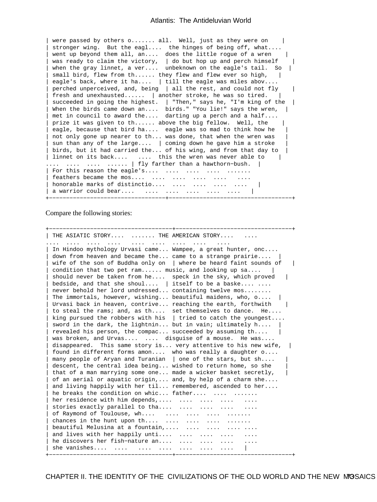| were passed by others  $0$ ....... all. Well, just as they were on | stronger wing. But the eagl.... the hinges of being off, what.... went up beyond them all, an.... does the little rogue of a wren was ready to claim the victory,  $\vert$  do but hop up and perch himself when the gray linnet, a ver.... unbeknown on the eagle's tail. So  $\vert$ small bird, flew from  $th......$  they flew and flew ever so high,  $|$ eagle's back, where it ha....  $\vert$  till the eagle was miles abov....  $|$  perched unperceived, and, being  $|$  all the rest, and could not fly | fresh and unexhausted...... | another stroke, he was so tired. | succeeded in going the highest.  $|$  "Then," says he, "I'm king of the | When the birds came down an.... birds." "You lie!" says the wren, | | met in council to award the.... darting up a perch and a half.... | prize it was given to th...... above the big fellow. Well, the | eagle, because that bird  $h$ .... eagle was so mad to think how he not only gone up nearer to th... was done, that when the wren was | sun than any of the large.... | coming down he gave him a stroke birds, but it had carried the... of his wing, and from that day to | linnet on its back.... .... this the wren was never able to | .... .... .... ...... | fly farther than a hawthorn-bush. | | For this reason the eagle's.... .... .... ..... ....... feathers became the mos.... .... .... .... .... .... .... | honorable marks of distinctio.... .... .... .... ....  $|$  a warrior could bear....  $\ldots$  .... .... .... .... +−−−−−−−−−−−−−−−−−−−−−−−−−−−−−−−−−−+−−−−−−−−−−−−−−−−−−−−−−−−−−−−−−−−−−−−+

Compare the following stories:

+−−−−−−−−−−−−−−−−−−−−−−−−−−−−−−−−−−−−+−−−−−−−−−−−−−−−−−−−−−−−−−−−−−−−−−−+ | THE ASIATIC STORY.... ....... THE AMERICAN STORY.... .... .... .... .... .... .... .... .... .... .... | In Hindoo mythology Urvasi came... Wampee, a great hunter, onc.... | down from heaven and became the... came to a strange prairie.... | | wife of the son of Buddha only on | where be heard faint sounds of condition that two pet ram...... music, and looking up  $sa...$  | should never be taken from he.... speck in the sky, which proved bedside, and that she shoul.... | itself to be a baske.... $\overline{\cdot \ldots}$ never behold her lord undressed... containing twelve mos........ The immortals, however, wishing... beautiful maidens, who, o.... Urvasi back in heaven, contrive... reaching the earth, forthwith | to steal the rams; and, as th.... set themselves to dance. He.... | king pursued the robbers with his | tried to catch the youngest.... sword in the dark, the lightnin... but in vain; ultimately  $h...$  | revealed his person, the compac... succeeded by assuming th.... was broken, and Urvas.... .... disguise of a mouse. He was.... disappeared. This same story is... very attentive to his new wife,  $|$ found in different forms amon.... who was really a daughter o....  $\texttt{many people of Aryan and Turanian}$  one of the stars, but  $\texttt{sh} \dots$ descent, the central idea being... wished to return home, so she that of a man marrying some one... made a wicker basket secretly, of an aerial or aquatic origin,... and, by help of a charm she.... and living happily with her til... remembered, ascended to her.... he breaks the condition on whic... father.... .... ....... her residence with him depends,.... .... .... .... stories exactly parallel to tha.... .... .... .... of Raymond of Toulouse, wh.... .... .... ..... ....... chances in the hunt upon th.... .... .... .... beautiful Melusina at a fountain,.... .... .... and lives with her happily unti.... .... .... .... he discovers her fish-nature an.... .... .... ..... | she vanishes....  $\dots$  .... .... .... .... .... .... +−−−−−−−−−−−−−−−−−−−−−−−−−−−−−−−−−−−−+−−−−−−−−−−−−−−−−−−−−−−−−−−−−−−−−−−+

CHAPTER II. THE IDENTITY OF THE CIVILIZATIONS OF THE OLD WORLD AND THE NEW MOSAICS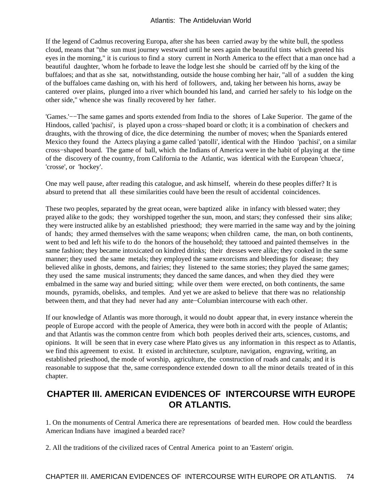If the legend of Cadmus recovering Europa, after she has been carried away by the white bull, the spotless cloud, means that "the sun must journey westward until he sees again the beautiful tints which greeted his eyes in the morning," it is curious to find a story current in North America to the effect that a man once had a beautiful daughter, 'whom he forbade to leave the lodge lest she should be carried off by the king of the buffaloes; and that as she sat, notwithstanding, outside the house combing her hair, "all of a sudden the king of the buffaloes came dashing on, with his herd of followers, and, taking her between his horns, away be cantered over plains, plunged into a river which bounded his land, and carried her safely to his lodge on the other side," whence she was finally recovered by her father.

'Games.'−−The same games and sports extended from India to the shores of Lake Superior. The game of the Hindoos, called 'pachisi', is played upon a cross−shaped board or cloth; it is a combination of checkers and draughts, with the throwing of dice, the dice determining the number of moves; when the Spaniards entered Mexico they found the Aztecs playing a game called 'patolli', identical with the Hindoo 'pachisi', on a similar cross−shaped board. The game of ball, which the Indians of America were in the habit of playing at the time of the discovery of the country, from California to the Atlantic, was identical with the European 'chueca', 'crosse', or 'hockey'.

One may well pause, after reading this catalogue, and ask himself, wherein do these peoples differ? It is absurd to pretend that all these similarities could have been the result of accidental coincidences.

These two peoples, separated by the great ocean, were baptized alike in infancy with blessed water; they prayed alike to the gods; they worshipped together the sun, moon, and stars; they confessed their sins alike; they were instructed alike by an established priesthood; they were married in the same way and by the joining of hands; they armed themselves with the same weapons; when children came, the man, on both continents, went to bed and left his wife to do the honors of the household; they tattooed and painted themselves in the same fashion; they became intoxicated on kindred drinks; their dresses were alike; they cooked in the same manner; they used the same metals; they employed the same exorcisms and bleedings for disease; they believed alike in ghosts, demons, and fairies; they listened to the same stories; they played the same games; they used the same musical instruments; they danced the same dances, and when they died they were embalmed in the same way and buried sitting; while over them were erected, on both continents, the same mounds, pyramids, obelisks, and temples. And yet we are asked to believe that there was no relationship between them, and that they had never had any ante−Columbian intercourse with each other.

If our knowledge of Atlantis was more thorough, it would no doubt appear that, in every instance wherein the people of Europe accord with the people of America, they were both in accord with the people of Atlantis; and that Atlantis was the common centre from which both peoples derived their arts, sciences, customs, and opinions. It will be seen that in every case where Plato gives us any information in this respect as to Atlantis, we find this agreement to exist. It existed in architecture, sculpture, navigation, engraving, writing, an established priesthood, the mode of worship, agriculture, the construction of roads and canals; and it is reasonable to suppose that the, same correspondence extended down to all the minor details treated of in this chapter.

# **CHAPTER III. AMERICAN EVIDENCES OF INTERCOURSE WITH EUROPE OR ATLANTIS.**

1. On the monuments of Central America there are representations of bearded men. How could the beardless American Indians have imagined a bearded race?

2. All the traditions of the civilized races of Central America point to an 'Eastern' origin.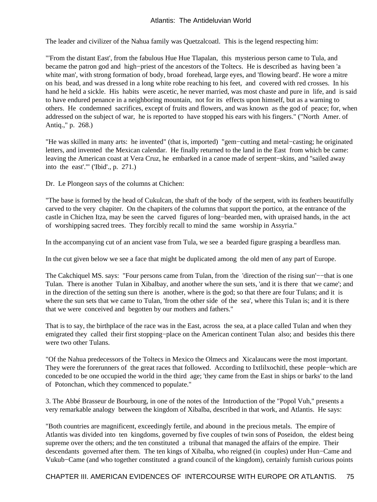The leader and civilizer of the Nahua family was Quetzalcoatl. This is the legend respecting him:

"'From the distant East', from the fabulous Hue Hue Tlapalan, this mysterious person came to Tula, and became the patron god and high−priest of the ancestors of the Toltecs. He is described as having been 'a white man', with strong formation of body, broad forehead, large eyes, and 'flowing beard'. He wore a mitre on his bead, and was dressed in a long white robe reaching to his feet, and covered with red crosses. In his hand he held a sickle. His habits were ascetic, he never married, was most chaste and pure in life, and is said to have endured penance in a neighboring mountain, not for its effects upon himself, but as a warning to others. He condemned sacrifices, except of fruits and flowers, and was known as the god of peace; for, when addressed on the subject of war, he is reported to have stopped his ears with his fingers." ("North Amer. of Antiq.," p. 268.)

"He was skilled in many arts: he invented" (that is, imported) "gem−cutting and metal−casting; he originated letters, and invented the Mexican calendar. He finally returned to the land in the East from which be came: leaving the American coast at Vera Cruz, he embarked in a canoe made of serpent−skins, and ''sailed away into the east'.'" ('Ibid'., p. 271.)

Dr. Le Plongeon says of the columns at Chichen:

"The base is formed by the head of Cukulcan, the shaft of the body of the serpent, with its feathers beautifully carved to the very chapiter. On the chapiters of the columns that support the portico, at the entrance of the castle in Chichen Itza, may be seen the carved figures of long−bearded men, with upraised hands, in the act of worshipping sacred trees. They forcibly recall to mind the same worship in Assyria."

In the accompanying cut of an ancient vase from Tula, we see a bearded figure grasping a beardless man.

In the cut given below we see a face that might be duplicated among the old men of any part of Europe.

The Cakchiquel MS. says: "Four persons came from Tulan, from the 'direction of the rising sun'–−that is one Tulan. There is another Tulan in Xibalbay, and another where the sun sets, 'and it is there that we came'; and in the direction of the setting sun there is another, where is the god; so that there are four Tulans; and it is where the sun sets that we came to Tulan, 'from the other side of the sea', where this Tulan is; and it is there that we were conceived and begotten by our mothers and fathers."

That is to say, the birthplace of the race was in the East, across the sea, at a place called Tulan and when they emigrated they called their first stopping−place on the American continent Tulan also; and besides this there were two other Tulans.

"Of the Nahua predecessors of the Toltecs in Mexico the Olmecs and Xicalaucans were the most important. They were the forerunners of the great races that followed. According to Ixtlilxochitl, these people−which are conceded to be one occupied the world in the third age; 'they came from the East in ships or barks' to the land of Potonchan, which they commenced to populate."

3. The Abbé Brasseur de Bourbourg, in one of the notes of the Introduction of the "Popol Vuh," presents a very remarkable analogy between the kingdom of Xibalba, described in that work, and Atlantis. He says:

"Both countries are magnificent, exceedingly fertile, and abound in the precious metals. The empire of Atlantis was divided into ten kingdoms, governed by five couples of twin sons of Poseidon, the eldest being supreme over the others; and the ten constituted a tribunal that managed the affairs of the empire. Their descendants governed after them. The ten kings of Xibalba, who reigned (in couples) under Hun−Came and Vukub−Came (and who together constituted a grand council of the kingdom), certainly furnish curious points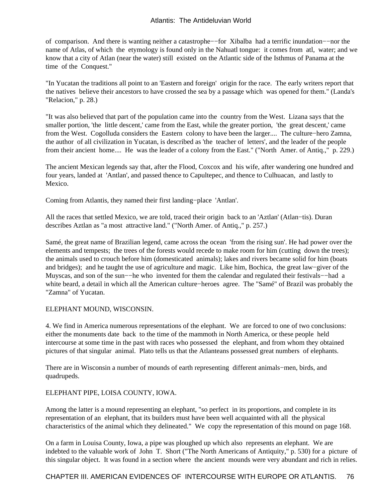of comparison. And there is wanting neither a catastrophe−−for Xibalba had a terrific inundation−−nor the name of Atlas, of which the etymology is found only in the Nahuatl tongue: it comes from atl, water; and we know that a city of Atlan (near the water) still existed on the Atlantic side of the Isthmus of Panama at the time of the Conquest."

"In Yucatan the traditions all point to an 'Eastern and foreign' origin for the race. The early writers report that the natives believe their ancestors to have crossed the sea by a passage which was opened for them." (Landa's "Relacion," p. 28.)

"It was also believed that part of the population came into the country from the West. Lizana says that the smaller portion, 'the little descent,' came from the East, while the greater portion, 'the great descent,' came from the West. Cogolluda considers the Eastern colony to have been the larger.... The culture−hero Zamna, the author of all civilization in Yucatan, is described as 'the teacher of letters', and the leader of the people from their ancient home.... He was the leader of a colony from the East." ("North Amer. of Antiq.," p. 229.)

The ancient Mexican legends say that, after the Flood, Coxcox and his wife, after wandering one hundred and four years, landed at 'Antlan', and passed thence to Capultepec, and thence to Culhuacan, and lastly to Mexico.

Coming from Atlantis, they named their first landing−place 'Antlan'.

All the races that settled Mexico, we are told, traced their origin back to an 'Aztlan' (Atlan−tis). Duran describes Aztlan as "a most attractive land." ("North Amer. of Antiq.," p. 257.)

Samé, the great name of Brazilian legend, came across the ocean 'from the rising sun'. He had power over the elements and tempests; the trees of the forests would recede to make room for him (cutting down the trees); the animals used to crouch before him (domesticated animals); lakes and rivers became solid for him (boats and bridges); and he taught the use of agriculture and magic. Like him, Bochica, the great law−giver of the Muyscas, and son of the sun−−he who invented for them the calendar and regulated their festivals−−had a white beard, a detail in which all the American culture−heroes agree. The "Samé" of Brazil was probably the "Zamna" of Yucatan.

#### ELEPHANT MOUND, WISCONSIN.

4. We find in America numerous representations of the elephant. We are forced to one of two conclusions: either the monuments date back to the time of the mammoth in North America, or these people held intercourse at some time in the past with races who possessed the elephant, and from whom they obtained pictures of that singular animal. Plato tells us that the Atlanteans possessed great numbers of elephants.

There are in Wisconsin a number of mounds of earth representing different animals−men, birds, and quadrupeds.

#### ELEPHANT PIPE, LOISA COUNTY, IOWA.

Among the latter is a mound representing an elephant, "so perfect in its proportions, and complete in its representation of an elephant, that its builders must have been well acquainted with all the physical characteristics of the animal which they delineated." We copy the representation of this mound on page 168.

On a farm in Louisa County, Iowa, a pipe was ploughed up which also represents an elephant. We are indebted to the valuable work of John T. Short ("The North Americans of Antiquity," p. 530) for a picture of this singular object. It was found in a section where the ancient mounds were very abundant and rich in relies.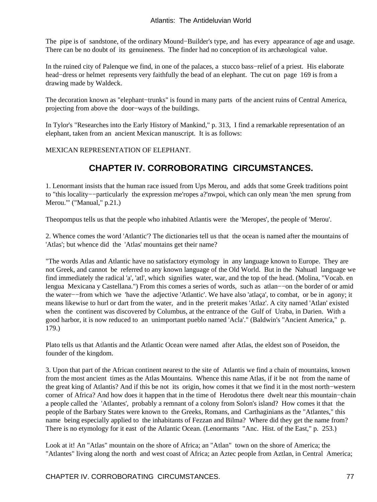The pipe is of sandstone, of the ordinary Mound−Builder's type, and has every appearance of age and usage. There can be no doubt of its genuineness. The finder had no conception of its archæological value.

In the ruined city of Palenque we find, in one of the palaces, a stucco bass−relief of a priest. His elaborate head−dress or helmet represents very faithfully the bead of an elephant. The cut on page 169 is from a drawing made by Waldeck.

The decoration known as "elephant−trunks" is found in many parts of the ancient ruins of Central America, projecting from above the door−ways of the buildings.

In Tylor's "Researches into the Early History of Mankind," p. 313, I find a remarkable representation of an elephant, taken from an ancient Mexican manuscript. It is as follows:

MEXICAN REPRESENTATION OF ELEPHANT.

# **CHAPTER IV. CORROBORATING CIRCUMSTANCES.**

1. Lenormant insists that the human race issued from Ups Merou, and adds that some Greek traditions point to "this locality−−particularly the expression me'ropes a?'nwpoi, which can only mean 'the men sprung from Merou.'" ("Manual," p.21.)

Theopompus tells us that the people who inhabited Atlantis were the 'Meropes', the people of 'Merou'.

2. Whence comes the word 'Atlantic'? The dictionaries tell us that the ocean is named after the mountains of 'Atlas'; but whence did the 'Atlas' mountains get their name?

"The words Atlas and Atlantic have no satisfactory etymology in any language known to Europe. They are not Greek, and cannot be referred to any known language of the Old World. But in the Nahuatl language we find immediately the radical 'a', 'atl', which signifies water, war, and the top of the head. (Molina, "Vocab. en lengua Mexicana y Castellana.") From this comes a series of words, such as atlan−−on the border of or amid the water−−from which we 'have the adjective 'Atlantic'. We have also 'atlaça', to combat, or be in agony; it means likewise to hurl or dart from the water, and in the preterit makes 'Atlaz'. A city named 'Atlan' existed when the continent was discovered by Columbus, at the entrance of the Gulf of Uraba, in Darien. With a good harbor, it is now reduced to an unimportant pueblo named 'Acla'." (Baldwin's "Ancient America," p. 179.)

Plato tells us that Atlantis and the Atlantic Ocean were named after Atlas, the eldest son of Poseidon, the founder of the kingdom.

3. Upon that part of the African continent nearest to the site of Atlantis we find a chain of mountains, known from the most ancient times as the Atlas Mountains. Whence this name Atlas, if it be not from the name of the great king of Atlantis? And if this be not its origin, how comes it that we find it in the most north−western corner of Africa? And how does it happen that in the time of Herodotus there dwelt near this mountain−chain a people called the 'Atlantes', probably a remnant of a colony from Solon's island? How comes it that the people of the Barbary States were known to the Greeks, Romans, and Carthaginians as the "Atlantes," this name being especially applied to the inhabitants of Fezzan and Bilma? Where did they get the name from? There is no etymology for it east of the Atlantic Ocean. (Lenormants "Anc. Hist. of the East," p. 253.)

Look at it! An "Atlas" mountain on the shore of Africa; an "Atlan" town on the shore of America; the "Atlantes" living along the north and west coast of Africa; an Aztec people from Aztlan, in Central America;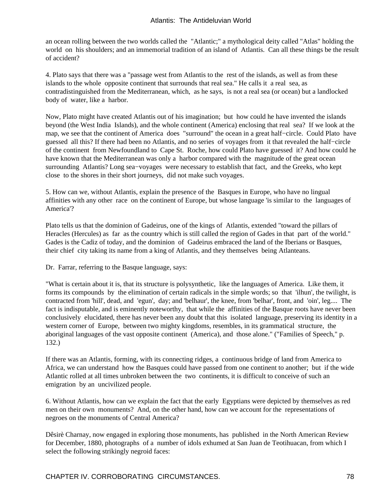an ocean rolling between the two worlds called the "Atlantic;" a mythological deity called "Atlas" holding the world on his shoulders; and an immemorial tradition of an island of Atlantis. Can all these things be the result of accident?

4. Plato says that there was a "passage west from Atlantis to the rest of the islands, as well as from these islands to the whole opposite continent that surrounds that real sea." He calls it a real sea, as contradistinguished from the Mediterranean, which, as he says, is not a real sea (or ocean) but a landlocked body of water, like a harbor.

Now, Plato might have created Atlantis out of his imagination; but how could he have invented the islands beyond (the West India Islands), and the whole continent (America) enclosing that real sea? If we look at the map, we see that the continent of America does "surround" the ocean in a great half−circle. Could Plato have guessed all this? If there had been no Atlantis, and no series of voyages from it that revealed the half−circle of the continent from Newfoundland to Cape St. Roche, how could Plato have guessed it? And how could he have known that the Mediterranean was only a harbor compared with the magnitude of the great ocean surrounding Atlantis? Long sea−voyages were necessary to establish that fact, and the Greeks, who kept close to the shores in their short journeys, did not make such voyages.

5. How can we, without Atlantis, explain the presence of the Basques in Europe, who have no lingual affinities with any other race on the continent of Europe, but whose language 'is similar to the languages of America'?

Plato tells us that the dominion of Gadeirus, one of the kings of Atlantis, extended "toward the pillars of Heracles (Hercules) as far as the country which is still called the region of Gades in that part of the world." Gades is the Cadiz of today, and the dominion of Gadeirus embraced the land of the Iberians or Basques, their chief city taking its name from a king of Atlantis, and they themselves being Atlanteans.

Dr. Farrar, referring to the Basque language, says:

"What is certain about it is, that its structure is polysynthetic, like the languages of America. Like them, it forms its compounds by the elimination of certain radicals in the simple words; so that 'ilhun', the twilight, is contracted from 'hill', dead, and 'egun', day; and 'belhaur', the knee, from 'belhar', front, and 'oin', leg.... The fact is indisputable, and is eminently noteworthy, that while the affinities of the Basque roots have never been conclusively elucidated, there has never been any doubt that this isolated language, preserving its identity in a western corner of Europe, between two mighty kingdoms, resembles, in its grammatical structure, the aboriginal languages of the vast opposite continent (America), and those alone." ("Families of Speech," p. 132.)

If there was an Atlantis, forming, with its connecting ridges, a continuous bridge of land from America to Africa, we can understand how the Basques could have passed from one continent to another; but if the wide Atlantic rolled at all times unbroken between the two continents, it is difficult to conceive of such an emigration by an uncivilized people.

6. Without Atlantis, how can we explain the fact that the early Egyptians were depicted by themselves as red men on their own monuments? And, on the other hand, how can we account for the representations of negroes on the monuments of Central America?

Dêsirè Charnay, now engaged in exploring those monuments, has published in the North American Review for December, 1880, photographs of a number of idols exhumed at San Juan de Teotihuacan, from which I select the following strikingly negroid faces: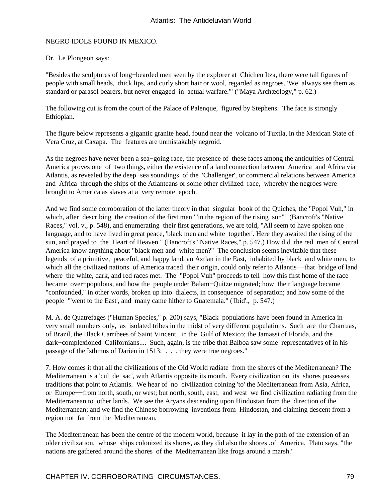# NEGRO IDOLS FOUND IN MEXICO.

### Dr. Le Plongeon says:

"Besides the sculptures of long−bearded men seen by the explorer at Chichen Itza, there were tall figures of people with small heads, thick lips, and curly short hair or wool, regarded as negroes. 'We always see them as standard or parasol bearers, but never engaged in actual warfare.'" ("Maya Archæology," p. 62.)

The following cut is from the court of the Palace of Palenque, figured by Stephens. The face is strongly Ethiopian.

The figure below represents a gigantic granite head, found near the volcano of Tuxtla, in the Mexican State of Vera Cruz, at Caxapa. The features are unmistakably negroid.

As the negroes have never been a sea−going race, the presence of these faces among the antiquities of Central America proves one of two things, either the existence of a land connection between America and Africa via Atlantis, as revealed by the deep−sea soundings of the 'Challenger', or commercial relations between America and Africa through the ships of the Atlanteans or some other civilized race, whereby the negroes were brought to America as slaves at a very remote epoch.

And we find some corroboration of the latter theory in that singular book of the Quiches, the "Popol Vuh," in which, after describing the creation of the first men "'in the region of the rising sun'" (Bancroft's "Native Races," vol. v., p. 548), and enumerating their first generations, we are told, "All seem to have spoken one language, and to have lived in great peace, 'black men and white together'. Here they awaited the rising of the sun, and prayed to the Heart of Heaven." (Bancroft's "Native Races," p. 547.) How did the red men of Central America know anything about "black men and white men?" The conclusion seems inevitable that these legends of a primitive, peaceful, and happy land, an Aztlan in the East, inhabited by black and white men, to which all the civilized nations of America traced their origin, could only refer to Atlantis−−that bridge of land where the white, dark, and red races met. The "Popol Vuh" proceeds to tell how this first home of the race became over−populous, and how the people under Balam−Quitze migrated; how their language became "confounded," in other words, broken up into dialects, in consequence of separation; and how some of the people "'went to the East', and many came hither to Guatemala." ('Ibid'., p. 547.)

M. A. de Quatrefages ("Human Species," p. 200) says, "Black populations have been found in America in very small numbers only, as isolated tribes in the midst of very different populations. Such are the Charruas, of Brazil, the Black Carribees of Saint Vincent, in the Gulf of Mexico; the Jamassi of Florida, and the dark−complexioned Californians.... Such, again, is the tribe that Balboa saw some representatives of in his passage of the Isthmus of Darien in 1513; . . . they were true negroes."

7. How comes it that all the civilizations of the Old World radiate from the shores of the Mediterranean? The Mediterranean is a 'cul de sac', with Atlantis opposite its mouth. Every civilization on its shores possesses traditions that point to Atlantis. We hear of no civilization coining 'to' the Mediterranean from Asia, Africa, or Europe−−from north, south, or west; but north, south, east, and west we find civilization radiating from the Mediterranean to other lands. We see the Aryans descending upon Hindostan from the direction of the Mediterranean; and we find the Chinese borrowing inventions from Hindostan, and claiming descent from a region not far from the Mediterranean.

The Mediterranean has been the centre of the modern world, because it lay in the path of the extension of an older civilization, whose ships colonized its shores, as they did also the shores .of America. Plato says, "the nations are gathered around the shores of the Mediterranean like frogs around a marsh."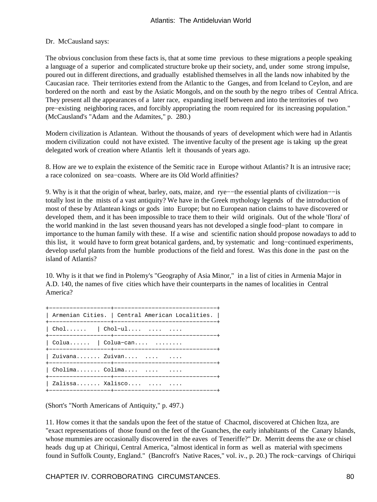## Dr. McCausland says:

The obvious conclusion from these facts is, that at some time previous to these migrations a people speaking a language of a superior and complicated structure broke up their society, and, under some strong impulse, poured out in different directions, and gradually established themselves in all the lands now inhabited by the Caucasian race. Their territories extend from the Atlantic to the Ganges, and from Iceland to Ceylon, and are bordered on the north and east by the Asiatic Mongols, and on the south by the negro tribes of Central Africa. They present all the appearances of a later race, expanding itself between and into the territories of two pre−existing neighboring races, and forcibly appropriating the room required for its increasing population." (McCausland's "Adam and the Adamites," p. 280.)

Modern civilization is Atlantean. Without the thousands of years of development which were had in Atlantis modern civilization could not have existed. The inventive faculty of the present age is taking up the great delegated work of creation where Atlantis left it thousands of years ago.

8. How are we to explain the existence of the Semitic race in Europe without Atlantis? It is an intrusive race; a race colonized on sea−coasts. Where are its Old World affinities?

9. Why is it that the origin of wheat, barley, oats, maize, and rye−−the essential plants of civilization−−is totally lost in the mists of a vast antiquity? We have in the Greek mythology legends of the introduction of most of these by Atlantean kings or gods into Europe; but no European nation claims to have discovered or developed them, and it has been impossible to trace them to their wild originals. Out of the whole 'flora' of the world mankind in the last seven thousand years has not developed a single food−plant to compare in importance to the human family with these. If a wise and scientific nation should propose nowadays to add to this list, it would have to form great botanical gardens, and, by systematic and long−continued experiments, develop useful plants from the humble productions of the field and forest. Was this done in the past on the island of Atlantis?

10. Why is it that we find in Ptolemy's "Geography of Asia Minor," in a list of cities in Armenia Major in A.D. 140, the names of five cities which have their counterparts in the names of localities in Central America?

| Armenian Cities.   Central American Localities. |
|-------------------------------------------------|
| $\vert$ Chol $\vert$ Chol-ul                    |
| $\vert$ Colua $\vert$ Colua-can                 |
| $\vert$ Zuivana Zuivan                          |
| $\vert$ Cholima Colima $\ldots$                 |
| $ $ Zalissa Xalisco                             |

(Short's "North Americans of Antiquity," p. 497.)

11. How comes it that the sandals upon the feet of the statue of Chacmol, discovered at Chichen Itza, are "exact representations of those found on the feet of the Guanches, the early inhabitants of the Canary Islands, whose mummies are occasionally discovered in the eaves of Teneriffe?" Dr. Merritt deems the axe or chisel heads dug up at Chiriqui, Central America, "almost identical in form as well as material with specimens found in Suffolk County, England." (Bancroft's Native Races," vol. iv., p. 20.) The rock−carvings of Chiriqui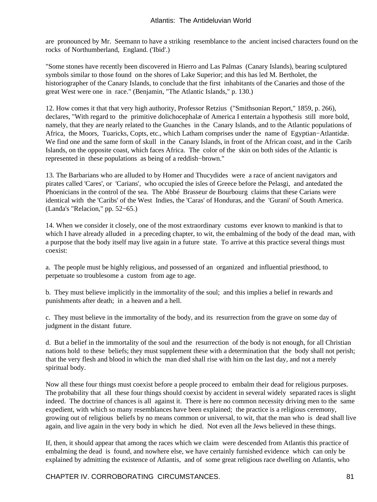are pronounced by Mr. Seemann to have a striking resemblance to the ancient incised characters found on the rocks of Northumberland, England. ('Ibid'.)

"Some stones have recently been discovered in Hierro and Las Palmas (Canary Islands), bearing sculptured symbols similar to those found on the shores of Lake Superior; and this has led M. Bertholet, the historiographer of the Canary Islands, to conclude that the first inhabitants of the Canaries and those of the great West were one in race." (Benjamin, "The Atlantic Islands," p. 130.)

12. How comes it that that very high authority, Professor Retzius ("Smithsonian Report," 1859, p. 266), declares, "With regard to the primitive dolichocephalæ of America I entertain a hypothesis still more bold, namely, that they are nearly related to the Guanches in the Canary Islands, and to the Atlantic populations of Africa, the Moors, Tuaricks, Copts, etc., which Latham comprises under the name of Egyptian−Atlantidæ. We find one and the same form of skull in the Canary Islands, in front of the African coast, and in the Carib Islands, on the opposite coast, which faces Africa. The color of the skin on both sides of the Atlantic is represented in these populations as being of a reddish−brown."

13. The Barbarians who are alluded to by Homer and Thucydides were a race of ancient navigators and pirates called 'Cares', or 'Carians', who occupied the isles of Greece before the Pelasgi, and antedated the Phoenicians in the control of the sea. The Abbé Brasseur de Bourbourg claims that these Carians were identical with the 'Caribs' of the West Indies, the 'Caras' of Honduras, and the 'Gurani' of South America. (Landa's "Relacion," pp. 52−65.)

14. When we consider it closely, one of the most extraordinary customs ever known to mankind is that to which I have already alluded in a preceding chapter, to wit, the embalming of the body of the dead man, with a purpose that the body itself may live again in a future state. To arrive at this practice several things must coexist:

a. The people must be highly religious, and possessed of an organized and influential priesthood, to perpetuate so troublesome a custom from age to age.

b. They must believe implicitly in the immortality of the soul; and this implies a belief in rewards and punishments after death; in a heaven and a hell.

c. They must believe in the immortality of the body, and its resurrection from the grave on some day of judgment in the distant future.

d. But a belief in the immortality of the soul and the resurrection of the body is not enough, for all Christian nations hold to these beliefs; they must supplement these with a determination that the body shall not perish; that the very flesh and blood in which the man died shall rise with him on the last day, and not a merely spiritual body.

Now all these four things must coexist before a people proceed to embalm their dead for religious purposes. The probability that all these four things should coexist by accident in several widely separated races is slight indeed. The doctrine of chances is all against it. There is here no common necessity driving men to the same expedient, with which so many resemblances have been explained; the practice is a religious ceremony, growing out of religious beliefs by no means common or universal, to wit, that the man who is dead shall live again, and live again in the very body in which he died. Not even all the Jews believed in these things.

If, then, it should appear that among the races which we claim were descended from Atlantis this practice of embalming the dead is found, and nowhere else, we have certainly furnished evidence which can only be explained by admitting the existence of Atlantis, and of some great religious race dwelling on Atlantis, who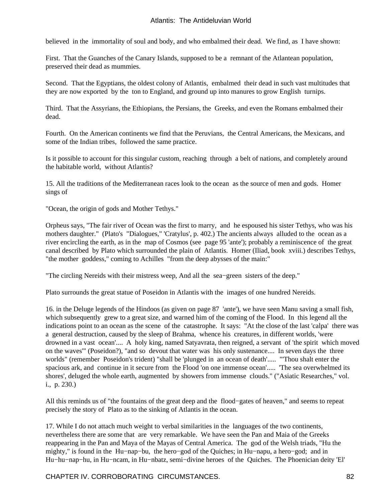believed in the immortality of soul and body, and who embalmed their dead. We find, as I have shown:

First. That the Guanches of the Canary Islands, supposed to be a remnant of the Atlantean population, preserved their dead as mummies.

Second. That the Egyptians, the oldest colony of Atlantis, embalmed their dead in such vast multitudes that they are now exported by the ton to England, and ground up into manures to grow English turnips.

Third. That the Assyrians, the Ethiopians, the Persians, the Greeks, and even the Romans embalmed their dead.

Fourth. On the American continents we find that the Peruvians, the Central Americans, the Mexicans, and some of the Indian tribes, followed the same practice.

Is it possible to account for this singular custom, reaching through a belt of nations, and completely around the habitable world, without Atlantis?

15. All the traditions of the Mediterranean races look to the ocean as the source of men and gods. Homer sings of

"Ocean, the origin of gods and Mother Tethys."

Orpheus says, "The fair river of Ocean was the first to marry, and he espoused his sister Tethys, who was his mothers daughter." (Plato's "Dialogues," 'Cratylus', p. 402.) The ancients always alluded to the ocean as a river encircling the earth, as in the map of Cosmos (see page 95 'ante'); probably a reminiscence of the great canal described by Plato which surrounded the plain of Atlantis. Homer (Iliad, book xviii.) describes Tethys, "the mother goddess," coming to Achilles "from the deep abysses of the main:"

"The circling Nereids with their mistress weep, And all the sea−green sisters of the deep."

Plato surrounds the great statue of Poseidon in Atlantis with the images of one hundred Nereids.

16. in the Deluge legends of the Hindoos (as given on page 87 'ante'), we have seen Manu saving a small fish, which subsequently grew to a great size, and warned him of the coming of the Flood. In this legend all the indications point to an ocean as the scene of the catastrophe. It says: "At the close of the last 'calpa' there was a general destruction, caused by the sleep of Brahma, whence his creatures, in different worlds, 'were drowned in a vast ocean'.... A holy king, named Satyavrata, then reigned, a servant of 'the spirit which moved on the waves'" (Poseidon?), "and so devout that water was his only sustenance.... In seven days the three worlds" (remember Poseidon's trident) "shall be 'plunged in an ocean of death'..... "'Thou shalt enter the spacious ark, and continue in it secure from the Flood 'on one immense ocean'..... 'The sea overwhelmed its shores', deluged the whole earth, augmented by showers from immense clouds." ("Asiatic Researches," vol. i., p. 230.)

All this reminds us of "the fountains of the great deep and the flood−gates of heaven," and seems to repeat precisely the story of Plato as to the sinking of Atlantis in the ocean.

17. While I do not attach much weight to verbal similarities in the languages of the two continents, nevertheless there are some that are very remarkable. We have seen the Pan and Maia of the Greeks reappearing in the Pan and Maya of the Mayas of Central America. The god of the Welsh triads, "Hu the mighty," is found in the Hu−nap−bu, the hero−god of the Quiches; in Hu−napu, a hero−god; and in Hu−hu−nap−hu, in Hu−ncam, in Hu−nbatz, semi−divine heroes of the Quiches. The Phoenician deity 'El'

CHAPTER IV. CORROBORATING CIRCUMSTANCES. 82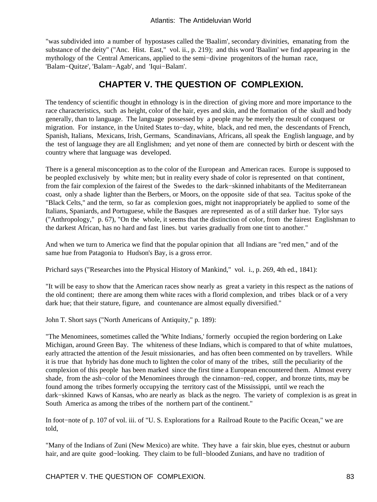"was subdivided into a number of hypostases called the 'Baalim', secondary divinities, emanating from the substance of the deity" ("Anc. Hist. East," vol. ii., p. 219); and this word 'Baalim' we find appearing in the mythology of the Central Americans, applied to the semi−divine progenitors of the human race, 'Balam−Quitze', 'Balam−Agab', and 'Iqui−Balam'.

# **CHAPTER V. THE QUESTION OF COMPLEXION.**

The tendency of scientific thought in ethnology is in the direction of giving more and more importance to the race characteristics, such as height, color of the hair, eyes and skin, and the formation of the skull and body generally, than to language. The language possessed by a people may be merely the result of conquest or migration. For instance, in the United States to−day, white, black, and red men, the descendants of French, Spanish, Italians, Mexicans, Irish, Germans, Scandinavians, Africans, all speak the English language, and by the test of language they are all Englishmen; and yet none of them are connected by birth or descent with the country where that language was developed.

There is a general misconception as to the color of the European and American races. Europe is supposed to be peopled exclusively by white men; but in reality every shade of color is represented on that continent, from the fair complexion of the fairest of the Swedes to the dark−skinned inhabitants of the Mediterranean coast, only a shade lighter than the Berbers, or Moors, on the opposite side of that sea. Tacitus spoke of the "Black Celts," and the term, so far as complexion goes, might not inappropriately be applied to some of the Italians, Spaniards, and Portuguese, while the Basques are represented as of a still darker hue. Tylor says ("Anthropology," p. 67), "On the whole, it seems that the distinction of color, from the fairest Englishman to the darkest African, has no hard and fast lines. but varies gradually from one tint to another."

And when we turn to America we find that the popular opinion that all Indians are "red men," and of the same hue from Patagonia to Hudson's Bay, is a gross error.

Prichard says ("Researches into the Physical History of Mankind," vol. i., p. 269, 4th ed., 1841):

"It will be easy to show that the American races show nearly as great a variety in this respect as the nations of the old continent; there are among them white races with a florid complexion, and tribes black or of a very dark hue; that their stature, figure, and countenance are almost equally diversified."

John T. Short says ("North Americans of Antiquity," p. 189):

"The Menominees, sometimes called the 'White Indians,' formerly occupied the region bordering on Lake Michigan, around Green Bay. The whiteness of these Indians, which is compared to that of white mulattoes, early attracted the attention of the Jesuit missionaries, and has often been commented on by travellers. While it is true that hybridy has done much to lighten the color of many of the tribes, still the peculiarity of the complexion of this people has been marked since the first time a European encountered them. Almost every shade, from the ash−color of the Menominees through the cinnamon−red, copper, and bronze tints, may be found among the tribes formerly occupying the territory cast of the Mississippi, until we reach the dark−skinned Kaws of Kansas, who are nearly as black as the negro. The variety of complexion is as great in South America as among the tribes of the northern part of the continent."

In foot−note of p. 107 of vol. iii. of "U. S. Explorations for a Railroad Route to the Pacific Ocean," we are told,

"Many of the Indians of Zuni (New Mexico) are white. They have a fair skin, blue eyes, chestnut or auburn hair, and are quite good−looking. They claim to be full−blooded Zunians, and have no tradition of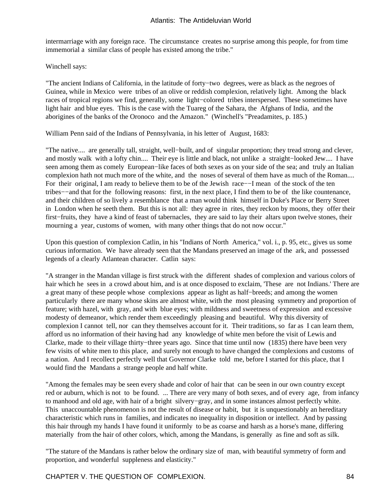intermarriage with any foreign race. The circumstance creates no surprise among this people, for from time immemorial a similar class of people has existed among the tribe."

Winchell says:

"The ancient Indians of California, in the latitude of forty−two degrees, were as black as the negroes of Guinea, while in Mexico were tribes of an olive or reddish complexion, relatively light. Among the black races of tropical regions we find, generally, some light−colored tribes interspersed. These sometimes have light hair and blue eyes. This is the case with the Tuareg of the Sahara, the Afghans of India, and the aborigines of the banks of the Oronoco and the Amazon." (Winchell's "Preadamites, p. 185.)

William Penn said of the Indians of Pennsylvania, in his letter of August, 1683:

"The native.... are generally tall, straight, well−built, and of singular proportion; they tread strong and clever, and mostly walk with a lofty chin.... Their eye is little and black, not unlike a straight−looked Jew.... I have seen among them as comely European−like faces of both sexes as on your side of the sea; and truly an Italian complexion hath not much more of the white, and the noses of several of them have as much of the Roman.... For their original, I am ready to believe them to be of the Jewish race−−I mean of the stock of the ten tribes−−and that for the following reasons: first, in the next place, I find them to be of the like countenance, and their children of so lively a resemblance that a man would think himself in Duke's Place or Berry Street in London when he seeth them. But this is not all: they agree in rites, they reckon by moons, they offer their first−fruits, they have a kind of feast of tabernacles, they are said to lay their altars upon twelve stones, their mourning a year, customs of women, with many other things that do not now occur."

Upon this question of complexion Catlin, in his "Indians of North America," vol. i., p. 95, etc., gives us some curious information. We have already seen that the Mandans preserved an image of the ark, and possessed legends of a clearly Atlantean character. Catlin says:

"A stranger in the Mandan village is first struck with the different shades of complexion and various colors of hair which he sees in a crowd about him, and is at once disposed to exclaim, 'These are not Indians.' There are a great many of these people whose complexions appear as light as half−breeds; and among the women particularly there are many whose skins are almost white, with the most pleasing symmetry and proportion of feature; with hazel, with gray, and with blue eyes; with mildness and sweetness of expression and excessive modesty of demeanor, which render them exceedingly pleasing and beautiful. Why this diversity of complexion I cannot tell, nor can they themselves account for it. Their traditions, so far as I can learn them, afford us no information of their having had any knowledge of white men before the visit of Lewis and Clarke, made to their village thirty−three years ago. Since that time until now (1835) there have been very few visits of white men to this place, and surely not enough to have changed the complexions and customs of a nation. And I recollect perfectly well that Governor Clarke told me, before I started for this place, that I would find the Mandans a strange people and half white.

"Among the females may be seen every shade and color of hair that can be seen in our own country except red or auburn, which is not to be found. ... There are very many of both sexes, and of every age, from infancy to manhood and old age, with hair of a bright silvery−gray, and in some instances almost perfectly white. This unaccountable phenomenon is not the result of disease or habit, but it is unquestionably an hereditary characteristic which runs in families, and indicates no inequality in disposition or intellect. And by passing this hair through my hands I have found it uniformly to be as coarse and harsh as a horse's mane, differing materially from the hair of other colors, which, among the Mandans, is generally as fine and soft as silk.

"The stature of the Mandans is rather below the ordinary size of man, with beautiful symmetry of form and proportion, and wonderful suppleness and elasticity."

CHAPTER V. THE QUESTION OF COMPLEXION. **84** SHAPTER V. THE QUESTION OF COMPLEXION.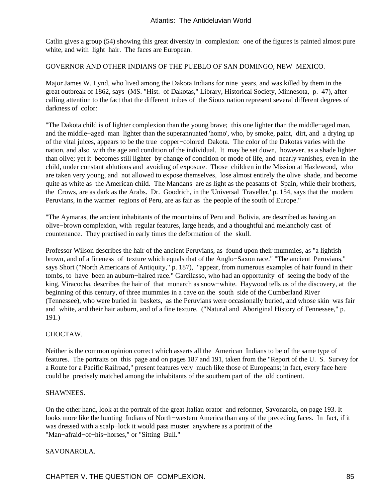Catlin gives a group (54) showing this great diversity in complexion: one of the figures is painted almost pure white, and with light hair. The faces are European.

#### GOVERNOR AND OTHER INDIANS OF THE PUEBLO OF SAN DOMINGO, NEW MEXICO.

Major James W. Lynd, who lived among the Dakota Indians for nine years, and was killed by them in the great outbreak of 1862, says (MS. "Hist. of Dakotas," Library, Historical Society, Minnesota, p. 47), after calling attention to the fact that the different tribes of the Sioux nation represent several different degrees of darkness of color:

"The Dakota child is of lighter complexion than the young brave; this one lighter than the middle−aged man, and the middle−aged man lighter than the superannuated 'homo', who, by smoke, paint, dirt, and a drying up of the vital juices, appears to be the true copper−colored Dakota. The color of the Dakotas varies with the nation, and also with the age and condition of the individual. It may be set down, however, as a shade lighter than olive; yet it becomes still lighter by change of condition or mode of life, and nearly vanishes, even in the child, under constant ablutions and avoiding of exposure. Those children in the Mission at Hazlewood, who are taken very young, and not allowed to expose themselves, lose almost entirely the olive shade, and become quite as white as the American child. The Mandans are as light as the peasants of Spain, while their brothers, the Crows, are as dark as the Arabs. Dr. Goodrich, in the 'Universal Traveller,' p. 154, says that the modern Peruvians, in the warmer regions of Peru, are as fair as the people of the south of Europe."

"The Aymaras, the ancient inhabitants of the mountains of Peru and Bolivia, are described as having an olive−brown complexion, with regular features, large heads, and a thoughtful and melancholy cast of countenance. They practised in early times the deformation of the skull.

Professor Wilson describes the hair of the ancient Peruvians, as found upon their mummies, as "a lightish brown, and of a fineness of texture which equals that of the Anglo−Saxon race." "The ancient Peruvians," says Short ("North Americans of Antiquity," p. 187), "appear, from numerous examples of hair found in their tombs, to have been an auburn−haired race." Garcilasso, who had an opportunity of seeing the body of the king, Viracocha, describes the hair of that monarch as snow−white. Haywood tells us of the discovery, at the beginning of this century, of three mummies in a cave on the south side of the Cumberland River (Tennessee), who were buried in baskets, as the Peruvians were occasionally buried, and whose skin was fair and white, and their hair auburn, and of a fine texture. ("Natural and Aboriginal History of Tennessee," p. 191.)

#### CHOCTAW.

Neither is the common opinion correct which asserts all the American Indians to be of the same type of features. The portraits on this page and on pages 187 and 191, taken from the "Report of the U. S. Survey for a Route for a Pacific Railroad," present features very much like those of Europeans; in fact, every face here could be precisely matched among the inhabitants of the southern part of the old continent.

#### SHAWNEES.

On the other hand, look at the portrait of the great Italian orator and reformer, Savonarola, on page 193. It looks more like the hunting Indians of North−western America than any of the preceding faces. In fact, if it was dressed with a scalp−lock it would pass muster anywhere as a portrait of the "Man−afraid−of−his−horses," or "Sitting Bull."

## SAVONAROLA.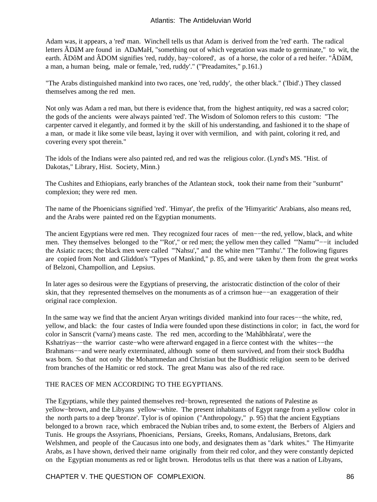Adam was, it appears, a 'red' man. Winchell tells us that Adam is derived from the 'red' earth. The radical letters ÂDâM are found in ADaMaH, "something out of which vegetation was made to germinate," to wit, the earth. ÂDôM and ÂDOM signifies 'red, ruddy, bay−colored', as of a horse, the color of a red heifer. "ÂDâM, a man, a human being, male or female, 'red, ruddy'." ("Preadamites," p.161.)

"The Arabs distinguished mankind into two races, one 'red, ruddy', the other black." ('Ibid'.) They classed themselves among the red men.

Not only was Adam a red man, but there is evidence that, from the highest antiquity, red was a sacred color; the gods of the ancients were always painted 'red'. The Wisdom of Solomon refers to this custom: "The carpenter carved it elegantly, and formed it by the skill of his understanding, and fashioned it to the shape of a man, or made it like some vile beast, laying it over with vermilion, and with paint, coloring it red, and covering every spot therein."

The idols of the Indians were also painted red, and red was the religious color. (Lynd's MS. "Hist. of Dakotas," Library, Hist. Society, Minn.)

The Cushites and Ethiopians, early branches of the Atlantean stock, took their name from their "sunburnt" complexion; they were red men.

The name of the Phoenicians signified 'red'. 'Himyar', the prefix of the 'Himyaritic' Arabians, also means red, and the Arabs were painted red on the Egyptian monuments.

The ancient Egyptians were red men. They recognized four races of men—–the red, yellow, black, and white men. They themselves belonged to the "'Rot'," or red men; the yellow men they called "'Namu'"−−it included the Asiatic races; the black men were called "'Nahsu'," and the white men "'Tamhu'." The following figures are copied from Nott and Gliddon's "Types of Mankind," p. 85, and were taken by them from the great works of Belzoni, Champollion, and Lepsius.

In later ages so desirous were the Egyptians of preserving, the aristocratic distinction of the color of their skin, that they represented themselves on the monuments as of a crimson hue−−an exaggeration of their original race complexion.

In the same way we find that the ancient Aryan writings divided mankind into four races−−the white, red, yellow, and black: the four castes of India were founded upon these distinctions in color; in fact, the word for color in Sanscrit ('varna') means caste. The red men, according to the 'Mahâbhârata', were the Kshatriyas−−the warrior caste−who were afterward engaged in a fierce contest with the whites−−the Brahmans−−and were nearly exterminated, although some of them survived, and from their stock Buddha was born. So that not only the Mohammedan and Christian but the Buddhistic religion seem to be derived from branches of the Hamitic or red stock. The great Manu was also of the red race.

#### THE RACES OF MEN ACCORDING TO THE EGYPTIANS.

The Egyptians, while they painted themselves red−brown, represented the nations of Palestine as yellow−brown, and the Libyans yellow−white. The present inhabitants of Egypt range from a yellow color in the north parts to a deep 'bronze'. Tylor is of opinion ("Anthropology," p. 95) that the ancient Egyptians belonged to a brown race, which embraced the Nubian tribes and, to some extent, the Berbers of Algiers and Tunis. He groups the Assyrians, Phoenicians, Persians, Greeks, Romans, Andalusians, Bretons, dark Welshmen, and people of the Caucasus into one body, and designates them as "dark whites." The Himyarite Arabs, as I have shown, derived their name originally from their red color, and they were constantly depicted on the Egyptian monuments as red or light brown. Herodotus tells us that there was a nation of Libyans,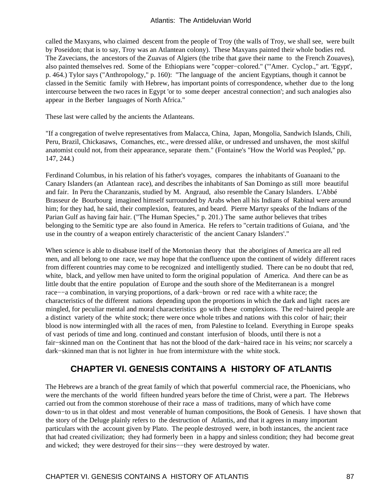called the Maxyans, who claimed descent from the people of Troy (the walls of Troy, we shall see, were built by Poseidon; that is to say, Troy was an Atlantean colony). These Maxyans painted their whole bodies red. The Zavecians, the ancestors of the Zuavas of Algiers (the tribe that gave their name to the French Zouaves), also painted themselves red. Some of the Ethiopians were "copper−colored." ("'Amer. Cyclop.," art. 'Egypt', p. 464.) Tylor says ("Anthropology," p. 160): "The language of the ancient Egyptians, though it cannot be classed in the Semitic family with Hebrew, has important points of correspondence, whether due to the long intercourse between the two races in Egypt 'or to some deeper ancestral connection'; and such analogies also appear in the Berber languages of North Africa."

These last were called by the ancients the Atlanteans.

"If a congregation of twelve representatives from Malacca, China, Japan, Mongolia, Sandwich Islands, Chili, Peru, Brazil, Chickasaws, Comanches, etc., were dressed alike, or undressed and unshaven, the most skilful anatomist could not, from their appearance, separate them." (Fontaine's "How the World was Peopled," pp. 147, 244.)

Ferdinand Columbus, in his relation of his father's voyages, compares the inhabitants of Guanaani to the Canary Islanders (an Atlantean race), and describes the inhabitants of San Domingo as still more beautiful and fair. In Peru the Charanzanis, studied by M. Angraud, also resemble the Canary Islanders. L'Abbé Brasseur de Bourbourg imagined himself surrounded by Arabs when all his Indians of Rabinal were around him; for they had, he said, their complexion, features, and beard. Pierre Martyr speaks of the Indians of the Parian Gulf as having fair hair. ("The Human Species," p. 201.) The same author believes that tribes belonging to the Semitic type are also found in America. He refers to "certain traditions of Guiana, and 'the use in the country of a weapon entirely characteristic of the ancient Canary Islanders'."

When science is able to disabuse itself of the Mortonian theory that the aborigines of America are all red men, and all belong to one race, we may hope that the confluence upon the continent of widely different races from different countries may come to be recognized and intelligently studied. There can be no doubt that red, white, black, and yellow men have united to form the original population of America. And there can be as little doubt that the entire population of Europe and the south shore of the Mediterranean is a mongrel race−−a combination, in varying proportions, of a dark−brown or red race with a white race; the characteristics of the different nations depending upon the proportions in which the dark and light races are mingled, for peculiar mental and moral characteristics go with these complexions. The red−haired people are a distinct variety of the white stock; there were once whole tribes and nations with this color of hair; their blood is now intermingled with all the races of men, from Palestine to Iceland. Everything in Europe speaks of vast periods of time and long. continued and constant interfusion of bloods, until there is not a fair−skinned man on the Continent that has not the blood of the dark−haired race in his veins; nor scarcely a dark−skinned man that is not lighter in hue from intermixture with the white stock.

# **CHAPTER VI. GENESIS CONTAINS A HISTORY OF ATLANTIS**

The Hebrews are a branch of the great family of which that powerful commercial race, the Phoenicians, who were the merchants of the world fifteen hundred years before the time of Christ, were a part. The Hebrews carried out from the common storehouse of their race a mass of traditions, many of which have come down−to us in that oldest and most venerable of human compositions, the Book of Genesis. I have shown that the story of the Deluge plainly refers to the destruction of Atlantis, and that it agrees in many important particulars with the account given by Plato. The people destroyed were, in both instances, the ancient race that had created civilization; they had formerly been in a happy and sinless condition; they had become great and wicked; they were destroyed for their sins−−they were destroyed by water.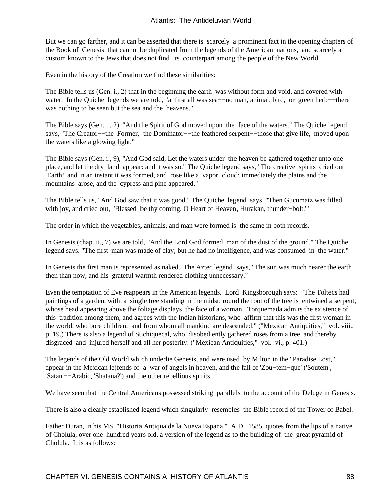But we can go farther, and it can be asserted that there is scarcely a prominent fact in the opening chapters of the Book of Genesis that cannot be duplicated from the legends of the American nations, and scarcely a custom known to the Jews that does not find its counterpart among the people of the New World.

Even in the history of the Creation we find these similarities:

The Bible tells us (Gen. i., 2) that in the beginning the earth was without form and void, and covered with water. In the Quiche legends we are told, "at first all was sea—−no man, animal, bird, or green herb—−there was nothing to be seen but the sea and the heavens."

The Bible says (Gen. i., 2), "And the Spirit of God moved upon the face of the waters." The Quiche legend says, "The Creator–−the Former, the Dominator–−the feathered serpent–−those that give life, moved upon the waters like a glowing light."

The Bible says (Gen. i., 9), "And God said, Let the waters under the heaven be gathered together unto one place, and let the dry land appear: and it was so." The Quiche legend says, "The creative spirits cried out 'Earth!' and in an instant it was formed, and rose like a vapor−cloud; immediately the plains and the mountains arose, and the cypress and pine appeared."

The Bible tells us, "And God saw that it was good." The Quiche legend says, "Then Gucumatz was filled with joy, and cried out, 'Blessed be thy coming, O Heart of Heaven, Hurakan, thunder−bolt.'"

The order in which the vegetables, animals, and man were formed is the same in both records.

In Genesis (chap. ii., 7) we are told, "And the Lord God formed man of the dust of the ground." The Quiche legend says. "The first man was made of clay; but he had no intelligence, and was consumed in the water."

In Genesis the first man is represented as naked. The Aztec legend says, "The sun was much nearer the earth then than now, and his grateful warmth rendered clothing unnecessary."

Even the temptation of Eve reappears in the American legends. Lord Kingsborough says: "The Toltecs had paintings of a garden, with a single tree standing in the midst; round the root of the tree is entwined a serpent, whose head appearing above the foliage displays the face of a woman. Torquemada admits the existence of this tradition among them, and agrees with the Indian historians, who affirm that this was the first woman in the world, who bore children, and from whom all mankind are descended." ("Mexican Antiquities," vol. viii., p. 19.) There is also a legend of Suchiquecal, who disobediently gathered roses from a tree, and thereby disgraced and injured herself and all her posterity. ("Mexican Antiquities," vol. vi., p. 401.)

The legends of the Old World which underlie Genesis, and were used by Milton in the "Paradise Lost," appear in the Mexican le(fends of a war of angels in heaven, and the fall of 'Zou−tem−que' ('Soutem', 'Satan'−−Arabic, 'Shatana?') and the other rebellious spirits.

We have seen that the Central Americans possessed striking parallels to the account of the Deluge in Genesis.

There is also a clearly established legend which singularly resembles the Bible record of the Tower of Babel.

Father Duran, in his MS. "Historia Antiqua de la Nueva Espana," A.D. 1585, quotes from the lips of a native of Cholula, over one hundred years old, a version of the legend as to the building of the great pyramid of Cholula. It is as follows: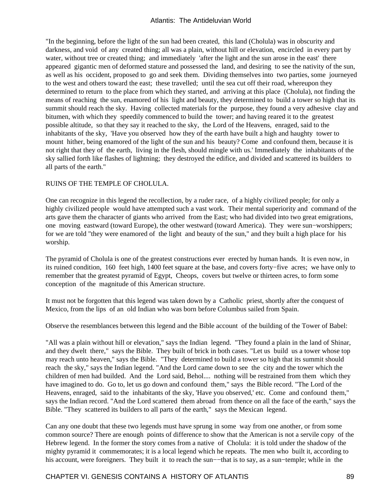"In the beginning, before the light of the sun had been created, this land (Cholula) was in obscurity and darkness, and void of any created thing; all was a plain, without hill or elevation, encircled in every part by water, without tree or created thing; and immediately 'after the light and the sun arose in the east' there appeared gigantic men of deformed stature and possessed the land, and desiring to see the nativity of the sun, as well as his occident, proposed to go and seek them. Dividing themselves into two parties, some journeyed to the west and others toward the east; these travelled; until the sea cut off their road, whereupon they determined to return to the place from which they started, and arriving at this place (Cholula), not finding the means of reaching the sun, enamored of his light and beauty, they determined to build a tower so high that its summit should reach the sky. Having collected materials for the purpose, they found a very adhesive clay and bitumen, with which they speedily commenced to build the tower; and having reared it to the greatest possible altitude, so that they say it reached to the sky, the Lord of the Heavens, enraged, said to the inhabitants of the sky, 'Have you observed how they of the earth have built a high and haughty tower to mount hither, being enamored of the light of the sun and his beauty? Come and confound them, because it is not right that they of the earth, living in the flesh, should mingle with us.' Immediately the inhabitants of the sky sallied forth like flashes of lightning; they destroyed the edifice, and divided and scattered its builders to all parts of the earth."

## RUINS OF THE TEMPLE OF CHOLULA.

One can recognize in this legend the recollection, by a ruder race, of a highly civilized people; for only a highly civilized people would have attempted such a vast work. Their mental superiority and command of the arts gave them the character of giants who arrived from the East; who had divided into two great emigrations, one moving eastward (toward Europe), the other westward (toward America). They were sun−worshippers; for we are told "they were enamored of the light and beauty of the sun," and they built a high place for his worship.

The pyramid of Cholula is one of the greatest constructions ever erected by human hands. It is even now, in its ruined condition, 160 feet high, 1400 feet square at the base, and covers forty−five acres; we have only to remember that the greatest pyramid of Egypt, Cheops, covers but twelve or thirteen acres, to form some conception of the magnitude of this American structure.

It must not be forgotten that this legend was taken down by a Catholic priest, shortly after the conquest of Mexico, from the lips of an old Indian who was born before Columbus sailed from Spain.

Observe the resemblances between this legend and the Bible account of the building of the Tower of Babel:

"All was a plain without hill or elevation," says the Indian legend. "They found a plain in the land of Shinar, and they dwelt there," says the Bible. They built of brick in both cases. "Let us build us a tower whose top may reach unto heaven," says the Bible. "They determined to build a tower so high that its summit should reach the sky," says the Indian legend. "And the Lord came down to see the city and the tower which the children of men had builded. And the Lord said, Behol.... nothing will be restrained from them which they have imagined to do. Go to, let us go down and confound them," says the Bible record. "The Lord of the Heavens, enraged, said to the inhabitants of the sky, 'Have you observed,' etc. Come and confound them," says the Indian record. "And the Lord scattered them abroad from thence on all the face of the earth," says the Bible. "They scattered its builders to all parts of the earth," says the Mexican legend.

Can any one doubt that these two legends must have sprung in some way from one another, or from some common source? There are enough points of difference to show that the American is not a servile copy of the Hebrew legend. In the former the story comes from a native of Cholula: it is told under the shadow of the mighty pyramid it commemorates; it is a local legend which he repeats. The men who built it, according to his account, were foreigners. They built it to reach the sun−−that is to say, as a sun−temple; while in the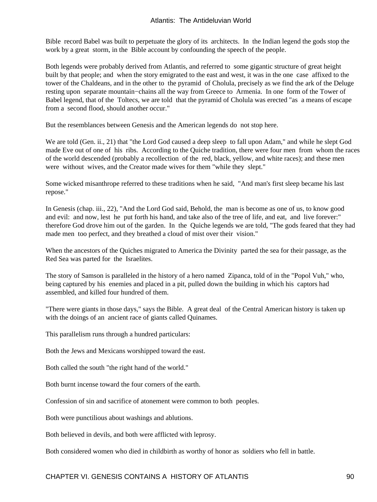Bible record Babel was built to perpetuate the glory of its architects. In the Indian legend the gods stop the work by a great storm, in the Bible account by confounding the speech of the people.

Both legends were probably derived from Atlantis, and referred to some gigantic structure of great height built by that people; and when the story emigrated to the east and west, it was in the one case affixed to the tower of the Chaldeans, and in the other to the pyramid of Cholula, precisely as we find the ark of the Deluge resting upon separate mountain−chains all the way from Greece to Armenia. In one form of the Tower of Babel legend, that of the Toltecs, we are told that the pyramid of Cholula was erected "as a means of escape from a second flood, should another occur."

But the resemblances between Genesis and the American legends do not stop here.

We are told (Gen. ii., 21) that "the Lord God caused a deep sleep to fall upon Adam," and while he slept God made Eve out of one of his ribs. According to the Quiche tradition, there were four men from whom the races of the world descended (probably a recollection of the red, black, yellow, and white races); and these men were without wives, and the Creator made wives for them "while they slept."

Some wicked misanthrope referred to these traditions when he said, "And man's first sleep became his last repose."

In Genesis (chap. iii., 22), "And the Lord God said, Behold, the man is become as one of us, to know good and evil: and now, lest he put forth his hand, and take also of the tree of life, and eat, and live forever:" therefore God drove him out of the garden. In the Quiche legends we are told, "The gods feared that they had made men too perfect, and they breathed a cloud of mist over their vision."

When the ancestors of the Quiches migrated to America the Divinity parted the sea for their passage, as the Red Sea was parted for the Israelites.

The story of Samson is paralleled in the history of a hero named Zipanca, told of in the "Popol Vuh," who, being captured by his enemies and placed in a pit, pulled down the building in which his captors had assembled, and killed four hundred of them.

"There were giants in those days," says the Bible. A great deal of the Central American history is taken up with the doings of an ancient race of giants called Quinames.

This parallelism runs through a hundred particulars:

Both the Jews and Mexicans worshipped toward the east.

Both called the south "the right hand of the world."

Both burnt incense toward the four corners of the earth.

Confession of sin and sacrifice of atonement were common to both peoples.

Both were punctilious about washings and ablutions.

Both believed in devils, and both were afflicted with leprosy.

Both considered women who died in childbirth as worthy of honor as soldiers who fell in battle.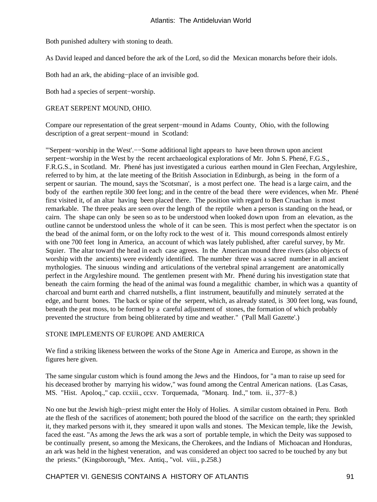Both punished adultery with stoning to death.

As David leaped and danced before the ark of the Lord, so did the Mexican monarchs before their idols.

Both had an ark, the abiding−place of an invisible god.

Both had a species of serpent−worship.

# GREAT SERPENT MOUND, OHIO.

Compare our representation of the great serpent−mound in Adams County, Ohio, with the following description of a great serpent−mound in Scotland:

"'Serpent−worship in the West'.−−Some additional light appears to have been thrown upon ancient serpent−worship in the West by the recent archaeological explorations of Mr. John S. Phené, F.G.S., F.R.G.S., in Scotland. Mr. Phené has just investigated a curious earthen mound in Glen Feechan, Argyleshire, referred to by him, at the late meeting of the British Association in Edinburgh, as being in the form of a serpent or saurian. The mound, says the 'Scotsman', is a most perfect one. The head is a large cairn, and the body of the earthen reptile 300 feet long; and in the centre of the bead there were evidences, when Mr. Phené first visited it, of an altar having been placed there. The position with regard to Ben Cruachan is most remarkable. The three peaks are seen over the length of the reptile when a person is standing on the head, or cairn. The shape can only be seen so as to be understood when looked down upon from an elevation, as the outline cannot be understood unless the whole of it can be seen. This is most perfect when the spectator is on the bead of the animal form, or on the lofty rock to the west of it. This mound corresponds almost entirely with one 700 feet long in America, an account of which was lately published, after careful survey, by Mr. Squier. The altar toward the head in each case agrees. In the American mound three rivers (also objects of worship with the ancients) were evidently identified. The number three was a sacred number in all ancient mythologies. The sinuous winding and articulations of the vertebral spinal arrangement are anatomically perfect in the Argyleshire mound. The gentlemen present with Mr. Phené during his investigation state that beneath the cairn forming the head of the animal was found a megalithic chamber, in which was a quantity of charcoal and burnt earth and charred nutshells, a flint instrument, beautifully and minutely serrated at the edge, and burnt bones. The back or spine of the serpent, which, as already stated, is 300 feet long, was found, beneath the peat moss, to be formed by a careful adjustment of stones, the formation of which probably prevented the structure from being obliterated by time and weather." ('Pall Mall Gazette'.)

# STONE IMPLEMENTS OF EUROPE AND AMERICA

We find a striking likeness between the works of the Stone Age in America and Europe, as shown in the figures here given.

The same singular custom which is found among the Jews and the Hindoos, for "a man to raise up seed for his deceased brother by marrying his widow," was found among the Central American nations. (Las Casas, MS. "Hist. Apoloq.," cap. ccxiii., ccxv. Torquemada, "Monarq. Ind.," tom. ii., 377−8.)

No one but the Jewish high−priest might enter the Holy of Holies. A similar custom obtained in Peru. Both ate the flesh of the sacrifices of atonement; both poured the blood of the sacrifice on the earth; they sprinkled it, they marked persons with it, they smeared it upon walls and stones. The Mexican temple, like the Jewish, faced the east. "As among the Jews the ark was a sort of portable temple, in which the Deity was supposed to be continually present, so among the Mexicans, the Cherokees, and the Indians of Michoacan and Honduras, an ark was held in the highest veneration, and was considered an object too sacred to be touched by any but the priests." (Kingsborough, "Mex. Antiq., "vol. viii., p.258.)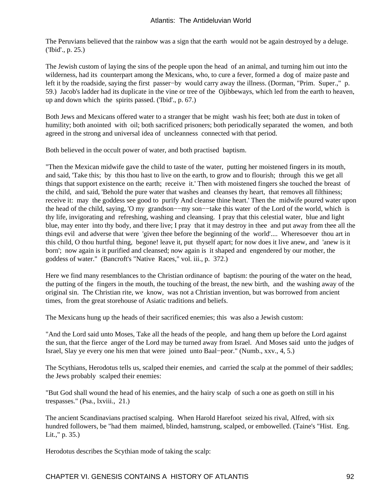The Peruvians believed that the rainbow was a sign that the earth would not be again destroyed by a deluge. ('Ibid'., p. 25.)

The Jewish custom of laying the sins of the people upon the head of an animal, and turning him out into the wilderness, had its counterpart among the Mexicans, who, to cure a fever, formed a dog of maize paste and left it by the roadside, saying the first passer−by would carry away the illness. (Dorman, "Prim. Super.," p. 59.) Jacob's ladder had its duplicate in the vine or tree of the Ojibbeways, which led from the earth to heaven, up and down which the spirits passed. ('Ibid'., p. 67.)

Both Jews and Mexicans offered water to a stranger that be might wash his feet; both ate dust in token of humility; both anointed with oil; both sacrificed prisoners; both periodically separated the women, and both agreed in the strong and universal idea of uncleanness connected with that period.

Both believed in the occult power of water, and both practised baptism.

"Then the Mexican midwife gave the child to taste of the water, putting her moistened fingers in its mouth, and said, 'Take this; by this thou hast to live on the earth, to grow and to flourish; through this we get all things that support existence on the earth; receive it.' Then with moistened fingers she touched the breast of the child, and said, 'Behold the pure water that washes and cleanses thy heart, that removes all filthiness; receive it: may the goddess see good to purify And cleanse thine heart.' Then the midwife poured water upon the head of the child, saying, 'O my grandson−−my son−−take this water of the Lord of the world, which is thy life, invigorating and refreshing, washing and cleansing. I pray that this celestial water, blue and light blue, may enter into thy body, and there live; I pray that it may destroy in thee and put away from thee all the things evil and adverse that were 'given thee before the beginning of the world'.... Wheresoever thou art in this child, O thou hurtful thing, begone! leave it, put thyself apart; for now does it live anew, and 'anew is it born'; now again is it purified and cleansed; now again is it shaped and engendered by our mother, the goddess of water." (Bancroft's "Native Races," vol. iii., p. 372.)

Here we find many resemblances to the Christian ordinance of baptism: the pouring of the water on the head, the putting of the fingers in the mouth, the touching of the breast, the new birth, and the washing away of the original sin. The Christian rite, we know, was not a Christian invention, but was borrowed from ancient times, from the great storehouse of Asiatic traditions and beliefs.

The Mexicans hung up the heads of their sacrificed enemies; this was also a Jewish custom:

"And the Lord said unto Moses, Take all the heads of the people, and hang them up before the Lord against the sun, that the fierce anger of the Lord may be turned away from Israel. And Moses said unto the judges of Israel, Slay ye every one his men that were joined unto Baal−peor." (Numb., xxv., 4, 5.)

The Scythians, Herodotus tells us, scalped their enemies, and carried the scalp at the pommel of their saddles; the Jews probably scalped their enemies:

"But God shall wound the head of his enemies, and the hairy scalp of such a one as goeth on still in his trespasses." (Psa., lxviii., 21.)

The ancient Scandinavians practised scalping. When Harold Harefoot seized his rival, Alfred, with six hundred followers, be "had them maimed, blinded, hamstrung, scalped, or embowelled. (Taine's "Hist. Eng. Lit.," p. 35.)

Herodotus describes the Scythian mode of taking the scalp: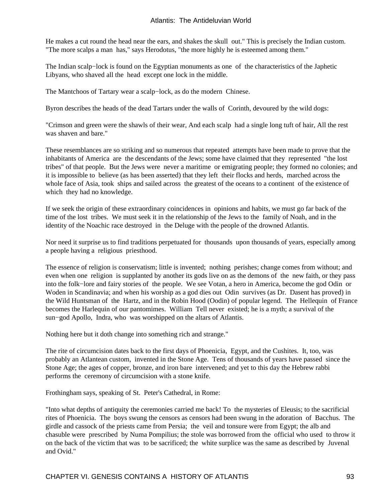He makes a cut round the head near the ears, and shakes the skull out." This is precisely the Indian custom. "The more scalps a man has," says Herodotus, "the more highly he is esteemed among them."

The Indian scalp−lock is found on the Egyptian monuments as one of the characteristics of the Japhetic Libyans, who shaved all the head except one lock in the middle.

The Mantchoos of Tartary wear a scalp−lock, as do the modern Chinese.

Byron describes the heads of the dead Tartars under the walls of Corinth, devoured by the wild dogs:

"Crimson and green were the shawls of their wear, And each scalp had a single long tuft of hair, All the rest was shaven and bare."

These resemblances are so striking and so numerous that repeated attempts have been made to prove that the inhabitants of America are the descendants of the Jews; some have claimed that they represented "the lost tribes" of that people. But the Jews were never a maritime or emigrating people; they formed no colonies; and it is impossible to believe (as has been asserted) that they left their flocks and herds, marched across the whole face of Asia, took ships and sailed across the greatest of the oceans to a continent of the existence of which they had no knowledge.

If we seek the origin of these extraordinary coincidences in opinions and habits, we must go far back of the time of the lost tribes. We must seek it in the relationship of the Jews to the family of Noah, and in the identity of the Noachic race destroyed in the Deluge with the people of the drowned Atlantis.

Nor need it surprise us to find traditions perpetuated for thousands upon thousands of years, especially among a people having a religious priesthood.

The essence of religion is conservatism; little is invented; nothing perishes; change comes from without; and even when one religion is supplanted by another its gods live on as the demons of the new faith, or they pass into the folk−lore and fairy stories of the people. We see Votan, a hero in America, become the god Odin or Woden in Scandinavia; and when his worship as a god dies out Odin survives (as Dr. Dasent has proved) in the Wild Huntsman of the Hartz, and in the Robin Hood (Oodin) of popular legend. The Hellequin of France becomes the Harlequin of our pantomimes. William Tell never existed; he is a myth; a survival of the sun−god Apollo, Indra, who was worshipped on the altars of Atlantis.

Nothing here but it doth change into something rich and strange."

The rite of circumcision dates back to the first days of Phoenicia, Egypt, and the Cushites. It, too, was probably an Atlantean custom, invented in the Stone Age. Tens of thousands of years have passed since the Stone Age; the ages of copper, bronze, and iron bare intervened; and yet to this day the Hebrew rabbi performs the ceremony of circumcision with a stone knife.

Frothingham says, speaking of St. Peter's Cathedral, in Rome:

"Into what depths of antiquity the ceremonies carried me back! To the mysteries of Eleusis; to the sacrificial rites of Phoenicia. The boys swung the censors as censors had been swung in the adoration of Bacchus. The girdle and cassock of the priests came from Persia; the veil and tonsure were from Egypt; the alb and chasuble were prescribed by Numa Pompilius; the stole was borrowed from the official who used to throw it on the back of the victim that was to be sacrificed; the white surplice was the same as described by Juvenal and Ovid."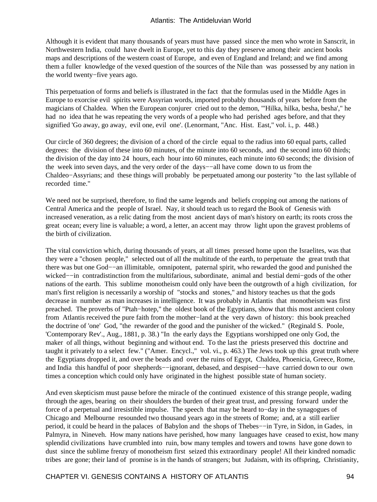Although it is evident that many thousands of years must have passed since the men who wrote in Sanscrit, in Northwestern India, could have dwelt in Europe, yet to this day they preserve among their ancient books maps and descriptions of the western coast of Europe, and even of England and Ireland; and we find among them a fuller knowledge of the vexed question of the sources of the Nile than was possessed by any nation in the world twenty−five years ago.

This perpetuation of forms and beliefs is illustrated in the fact that the formulas used in the Middle Ages in Europe to exorcise evil spirits were Assyrian words, imported probably thousands of years before from the magicians of Chaldea. When the European conjurer cried out to the demon, "'Hilka, hilka, besha, besha'," he had no idea that he was repeating the very words of a people who had perished ages before, and that they signified 'Go away, go away, evil one, evil one'. (Lenormant, "Anc. Hist. East," vol. i., p. 448.)

Our circle of 360 degrees; the division of a chord of the circle equal to the radius into 60 equal parts, called degrees: the division of these into 60 minutes, of the minute into 60 seconds, and the second into 60 thirds; the division of the day into 24 hours, each hour into 60 minutes, each minute into 60 seconds; the division of the week into seven days, and the very order of the days−−all have come down to us from the Chaldeo−Assyrians; and these things will probably be perpetuated among our posterity "to the last syllable of recorded time."

We need not be surprised, therefore, to find the same legends and beliefs cropping out among the nations of Central America and the people of Israel. Nay, it should teach us to regard the Book of Genesis with increased veneration, as a relic dating from the most ancient days of man's history on earth; its roots cross the great ocean; every line is valuable; a word, a letter, an accent may throw light upon the gravest problems of the birth of civilization.

The vital conviction which, during thousands of years, at all times pressed home upon the Israelites, was that they were a "chosen people," selected out of all the multitude of the earth, to perpetuate the great truth that there was but one God−−an illimitable, omnipotent, paternal spirit, who rewarded the good and punished the wicked−−in contradistinction from the multifarious, subordinate, animal and bestial demi−gods of the other nations of the earth. This sublime monotheism could only have been the outgrowth of a high civilization, for man's first religion is necessarily a worship of "stocks and stones," and history teaches us that the gods decrease in number as man increases in intelligence. It was probably in Atlantis that monotheism was first preached. The proverbs of "Ptah−hotep," the oldest book of the Egyptians, show that this most ancient colony from Atlantis received the pure faith from the mother−land at the very dawn of history: this book preached the doctrine of 'one' God, "the rewarder of the good and the punisher of the wicked." (Reginald S. Poole, 'Contemporary Rev'., Aug., 1881, p. 38.) "In the early days the Egyptians worshipped one only God, the maker of all things, without beginning and without end. To the last the priests preserved this doctrine and taught it privately to a select few." ("Amer. Encycl.," vol. vi., p. 463.) The Jews took up this great truth where the Egyptians dropped it, and over the beads and over the ruins of Egypt, Chaldea, Phoenicia, Greece, Rome, and India this handful of poor shepherds−−ignorant, debased, and despised−−have carried down to our own times a conception which could only have originated in the highest possible state of human society.

And even skepticism must pause before the miracle of the continued existence of this strange people, wading through the ages, bearing on their shoulders the burden of their great trust, and pressing forward under the force of a perpetual and irresistible impulse. The speech that may be heard to−day in the synagogues of Chicago and Melbourne resounded two thousand years ago in the streets of Rome; and, at a still earlier period, it could be heard in the palaces of Babylon and the shops of Thebes−−in Tyre, in Sidon, in Gades, in Palmyra, in Nineveh. How many nations have perished, how many languages have ceased to exist, how many splendid civilizations have crumbled into ruin, bow many temples and towers and towns have gone down to dust since the sublime frenzy of monotheism first seized this extraordinary people! All their kindred nomadic tribes are gone; their land of promise is in the hands of strangers; but Judaism, with its offspring, Christianity,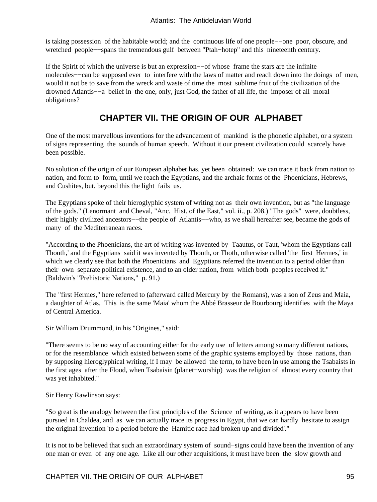is taking possession of the habitable world; and the continuous life of one people−−one poor, obscure, and wretched people−−spans the tremendous gulf between "Ptah−hotep" and this nineteenth century.

If the Spirit of which the universe is but an expression−−of whose frame the stars are the infinite molecules−−can be supposed ever to interfere with the laws of matter and reach down into the doings of men, would it not be to save from the wreck and waste of time the most sublime fruit of the civilization of the drowned Atlantis−−a belief in the one, only, just God, the father of all life, the imposer of all moral obligations?

# **CHAPTER VII. THE ORIGIN OF OUR ALPHABET**

One of the most marvellous inventions for the advancement of mankind is the phonetic alphabet, or a system of signs representing the sounds of human speech. Without it our present civilization could scarcely have been possible.

No solution of the origin of our European alphabet has. yet been obtained: we can trace it back from nation to nation, and form to form, until we reach the Egyptians, and the archaic forms of the Phoenicians, Hebrews, and Cushites, but. beyond this the light fails us.

The Egyptians spoke of their hieroglyphic system of writing not as their own invention, but as "the language of the gods." (Lenormant and Cheval, "Anc. Hist. of the East," vol. ii., p. 208.) "The gods" were, doubtless, their highly civilized ancestors−−the people of Atlantis−−who, as we shall hereafter see, became the gods of many of the Mediterranean races.

"According to the Phoenicians, the art of writing was invented by Taautus, or Taut, 'whom the Egyptians call Thouth,' and the Egyptians said it was invented by Thouth, or Thoth, otherwise called 'the first Hermes,' in which we clearly see that both the Phoenicians and Egyptians referred the invention to a period older than their own separate political existence, and to an older nation, from which both peoples received it." (Baldwin's "Prehistoric Nations," p. 91.)

The "first Hermes," here referred to (afterward called Mercury by the Romans), was a son of Zeus and Maia, a daughter of Atlas. This is the same 'Maia' whom the Abbé Brasseur de Bourbourg identifies with the Maya of Central America.

Sir William Drummond, in his "Origines," said:

"There seems to be no way of accounting either for the early use of letters among so many different nations, or for the resemblance which existed between some of the graphic systems employed by those nations, than by supposing hieroglyphical writing, if I may be allowed the term, to have been in use among the Tsabaists in the first ages after the Flood, when Tsabaisin (planet−worship) was the religion of almost every country that was yet inhabited."

Sir Henry Rawlinson says:

"So great is the analogy between the first principles of the Science of writing, as it appears to have been pursued in Chaldea, and as we can actually trace its progress in Egypt, that we can hardly hesitate to assign the original invention 'to a period before the Hamitic race had broken up and divided'."

It is not to be believed that such an extraordinary system of sound−signs could have been the invention of any one man or even of any one age. Like all our other acquisitions, it must have been the slow growth and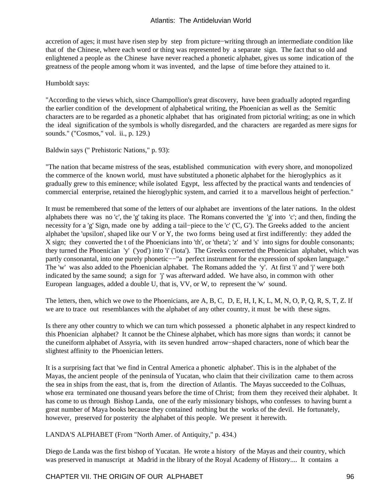accretion of ages; it must have risen step by step from picture−writing through an intermediate condition like that of the Chinese, where each word or thing was represented by a separate sign. The fact that so old and enlightened a people as the Chinese have never reached a phonetic alphabet, gives us some indication of the greatness of the people among whom it was invented, and the lapse of time before they attained to it.

Humboldt says:

"According to the views which, since Champollion's great discovery, have been gradually adopted regarding the earlier condition of the development of alphabetical writing, the Phoenician as well as the Semitic characters are to be regarded as a phonetic alphabet that has originated from pictorial writing; as one in which the ideal signification of the symbols is wholly disregarded, and the characters are regarded as mere signs for sounds." ("Cosmos," vol. ii., p. 129.)

Baldwin says (" Prehistoric Nations," p. 93):

"The nation that became mistress of the seas, established communication with every shore, and monopolized the commerce of the known world, must have substituted a phonetic alphabet for the hieroglyphics as it gradually grew to this eminence; while isolated Egypt, less affected by the practical wants and tendencies of commercial enterprise, retained the hieroglyphic system, and carried it to a marvellous height of perfection."

It must be remembered that some of the letters of our alphabet are inventions of the later nations. In the oldest alphabets there was no 'c', the 'g' taking its place. The Romans converted the 'g' into 'c'; and then, finding the necessity for a 'g' Sign, made one by adding a tail−piece to the 'c' ('C, G'). The Greeks added to the ancient alphabet the 'upsilon', shaped like our V or Y, the two forms being used at first indifferently: they added the X sign; they converted the t of the Phoenicians into 'th', or 'theta'; 'z' and 's' into signs for double consonants; they turned the Phoenician 'y' ('yod') into 'i' ('iota'). The Greeks converted the Phoenician alphabet, which was partly consonantal, into one purely phonetic−−"a perfect instrument for the expression of spoken language." The 'w' was also added to the Phoenician alphabet. The Romans added the 'y'. At first 'i' and 'j' were both indicated by the same sound; a sign for 'j' was afterward added. We have also, in common with other European languages, added a double U, that is, VV, or W, to represent the 'w' sound.

The letters, then, which we owe to the Phoenicians, are A, B, C, D, E, H, I, K, L, M, N, O, P, Q, R, S, T, Z. If we are to trace out resemblances with the alphabet of any other country, it must be with these signs.

Is there any other country to which we can turn which possessed a phonetic alphabet in any respect kindred to this Phoenician alphabet? It cannot be the Chinese alphabet, which has more signs than words; it cannot be the cuneiform alphabet of Assyria, with its seven hundred arrow−shaped characters, none of which bear the slightest affinity to the Phoenician letters.

It is a surprising fact that 'we find in Central America a phonetic alphabet'. This is in the alphabet of the Mayas, the ancient people of the peninsula of Yucatan, who claim that their civilization came to them across the sea in ships from the east, that is, from the direction of Atlantis. The Mayas succeeded to the Colhuas, whose era terminated one thousand years before the time of Christ; from them they received their alphabet. It has come to us through Bishop Landa, one of the early missionary bishops, who confesses to having burnt a great number of Maya books because they contained nothing but the works of the devil. He fortunately, however, preserved for posterity the alphabet of this people. We present it herewith.

LANDA'S ALPHABET (From "North Amer. of Antiquity," p. 434.)

Diego de Landa was the first bishop of Yucatan. He wrote a history of the Mayas and their country, which was preserved in manuscript at Madrid in the library of the Royal Academy of History.... It contains a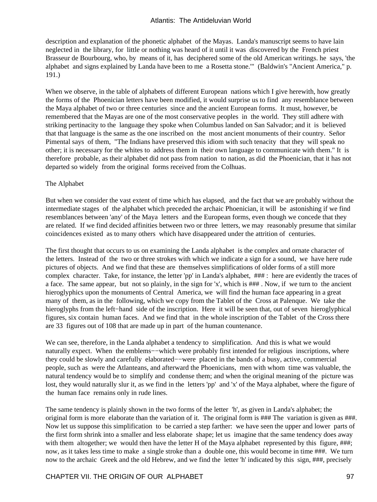description and explanation of the phonetic alphabet of the Mayas. Landa's manuscript seems to have lain neglected in the library, for little or nothing was heard of it until it was discovered by the French priest Brasseur de Bourbourg, who, by means of it, has deciphered some of the old American writings. he says, 'the alphabet and signs explained by Landa have been to me a Rosetta stone.'" (Baldwin's "Ancient America," p. 191.)

When we observe, in the table of alphabets of different European nations which I give herewith, how greatly the forms of the Phoenician letters have been modified, it would surprise us to find any resemblance between the Maya alphabet of two or three centuries since and the ancient European forms. It must, however, be remembered that the Mayas are one of the most conservative peoples in the world. They still adhere with striking pertinacity to the language they spoke when Columbus landed on San Salvador; and it is believed that that language is the same as the one inscribed on the most ancient monuments of their country. Señor Pimental says of them, "The Indians have preserved this idiom with such tenacity that they will speak no other; it is necessary for the whites to address them in their own language to communicate with them." It is therefore probable, as their alphabet did not pass from nation to nation, as did the Phoenician, that it has not departed so widely from the original forms received from the Colhuas.

#### The Alphabet

But when we consider the vast extent of time which has elapsed, and the fact that we are probably without the intermediate stages of the alphabet which preceded the archaic Phoenician, it will be astonishing if we find resemblances between 'any' of the Maya letters and the European forms, even though we concede that they are related. If we find decided affinities between two or three letters, we may reasonably presume that similar coincidences existed as to many others which have disappeared under the attrition of centuries.

The first thought that occurs to us on examining the Landa alphabet is the complex and ornate character of the letters. Instead of the two or three strokes with which we indicate a sign for a sound, we have here rude pictures of objects. And we find that these are themselves simplifications of older forms of a still more complex character. Take, for instance, the letter 'pp' in Landa's alphabet, ### : here are evidently the traces of a face. The same appear, but not so plainly, in the sign for 'x', which is ### . Now, if we turn to the ancient hieroglyphics upon the monuments of Central America, we will find the human face appearing in a great many of them, as in the following, which we copy from the Tablet of the Cross at Palenque. We take the hieroglyphs from the left−hand side of the inscription. Here it will be seen that, out of seven hieroglyphical figures, six contain human faces. And we find that in the whole inscription of the Tablet of the Cross there are 33 figures out of 108 that are made up in part of the human countenance.

We can see, therefore, in the Landa alphabet a tendency to simplification. And this is what we would naturally expect. When the emblems--which were probably first intended for religious inscriptions, where they could be slowly and carefully elaborated−−were placed in the bands of a busy, active, commercial people, such as were the Atlanteans, and afterward the Phoenicians, men with whom time was valuable, the natural tendency would be to simplify and condense them; and when the original meaning of the picture was lost, they would naturally slur it, as we find in the letters 'pp' and 'x' of the Maya alphabet, where the figure of the human face remains only in rude lines.

The same tendency is plainly shown in the two forms of the letter 'h', as given in Landa's alphabet; the original form is more elaborate than the variation of it. The original form is ### The variation is given as ###. Now let us suppose this simplification to be carried a step farther: we have seen the upper and lower parts of the first form shrink into a smaller and less elaborate shape; let us imagine that the same tendency does away with them altogether; we would then have the letter H of the Maya alphabet represented by this figure, ###; now, as it takes less time to make a single stroke than a double one, this would become in time ###. We turn now to the archaic Greek and the old Hebrew, and we find the letter 'h' indicated by this sign, ###, precisely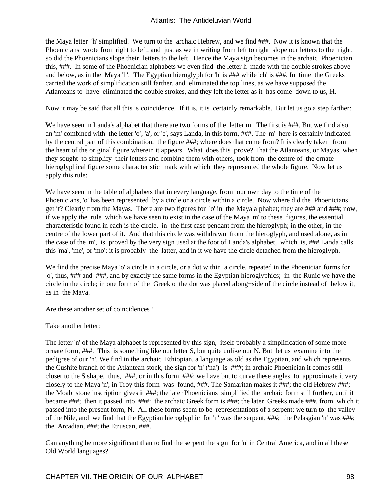the Maya letter 'h' simplified. We turn to the archaic Hebrew, and we find ###. Now it is known that the Phoenicians wrote from right to left, and just as we in writing from left to right slope our letters to the right, so did the Phoenicians slope their letters to the left. Hence the Maya sign becomes in the archaic Phoenician this, ###. In some of the Phoenician alphabets we even find the letter h made with the double strokes above and below, as in the Maya 'h'. The Egyptian hieroglyph for 'h' is ### while 'ch' is ###. In time the Greeks carried the work of simplification still farther, and eliminated the top lines, as we have supposed the Atlanteans to have eliminated the double strokes, and they left the letter as it has come down to us, H.

Now it may be said that all this is coincidence. If it is, it is certainly remarkable. But let us go a step farther:

We have seen in Landa's alphabet that there are two forms of the letter m. The first is ###. But we find also an 'm' combined with the letter 'o', 'a', or 'e', says Landa, in this form, ###. The 'm' here is certainly indicated by the central part of this combination, the figure ###; where does that come from? It is clearly taken from the heart of the original figure wherein it appears. What does this prove? That the Atlanteans, or Mayas, when they sought to simplify their letters and combine them with others, took from the centre of the ornate hieroglyphical figure some characteristic mark with which they represented the whole figure. Now let us apply this rule:

We have seen in the table of alphabets that in every language, from our own day to the time of the Phoenicians, 'o' has been represented by a circle or a circle within a circle. Now where did the Phoenicians get it? Clearly from the Mayas. There are two figures for 'o' in the Maya alphabet; they are ### and ###; now, if we apply the rule which we have seen to exist in the case of the Maya 'm' to these figures, the essential characteristic found in each is the circle, in the first case pendant from the hieroglyph; in the other, in the centre of the lower part of it. And that this circle was withdrawn from the hieroglyph, and used alone, as in the case of the 'm', is proved by the very sign used at the foot of Landa's alphabet, which is, ### Landa calls this 'ma', 'me', or 'mo'; it is probably the latter, and in it we have the circle detached from the hieroglyph.

We find the precise Maya 'o' a circle in a circle, or a dot within a circle, repeated in the Phoenician forms for 'o', thus, ### and ###, and by exactly the same forms in the Egyptian hieroglyphics; in the Runic we have the circle in the circle; in one form of the Greek o the dot was placed along−side of the circle instead of below it, as in the Maya.

Are these another set of coincidences?

Take another letter:

The letter 'n' of the Maya alphabet is represented by this sign, itself probably a simplification of some more ornate form, ###. This is something like our letter S, but quite unlike our N. But let us examine into the pedigree of our 'n'. We find in the archaic Ethiopian, a language as old as the Egyptian, and which represents the Cushite branch of the Atlantean stock, the sign for 'n' ('na') is ###; in archaic Phoenician it comes still closer to the S shape, thus, ###, or in this form, ###; we have but to curve these angles to approximate it very closely to the Maya 'n'; in Troy this form was found, ###. The Samaritan makes it ###; the old Hebrew ###; the Moab stone inscription gives it ###; the later Phoenicians simplified the archaic form still further, until it became ###; then it passed into ###: the archaic Greek form is ###; the later Greeks made ###, from which it passed into the present form, N. All these forms seem to be representations of a serpent; we turn to the valley of the Nile, and we find that the Egyptian hieroglyphic for 'n' was the serpent, ###; the Pelasgian 'n' was ###; the Arcadian, ###; the Etruscan, ###.

Can anything be more significant than to find the serpent the sign for 'n' in Central America, and in all these Old World languages?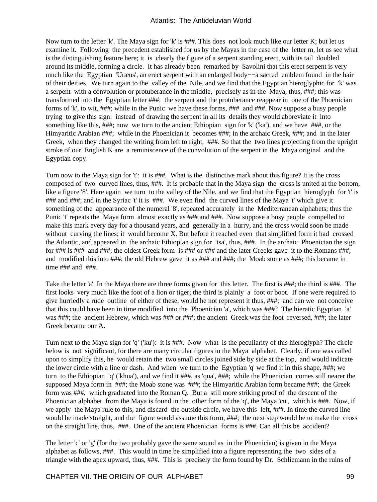Now turn to the letter 'k'. The Maya sign for 'k' is ###. This does not look much like our letter K; but let us examine it. Following the precedent established for us by the Mayas in the case of the letter m, let us see what is the distinguishing feature here; it is clearly the figure of a serpent standing erect, with its tail doubled around its middle, forming a circle. It has already been remarked by Savolini that this erect serpent is very much like the Egyptian 'Uræus', an erect serpent with an enlarged body−−a sacred emblem found in the hair of their deities. We turn again to the valley of the Nile, and we find that the Egyptian hieroglyphic for 'k' was a serpent with a convolution or protuberance in the middle, precisely as in the Maya, thus, ###; this was transformed into the Egyptian letter ###; the serpent and the protuberance reappear in one of the Phoenician forms of 'k', to wit, ###; while in the Punic we have these forms, ### and ###. Now suppose a busy people trying to give this sign: instead of drawing the serpent in all its details they would abbreviate it into something like this, ###; now we turn to the ancient Ethiopian sign for 'k' ('ka'), and we have ###, or the Himyaritic Arabian ###; while in the Phoenician it becomes ###; in the archaic Greek, ###; and in the later Greek, when they changed the writing from left to right, ###. So that the two lines projecting from the upright stroke of our English K are a reminiscence of the convolution of the serpent in the Maya original and the Egyptian copy.

Turn now to the Maya sign for 't': it is ###. What is the distinctive mark about this figure? It is the cross composed of two curved lines, thus, ###. It is probable that in the Maya sign the cross is united at the bottom, like a figure '8'. Here again we turn to the valley of the Nile, and we find that the Egyptian hieroglyph for 't' is ### and ###; and in the Syriac 't' it is ###. We even find the curved lines of the Maya 't' which give it something of the appearance of the numeral '8', repeated accurately in the Mediterranean alphabets; thus the Punic 't' repeats the Maya form almost exactly as ### and ###. Now suppose a busy people compelled to make this mark every day for a thousand years, and generally in a hurry, and the cross would soon be made without curving the lines; it would become X. But before it reached even that simplified form it had crossed the Atlantic, and appeared in the archaic Ethiopian sign for 'tsa', thus, ###. In the archaic Phoenician the sign for ### is ### and ###; the oldest Greek form is ### or ### and the later Greeks gave it to the Romans ###, and modified this into ###; the old Hebrew gave it as ### and ###; the Moab stone as ###; this became in time  $\# \# \#$  and  $\# \# \#$ .

Take the letter 'a'. In the Maya there are three forms given for this letter. The first is ###; the third is ###. The first looks very much like the foot of a lion or tiger; the third is plainly a foot or boot. If one were required to give hurriedly a rude outline of either of these, would he not represent it thus, ###; and can we not conceive that this could have been in time modified into the Phoenician 'a', which was ###? The hieratic Egyptian 'a' was ###; the ancient Hebrew, which was ### or ###; the ancient Greek was the foot reversed, ###; the later Greek became our A.

Turn next to the Maya sign for 'q' ('ku'): it is ###. Now what is the peculiarity of this hieroglyph? The circle below is not significant, for there are many circular figures in the Maya alphabet. Clearly, if one was called upon to simplify this, he would retain the two small circles joined side by side at the top, and would indicate the lower circle with a line or dash. And when we turn to the Egyptian 'q' we find it in this shape, ###; we turn to the Ethiopian 'q' ('khua'), and we find it ###, as 'qua', ###; while the Phoenician comes still nearer the supposed Maya form in ###; the Moab stone was ###; the Himyaritic Arabian form became ###; the Greek form was ###, which graduated into the Roman Q. But a still more striking proof of the descent of the Phoenician alphabet from the Maya is found in the other form of the 'q', the Maya 'cu', which is ###. Now, if we apply the Maya rule to this, and discard the outside circle, we have this left, ###. In time the curved line would be made straight, and the figure would assume this form, ###; the next step would be to make the cross on the straight line, thus, ###. One of the ancient Phoenician forms is ###. Can all this be accident?

The letter 'c' or 'g' (for the two probably gave the same sound as in the Phoenician) is given in the Maya alphabet as follows, ###. This would in time be simplified into a figure representing the two sides of a triangle with the apex upward, thus, ###. This is precisely the form found by Dr. Schliemann in the ruins of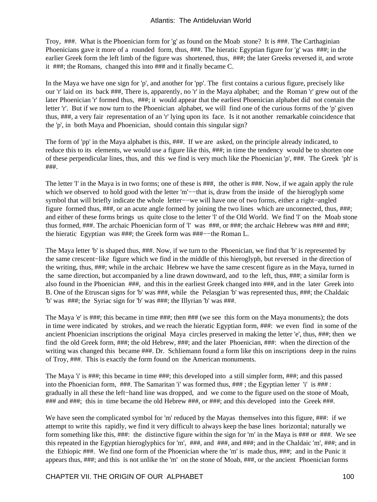Troy, ###. What is the Phoenician form for 'g' as found on the Moab stone? It is ###. The Carthaginian Phoenicians gave it more of a rounded form, thus, ###. The hieratic Egyptian figure for 'g' was ###; in the earlier Greek form the left limb of the figure was shortened, thus, ###; the later Greeks reversed it, and wrote it ###; the Romans, changed this into ### and it finally became C.

In the Maya we have one sign for 'p', and another for 'pp'. The first contains a curious figure, precisely like our 'r' laid on its back ###, There is, apparently, no 'r' in the Maya alphabet; and the Roman 'r' grew out of the later Phoenician 'r' formed thus, ###; it would appear that the earliest Phoenician alphabet did not contain the letter 'r'. But if we now turn to the Phoenician alphabet, we will find one of the curious forms of the 'p' given thus, ###, a very fair representation of an 'r' lying upon its face. Is it not another remarkable coincidence that the 'p', in both Maya and Phoenician, should contain this singular sign?

The form of 'pp' in the Maya alphabet is this, ###. If we are asked, on the principle already indicated, to reduce this to its elements, we would use a figure like this,  $\# \# \#$ ; in time the tendency would be to shorten one of these perpendicular lines, thus, and this we find is very much like the Phoenician 'p', ###. The Greek 'ph' is ###.

The letter 'l' in the Maya is in two forms; one of these is ###, the other is ###. Now, if we again apply the rule which we observed to hold good with the letter 'm'−−that is, draw from the inside of the hieroglyph some symbol that will briefly indicate the whole letter−−we will have one of two forms, either a right–angled figure formed thus, ###, or an acute angle formed by joining the two lines which are unconnected, thus, ###; and either of these forms brings us quite close to the letter 'l' of the Old World. We find 'l' on the Moab stone thus formed, ###. The archaic Phoenician form of 'l' was ###, or ###; the archaic Hebrew was ### and ###; the hieratic Egyptian was ###; the Greek form was ###−−the Roman L.

The Maya letter 'b' is shaped thus, ###. Now, if we turn to the Phoenician, we find that 'b' is represented by the same crescent−like figure which we find in the middle of this hieroglyph, but reversed in the direction of the writing, thus, ###; while in the archaic Hebrew we have the same crescent figure as in the Maya, turned in the same direction, but accompanied by a line drawn downward, and to the left, thus, ###; a similar form is also found in the Phoenician ###, and this in the earliest Greek changed into ###, and in the later Greek into B. One of the Etruscan signs for 'b' was ###, while the Pelasgian 'b' was represented thus, ###; the Chaldaic 'b' was ###; the Syriac sign for 'b' was ###; the Illyrian 'b' was ###.

The Maya 'e' is ###; this became in time ###; then ### (we see this form on the Maya monuments); the dots in time were indicated by strokes, and we reach the hieratic Egyptian form, ###: we even find in some of the ancient Phoenician inscriptions the original Maya circles preserved in making the letter 'e', thus, ###; then we find the old Greek form, ###; the old Hebrew, ###; and the later Phoenician, ###: when the direction of the writing was changed this became ###. Dr. Schliemann found a form like this on inscriptions deep in the ruins of Troy, ###. This is exactly the form found on the American monuments.

The Maya 'i' is ###; this became in time ###; this developed into a still simpler form, ###; and this passed into the Phoenician form, ###. The Samaritan 'i' was formed thus, ### ; the Egyptian letter 'i' is ### : gradually in all these the left−hand line was dropped, and we come to the figure used on the stone of Moab, ### and ###; this in time became the old Hebrew ###, or ###; and this developed into the Greek ###.

We have seen the complicated symbol for 'm' reduced by the Mayas themselves into this figure, ###: if we attempt to write this rapidly, we find it very difficult to always keep the base lines horizontal; naturally we form something like this, ###: the distinctive figure within the sign for 'm' in the Maya is ### or ###. We see this repeated in the Egyptian hieroglyphics for 'm', ###, and ###, and ###; and in the Chaldaic 'm', ###; and in the Ethiopic ###. We find one form of the Phoenician where the 'm' is made thus, ###; and in the Punic it appears thus, ###; and this is not unlike the 'm' on the stone of Moab, ###, or the ancient Phoenician forms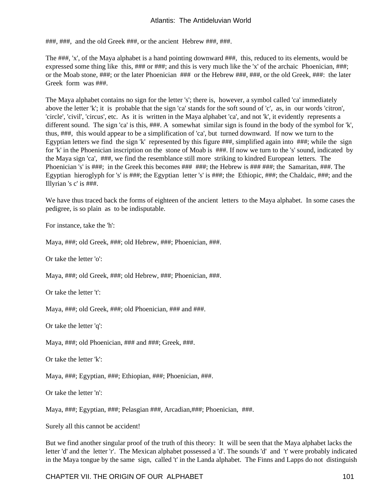###, ###, and the old Greek ###, or the ancient Hebrew ###, ###.

The ###, 'x', of the Maya alphabet is a hand pointing downward ###, this, reduced to its elements, would be expressed some thing like this, ### or ###; and this is very much like the 'x' of the archaic Phoenician, ###; or the Moab stone, ###; or the later Phoenician ### or the Hebrew ###, ###, or the old Greek, ###: the later Greek form was ###.

The Maya alphabet contains no sign for the letter 's'; there is, however, a symbol called 'ca' immediately above the letter 'k'; it is probable that the sign 'ca' stands for the soft sound of 'c', as, in our words 'citron', 'circle', 'civil', 'circus', etc. As it is written in the Maya alphabet 'ca', and not 'k', it evidently represents a different sound. The sign 'ca' is this, ###. A somewhat similar sign is found in the body of the symbol for 'k', thus, ###, this would appear to be a simplification of 'ca', but turned downward. If now we turn to the Egyptian letters we find the sign 'k' represented by this figure ###, simplified again into ###; while the sign for 'k' in the Phoenician inscription on the stone of Moab is ###. If now we turn to the 's' sound, indicated by the Maya sign 'ca', ###, we find the resemblance still more striking to kindred European letters. The Phoenician 's' is ###; in the Greek this becomes ### ###; the Hebrew is ### ###; the Samaritan, ###. The Egyptian hieroglyph for 's' is ###; the Egyptian letter 's' is ###; the Ethiopic, ###; the Chaldaic, ###; and the Illyrian 's c' is ###.

We have thus traced back the forms of eighteen of the ancient letters to the Maya alphabet. In some cases the pedigree, is so plain as to be indisputable.

For instance, take the 'h':

Maya, ###; old Greek, ###; old Hebrew, ###; Phoenician, ###.

Or take the letter 'o':

Maya, ###; old Greek, ###; old Hebrew, ###; Phoenician, ###.

Or take the letter 't':

Maya, ###; old Greek, ###; old Phoenician, ### and ###.

Or take the letter 'q':

Maya, ###; old Phoenician, ### and ###; Greek, ###.

Or take the letter 'k':

Maya, ###; Egyptian, ###; Ethiopian, ###; Phoenician, ###.

Or take the letter 'n':

Maya, ###; Egyptian, ###; Pelasgian ###, Arcadian,###; Phoenician, ###.

Surely all this cannot be accident!

But we find another singular proof of the truth of this theory: It will be seen that the Maya alphabet lacks the letter 'd' and the letter 'r'. The Mexican alphabet possessed a 'd'. The sounds 'd' and 't' were probably indicated in the Maya tongue by the same sign, called 't' in the Landa alphabet. The Finns and Lapps do not distinguish

CHAPTER VII. THE ORIGIN OF OUR ALPHABET 101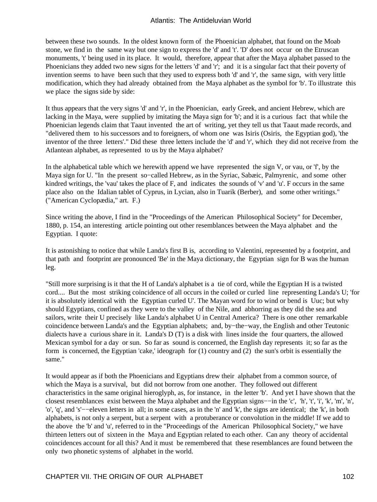between these two sounds. In the oldest known form of the Phoenician alphabet, that found on the Moab stone, we find in the same way but one sign to express the 'd' and 't'. 'D' does not occur on the Etruscan monuments, 't' being used in its place. It would, therefore, appear that after the Maya alphabet passed to the Phoenicians they added two new signs for the letters 'd' and 'r'; and it is a singular fact that their poverty of invention seems to have been such that they used to express both 'd' and 'r', the same sign, with very little modification, which they had already obtained from the Maya alphabet as the symbol for 'b'. To illustrate this we place the signs side by side:

It thus appears that the very signs 'd' and 'r', in the Phoenician, early Greek, and ancient Hebrew, which are lacking in the Maya, were supplied by imitating the Maya sign for 'b'; and it is a curious fact that while the Phoenician legends claim that Taaut invented the art of writing, yet they tell us that Taaut made records, and "delivered them to his successors and to foreigners, of whom one was Isiris (Osiris, the Egyptian god), 'the inventor of the three letters'." Did these three letters include the 'd' and 'r', which they did not receive from the Atlantean alphabet, as represented to us by the Maya alphabet?

In the alphabetical table which we herewith append we have represented the sign  $V$ , or vau, or  $f'$ , by the Maya sign for U. "In the present so−called Hebrew, as in the Syriac, Sabæic, Palmyrenic, and some other kindred writings, the 'vau' takes the place of F, and indicates the sounds of 'v' and 'u'. F occurs in the same place also on the Idalian tablet of Cyprus, in Lycian, also in Tuarik (Berber), and some other writings." ("American Cyclopædia," art. F.)

Since writing the above, I find in the "Proceedings of the American Philosophical Society" for December, 1880, p. 154, an interesting article pointing out other resemblances between the Maya alphabet and the Egyptian. I quote:

It is astonishing to notice that while Landa's first B is, according to Valentini, represented by a footprint, and that path and footprint are pronounced 'Be' in the Maya dictionary, the Egyptian sign for B was the human leg.

"Still more surprising is it that the H of Landa's alphabet is a tie of cord, while the Egyptian H is a twisted cord.... But the most striking coincidence of all occurs in the coiled or curled line representing Landa's U; 'for it is absolutely identical with the Egyptian curled U'. The Mayan word for to wind or bend is Uuc; but why should Egyptians, confined as they were to the valley of the Nile, and abhorring as they did the sea and sailors, write their U precisely like Landa's alphabet U in Central America? There is one other remarkable coincidence between Landa's and the Egyptian alphabets; and, by−the−way, the English and other Teutonic dialects have a curious share in it. Landa's D (T) is a disk with lines inside the four quarters, the allowed Mexican symbol for a day or sun. So far as sound is concerned, the English day represents it; so far as the form is concerned, the Egyptian 'cake,' ideograph for (1) country and (2) the sun's orbit is essentially the same."

It would appear as if both the Phoenicians and Egyptians drew their alphabet from a common source, of which the Maya is a survival, but did not borrow from one another. They followed out different characteristics in the same original hieroglyph, as, for instance, in the letter 'b'. And yet I have shown that the closest resemblances exist between the Maya alphabet and the Egyptian signs−−in the 'c', 'h', 't', 'i', 'k', 'm', 'n', 'o', 'q', and 's'−−eleven letters in all; in some cases, as in the 'n' and 'k', the signs are identical; the 'k', in both alphabets, is not only a serpent, but a serpent with a protuberance or convolution in the middle! If we add to the above the 'b' and 'u', referred to in the "Proceedings of the American Philosophical Society," we have thirteen letters out of sixteen in the Maya and Egyptian related to each other. Can any theory of accidental coincidences account for all this? And it must be remembered that these resemblances are found between the only two phonetic systems of alphabet in the world.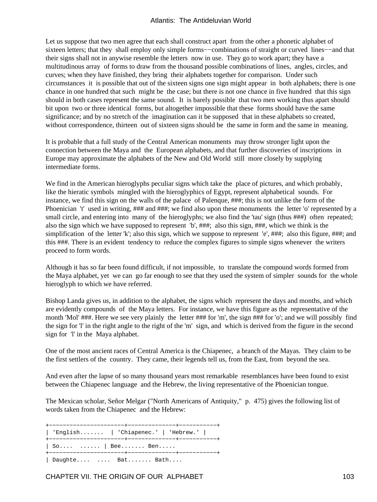Let us suppose that two men agree that each shall construct apart from the other a phonetic alphabet of sixteen letters; that they shall employ only simple forms−−combinations of straight or curved lines−−and that their signs shall not in anywise resemble the letters now in use. They go to work apart; they have a multitudinous array of forms to draw from the thousand possible combinations of lines, angles, circles, and curves; when they have finished, they bring their alphabets together for comparison. Under such circumstances it is possible that out of the sixteen signs one sign might appear in both alphabets; there is one chance in one hundred that such might be the case; but there is not one chance in five hundred that this sign should in both cases represent the same sound. It is barely possible that two men working thus apart should bit upon two or three identical forms, but altogether impossible that these forms should have the same significance; and by no stretch of the imagination can it be supposed that in these alphabets so created, without correspondence, thirteen out of sixteen signs should be the same in form and the same in meaning.

It is probable that a full study of the Central American monuments may throw stronger light upon the connection between the Maya and the European alphabets, and that further discoveries of inscriptions in Europe may approximate the alphabets of the New and Old World still more closely by supplying intermediate forms.

We find in the American hieroglyphs peculiar signs which take the place of pictures, and which probably, like the hieratic symbols mingled with the hieroglyphics of Egypt, represent alphabetical sounds. For instance, we find this sign on the walls of the palace of Palenque, ###; this is not unlike the form of the Phoenician 't' used in writing, ### and ###; we find also upon these monuments the letter 'o' represented by a small circle, and entering into many of the hieroglyphs; we also find the 'tau' sign (thus ###) often repeated; also the sign which we have supposed to represent 'b', ###; also this sign, ###, which we think is the simplification of the letter 'k'; also this sign, which we suppose to represent 'e', ###; also this figure, ###; and this ###. There is an evident tendency to reduce the complex figures to simple signs whenever the writers proceed to form words.

Although it has so far been found difficult, if not impossible, to translate the compound words formed from the Maya alphabet, yet we can go far enough to see that they used the system of simpler sounds for the whole hieroglyph to which we have referred.

Bishop Landa gives us, in addition to the alphabet, the signs which represent the days and months, and which are evidently compounds of the Maya letters. For instance, we have this figure as the representative of the month 'Mol' ###. Here we see very plainly the letter ### for 'm', the sign ### for 'o'; and we will possibly find the sign for 'l' in the right angle to the right of the 'm' sign, and which is derived from the figure in the second sign for 'l' in the Maya alphabet.

One of the most ancient races of Central America is the Chiapenec, a branch of the Mayas. They claim to be the first settlers of the country. They came, their legends tell us, from the East, from beyond the sea.

And even after the lapse of so many thousand years most remarkable resemblances have been found to exist between the Chiapenec language and the Hebrew, the living representative of the Phoenician tongue.

The Mexican scholar, Señor Melgar ("North Americans of Antiquity," p. 475) gives the following list of words taken from the Chiapenec and the Hebrew:

+−−−−−−−−−−−−−−−−−−−−−−+−−−−−−−−−−−−−−+−−−−−−−−−−−+ | 'English....... | 'Chiapenec.' | 'Hebrew.' | +−−−−−−−−−−−−−−−−−−−−−−+−−−−−−−−−−−−−−+−−−−−−−−−−−+ | So.... ...... | Bee....... Ben..... +−−−−−−−−−−−−−−−−−−−−−−+−−−−−−−−−−−−−−+−−−−−−−−−−−+ | Daughte.... .... Bat....... Bath....

CHAPTER VII. THE ORIGIN OF OUR ALPHABET 103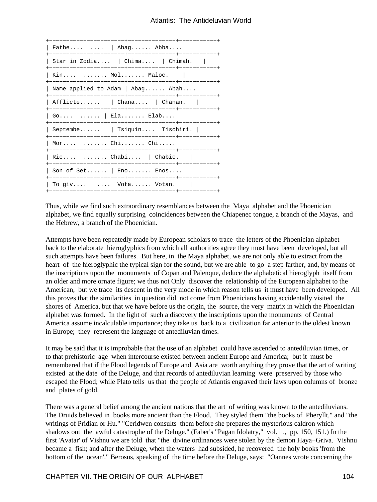| $Father$ $ \text{Abag}$ $\text{Abba}$                  |
|--------------------------------------------------------|
| Star in Zodia   Chima   Chimah.                        |
| Kin  Mol Maloc.                                        |
| Name applied to $Adam \mid Abag$ $Abah$<br>L           |
| $\vert$ Afflicte $\vert$ Chana $\vert$ Chanan. $\vert$ |
| Go      Ela Elab                                       |
| $\vert$ Septembe $\vert$ Tsiquin Tischiri. $\vert$     |
| $\vert$ Mor  Chi Chi                                   |
| $\vert$ Ric  Chabi $\vert$ Chabic. $\vert$             |
| $\vert$ Son of Set $\vert$ Eno Enos                    |
| To giv      Vota Votan.                                |

Thus, while we find such extraordinary resemblances between the Maya alphabet and the Phoenician alphabet, we find equally surprising coincidences between the Chiapenec tongue, a branch of the Mayas, and the Hebrew, a branch of the Phoenician.

Attempts have been repeatedly made by European scholars to trace the letters of the Phoenician alphabet back to the elaborate hieroglyphics from which all authorities agree they must have been developed, but all such attempts have been failures. But here, in the Maya alphabet, we are not only able to extract from the heart of the hieroglyphic the typical sign for the sound, but we are able to go a step farther, and, by means of the inscriptions upon the monuments of Copan and Palenque, deduce the alphabetical hieroglyph itself from an older and more ornate figure; we thus not Only discover the relationship of the European alphabet to the American, but we trace its descent in the very mode in which reason tells us it must have been developed. All this proves that the similarities in question did not come from Phoenicians having accidentally visited the shores of America, but that we have before us the origin, the source, the very matrix in which the Phoenician alphabet was formed. In the light of such a discovery the inscriptions upon the monuments of Central America assume incalculable importance; they take us back to a civilization far anterior to the oldest known in Europe; they represent the language of antediluvian times.

It may be said that it is improbable that the use of an alphabet could have ascended to antediluvian times, or to that prehistoric age when intercourse existed between ancient Europe and America; but it must be remembered that if the Flood legends of Europe and Asia are worth anything they prove that the art of writing existed at the date of the Deluge, and that records of antediluvian learning were preserved by those who escaped the Flood; while Plato tells us that the people of Atlantis engraved their laws upon columns of bronze and plates of gold.

There was a general belief among the ancient nations that the art of writing was known to the antediluvians. The Druids believed in books more ancient than the Flood. They styled them "the books of Pheryllt," and "the writings of Pridian or Hu." "Ceridwen consults them before she prepares the mysterious caldron which shadows out the awful catastrophe of the Deluge." (Faber's "Pagan Idolatry," vol. ii., pp. 150, 151.) In the first 'Avatar' of Vishnu we are told that "the divine ordinances were stolen by the demon Haya−Griva. Vishnu became a fish; and after the Deluge, when the waters had subsided, he recovered the holy books 'from the bottom of the ocean'." Berosus, speaking of the time before the Deluge, says: "Oannes wrote concerning the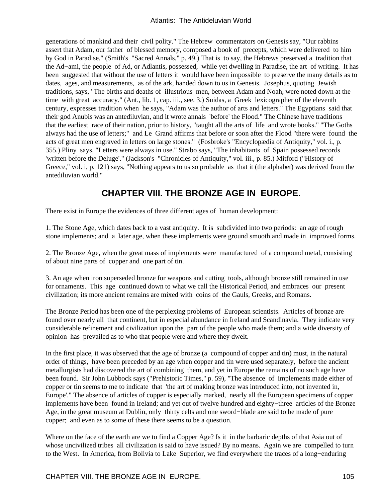generations of mankind and their civil polity." The Hebrew commentators on Genesis say, "Our rabbins assert that Adam, our father of blessed memory, composed a book of precepts, which were delivered to him by God in Paradise." (Smith's "Sacred Annals," p. 49.) That is to say, the Hebrews preserved a tradition that the Ad−ami, the people of Ad, or Adlantis, possessed, while yet dwelling in Paradise, the art of writing. It has been suggested that without the use of letters it would have been impossible to preserve the many details as to dates, ages, and measurements, as of the ark, handed down to us in Genesis. Josephus, quoting Jewish traditions, says, "The births and deaths of illustrious men, between Adam and Noah, were noted down at the time with great accuracy." (Ant., lib. 1, cap. iii., see. 3.) Suidas, a Greek lexicographer of the eleventh century, expresses tradition when he says, "Adam was the author of arts and letters." The Egyptians said that their god Anubis was an antediluvian, and it wrote annals 'before' the Flood." The Chinese have traditions that the earliest race of their nation, prior to history, "taught all the arts of life and wrote books." "The Goths always had the use of letters;" and Le Grand affirms that before or soon after the Flood "there were found the acts of great men engraved in letters on large stones." (Fosbroke's "Encyclopædia of Antiquity," vol. i., p. 355.) Pliny says, "Letters were always in use." Strabo says, "The inhabitants of Spain possessed records 'written before the Deluge'." (Jackson's "Chronicles of Antiquity," vol. iii., p. 85.) Mitford ("History of Greece," vol. i, p. 121) says, "Nothing appears to us so probable as that it (the alphabet) was derived from the antediluvian world."

# **CHAPTER VIII. THE BRONZE AGE IN EUROPE.**

There exist in Europe the evidences of three different ages of human development:

1. The Stone Age, which dates back to a vast antiquity. It is subdivided into two periods: an age of rough stone implements; and a later age, when these implements were ground smooth and made in improved forms.

2. The Bronze Age, when the great mass of implements were manufactured of a compound metal, consisting of about nine parts of copper and one part of tin.

3. An age when iron superseded bronze for weapons and cutting tools, although bronze still remained in use for ornaments. This age continued down to what we call the Historical Period, and embraces our present civilization; its more ancient remains are mixed with coins of the Gauls, Greeks, and Romans.

The Bronze Period has been one of the perplexing problems of European scientists. Articles of bronze are found over nearly all that continent, but in especial abundance in Ireland and Scandinavia. They indicate very considerable refinement and civilization upon the part of the people who made them; and a wide diversity of opinion has prevailed as to who that people were and where they dwelt.

In the first place, it was observed that the age of bronze (a compound of copper and tin) must, in the natural order of things, have been preceded by an age when copper and tin were used separately, before the ancient metallurgists had discovered the art of combining them, and yet in Europe the remains of no such age have been found. Sir John Lubbock says ("Prehistoric Times," p. 59), "The absence of implements made either of copper or tin seems to me to indicate that 'the art of making bronze was introduced into, not invented in, Europe'." The absence of articles of copper is especially marked, nearly all the European specimens of copper implements have been found in Ireland; and yet out of twelve hundred and eighty−three articles of the Bronze Age, in the great museum at Dublin, only thirty celts and one sword−blade are said to be made of pure copper; and even as to some of these there seems to be a question.

Where on the face of the earth are we to find a Copper Age? Is it in the barbaric depths of that Asia out of whose uncivilized tribes all civilization is said to have issued? By no means. Again we are compelled to turn to the West. In America, from Bolivia to Lake Superior, we find everywhere the traces of a long−enduring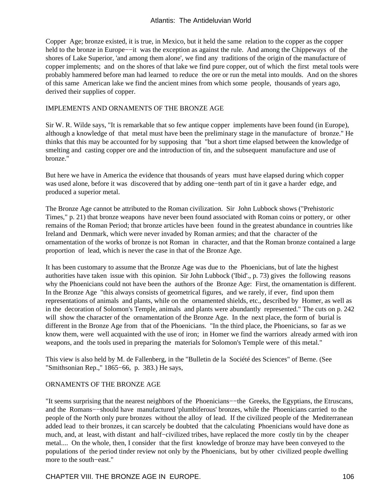Copper Age; bronze existed, it is true, in Mexico, but it held the same relation to the copper as the copper held to the bronze in Europe−−it was the exception as against the rule. And among the Chippeways of the shores of Lake Superior, 'and among them alone', we find any traditions of the origin of the manufacture of copper implements; and on the shores of that lake we find pure copper, out of which the first metal tools were probably hammered before man had learned to reduce the ore or run the metal into moulds. And on the shores of this same American lake we find the ancient mines from which some people, thousands of years ago, derived their supplies of copper.

#### IMPLEMENTS AND ORNAMENTS OF THE BRONZE AGE

Sir W. R. Wilde says, "It is remarkable that so few antique copper implements have been found (in Europe), although a knowledge of that metal must have been the preliminary stage in the manufacture of bronze." He thinks that this may be accounted for by supposing that "but a short time elapsed between the knowledge of smelting and casting copper ore and the introduction of tin, and the subsequent manufacture and use of bronze."

But here we have in America the evidence that thousands of years must have elapsed during which copper was used alone, before it was discovered that by adding one−tenth part of tin it gave a harder edge, and produced a superior metal.

The Bronze Age cannot be attributed to the Roman civilization. Sir John Lubbock shows ("Prehistoric Times," p. 21) that bronze weapons have never been found associated with Roman coins or pottery, or other remains of the Roman Period; that bronze articles have been found in the greatest abundance in countries like Ireland and Denmark, which were never invaded by Roman armies; and that the character of the ornamentation of the works of bronze is not Roman in character, and that the Roman bronze contained a large proportion of lead, which is never the case in that of the Bronze Age.

It has been customary to assume that the Bronze Age was due to the Phoenicians, but of late the highest authorities have taken issue with this opinion. Sir John Lubbock ('Ibid'., p. 73) gives the following reasons why the Phoenicians could not have been the authors of the Bronze Age: First, the ornamentation is different. In the Bronze Age "this always consists of geometrical figures, and we rarely, if ever, find upon them representations of animals and plants, while on the ornamented shields, etc., described by Homer, as well as in the decoration of Solomon's Temple, animals and plants were abundantly represented." The cuts on p. 242 will show the character of the ornamentation of the Bronze Age. In the next place, the form of burial is different in the Bronze Age from that of the Phoenicians. "In the third place, the Phoenicians, so far as we know them, were well acquainted with the use of iron; in Homer we find the warriors already armed with iron weapons, and the tools used in preparing the materials for Solomon's Temple were of this metal."

This view is also held by M. de Fallenberg, in the "Bulletin de la Société des Sciences" of Berne. (See "Smithsonian Rep.," 1865−66, p. 383.) He says,

#### ORNAMENTS OF THE BRONZE AGE

"It seems surprising that the nearest neighbors of the Phoenicians−−the Greeks, the Egyptians, the Etruscans, and the Romans−−should have manufactured 'plumbiferous' bronzes, while the Phoenicians carried to the people of the North only pure bronzes without the alloy of lead. If the civilized people of the Mediterranean added lead to their bronzes, it can scarcely be doubted that the calculating Phoenicians would have done as much, and, at least, with distant and half−civilized tribes, have replaced the more costly tin by the cheaper metal.... On the whole, then, I consider that the first knowledge of bronze may have been conveyed to the populations of the period tinder review not only by the Phoenicians, but by other civilized people dwelling more to the south−east."

CHAPTER VIII. THE BRONZE AGE IN EUROPE. 106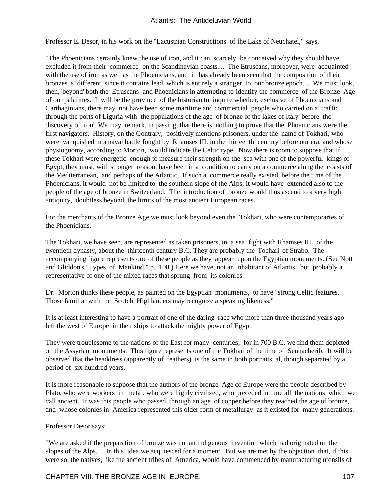Professor E. Desor, in his work on the "Lacustrian Constructions of the Lake of Neuchatel," says,

"The Phoenicians certainly knew the use of iron, and it can scarcely be conceived why they should have excluded it from their commerce on the Scandinavian coasts.... The Etruscans, moreover, were acquainted with the use of iron as well as the Phoenicians, and it has already been seen that the composition of their bronzes is different, since it contains lead, which is entirely a stranger to our bronze epoch.... We must look, then, 'beyond' both the Etruscans and Phoenicians in attempting to identify the commerce of the Bronze Age of our palafittes. It will be the province of the historian to inquire whether, exclusive of Phoenicians and Carthaginians, there may not have been some maritime and commercial people who carried on a traffic through the ports of Liguria with the populations of the age of bronze of the lakes of Italy 'before the discovery of iron'. We may remark, in passing, that there is nothing to prove that the Phoenicians were the first navigators. History, on the Contrary, positively mentions prisoners, under the name of Tokhari, who were vanquished in a naval battle fought by Rhamses III. in the thirteenth century before our era, and whose physiognomy, according to Morton, would indicate the Celtic type. Now there is room to suppose that if these Tokhari were energetic enough to measure their strength on the sea with one of the powerful kings of Egypt, they must, with stronger reason, have been in a condition to carry on a commerce along the coasts of the Mediterranean, and perhaps of the Atlantic. If such a commerce really existed before the time of the Phoenicians, it would not be limited to the southern slope of the Alps; it would have extended also to the people of the age of bronze in Switzerland. The introduction of bronze would thus ascend to a very high antiquity, doubtless beyond the limits of the most ancient European races."

For the merchants of the Bronze Age we must look beyond even the Tokhari, who were contemporaries of the Phoenicians.

The Tokhari, we have seen, are represented as taken prisoners, in a sea−fight with Rhamses III., of the twentieth dynasty, about the thirteenth century B.C. They are probably the 'Tochari' of Strabo. The accompanying figure represents one of these people as they appear upon the Egyptian monuments. (See Nott and Gliddon's "Types of Mankind," p. 108.) Here we have, not an inhabitant of Atlantis, but probably a representative of one of the mixed races that sprung from its colonies.

Dr. Morton thinks these people, as painted on the Egyptian monuments, to have "strong Celtic features. Those familiar with the Scotch Highlanders may recognize a speaking likeness."

It is at least interesting to have a portrait of one of the daring race who more than three thousand years ago left the west of Europe in their ships to attack the mighty power of Egypt.

They were troublesome to the nations of the East for many centuries; for in 700 B.C. we find them depicted on the Assyrian monuments. This figure represents one of the Tokhari of the time of Sennacherib. It will be observed that the headdress (apparently of feathers) is the same in both portraits, al, though separated by a period of six hundred years.

It is more reasonable to suppose that the authors of the bronze Age of Europe were the people described by Plato, who were workers in metal, who were highly civilized, who preceded in time all the nations which we call ancient. It was this people who passed through an age of copper before they reached the age of bronze, and whose colonies in America represented this older form of metallurgy as it existed for many generations.

#### Professor Desor says:

"We are asked if the preparation of bronze was not an indigenous invention which had originated on the slopes of the Alps.... In this idea we acquiesced for a moment. But we are met by the objection that, if this were so, the natives, like the ancient tribes of America, would have commenced by manufacturing utensils of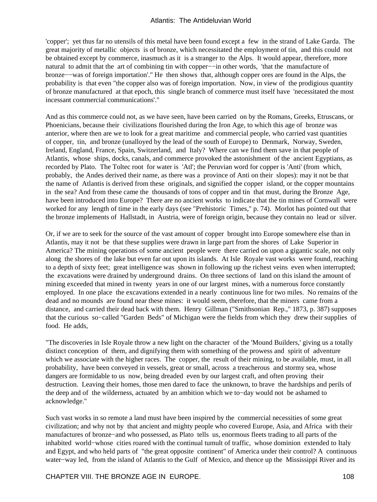'copper'; yet thus far no utensils of this metal have been found except a few in the strand of Lake Garda. The great majority of metallic objects is of bronze, which necessitated the employment of tin, and this could not be obtained except by commerce, inasmuch as it is a stranger to the Alps. It would appear, therefore, more natural to admit that the art of combining tin with copper−−in other words, 'that the manufacture of bronze−−was of foreign importation'." He then shows that, although copper ores are found in the Alps, the probability is that even "the copper also was of foreign importation. Now, in view of the prodigious quantity of bronze manufactured at that epoch, this single branch of commerce must itself have 'necessitated the most incessant commercial communications'."

And as this commerce could not, as we have seen, have been carried on by the Romans, Greeks, Etruscans, or Phoenicians, because their civilizations flourished during the Iron Age, to which this age of bronze was anterior, where then are we to look for a great maritime and commercial people, who carried vast quantities of copper, tin, and bronze (unalloyed by the lead of the south of Europe) to Denmark, Norway, Sweden, Ireland, England, France, Spain, Switzerland, and Italy? Where can we find them save in that people of Atlantis, whose ships, docks, canals, and commerce provoked the astonishment of the ancient Egyptians, as recorded by Plato. The Toltec root for water is 'Atl'; the Peruvian word for copper is 'Anti' (from which, probably, the Andes derived their name, as there was a province of Anti on their slopes): may it not be that the name of Atlantis is derived from these originals, and signified the copper island, or the copper mountains in the sea? And from these came the thousands of tons of copper and tin that must, during the Bronze Age, have been introduced into Europe? There are no ancient works to indicate that the tin mines of Cornwall were worked for any length of time in the early days (see "Prehistoric Times," p. 74). Morlot has pointed out that the bronze implements of Hallstadt, in Austria, were of foreign origin, because they contain no lead or silver.

Or, if we are to seek for the source of the vast amount of copper brought into Europe somewhere else than in Atlantis, may it not be that these supplies were drawn in large part from the shores of Lake Superior in America? The mining operations of some ancient people were there carried on upon a gigantic scale, not only along the shores of the lake but even far out upon its islands. At Isle Royale vast works were found, reaching to a depth of sixty feet; great intelligence was shown in following up the richest veins even when interrupted; the excavations were drained by underground drains. On three sections of land on this island the amount of mining exceeded that mined in twenty years in one of our largest mines, with a numerous force constantly employed. In one place the excavations extended in a nearly continuous line for two miles. No remains of the dead and no mounds are found near these mines: it would seem, therefore, that the miners came from a distance, and carried their dead back with them. Henry Gillman ("Smithsonian Rep.," 1873, p. 387) supposes that the curious so−called "Garden Beds" of Michigan were the fields from which they drew their supplies of food. He adds,

"The discoveries in Isle Royale throw a new light on the character of the 'Mound Builders,' giving us a totally distinct conception of them, and dignifying them with something of the prowess and spirit of adventure which we associate with the higher races. The copper, the result of their mining, to be available, must, in all probability, have been conveyed in vessels, great or small, across a treacherous and stormy sea, whose dangers are formidable to us now, being dreaded even by our largest craft, and often proving their destruction. Leaving their homes, those men dared to face the unknown, to brave the hardships and perils of the deep and of the wilderness, actuated by an ambition which we to−day would not be ashamed to acknowledge."

Such vast works in so remote a land must have been inspired by the commercial necessities of some great civilization; and why not by that ancient and mighty people who covered Europe, Asia, and Africa with their manufactures of bronze−and who possessed, as Plato tells us, enormous fleets trading to all parts of the inhabited world−whose cities roared with the continual tumult of traffic, whose dominion extended to Italy and Egypt, and who held parts of "the great opposite continent" of America under their control? A continuous water−way led, from the island of Atlantis to the Gulf of Mexico, and thence up the Mississippi River and its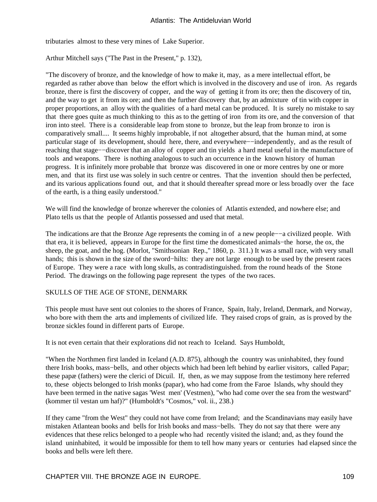tributaries almost to these very mines of Lake Superior.

Arthur Mitchell says ("The Past in the Present," p. 132),

"The discovery of bronze, and the knowledge of how to make it, may, as a mere intellectual effort, be regarded as rather above than below the effort which is involved in the discovery and use of iron. As regards bronze, there is first the discovery of copper, and the way of getting it from its ore; then the discovery of tin, and the way to get it from its ore; and then the further discovery that, by an admixture of tin with copper in proper proportions, an alloy with the qualities of a hard metal can be produced. It is surely no mistake to say that there goes quite as much thinking to this as to the getting of iron from its ore, and the conversion of that iron into steel. There is a considerable leap from stone to bronze, but the leap from bronze to iron is comparatively small.... It seems highly improbable, if not altogether absurd, that the human mind, at some particular stage of its development, should here, there, and everywhere−−independently, and as the result of reaching that stage−−discover that an alloy of copper and tin yields a hard metal useful in the manufacture of tools and weapons. There is nothing analogous to such an occurrence in the known history of human progress. It is infinitely more probable that bronze was discovered in one or more centres by one or more men, and that its first use was solely in such centre or centres. That the invention should then be perfected, and its various applications found out, and that it should thereafter spread more or less broadly over the face of the earth, is a thing easily understood."

We will find the knowledge of bronze wherever the colonies of Atlantis extended, and nowhere else; and Plato tells us that the people of Atlantis possessed and used that metal.

The indications are that the Bronze Age represents the coming in of a new people−−a civilized people. With that era, it is believed, appears in Europe for the first time the domesticated animals−the horse, the ox, the sheep, the goat, and the hog. (Morlot, "Smithsonian Rep.," 1860, p. 311.) It was a small race, with very small hands; this is shown in the size of the sword−hilts: they are not large enough to be used by the present races of Europe. They were a race with long skulls, as contradistinguished. from the round heads of the Stone Period. The drawings on the following page represent the types of the two races.

#### SKULLS OF THE AGE OF STONE, DENMARK

This people must have sent out colonies to the shores of France, Spain, Italy, Ireland, Denmark, and Norway, who bore with them the arts and implements of civilized life. They raised crops of grain, as is proved by the bronze sickles found in different parts of Europe.

It is not even certain that their explorations did not reach to Iceland. Says Humboldt,

"When the Northmen first landed in Iceland (A.D. 875), although the country was uninhabited, they found there Irish books, mass−bells, and other objects which had been left behind by earlier visitors, called Papar; these papæ (fathers) were the clerici of Dicuil. If, then, as we may suppose from the testimony here referred to, these objects belonged to Irish monks (papar), who had come from the Faroe Islands, why should they have been termed in the native sagas 'West men' (Vestmen), ''who had come over the sea from the westward'' (kommer til vestan um haf)?" (Humboldt's "Cosmos," vol. ii., 238.)

If they came "from the West" they could not have come from Ireland; and the Scandinavians may easily have mistaken Atlantean books and bells for Irish books and mass−bells. They do not say that there were any evidences that these relics belonged to a people who had recently visited the island; and, as they found the island uninhabited, it would be impossible for them to tell how many years or centuries had elapsed since the books and bells were left there.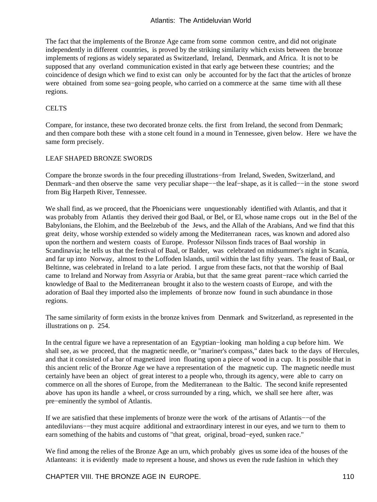#### Atlantis: The Antideluvian World

The fact that the implements of the Bronze Age came from some common centre, and did not originate independently in different countries, is proved by the striking similarity which exists between the bronze implements of regions as widely separated as Switzerland, Ireland, Denmark, and Africa. It is not to be supposed that any overland communication existed in that early age between these countries; and the coincidence of design which we find to exist can only be accounted for by the fact that the articles of bronze were obtained from some sea−going people, who carried on a commerce at the same time with all these regions.

#### **CELTS**

Compare, for instance, these two decorated bronze celts. the first from Ireland, the second from Denmark; and then compare both these with a stone celt found in a mound in Tennessee, given below. Here we have the same form precisely.

#### LEAF SHAPED BRONZE SWORDS

Compare the bronze swords in the four preceding illustrations−from Ireland, Sweden, Switzerland, and Denmark−and then observe the same very peculiar shape−−the leaf−shape, as it is called−−in the stone sword from Big Harpeth River, Tennessee.

We shall find, as we proceed, that the Phoenicians were unquestionably identified with Atlantis, and that it was probably from Atlantis they derived their god Baal, or Bel, or El, whose name crops out in the Bel of the Babylonians, the Elohim, and the Beelzebub of the Jews, and the Allah of the Arabians, And we find that this great deity, whose worship extended so widely among the Mediterranean races, was known and adored also upon the northern and western coasts of Europe. Professor Nilsson finds traces of Baal worship in Scandinavia; he tells us that the festival of Baal, or Balder, was celebrated on midsummer's night in Scania, and far up into Norway, almost to the Loffoden Islands, until within the last fifty years. The feast of Baal, or Beltinne, was celebrated in Ireland to a late period. I argue from these facts, not that the worship of Baal came to Ireland and Norway from Assyria or Arabia, but that the same great parent−race which carried the knowledge of Baal to the Mediterranean brought it also to the western coasts of Europe, and with the adoration of Baal they imported also the implements of bronze now found in such abundance in those regions.

The same similarity of form exists in the bronze knives from Denmark and Switzerland, as represented in the illustrations on p. 254.

In the central figure we have a representation of an Egyptian−looking man holding a cup before him. We shall see, as we proceed, that the magnetic needle, or "mariner's compass," dates back to the days of Hercules, and that it consisted of a bar of magnetized iron floating upon a piece of wood in a cup. It is possible that in this ancient relic of the Bronze Age we have a representation of the magnetic cup. The magnetic needle must certainly have been an object of great interest to a people who, through its agency, were able to carry on commerce on all the shores of Europe, from the Mediterranean to the Baltic. The second knife represented above has upon its handle a wheel, or cross surrounded by a ring, which, we shall see here after, was pre−eminently the symbol of Atlantis.

If we are satisfied that these implements of bronze were the work of the artisans of Atlantis−−of the antediluvians−−they must acquire additional and extraordinary interest in our eyes, and we turn to them to earn something of the habits and customs of "that great, original, broad−eyed, sunken race."

We find among the relies of the Bronze Age an urn, which probably gives us some idea of the houses of the Atlanteans: it is evidently made to represent a house, and shows us even the rude fashion in which they

CHAPTER VIII. THE BRONZE AGE IN EUROPE. 110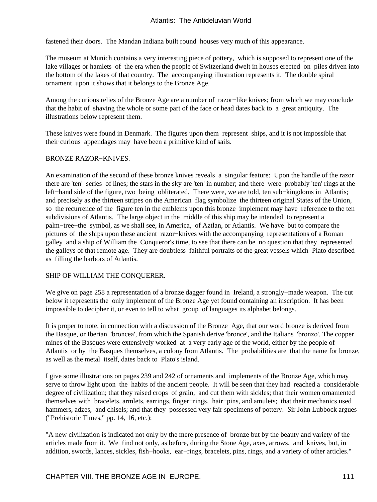fastened their doors. The Mandan Indiana built round houses very much of this appearance.

The museum at Munich contains a very interesting piece of pottery, which is supposed to represent one of the lake villages or hamlets of the era when the people of Switzerland dwelt in houses erected on piles driven into the bottom of the lakes of that country. The accompanying illustration represents it. The double spiral ornament upon it shows that it belongs to the Bronze Age.

Among the curious relies of the Bronze Age are a number of razor−like knives; from which we may conclude that the habit of shaving the whole or some part of the face or head dates back to a great antiquity. The illustrations below represent them.

These knives were found in Denmark. The figures upon them represent ships, and it is not impossible that their curious appendages may have been a primitive kind of sails.

#### BRONZE RAZOR−KNIVES.

An examination of the second of these bronze knives reveals a singular feature: Upon the handle of the razor there are 'ten' series of lines; the stars in the sky are 'ten' in number; and there were probably 'ten' rings at the left−hand side of the figure, two being obliterated. There were, we are told, ten sub−kingdoms in Atlantis; and precisely as the thirteen stripes on the American flag symbolize the thirteen original States of the Union, so the recurrence of the figure ten in the emblems upon this bronze implement may have reference to the ten subdivisions of Atlantis. The large object in the middle of this ship may be intended to represent a palm−tree−the symbol, as we shall see, in America, of Aztlan, or Atlantis. We have but to compare the pictures of the ships upon these ancient razor−knives with the accompanying representations of a Roman galley and a ship of William the Conqueror's time, to see that there can be no question that they represented the galleys of that remote age. They are doubtless faithful portraits of the great vessels which Plato described as filling the harbors of Atlantis.

#### SHIP OF WILLIAM THE CONQUERER.

We give on page 258 a representation of a bronze dagger found in Ireland, a strongly−made weapon. The cut below it represents the only implement of the Bronze Age yet found containing an inscription. It has been impossible to decipher it, or even to tell to what group of languages its alphabet belongs.

It is proper to note, in connection with a discussion of the Bronze Age, that our word bronze is derived from the Basque, or Iberian 'broncea', from which the Spanish derive 'bronce', and the Italians 'bronzo'. The copper mines of the Basques were extensively worked at a very early age of the world, either by the people of Atlantis or by the Basques themselves, a colony from Atlantis. The probabilities are that the name for bronze, as well as the metal itself, dates back to Plato's island.

I give some illustrations on pages 239 and 242 of ornaments and implements of the Bronze Age, which may serve to throw light upon the habits of the ancient people. It will be seen that they had reached a considerable degree of civilization; that they raised crops of grain, and cut them with sickles; that their women ornamented themselves with bracelets, armlets, earrings, finger−rings, hair−pins, and amulets; that their mechanics used hammers, adzes, and chisels; and that they possessed very fair specimens of pottery. Sir John Lubbock argues ("Prehistoric Times," pp. 14, 16, etc.):

"A new civilization is indicated not only by the mere presence of bronze but by the beauty and variety of the articles made from it. We find not only, as before, during the Stone Age, axes, arrows, and knives, but, in addition, swords, lances, sickles, fish−hooks, ear−rings, bracelets, pins, rings, and a variety of other articles."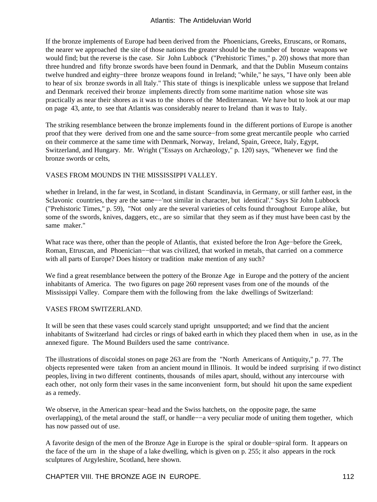If the bronze implements of Europe had been derived from the Phoenicians, Greeks, Etruscans, or Romans, the nearer we approached the site of those nations the greater should be the number of bronze weapons we would find; but the reverse is the case. Sir John Lubbock ("Prehistoric Times," p. 20) shows that more than three hundred and fifty bronze swords have been found in Denmark, and that the Dublin Museum contains twelve hundred and eighty−three bronze weapons found in Ireland; "while," he says, "I have only been able to hear of six bronze swords in all Italy." This state of things is inexplicable unless we suppose that Ireland and Denmark received their bronze implements directly from some maritime nation whose site was practically as near their shores as it was to the shores of the Mediterranean. We have but to look at our map on page 43, ante, to see that Atlantis was considerably nearer to Ireland than it was to Italy.

The striking resemblance between the bronze implements found in the different portions of Europe is another proof that they were derived from one and the same source−from some great mercantile people who carried on their commerce at the same time with Denmark, Norway, Ireland, Spain, Greece, Italy, Egypt, Switzerland, and Hungary. Mr. Wright ("Essays on Archæology," p. 120) says, "Whenever we find the bronze swords or celts,

#### VASES FROM MOUNDS IN THE MISSISSIPPI VALLEY.

whether in Ireland, in the far west, in Scotland, in distant Scandinavia, in Germany, or still farther east, in the Sclavonic countries, they are the same−−'not similar in character, but identical'." Says Sir John Lubbock ("Prehistoric Times," p. 59), "Not only are the several varieties of celts found throughout Europe alike, but some of the swords, knives, daggers, etc., are so similar that they seem as if they must have been cast by the same maker."

What race was there, other than the people of Atlantis, that existed before the Iron Age−before the Greek, Roman, Etruscan, and Phoenician−−that was civilized, that worked in metals, that carried on a commerce with all parts of Europe? Does history or tradition make mention of any such?

We find a great resemblance between the pottery of the Bronze Age in Europe and the pottery of the ancient inhabitants of America. The two figures on page 260 represent vases from one of the mounds of the Mississippi Valley. Compare them with the following from the lake dwellings of Switzerland:

#### VASES FROM SWITZERLAND.

It will be seen that these vases could scarcely stand upright unsupported; and we find that the ancient inhabitants of Switzerland had circles or rings of baked earth in which they placed them when in use, as in the annexed figure. The Mound Builders used the same contrivance.

The illustrations of discoidal stones on page 263 are from the "North Americans of Antiquity," p. 77. The objects represented were taken from an ancient mound in Illinois. It would be indeed surprising if two distinct peoples, living in two different continents, thousands of miles apart, should, without any intercourse with each other, not only form their vases in the same inconvenient form, but should hit upon the same expedient as a remedy.

We observe, in the American spear−head and the Swiss hatchets, on the opposite page, the same overlapping), of the metal around the staff, or handle−−a very peculiar mode of uniting them together, which has now passed out of use.

A favorite design of the men of the Bronze Age in Europe is the spiral or double−spiral form. It appears on the face of the urn in the shape of a lake dwelling, which is given on p. 255; it also appears in the rock sculptures of Argyleshire, Scotland, here shown.

CHAPTER VIII. THE BRONZE AGE IN EUROPE. 112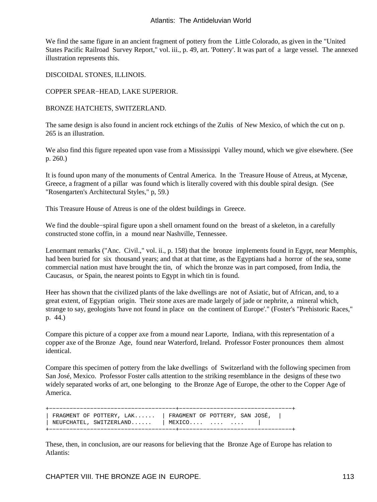We find the same figure in an ancient fragment of pottery from the Little Colorado, as given in the "United States Pacific Railroad Survey Report," vol. iii., p. 49, art. 'Pottery'. It was part of a large vessel. The annexed illustration represents this.

DISCOIDAL STONES, ILLINOIS.

COPPER SPEAR−HEAD, LAKE SUPERIOR.

BRONZE HATCHETS, SWITZERLAND.

The same design is also found in ancient rock etchings of the Zuñis of New Mexico, of which the cut on p. 265 is an illustration.

We also find this figure repeated upon vase from a Mississippi Valley mound, which we give elsewhere. (See p. 260.)

It is found upon many of the monuments of Central America. In the Treasure House of Atreus, at Mycenæ, Greece, a fragment of a pillar was found which is literally covered with this double spiral design. (See "Rosengarten's Architectural Styles," p, 59.)

This Treasure House of Atreus is one of the oldest buildings in Greece.

We find the double−spiral figure upon a shell ornament found on the breast of a skeleton, in a carefully constructed stone coffin, in a mound near Nashville, Tennessee.

Lenormant remarks ("Anc. Civil.," vol. ii., p. 158) that the bronze implements found in Egypt, near Memphis, had been buried for six thousand years; and that at that time, as the Egyptians had a horror of the sea, some commercial nation must have brought the tin, of which the bronze was in part composed, from India, the Caucasus, or Spain, the nearest points to Egypt in which tin is found.

Heer has shown that the civilized plants of the lake dwellings are not of Asiatic, but of African, and, to a great extent, of Egyptian origin. Their stone axes are made largely of jade or nephrite, a mineral which, strange to say, geologists 'have not found in place on the continent of Europe'." (Foster's "Prehistoric Races," p. 44.)

Compare this picture of a copper axe from a mound near Laporte, Indiana, with this representation of a copper axe of the Bronze Age, found near Waterford, Ireland. Professor Foster pronounces them almost identical.

Compare this specimen of pottery from the lake dwellings of Switzerland with the following specimen from San José, Mexico. Professor Foster calls attention to the striking resemblance in the designs of these two widely separated works of art, one belonging to the Bronze Age of Europe, the other to the Copper Age of America.

+−−−−−−−−−−−−−−−−−−−−−−−−−−−−−−−−−−−−−+−−−−−−−−−−−−−−−−−−−−−−−−−−−−−−−−−+ | FRAGMENT OF POTTERY, LAK...... | FRAGMENT OF POTTERY, SAN JOSÉ, | | NEUFCHATEL, SWITZERLAND...... | MEXICO.... .... .... | +−−−−−−−−−−−−−−−−−−−−−−−−−−−−−−−−−−−−−+−−−−−−−−−−−−−−−−−−−−−−−−−−−−−−−−−+

These, then, in conclusion, are our reasons for believing that the Bronze Age of Europe has relation to Atlantis:

CHAPTER VIII. THE BRONZE AGE IN EUROPE. 113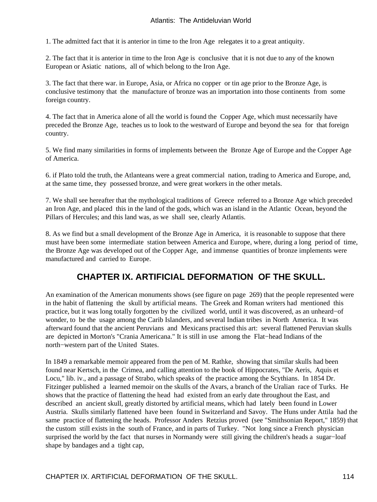1. The admitted fact that it is anterior in time to the Iron Age relegates it to a great antiquity.

2. The fact that it is anterior in time to the Iron Age is conclusive that it is not due to any of the known European or Asiatic nations, all of which belong to the Iron Age.

3. The fact that there war. in Europe, Asia, or Africa no copper or tin age prior to the Bronze Age, is conclusive testimony that the manufacture of bronze was an importation into those continents from some foreign country.

4. The fact that in America alone of all the world is found the Copper Age, which must necessarily have preceded the Bronze Age, teaches us to look to the westward of Europe and beyond the sea for that foreign country.

5. We find many similarities in forms of implements between the Bronze Age of Europe and the Copper Age of America.

6. if Plato told the truth, the Atlanteans were a great commercial nation, trading to America and Europe, and, at the same time, they possessed bronze, and were great workers in the other metals.

7. We shall see hereafter that the mythological traditions of Greece referred to a Bronze Age which preceded an Iron Age, and placed this in the land of the gods, which was an island in the Atlantic Ocean, beyond the Pillars of Hercules; and this land was, as we shall see, clearly Atlantis.

8. As we find but a small development of the Bronze Age in America, it is reasonable to suppose that there must have been some intermediate station between America and Europe, where, during a long period of time, the Bronze Age was developed out of the Copper Age, and immense quantities of bronze implements were manufactured and carried to Europe.

### **CHAPTER IX. ARTIFICIAL DEFORMATION OF THE SKULL.**

An examination of the American monuments shows (see figure on page 269) that the people represented were in the habit of flattening the skull by artificial means. The Greek and Roman writers had mentioned this practice, but it was long totally forgotten by the civilized world, until it was discovered, as an unheard−of wonder, to be the usage among the Carib Islanders, and several Indian tribes in North America. It was afterward found that the ancient Peruvians and Mexicans practised this art: several flattened Peruvian skulls are depicted in Morton's "Crania Americana." It is still in use among the Flat−head Indians of the north−western part of the United States.

In 1849 a remarkable memoir appeared from the pen of M. Rathke, showing that similar skulls had been found near Kertsch, in the Crimea, and calling attention to the book of Hippocrates, "De Aeris, Aquis et Locu," lib. iv., and a passage of Strabo, which speaks of the practice among the Scythians. In 1854 Dr. Fitzinger published a learned memoir on the skulls of the Avars, a branch of the Uralian race of Turks. He shows that the practice of flattening the head had existed from an early date throughout the East, and described an ancient skull, greatly distorted by artificial means, which had lately been found in Lower Austria. Skulls similarly flattened have been found in Switzerland and Savoy. The Huns under Attila had the same practice of flattening the heads. Professor Anders Retzius proved (see "Smithsonian Report," 1859) that the custom still exists in the south of France, and in parts of Turkey. "Not long since a French physician surprised the world by the fact that nurses in Normandy were still giving the children's heads a sugar-loaf shape by bandages and a tight cap,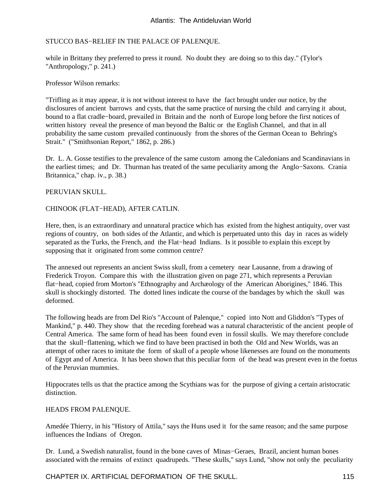#### STUCCO BAS−RELIEF IN THE PALACE OF PALENQUE.

while in Brittany they preferred to press it round. No doubt they are doing so to this day." (Tylor's "Anthropology," p. 241.)

#### Professor Wilson remarks:

"Trifling as it may appear, it is not without interest to have the fact brought under our notice, by the disclosures of ancient barrows and cysts, that the same practice of nursing the child and carrying it about, bound to a flat cradle−board, prevailed in Britain and the north of Europe long before the first notices of written history reveal the presence of man beyond the Baltic or the English Channel, and that in all probability the same custom prevailed continuously from the shores of the German Ocean to Behring's Strait." ("Smithsonian Report," 1862, p. 286.)

Dr. L. A. Gosse testifies to the prevalence of the same custom among the Caledonians and Scandinavians in the earliest times; and Dr. Thurman has treated of the same peculiarity among the Anglo−Saxons. Crania Britannica," chap. iv., p. 38.)

#### PERUVIAN SKULL.

#### CHINOOK (FLAT−HEAD), AFTER CATLIN.

Here, then, is an extraordinary and unnatural practice which has existed from the highest antiquity, over vast regions of country, on both sides of the Atlantic, and which is perpetuated unto this day in races as widely separated as the Turks, the French, and the Flat−head Indians. Is it possible to explain this except by supposing that it originated from some common centre?

The annexed out represents an ancient Swiss skull, from a cemetery near Lausanne, from a drawing of Frederick Troyon. Compare this with the illustration given on page 271, which represents a Peruvian flat−head, copied from Morton's "Ethnography and Archæology of the American Aborigines," 1846. This skull is shockingly distorted. The dotted lines indicate the course of the bandages by which the skull was deformed.

The following heads are from Del Rio's "Account of Palenque," copied into Nott and Gliddon's "Types of Mankind," p. 440. They show that the receding forehead was a natural characteristic of the ancient people of Central America. The same form of head has been found even in fossil skulls. We may therefore conclude that the skull−flattening, which we find to have been practised in both the Old and New Worlds, was an attempt of other races to imitate the form of skull of a people whose likenesses are found on the monuments of Egypt and of America. It has been shown that this peculiar form of the head was present even in the foetus of the Peruvian mummies.

Hippocrates tells us that the practice among the Scythians was for the purpose of giving a certain aristocratic distinction.

#### HEADS FROM PALENQUE.

Amedée Thierry, in his "History of Attila," says the Huns used it for the same reason; and the same purpose influences the Indians of Oregon.

Dr. Lund, a Swedish naturalist, found in the bone caves of Minas−Geraes, Brazil, ancient human bones associated with the remains of extinct quadrupeds. "These skulls," says Lund, "show not only the peculiarity

CHAPTER IX. ARTIFICIAL DEFORMATION OF THE SKULL.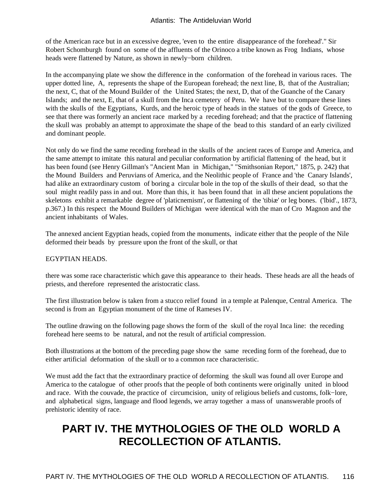of the American race but in an excessive degree, 'even to the entire disappearance of the forehead'." Sir Robert Schomburgh found on some of the affluents of the Orinoco a tribe known as Frog Indians, whose heads were flattened by Nature, as shown in newly−born children.

In the accompanying plate we show the difference in the conformation of the forehead in various races. The upper dotted line, A, represents the shape of the European forehead; the next line, B, that of the Australian; the next, C, that of the Mound Builder of the United States; the next, D, that of the Guanche of the Canary Islands; and the next, E, that of a skull from the Inca cemetery of Peru. We have but to compare these lines with the skulls of the Egyptians, Kurds, and the heroic type of heads in the statues of the gods of Greece, to see that there was formerly an ancient race marked by a receding forehead; and that the practice of flattening the skull was probably an attempt to approximate the shape of the bead to this standard of an early civilized and dominant people.

Not only do we find the same receding forehead in the skulls of the ancient races of Europe and America, and the same attempt to imitate this natural and peculiar conformation by artificial flattening of the head, but it has been found (see Henry Gillman's "Ancient Man in Michigan," "Smithsonian Report," 1875, p. 242) that the Mound Builders and Peruvians of America, and the Neolithic people of France and 'the Canary Islands', had alike an extraordinary custom of boring a circular bole in the top of the skulls of their dead, so that the soul might readily pass in and out. More than this, it has been found that in all these ancient populations the skeletons exhibit a remarkable degree of 'platicnemism', or flattening of the 'tibiæ' or leg bones. ('lbid'., 1873, p.367.) In this respect the Mound Builders of Michigan were identical with the man of Cro Magnon and the ancient inhabitants of Wales.

The annexed ancient Egyptian heads, copied from the monuments, indicate either that the people of the Nile deformed their beads by pressure upon the front of the skull, or that

#### EGYPTIAN HEADS.

there was some race characteristic which gave this appearance to their heads. These heads are all the heads of priests, and therefore represented the aristocratic class.

The first illustration below is taken from a stucco relief found in a temple at Palenque, Central America. The second is from an Egyptian monument of the time of Rameses IV.

The outline drawing on the following page shows the form of the skull of the royal Inca line: the receding forehead here seems to be natural, and not the result of artificial compression.

Both illustrations at the bottom of the preceding page show the same receding form of the forehead, due to either artificial deformation of the skull or to a common race characteristic.

We must add the fact that the extraordinary practice of deforming the skull was found all over Europe and America to the catalogue of other proofs that the people of both continents were originally united in blood and race. With the couvade, the practice of circumcision, unity of religious beliefs and customs, folk−lore, and alphabetical signs, language and flood legends, we array together a mass of unanswerable proofs of prehistoric identity of race.

# **PART IV. THE MYTHOLOGIES OF THE OLD WORLD A RECOLLECTION OF ATLANTIS.**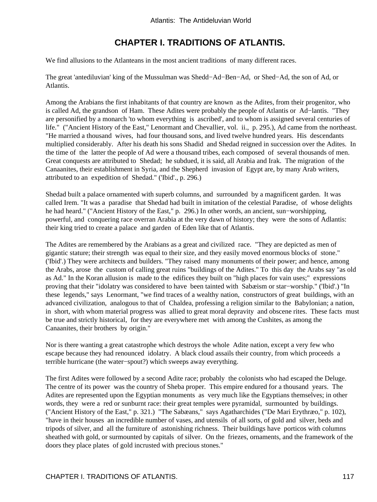## **CHAPTER I. TRADITIONS OF ATLANTIS.**

We find allusions to the Atlanteans in the most ancient traditions of many different races.

The great 'antediluvian' king of the Mussulman was Shedd−Ad−Ben−Ad, or Shed−Ad, the son of Ad, or Atlantis.

Among the Arabians the first inhabitants of that country are known as the Adites, from their progenitor, who is called Ad, the grandson of Ham. These Adites were probably the people of Atlantis or Ad−lantis. "They are personified by a monarch 'to whom everything is ascribed', and to whom is assigned several centuries of life." ("Ancient History of the East," Lenormant and Chevallier, vol. ii., p. 295.), Ad came from the northeast. "He married a thousand wives, had four thousand sons, and lived twelve hundred years. His descendants multiplied considerably. After his death his sons Shadid and Shedad reigned in succession over the Adites. In the time of the latter the people of Ad were a thousand tribes, each composed of several thousands of men. Great conquests are attributed to Shedad; he subdued, it is said, all Arabia and Irak. The migration of the Canaanites, their establishment in Syria, and the Shepherd invasion of Egypt are, by many Arab writers, attributed to an expedition of Shedad." ('Ibid'., p. 296.)

Shedad built a palace ornamented with superb columns, and surrounded by a magnificent garden. It was called Irem. "It was a paradise that Shedad had built in imitation of the celestial Paradise, of whose delights he had heard." ("Ancient History of the East," p. 296.) In other words, an ancient, sun−worshipping, powerful, and conquering race overran Arabia at the very dawn of history; they were the sons of Adlantis: their king tried to create a palace and garden of Eden like that of Atlantis.

The Adites are remembered by the Arabians as a great and civilized race. "They are depicted as men of gigantic stature; their strength was equal to their size, and they easily moved enormous blocks of stone." ('Ibid'.) They were architects and builders. "They raised many monuments of their power; and hence, among the Arabs, arose the custom of calling great ruins "buildings of the Adites." To this day the Arabs say "as old as Ad." In the Koran allusion is made to the edifices they built on "high places for vain uses;" expressions proving that their "idolatry was considered to have been tainted with Sabæism or star−worship." ('Ibid'.) "In these legends," says Lenormant, "we find traces of a wealthy nation, constructors of great buildings, with an advanced civilization, analogous to that of Chaldea, professing a religion similar to the Babylonian; a nation, in short, with whom material progress was allied to great moral depravity and obscene rites. These facts must be true and strictly historical, for they are everywhere met with among the Cushites, as among the Canaanites, their brothers by origin."

Nor is there wanting a great catastrophe which destroys the whole Adite nation, except a very few who escape because they had renounced idolatry. A black cloud assails their country, from which proceeds a terrible hurricane (the water−spout?) which sweeps away everything.

The first Adites were followed by a second Adite race; probably the colonists who had escaped the Deluge. The centre of its power was the country of Sheba proper. This empire endured for a thousand years. The Adites are represented upon the Egyptian monuments as very much like the Egyptians themselves; in other words, they were a red or sunburnt race: their great temples were pyramidal, surmounted by buildings. ("Ancient History of the East," p. 321.) "The Sabæans," says Agatharchides ("De Mari Erythræo," p. 102), "have in their houses an incredible number of vases, and utensils of all sorts, of gold and silver, beds and tripods of silver, and all the furniture of astonishing richness. Their buildings have porticos with columns sheathed with gold, or surmounted by capitals of silver. On the friezes, ornaments, and the framework of the doors they place plates of gold incrusted with precious stones."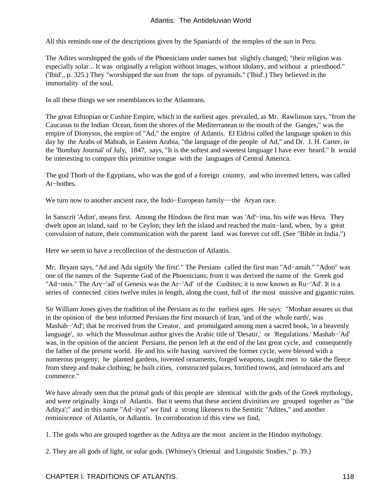All this reminds one of the descriptions given by the Spaniards of the temples of the sun in Peru.

The Adites worshipped the gods of the Phoenicians under names but slightly changed; "their religion was especially solar... It was originally a religion without images, without idolatry, and without a priesthood." ('Ibid'., p. 325.) They "worshipped the sun from the tops of pyramids." ('Ibid'.) They believed in the immortality of the soul.

In all these things we see resemblances to the Atlanteans.

The great Ethiopian or Cushite Empire, which in the earliest ages prevailed, as Mr. Rawlinson says, "from the Caucasus to the Indian Ocean, from the shores of the Mediterranean to the mouth of the Ganges," was the empire of Dionysos, the empire of "Ad," the empire of Atlantis. El Eldrisi called the language spoken to this day by the Arabs of Mahrah, in Eastern Arabia, "the language of the people of Ad," and Dr. J. H. Carter, in the 'Bombay Journal' of July, 1847, says, "It is the softest and sweetest language I have ever heard." It would be interesting to compare this primitive tongue with the languages of Central America.

The god Thoth of the Egyptians, who was the god of a foreign country, and who invented letters, was called At−hothes.

We turn now to another ancient race, the Indo−European family−−the Aryan race.

In Sanscrit 'Adim', means first. Among the Hindoos the first man was 'Ad'−ima, his wife was Heva. They dwelt upon an island, said to be Ceylon; they left the island and reached the main−land, when, by a great convulsion of nature, their communication with the parent land was forever cut off. (See "Bible in India.")

Here we seem to have a recollection of the destruction of Atlantis.

Mr. Bryant says, "Ad and Ada signify 'the first'." The Persians called the first man "Ad−amah." "Adon" was one of the names of the Supreme God of the Phoenicians; from it was derived the name of the Greek god "Ad−onis." The Arv−'ad' of Genesis was the Ar−'Ad' of the Cushites; it is now known as Ru−'Ad'. It is a series of connected cities twelve miles in length, along the coast, full of the most massive and gigantic ruins.

Sir William Jones gives the tradition of the Persians as to the earliest ages. He says: "Moshan assures us that in the opinion of the best informed Persians the first monarch of Iran, 'and of the whole earth', was Mashab−'Ad'; that he received from the Creator, and promulgated among men a sacred book, 'in a heavenly language', to which the Mussulman author gives the Arabic title of 'Desatir,' or 'Regulations.' Mashab−'Ad' was, in the opinion of the ancient Persians, the person left at the end of the last great cycle, and consequently the father of the present world. He and his wife having survived the former cycle, were blessed with a numerous progeny; he planted gardens, invented ornaments, forged weapons, taught men to take the fleece from sheep and make clothing; he built cities, constructed palaces, fortified towns, and introduced arts and commerce."

We have already seen that the primal gods of this people are identical with the gods of the Greek mythology, and were originally kings of Atlantis. But it seems that these ancient divinities are grouped together as "'the Aditya';" and in this name "Ad−itya" we find a strong likeness to the Semitic "Adites," and another reminiscence of Atlantis, or Adlantis. In corroboration of this view we find,

1. The gods who are grouped together as the Aditya are the most ancient in the Hindoo mythology.

2. They are all gods of light, or solar gods. (Whitney's Oriental and Linguistic Studies," p. 39.)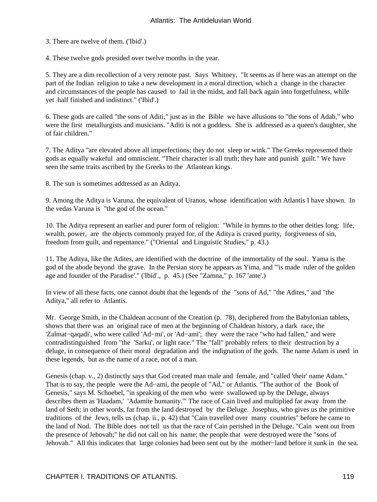3. There are twelve of them. ('Ibid'.)

4. These twelve gods presided over twelve months in the year.

5. They are a dim recollection of a very remote past. Says Whitney, "It seems as if here was an attempt on the part of the Indian religion to take a new development in a moral direction, which a change in the character and circumstances of the people has caused to fail in the midst, and fall back again into forgetfulness, while yet half finished and indistinct." ('Ibid'.)

6. These gods are called "the sons of Aditi," just as in the Bible we have allusions to "the sons of Adab," who were the first metallurgists and musicians. "Aditi is not a goddess. She is addressed as a queen's daughter, she of fair children."

7. The Aditya "are elevated above all imperfections; they do not sleep or wink." The Greeks represented their gods as equally wakeful and omniscient. "Their character is all truth; they hate and punish guilt." We have seen the same traits ascribed by the Greeks to the Atlantean kings.

8. The sun is sometimes addressed as an Aditya.

9. Among the Aditya is Varuna, the equivalent of Uranos, whose identification with Atlantis I have shown. In the vedas Varuna is "the god of the ocean."

10. The Aditya represent an earlier and purer form of religion: "While in hymns to the other deities long: life, wealth, power, are the objects commonly prayed for, of the Aditya is craved purity, forgiveness of sin, freedom from guilt, and repentance." ("Oriental and Linguistic Studies," p. 43.)

11. The Aditya, like the Adites, are identified with the doctrine of the immortality of the soul. Yama is the god of the abode beyond the grave. In the Persian story he appears as Yima, and "'is made ruler of the golden age and founder of the Paradise'." ('Ibid'., p. 45.) (See "Zamna," p. 167 'ante'.)

In view of all these facts, one cannot doubt that the legends of the "sons of Ad," "the Adites," and "the Aditya," all refer to Atlantis.

Mr. George Smith, in the Chaldean account of the Creation (p. 78), deciphered from the Babylonian tablets, shows that there was an original race of men at the beginning of Chaldean history, a dark race, the 'Zalmat−qaqadi', who were called 'Ad−mi', or 'Ad−ami'; they were the race "who had fallen," and were contradistinguished from "the 'Sarku', or light race." The "fall" probably refers to their destruction by a deluge, in consequence of their moral degradation and the indignation of the gods. The name Adam is used in these legends, but as the name of a race, not of a man.

Genesis (chap. v., 2) distinctly says that God created man male and female, and "called 'their' name Adam." That is to say, the people were the Ad−ami, the people of "Ad," or Atlantis. "The author of the Book of Genesis," says M. Schoebel, "in speaking of the men who were swallowed up by the Deluge, always describes them as 'Haadam,' 'Adamite humanity.'" The race of Cain lived and multiplied far away from the land of Seth; in other words, far from the land destroyed by the Deluge. Josephus, who gives us the primitive traditions of the Jews, tells us (chap. ii., p. 42) that "Cain travelled over many countries" before he came to the land of Nod. The Bible does not tell us that the race of Cain perished in the Deluge. "Cain went out from the presence of Jehovah;" he did not call on his name; the people that were destroyed were the "sons of Jehovah." All this indicates that large colonies had been sent out by the mother−land before it sunk in the sea.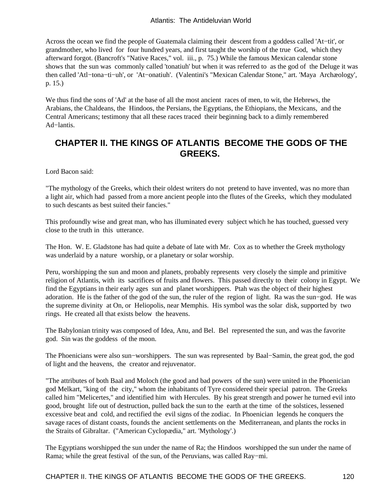Across the ocean we find the people of Guatemala claiming their descent from a goddess called 'At−tit', or grandmother, who lived for four hundred years, and first taught the worship of the true God, which they afterward forgot. (Bancroft's "Native Races," vol. iii., p. 75.) While the famous Mexican calendar stone shows that the sun was commonly called 'tonatiuh' but when it was referred to as the god of the Deluge it was then called 'Atl−tona−ti−uh', or 'At−onatiuh'. (Valentini's "Mexican Calendar Stone," art. 'Maya Archæology', p. 15.)

We thus find the sons of 'Ad' at the base of all the most ancient races of men, to wit, the Hebrews, the Arabians, the Chaldeans, the Hindoos, the Persians, the Egyptians, the Ethiopians, the Mexicans, and the Central Americans; testimony that all these races traced their beginning back to a dimly remembered Ad−lantis.

### **CHAPTER II. THE KINGS OF ATLANTIS BECOME THE GODS OF THE GREEKS.**

Lord Bacon said:

"The mythology of the Greeks, which their oldest writers do not pretend to have invented, was no more than a light air, which had passed from a more ancient people into the flutes of the Greeks, which they modulated to such descants as best suited their fancies."

This profoundly wise and great man, who has illuminated every subject which he has touched, guessed very close to the truth in this utterance.

The Hon. W. E. Gladstone has had quite a debate of late with Mr. Cox as to whether the Greek mythology was underlaid by a nature worship, or a planetary or solar worship.

Peru, worshipping the sun and moon and planets, probably represents very closely the simple and primitive religion of Atlantis, with its sacrifices of fruits and flowers. This passed directly to their colony in Egypt. We find the Egyptians in their early ages sun and planet worshippers. Ptah was the object of their highest adoration. He is the father of the god of the sun, the ruler of the region of light. Ra was the sun−god. He was the supreme divinity at On, or Heliopolis, near Memphis. His symbol was the solar disk, supported by two rings. He created all that exists below the heavens.

The Babylonian trinity was composed of Idea, Anu, and Bel. Bel represented the sun, and was the favorite god. Sin was the goddess of the moon.

The Phoenicians were also sun−worshippers. The sun was represented by Baal−Samin, the great god, the god of light and the heavens, the creator and rejuvenator.

"The attributes of both Baal and Moloch (the good and bad powers of the sun) were united in the Phoenician god Melkart, "king of the city," whom the inhabitants of Tyre considered their special patron. The Greeks called him "Melicertes," and identified him with Hercules. By his great strength and power he turned evil into good, brought life out of destruction, pulled back the sun to the earth at the time of the solstices, lessened excessive beat and cold, and rectified the evil signs of the zodiac. In Phoenician legends he conquers the savage races of distant coasts, founds the ancient settlements on the Mediterranean, and plants the rocks in the Straits of Gibraltar. ("American Cyclopædia," art. 'Mythology'.)

The Egyptians worshipped the sun under the name of Ra; the Hindoos worshipped the sun under the name of Rama; while the great festival of the sun, of the Peruvians, was called Ray−mi.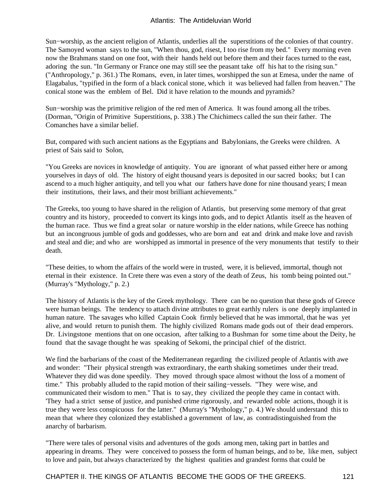Sun−worship, as the ancient religion of Atlantis, underlies all the superstitions of the colonies of that country. The Samoyed woman says to the sun, "When thou, god, risest, I too rise from my bed." Every morning even now the Brahmans stand on one foot, with their hands held out before them and their faces turned to the east, adoring the sun. "In Germany or France one may still see the peasant take off his hat to the rising sun." ("Anthropology," p. 361.) The Romans, even, in later times, worshipped the sun at Emesa, under the name of Elagabalus, "typified in the form of a black conical stone, which it was believed had fallen from heaven." The conical stone was the emblem of Bel. Did it have relation to the mounds and pyramids?

Sun−worship was the primitive religion of the red men of America. It was found among all the tribes. (Dorman, "Origin of Primitive Superstitions, p. 338.) The Chichimecs called the sun their father. The Comanches have a similar belief.

But, compared with such ancient nations as the Egyptians and Babylonians, the Greeks were children. A priest of Sais said to Solon,

"You Greeks are novices in knowledge of antiquity. You are ignorant of what passed either here or among yourselves in days of old. The history of eight thousand years is deposited in our sacred books; but I can ascend to a much higher antiquity, and tell you what our fathers have done for nine thousand years; I mean their institutions, their laws, and their most brilliant achievements."

The Greeks, too young to have shared in the religion of Atlantis, but preserving some memory of that great country and its history, proceeded to convert its kings into gods, and to depict Atlantis itself as the heaven of the human race. Thus we find a great solar or nature worship in the elder nations, while Greece has nothing but an incongruous jumble of gods and goddesses, who are born and eat and drink and make love and ravish and steal and die; and who are worshipped as immortal in presence of the very monuments that testify to their death.

"These deities, to whom the affairs of the world were in trusted, were, it is believed, immortal, though not eternal in their existence. In Crete there was even a story of the death of Zeus, his tomb being pointed out." (Murray's "Mythology," p. 2.)

The history of Atlantis is the key of the Greek mythology. There can be no question that these gods of Greece were human beings. The tendency to attach divine attributes to great earthly rulers is one deeply implanted in human nature. The savages who killed Captain Cook firmly believed that he was immortal, that he was yet alive, and would return to punish them. The highly civilized Romans made gods out of their dead emperors. Dr. Livingstone mentions that on one occasion, after talking to a Bushman for some time about the Deity, he found that the savage thought he was speaking of Sekomi, the principal chief of the district.

We find the barbarians of the coast of the Mediterranean regarding the civilized people of Atlantis with awe and wonder: "Their physical strength was extraordinary, the earth shaking sometimes under their tread. Whatever they did was done speedily. They moved through space almost without the loss of a moment of time." This probably alluded to the rapid motion of their sailing−vessels. "They were wise, and communicated their wisdom to men." That is to say, they civilized the people they came in contact with. 'They had a strict sense of justice, and punished crime rigorously, and rewarded noble actions, though it is true they were less conspicuous for the latter." (Murray's "Mythology," p. 4.) We should understand this to mean that where they colonized they established a government of law, as contradistinguished from the anarchy of barbarism.

"There were tales of personal visits and adventures of the gods among men, taking part in battles and appearing in dreams. They were conceived to possess the form of human beings, and to be, like men, subject to love and pain, but always characterized by the highest qualities and grandest forms that could be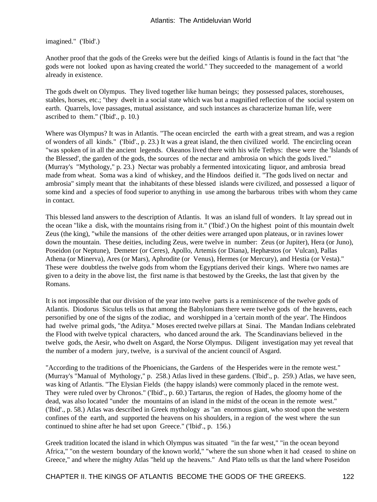imagined." ('Ibid'.)

Another proof that the gods of the Greeks were but the deified kings of Atlantis is found in the fact that "the gods were not looked upon as having created the world." They succeeded to the management of a world already in existence.

The gods dwelt on Olympus. They lived together like human beings; they possessed palaces, storehouses, stables, horses, etc.; "they dwelt in a social state which was but a magnified reflection of the social system on earth. Quarrels, love passages, mutual assistance, and such instances as characterize human life, were ascribed to them." ('Ibid'., p. 10.)

Where was Olympus? It was in Atlantis. "The ocean encircled the earth with a great stream, and was a region of wonders of all kinds." ('Ibid'., p. 23.) It was a great island, the then civilized world. The encircling ocean "was spoken of in all the ancient legends. Okeanos lived there with his wife Tethys: these were the 'Islands of the Blessed', the garden of the gods, the sources of the nectar and ambrosia on which the gods lived." (Murray's "Mythology," p. 23.) Nectar was probably a fermented intoxicating liquor, and ambrosia bread made from wheat. Soma was a kind of whiskey, and the Hindoos deified it. "The gods lived on nectar and ambrosia" simply meant that the inhabitants of these blessed islands were civilized, and possessed a liquor of some kind and a species of food superior to anything in use among the barbarous tribes with whom they came in contact.

This blessed land answers to the description of Atlantis. It was an island full of wonders. It lay spread out in the ocean "like a disk, with the mountains rising from it." ('Ibid'.) On the highest point of this mountain dwelt Zeus (the king), "while the mansions of the other deities were arranged upon plateaus, or in ravines lower down the mountain. These deities, including Zeus, were twelve in number: Zeus (or Jupiter), Hera (or Juno), Poseidon (or Neptune), Demeter (or Ceres), Apollo, Artemis (or Diana), Hephæstos (or Vulcan), Pallas Athena (or Minerva), Ares (or Mars), Aphrodite (or Venus), Hermes (or Mercury), and Hestia (or Vesta)." These were doubtless the twelve gods from whom the Egyptians derived their kings. Where two names are given to a deity in the above list, the first name is that bestowed by the Greeks, the last that given by the Romans.

It is not impossible that our division of the year into twelve parts is a reminiscence of the twelve gods of Atlantis. Diodorus Siculus tells us that among the Babylonians there were twelve gods of the heavens, each personified by one of the signs of the zodiac, and worshipped in a 'certain month of the year'. The Hindoos had twelve primal gods, "the Aditya." Moses erected twelve pillars at Sinai. The Mandan Indians celebrated the Flood with twelve typical characters, who danced around the ark. The Scandinavians believed in the twelve gods, the Aesir, who dwelt on Asgard, the Norse Olympus. Diligent investigation may yet reveal that the number of a modern jury, twelve, is a survival of the ancient council of Asgard.

"According to the traditions of the Phoenicians, the Gardens of the Hesperides were in the remote west." (Murray's "Manual of Mythology," p. 258.) Atlas lived in these gardens. ('Ibid'., p. 259.) Atlas, we have seen, was king of Atlantis. "The Elysian Fields (the happy islands) were commonly placed in the remote west. They were ruled over by Chronos." ('Ibid'., p. 60.) Tartarus, the region of Hades, the gloomy home of the dead, was also located "under the mountains of an island in the midst of the ocean in the remote west." ('Ibid'., p. 58.) Atlas was described in Greek mythology as "an enormous giant, who stood upon the western confines of the earth, and supported the heavens on his shoulders, in a region of the west where the sun continued to shine after he had set upon Greece." ('Ibid'., p. 156.)

Greek tradition located the island in which Olympus was situated "in the far west," "in the ocean beyond Africa," "on the western boundary of the known world," "where the sun shone when it had ceased to shine on Greece," and where the mighty Atlas "held up the heavens." And Plato tells us that the land where Poseidon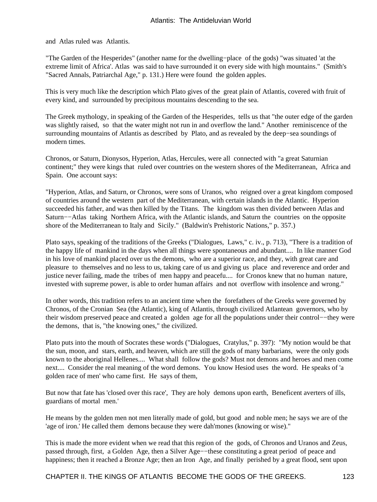and Atlas ruled was Atlantis.

"The Garden of the Hesperides" (another name for the dwelling−place of the gods) "was situated 'at the extreme limit of Africa'. Atlas was said to have surrounded it on every side with high mountains." (Smith's "Sacred Annals, Patriarchal Age," p. 131.) Here were found the golden apples.

This is very much like the description which Plato gives of the great plain of Atlantis, covered with fruit of every kind, and surrounded by precipitous mountains descending to the sea.

The Greek mythology, in speaking of the Garden of the Hesperides, tells us that "the outer edge of the garden was slightly raised, so that the water might not run in and overflow the land." Another reminiscence of the surrounding mountains of Atlantis as described by Plato, and as revealed by the deep−sea soundings of modern times.

Chronos, or Saturn, Dionysos, Hyperion, Atlas, Hercules, were all connected with "a great Saturnian continent;" they were kings that ruled over countries on the western shores of the Mediterranean, Africa and Spain. One account says:

"Hyperion, Atlas, and Saturn, or Chronos, were sons of Uranos, who reigned over a great kingdom composed of countries around the western part of the Mediterranean, with certain islands in the Atlantic. Hyperion succeeded his father, and was then killed by the Titans. The kingdom was then divided between Atlas and Saturn−−Atlas taking Northern Africa, with the Atlantic islands, and Saturn the countries on the opposite shore of the Mediterranean to Italy and Sicily." (Baldwin's Prehistoric Nations," p. 357.)

Plato says, speaking of the traditions of the Greeks ("Dialogues, Laws," c. iv., p. 713), "There is a tradition of the happy life of mankind in the days when all things were spontaneous and abundant.... In like manner God in his love of mankind placed over us the demons, who are a superior race, and they, with great care and pleasure to themselves and no less to us, taking care of us and giving us place and reverence and order and justice never failing, made the tribes of men happy and peacefu.... for Cronos knew that no human nature, invested with supreme power, is able to order human affairs and not overflow with insolence and wrong."

In other words, this tradition refers to an ancient time when the forefathers of the Greeks were governed by Chronos, of the Cronian Sea (the Atlantic), king of Atlantis, through civilized Atlantean governors, who by their wisdom preserved peace and created a golden age for all the populations under their control−−they were the demons, that is, "the knowing ones," the civilized.

Plato puts into the mouth of Socrates these words ("Dialogues, Cratylus," p. 397): "My notion would be that the sun, moon, and stars, earth, and heaven, which are still the gods of many barbarians, were the only gods known to the aboriginal Hellenes.... What shall follow the gods? Must not demons and heroes and men come next.... Consider the real meaning of the word demons. You know Hesiod uses the word. He speaks of 'a golden race of men' who came first. He says of them,

But now that fate has 'closed over this race', They are holy demons upon earth, Beneficent averters of ills, guardians of mortal men.'

He means by the golden men not men literally made of gold, but good and noble men; he says we are of the 'age of iron.' He called them demons because they were dah'mones (knowing or wise)."

This is made the more evident when we read that this region of the gods, of Chronos and Uranos and Zeus, passed through, first, a Golden Age, then a Silver Age−−these constituting a great period of peace and happiness; then it reached a Bronze Age; then an Iron Age, and finally perished by a great flood, sent upon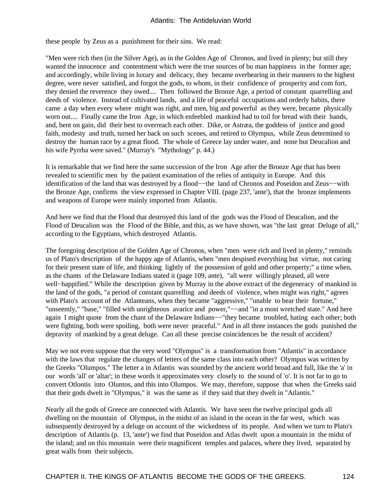these people by Zeus as a punishment for their sins. We read:

"Men were rich then (in the Silver Age), as in the Golden Age of Chronos, and lived in plenty; but still they wanted the innocence and contentment which were the true sources of bu man happiness in the former age; and accordingly, while living in luxury and delicacy, they became overbearing in their manners to the highest degree, were never satisfied, and forgot the gods, to whom, in their confidence of prosperity and com fort, they denied the reverence they owed.... Then followed the Bronze Age, a period of constant quarrelling and deeds of violence. Instead of cultivated lands, and a life of peaceful occupations and orderly habits, there came a day when every where might was right, and men, big and powerful as they were, became physically worn out.... Finally came the Iron Age, in which enfeebled mankind had to toil for bread with their hands, and, bent on gain, did their best to overreach each other. Dike, or Astræa, the goddess of justice and good faith, modesty and truth, turned her back on such scenes, and retired to Olympus, while Zeus determined to destroy the human race by a great flood. The whole of Greece lay under water, and none but Deucalion and his wife Pyrrha were saved." (Murray's "Mythology" p. 44.)

It is remarkable that we find here the same succession of the Iron Age after the Bronze Age that has been revealed to scientific men by the patient examination of the relies of antiquity in Europe. And this identification of the land that was destroyed by a flood−−the land of Chronos and Poseidon and Zeus−−with the Bronze Age, confirms the view expressed in Chapter VIII. (page 237, 'ante'), that the bronze implements and weapons of Europe were mainly imported from Atlantis.

And here we find that the Flood that destroyed this land of the gods was the Flood of Deucalion, and the Flood of Deucalion was the Flood of the Bible, and this, as we have shown, was "the last great Deluge of all," according to the Egyptians, which destroyed Atlantis.

The foregoing description of the Golden Age of Chronos, when "men were rich and lived in plenty," reminds us of Plato's description of the happy age of Atlantis, when "men despised everything but virtue, not caring for their present state of life, and thinking lightly of the possession of gold and other property;" a time when, as the chants of the Delaware Indians stated it (page 109, ante), "all were willingly pleased, all were well−happified." While the description given by Murray in the above extract of the degeneracy of mankind in the land of the gods, "a period of constant quarrelling and deeds of violence, when might was right," agrees with Plato's account of the Atlanteans, when they became "aggressive," "unable to bear their fortune," "unseemly," "base," "filled with unrighteous avarice and power,"−−and "in a most wretched state." And here again I might quote from the chant of the Delaware Indians−−"they became troubled, hating each other; both were fighting, both were spoiling, both were never peaceful." And in all three instances the gods punished the depravity of mankind by a great deluge. Can all these precise coincidences be the result of accident?

May we not even suppose that the very word "Olympus" is a transformation from "Atlantis" in accordance with the laws that regulate the changes of letters of the same class into each other? Olympus was written by the Greeks "Olumpos." The letter a in Atlantis was sounded by the ancient world broad and full, like the 'a' in our words 'all' or 'altar'; in these words it approximates very closely to the sound of 'o'. It is not far to go to convert Otlontis into Oluntos, and this into Olumpos. We may, therefore, suppose that when the Greeks said that their gods dwelt in "Olympus," it was the same as if they said that they dwelt in "Atlantis."

Nearly all the gods of Greece are connected with Atlantis. We have seen the twelve principal gods all dwelling on the mountain of Olympus, in the midst of an island in the ocean in the far west, which was subsequently destroyed by a deluge on account of the wickedness of its people. And when we turn to Plato's description of Atlantis (p. 13, 'ante') we find that Poseidon and Atlas dwelt upon a mountain in the midst of the island; and on this mountain were their magnificent temples and palaces, where they lived, separated by great walls from their subjects.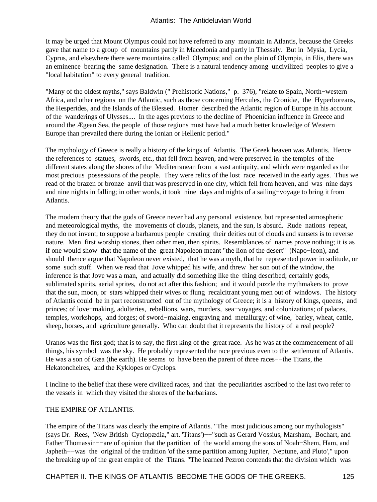It may be urged that Mount Olympus could not have referred to any mountain in Atlantis, because the Greeks gave that name to a group of mountains partly in Macedonia and partly in Thessaly. But in Mysia, Lycia, Cyprus, and elsewhere there were mountains called Olympus; and on the plain of Olympia, in Elis, there was an eminence bearing the same designation. There is a natural tendency among uncivilized peoples to give a "local habitation" to every general tradition.

"Many of the oldest myths," says Baldwin (" Prehistoric Nations," p. 376), "relate to Spain, North−western Africa, and other regions on the Atlantic, such as those concerning Hercules, the Cronidæ, the Hyperboreans, the Hesperides, and the Islands of the Blessed. Homer described the Atlantic region of Europe in his account of the wanderings of Ulysses.... In the ages previous to the decline of Phoenician influence in Greece and around the Ægean Sea, the people of those regions must have had a much better knowledge of Western Europe than prevailed there during the Ionian or Hellenic period."

The mythology of Greece is really a history of the kings of Atlantis. The Greek heaven was Atlantis. Hence the references to statues, swords, etc., that fell from heaven, and were preserved in the temples of the different states along the shores of the Mediterranean from a vast antiquity, and which were regarded as the most precious possessions of the people. They were relics of the lost race received in the early ages. Thus we read of the brazen or bronze anvil that was preserved in one city, which fell from heaven, and was nine days and nine nights in falling; in other words, it took nine days and nights of a sailing−voyage to bring it from Atlantis.

The modern theory that the gods of Greece never had any personal existence, but represented atmospheric and meteorological myths, the movements of clouds, planets, and the sun, is absurd. Rude nations repeat, they do not invent; to suppose a barbarous people creating their deities out of clouds and sunsets is to reverse nature. Men first worship stones, then other men, then spirits. Resemblances of names prove nothing; it is as if one would show that the name of the great Napoleon meant "the lion of the desert" (Napo−leon), and should thence argue that Napoleon never existed, that he was a myth, that he represented power in solitude, or some such stuff. When we read that Jove whipped his wife, and threw her son out of the window, the inference is that Jove was a man, and actually did something like the thing described; certainly gods, sublimated spirits, aerial sprites, do not act after this fashion; and it would puzzle the mythmakers to prove that the sun, moon, or stars whipped their wives or flung recalcitrant young men out of windows. The history of Atlantis could be in part reconstructed out of the mythology of Greece; it is a history of kings, queens, and princes; of love−making, adulteries, rebellions, wars, murders, sea−voyages, and colonizations; of palaces, temples, workshops, and forges; of sword−making, engraving and metallurgy; of wine, barley, wheat, cattle, sheep, horses, and agriculture generally. Who can doubt that it represents the history of a real people?

Uranos was the first god; that is to say, the first king of the great race. As he was at the commencement of all things, his symbol was the sky. He probably represented the race previous even to the settlement of Atlantis. He was a son of Gæa (the earth). He seems to have been the parent of three races−−the Titans, the Hekatoncheires, and the Kyklopes or Cyclops.

I incline to the belief that these were civilized races, and that the peculiarities ascribed to the last two refer to the vessels in which they visited the shores of the barbarians.

#### THE EMPIRE OF ATLANTIS.

The empire of the Titans was clearly the empire of Atlantis. "The most judicious among our mythologists" (says Dr. Rees, "New British Cyclopædia," art. 'Titans')−−"such as Gerard Vossius, Marsham, Bochart, and Father Thomassin−−are of opinion that the partition of the world among the sons of Noah−Shem, Ham, and Japheth−−was the original of the tradition 'of the same partition among Jupiter, Neptune, and Pluto'," upon the breaking up of the great empire of the Titans. "The learned Pezron contends that the division which was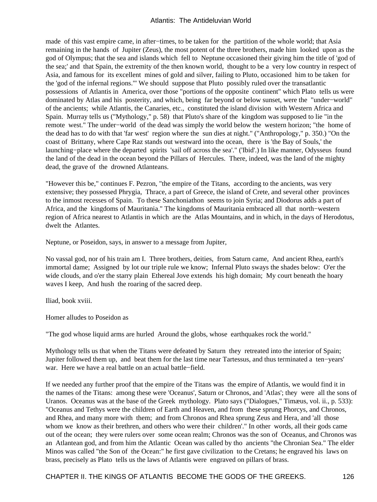made of this vast empire came, in after−times, to be taken for the partition of the whole world; that Asia remaining in the hands of Jupiter (Zeus), the most potent of the three brothers, made him looked upon as the god of Olympus; that the sea and islands which fell to Neptune occasioned their giving him the title of 'god of the sea;' and that Spain, the extremity of the then known world, thought to be a very low country in respect of Asia, and famous for its excellent mines of gold and silver, failing to Pluto, occasioned him to be taken for the 'god of the infernal regions.'" We should suppose that Pluto possibly ruled over the transatlantic possessions of Atlantis in America, over those "portions of the opposite continent" which Plato tells us were dominated by Atlas and his posterity, and which, being far beyond or below sunset, were the "under−world" of the ancients; while Atlantis, the Canaries, etc., constituted the island division with Western Africa and Spain. Murray tells us ("Mythology," p. 58) that Pluto's share of the kingdom was supposed to lie "in the remote west." The under−world of the dead was simply the world below the western horizon; "the home of the dead has to do with that 'far west' region where the sun dies at night." ("Anthropology," p. 350.) "On the coast of Brittany, where Cape Raz stands out westward into the ocean, there is 'the Bay of Souls,' the launching−place where the departed spirits 'sail off across the sea'." ('Ibid'.) In like manner, Odysseus found the land of the dead in the ocean beyond the Pillars of Hercules. There, indeed, was the land of the mighty dead, the grave of the drowned Atlanteans.

"However this be," continues F. Pezron, "the empire of the Titans, according to the ancients, was very extensive; they possessed Phrygia, Thrace, a part of Greece, the island of Crete, and several other provinces to the inmost recesses of Spain. To these Sanchoniathon seems to join Syria; and Diodorus adds a part of Africa, and the kingdoms of Mauritania." The kingdoms of Mauritania embraced all that north−western region of Africa nearest to Atlantis in which are the Atlas Mountains, and in which, in the days of Herodotus, dwelt the Atlantes.

Neptune, or Poseidon, says, in answer to a message from Jupiter,

No vassal god, nor of his train am I. Three brothers, deities, from Saturn came, And ancient Rhea, earth's immortal dame; Assigned by lot our triple rule we know; Infernal Pluto sways the shades below: O'er the wide clouds, and o'er the starry plain Ethereal Jove extends his high domain; My court beneath the hoary waves I keep, And hush the roaring of the sacred deep.

Iliad, book xviii.

Homer alludes to Poseidon as

"The god whose liquid arms are hurled Around the globs, whose earthquakes rock the world."

Mythology tells us that when the Titans were defeated by Saturn they retreated into the interior of Spain; Jupiter followed them up, and beat them for the last time near Tartessus, and thus terminated a ten−years' war. Here we have a real battle on an actual battle−field.

If we needed any further proof that the empire of the Titans was the empire of Atlantis, we would find it in the names of the Titans: among these were 'Oceanus', Saturn or Chronos, and 'Atlas'; they were all the sons of Uranos. Oceanus was at the base of the Greek mythology. Plato says ("Dialogues," Timæus, vol. ii., p. 533): "Oceanus and Tethys were the children of Earth and Heaven, and from these sprung Phorcys, and Chronos, and Rhea, and many more with them; and from Chronos and Rhea sprung Zeus and Hera, and 'all those whom we know as their brethren, and others who were their children'." In other words, all their gods came out of the ocean; they were rulers over some ocean realm; Chronos was the son of Oceanus, and Chronos was an Atlantean god, and from him the Atlantic Ocean was called by tho ancients "the Chronian Sea." The elder Minos was called "the Son of the Ocean:" he first gave civilization to the Cretans; he engraved his laws on brass, precisely as Plato tells us the laws of Atlantis were engraved on pillars of brass.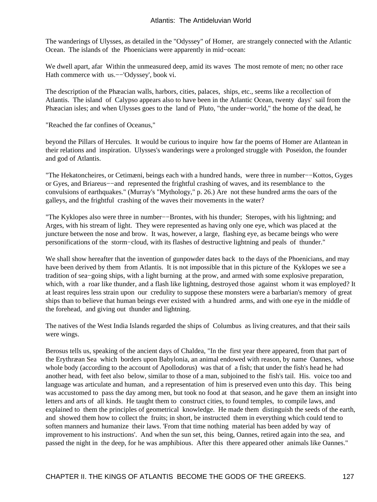The wanderings of Ulysses, as detailed in the "Odyssey" of Homer, are strangely connected with the Atlantic Ocean. The islands of the Phoenicians were apparently in mid−ocean:

We dwell apart, afar Within the unmeasured deep, amid its waves The most remote of men; no other race Hath commerce with us.—−'Odyssey', book vi.

The description of the Phæacian walls, harbors, cities, palaces, ships, etc., seems like a recollection of Atlantis. The island of Calypso appears also to have been in the Atlantic Ocean, twenty days' sail from the Phæacian isles; and when Ulysses goes to the land of Pluto, "the under−world," the home of the dead, he

"Reached the far confines of Oceanus,"

beyond the Pillars of Hercules. It would be curious to inquire how far the poems of Homer are Atlantean in their relations and inspiration. Ulysses's wanderings were a prolonged struggle with Poseidon, the founder and god of Atlantis.

"The Hekatoncheires, or Cetimæni, beings each with a hundred hands, were three in number−−Kottos, Gyges or Gyes, and Briareus−−and represented the frightful crashing of waves, and its resemblance to the convulsions of earthquakes." (Murray's "Mythology," p. 26.) Are not these hundred arms the oars of the galleys, and the frightful crashing of the waves their movements in the water?

"The Kyklopes also were three in number−−Brontes, with his thunder; Steropes, with his lightning; and Arges, with his stream of light. They were represented as having only one eye, which was placed at the juncture between the nose and brow. It was, however, a large, flashing eye, as became beings who were personifications of the storm−cloud, with its flashes of destructive lightning and peals of thunder."

We shall show hereafter that the invention of gunpowder dates back to the days of the Phoenicians, and may have been derived by them from Atlantis. It is not impossible that in this picture of the Kyklopes we see a tradition of sea−going ships, with a light burning at the prow, and armed with some explosive preparation, which, with a roar like thunder, and a flash like lightning, destroyed those against whom it was employed? It at least requires less strain upon our credulity to suppose these monsters were a barbarian's memory of great ships than to believe that human beings ever existed with a hundred arms, and with one eye in the middle of the forehead, and giving out thunder and lightning.

The natives of the West India Islands regarded the ships of Columbus as living creatures, and that their sails were wings.

Berosus tells us, speaking of the ancient days of Chaldea, "In the first year there appeared, from that part of the Erythræan Sea which borders upon Babylonia, an animal endowed with reason, by name Oannes, whose whole body (according to the account of Apollodorus) was that of a fish; that under the fish's head he had another head, with feet also below, similar to those of a man, subjoined to the fish's tail. His. voice too and language was articulate and human, and a representation of him is preserved even unto this day. This being was accustomed to pass the day among men, but took no food at that season, and he gave them an insight into letters and arts of all kinds. He taught them to construct cities, to found temples, to compile laws, and explained to them the principles of geometrical knowledge. He made them distinguish the seeds of the earth, and showed them how to collect the fruits; in short, be instructed them in everything which could tend to soften manners and humanize their laws. 'From that time nothing material has been added by way of improvement to his instructions'. And when the sun set, this being, Oannes, retired again into the sea, and passed the night in the deep, for he was amphibious. After this there appeared other animals like Oannes."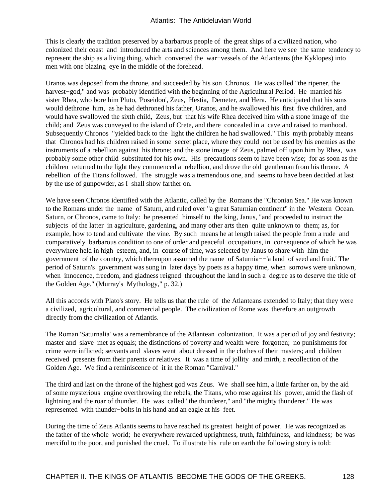This is clearly the tradition preserved by a barbarous people of the great ships of a civilized nation, who colonized their coast and introduced the arts and sciences among them. And here we see the same tendency to represent the ship as a living thing, which converted the war−vessels of the Atlanteans (the Kyklopes) into men with one blazing eye in the middle of the forehead.

Uranos was deposed from the throne, and succeeded by his son Chronos. He was called "the ripener, the harvest−god," and was probably identified with the beginning of the Agricultural Period. He married his sister Rhea, who bore him Pluto, 'Poseidon', Zeus, Hestia, Demeter, and Hera. He anticipated that his sons would dethrone him, as he had dethroned his father, Uranos, and he swallowed his first five children, and would have swallowed the sixth child, Zeus, but that his wife Rhea deceived him with a stone image of the child; and Zeus was conveyed to the island of Crete, and there concealed in a cave and raised to manhood. Subsequently Chronos "yielded back to the light the children he had swallowed." This myth probably means that Chronos had his children raised in some secret place, where they could not be used by his enemies as the instruments of a rebellion against his throne; and the stone image of Zeus, palmed off upon him by Rhea, was probably some other child substituted for his own. His precautions seem to have been wise; for as soon as the children returned to the light they commenced a rebellion, and drove the old gentleman from his throne. A rebellion of the Titans followed. The struggle was a tremendous one, and seems to have been decided at last by the use of gunpowder, as I shall show farther on.

We have seen Chronos identified with the Atlantic, called by the Romans the "Chronian Sea." He was known to the Romans under the name of Saturn, and ruled over "a great Saturnian continent" in the Western Ocean. Saturn, or Chronos, came to Italy: he presented himself to the king, Janus, "and proceeded to instruct the subjects of the latter in agriculture, gardening, and many other arts then quite unknown to them; as, for example, how to tend and cultivate the vine. By such means he at length raised the people from a rude and comparatively barbarous condition to one of order and peaceful occupations, in consequence of which he was everywhere held in high esteem, and, in course of time, was selected by Janus to share with him the government of the country, which thereupon assumed the name of Saturnia−−'a land of seed and fruit.' The period of Saturn's government was sung in later days by poets as a happy time, when sorrows were unknown, when innocence, freedom, and gladness reigned throughout the land in such a degree as to deserve the title of the Golden Age." (Murray's Mythology," p. 32.)

All this accords with Plato's story. He tells us that the rule of the Atlanteans extended to Italy; that they were a civilized, agricultural, and commercial people. The civilization of Rome was therefore an outgrowth directly from the civilization of Atlantis.

The Roman 'Saturnalia' was a remembrance of the Atlantean colonization. It was a period of joy and festivity; master and slave met as equals; the distinctions of poverty and wealth were forgotten; no punishments for crime were inflicted; servants and slaves went about dressed in the clothes of their masters; and children received presents from their parents or relatives. It was a time of jollity and mirth, a recollection of the Golden Age. We find a reminiscence of it in the Roman "Carnival."

The third and last on the throne of the highest god was Zeus. We shall see him, a little farther on, by the aid of some mysterious engine overthrowing the rebels, the Titans, who rose against his power, amid the flash of lightning and the roar of thunder. He was called "the thunderer," and "the mighty thunderer." He was represented with thunder−bolts in his hand and an eagle at his feet.

During the time of Zeus Atlantis seems to have reached its greatest height of power. He was recognized as the father of the whole world; he everywhere rewarded uprightness, truth, faithfulness, and kindness; be was merciful to the poor, and punished the cruel. To illustrate his rule on earth the following story is told: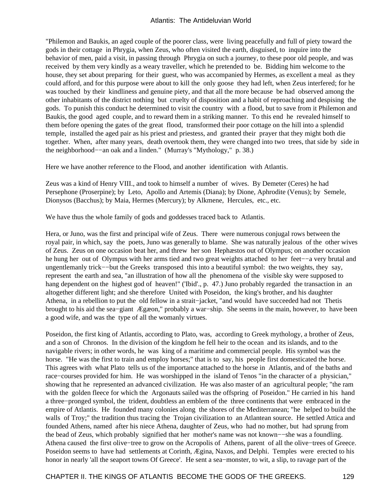"Philemon and Baukis, an aged couple of the poorer class, were living peacefully and full of piety toward the gods in their cottage in Phrygia, when Zeus, who often visited the earth, disguised, to inquire into the behavior of men, paid a visit, in passing through Phrygia on such a journey, to these poor old people, and was received by them very kindly as a weary traveller, which he pretended to be. Bidding him welcome to the house, they set about preparing for their guest, who was accompanied by Hermes, as excellent a meal as they could afford, and for this purpose were about to kill the only goose they had left, when Zeus interfered; for he was touched by their kindliness and genuine piety, and that all the more because be had observed among the other inhabitants of the district nothing but cruelty of disposition and a habit of reproaching and despising the gods. To punish this conduct he determined to visit the country with a flood, but to save from it Philemon and Baukis, the good aged couple, and to reward them in a striking manner. To this end he revealed himself to them before opening the gates of the great flood, transformed their poor cottage on the hill into a splendid temple, installed the aged pair as his priest and priestess, and granted their prayer that they might both die together. When, after many years, death overtook them, they were changed into two trees, that side by side in the neighborhood−−an oak and a linden." (Murray's "Mythology," p. 38.)

Here we have another reference to the Flood, and another identification with Atlantis.

Zeus was a kind of Henry VIII., and took to himself a number of wives. By Demeter (Ceres) he had Persephone (Proserpine); by Leto, Apollo and Artemis (Diana); by Dione, Aphrodite (Venus); by Semele, Dionysos (Bacchus); by Maia, Hermes (Mercury); by Alkmene, Hercules, etc., etc.

We have thus the whole family of gods and goddesses traced back to Atlantis.

Hera, or Juno, was the first and principal wife of Zeus. There were numerous conjugal rows between the royal pair, in which, say the poets, Juno was generally to blame. She was naturally jealous of the other wives of Zeus. Zeus on one occasion beat her, and threw her son Hephæstos out of Olympus; on another occasion he hung her out of Olympus with her arms tied and two great weights attached to her feet−−a very brutal and ungentlemanly trick−−but the Greeks transposed this into a beautiful symbol: the two weights, they say, represent the earth and sea, "an illustration of how all the phenomena of the visible sky were supposed to hang dependent on the highest god of heaven!" ('Ibid'., p. 47.) Juno probably regarded the transaction in an altogether different light; and she therefore United with Poseidon, the king's brother, and his daughter Athena, in a rebellion to put the old fellow in a strait−jacket, "and would have succeeded had not Thetis brought to his aid the sea−giant Ægæon," probably a war−ship. She seems in the main, however, to have been a good wife, and was the type of all the womanly virtues.

Poseidon, the first king of Atlantis, according to Plato, was, according to Greek mythology, a brother of Zeus, and a son of Chronos. In the division of the kingdom he fell heir to the ocean and its islands, and to the navigable rivers; in other words, he was king of a maritime and commercial people. His symbol was the horse. "He was the first to train and employ horses;" that is to say, his people first domesticated the horse. This agrees with what Plato tells us of the importance attached to the horse in Atlantis, and of the baths and race−courses provided for him. He was worshipped in the island of Tenos "in the character of a physician," showing that he represented an advanced civilization. He was also master of an agricultural people; "the ram with the golden fleece for which the Argonauts sailed was the offspring of Poseidon." He carried in his hand a three−pronged symbol, the trident, doubtless an emblem of the three continents that were embraced in the empire of Atlantis. He founded many colonies along the shores of the Mediterranean; "he helped to build the walls of Troy;" the tradition thus tracing the Trojan civilization to an Atlantean source. He settled Attica and founded Athens, named after his niece Athena, daughter of Zeus, who had no mother, but had sprung from the bead of Zeus, which probably signified that her mother's name was not known−−she was a foundling. Athena caused the first olive−tree to grow on the Acropolis of Athens, parent of all the olive−trees of Greece. Poseidon seems to have had settlements at Corinth, Ægina, Naxos, and Delphi. Temples were erected to his honor in nearly 'all the seaport towns Of Greece'. He sent a sea−monster, to wit, a slip, to ravage part of the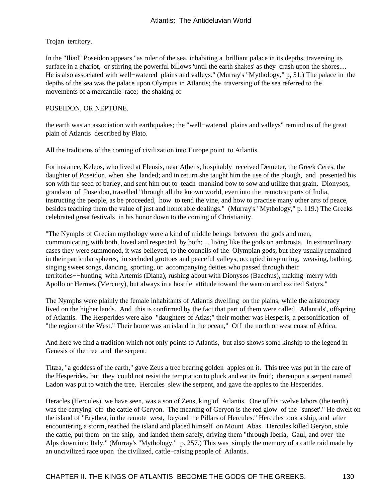Trojan territory.

In the "Iliad" Poseidon appears "as ruler of the sea, inhabiting a brilliant palace in its depths, traversing its surface in a chariot, or stirring the powerful billows 'until the earth shakes' as they crash upon the shores.... He is also associated with well−watered plains and valleys." (Murray's "Mythology," p, 51.) The palace in the depths of the sea was the palace upon Olympus in Atlantis; the traversing of the sea referred to the movements of a mercantile race; the shaking of

#### POSEIDON, OR NEPTUNE.

the earth was an association with earthquakes; the "well−watered plains and valleys" remind us of the great plain of Atlantis described by Plato.

All the traditions of the coming of civilization into Europe point to Atlantis.

For instance, Keleos, who lived at Eleusis, near Athens, hospitably received Demeter, the Greek Ceres, the daughter of Poseidon, when she landed; and in return she taught him the use of the plough, and presented his son with the seed of barley, and sent him out to teach mankind bow to sow and utilize that grain. Dionysos, grandson of Poseidon, travelled "through all the known world, even into the remotest parts of India, instructing the people, as be proceeded, how to tend the vine, and how to practise many other arts of peace, besides teaching them the value of just and honorable dealings." (Murray's "Mythology," p. 119.) The Greeks celebrated great festivals in his honor down to the coming of Christianity.

"The Nymphs of Grecian mythology were a kind of middle beings between the gods and men, communicating with both, loved and respected by both; ... living like the gods on ambrosia. In extraordinary cases they were summoned, it was believed, to the councils of the Olympian gods; but they usually remained in their particular spheres, in secluded grottoes and peaceful valleys, occupied in spinning, weaving, bathing, singing sweet songs, dancing, sporting, or accompanying deities who passed through their territories−−hunting with Artemis (Diana), rushing about with Dionysos (Bacchus), making merry with Apollo or Hermes (Mercury), but always in a hostile attitude toward the wanton and excited Satyrs."

The Nymphs were plainly the female inhabitants of Atlantis dwelling on the plains, while the aristocracy lived on the higher lands. And this is confirmed by the fact that part of them were called 'Atlantids', offspring of Atlantis. The Hesperides were also "daughters of Atlas;" their mother was Hesperis, a personification of "the region of the West." Their home was an island in the ocean," Off the north or west coast of Africa.

And here we find a tradition which not only points to Atlantis, but also shows some kinship to the legend in Genesis of the tree and the serpent.

Titæa, "a goddess of the earth," gave Zeus a tree bearing golden apples on it. This tree was put in the care of the Hesperides, but they 'could not resist the temptation to pluck and eat its fruit'; thereupon a serpent named Ladon was put to watch the tree. Hercules slew the serpent, and gave the apples to the Hesperides.

Heracles (Hercules), we have seen, was a son of Zeus, king of Atlantis. One of his twelve labors (the tenth) was the carrying off the cattle of Geryon. The meaning of Geryon is the red glow of the 'sunset'." He dwelt on the island of "Erythea, in the remote west, beyond the Pillars of Hercules." Hercules took a ship, and after encountering a storm, reached the island and placed himself on Mount Abas. Hercules killed Geryon, stole the cattle, put them on the ship, and landed them safely, driving them "through Iberia, Gaul, and over the Alps down into Italy." (Murray's "Mythology," p. 257.) This was simply the memory of a cattle raid made by an uncivilized race upon the civilized, cattle−raising people of Atlantis.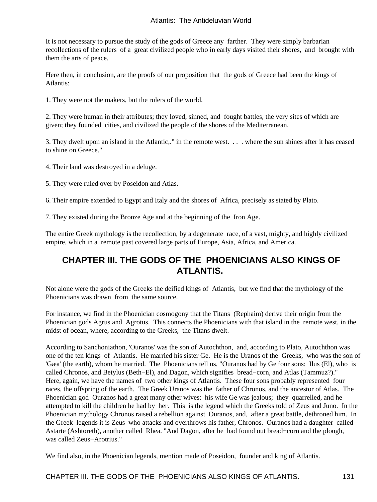#### Atlantis: The Antideluvian World

It is not necessary to pursue the study of the gods of Greece any farther. They were simply barbarian recollections of the rulers of a great civilized people who in early days visited their shores, and brought with them the arts of peace.

Here then, in conclusion, are the proofs of our proposition that the gods of Greece had been the kings of Atlantis:

1. They were not the makers, but the rulers of the world.

2. They were human in their attributes; they loved, sinned, and fought battles, the very sites of which are given; they founded cities, and civilized the people of the shores of the Mediterranean.

3. They dwelt upon an island in the Atlantic,." in the remote west. . . . where the sun shines after it has ceased to shine on Greece."

4. Their land was destroyed in a deluge.

5. They were ruled over by Poseidon and Atlas.

6. Their empire extended to Egypt and Italy and the shores of Africa, precisely as stated by Plato.

7. They existed during the Bronze Age and at the beginning of the Iron Age.

The entire Greek mythology is the recollection, by a degenerate race, of a vast, mighty, and highly civilized empire, which in a remote past covered large parts of Europe, Asia, Africa, and America.

### **CHAPTER III. THE GODS OF THE PHOENICIANS ALSO KINGS OF ATLANTIS.**

Not alone were the gods of the Greeks the deified kings of Atlantis, but we find that the mythology of the Phoenicians was drawn from the same source.

For instance, we find in the Phoenician cosmogony that the Titans (Rephaim) derive their origin from the Phoenician gods Agrus and Agrotus. This connects the Phoenicians with that island in the remote west, in the midst of ocean, where, according to the Greeks, the Titans dwelt.

According to Sanchoniathon, 'Ouranos' was the son of Autochthon, and, according to Plato, Autochthon was one of the ten kings of Atlantis. He married his sister Ge. He is the Uranos of the Greeks, who was the son of 'Gæa' (the earth), whom he married. The Phoenicians tell us, "Ouranos had by Ge four sons: Ilus (El), who is called Chronos, and Betylus (Beth−El), and Dagon, which signifies bread−corn, and Atlas (Tammuz?)." Here, again, we have the names of two other kings of Atlantis. These four sons probably represented four races, the offspring of the earth. The Greek Uranos was the father of Chronos, and the ancestor of Atlas. The Phoenician god Ouranos had a great many other wives: his wife Ge was jealous; they quarrelled, and he attempted to kill the children he had by her. This is the legend which the Greeks told of Zeus and Juno. In the Phoenician mythology Chronos raised a rebellion against Ouranos, and, after a great battle, dethroned him. In the Greek legends it is Zeus who attacks and overthrows his father, Chronos. Ouranos had a daughter called Astarte (Ashtoreth), another called Rhea. "And Dagon, after he had found out bread−corn and the plough, was called Zeus−Arotrius."

We find also, in the Phoenician legends, mention made of Poseidon, founder and king of Atlantis.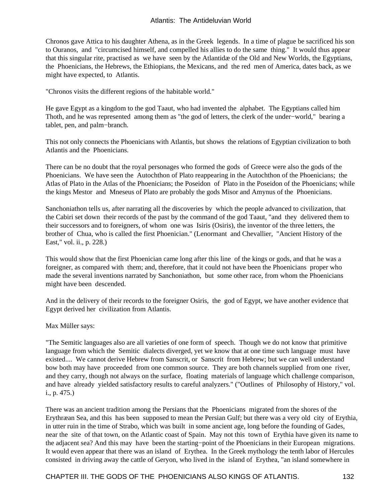Chronos gave Attica to his daughter Athena, as in the Greek legends. In a time of plague be sacrificed his son to Ouranos, and "circumcised himself, and compelled his allies to do the same thing." It would thus appear that this singular rite, practised as we have seen by the Atlantidæ of the Old and New Worlds, the Egyptians, the Phoenicians, the Hebrews, the Ethiopians, the Mexicans, and the red men of America, dates back, as we might have expected, to Atlantis.

"Chronos visits the different regions of the habitable world."

He gave Egypt as a kingdom to the god Taaut, who had invented the alphabet. The Egyptians called him Thoth, and he was represented among them as "the god of letters, the clerk of the under−world," bearing a tablet, pen, and palm−branch.

This not only connects the Phoenicians with Atlantis, but shows the relations of Egyptian civilization to both Atlantis and the Phoenicians.

There can be no doubt that the royal personages who formed the gods of Greece were also the gods of the Phoenicians. We have seen the Autochthon of Plato reappearing in the Autochthon of the Phoenicians; the Atlas of Plato in the Atlas of the Phoenicians; the Poseidon of Plato in the Poseidon of the Phoenicians; while the kings Mestor and Mneseus of Plato are probably the gods Misor and Amynus of the Phoenicians.

Sanchoniathon tells us, after narrating all the discoveries by which the people advanced to civilization, that the Cabiri set down their records of the past by the command of the god Taaut, "and they delivered them to their successors and to foreigners, of whom one was Isiris (Osiris), the inventor of the three letters, the brother of Chua, who is called the first Phoenician." (Lenormant and Chevallier, "Ancient History of the East," vol. ii., p. 228.)

This would show that the first Phoenician came long after this line of the kings or gods, and that he was a foreigner, as compared with them; and, therefore, that it could not have been the Phoenicians proper who made the several inventions narrated by Sanchoniathon, but some other race, from whom the Phoenicians might have been descended.

And in the delivery of their records to the foreigner Osiris, the god of Egypt, we have another evidence that Egypt derived her civilization from Atlantis.

Max Müller says:

"The Semitic languages also are all varieties of one form of speech. Though we do not know that primitive language from which the Semitic dialects diverged, yet we know that at one time such language must have existed.... We cannot derive Hebrew from Sanscrit, or Sanscrit from Hebrew; but we can well understand bow both may have proceeded from one common source. They are both channels supplied from one river, and they carry, though not always on the surface, floating materials of language which challenge comparison, and have already yielded satisfactory results to careful analyzers." ("Outlines of Philosophy of History," vol. i., p. 475.)

There was an ancient tradition among the Persians that the Phoenicians migrated from the shores of the Erythræan Sea, and this has been supposed to mean the Persian Gulf; but there was a very old city of Erythia, in utter ruin in the time of Strabo, which was built in some ancient age, long before the founding of Gades, near the site of that town, on the Atlantic coast of Spain. May not this town of Erythia have given its name to the adjacent sea? And this may have been the starting−point of the Phoenicians in their European migrations. It would even appear that there was an island of Erythea. In the Greek mythology the tenth labor of Hercules consisted in driving away the cattle of Geryon, who lived in the island of Erythea, "an island somewhere in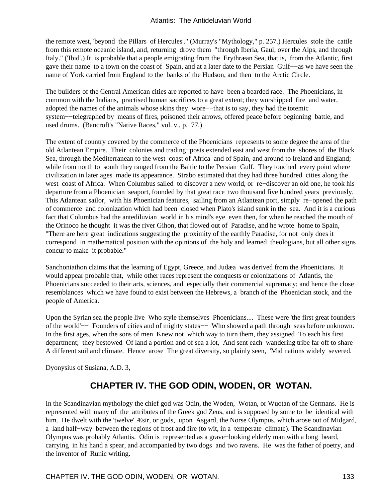the remote west, 'beyond the Pillars of Hercules'." (Murray's "Mythology," p. 257.) Hercules stole the cattle from this remote oceanic island, and, returning drove them "through Iberia, Gaul, over the Alps, and through Italy." ('Ibid'.) It is probable that a people emigrating from the Erythræan Sea, that is, from the Atlantic, first gave their name to a town on the coast of Spain, and at a later date to the Persian Gulf−−as we have seen the name of York carried from England to the banks of the Hudson, and then to the Arctic Circle.

The builders of the Central American cities are reported to have been a bearded race. The Phoenicians, in common with the Indians, practised human sacrifices to a great extent; they worshipped fire and water, adopted the names of the animals whose skins they wore−−that is to say, they had the totemic system−−telegraphed by means of fires, poisoned their arrows, offered peace before beginning battle, and used drums. (Bancroft's "Native Races," vol. v., p. 77.)

The extent of country covered by the commerce of the Phoenicians represents to some degree the area of the old Atlantean Empire. Their colonies and trading−posts extended east and west from the shores of the Black Sea, through the Mediterranean to the west coast of Africa and of Spain, and around to Ireland and England; while from north to south they ranged from the Baltic to the Persian Gulf. They touched every point where civilization in later ages made its appearance. Strabo estimated that they had three hundred cities along the west coast of Africa. When Columbus sailed to discover a new world, or re−discover an old one, he took his departure from a Phoenician seaport, founded by that great race two thousand five hundred years previously. This Atlantean sailor, with his Phoenician features, sailing from an Atlantean port, simply re−opened the path of commerce and colonization which had been closed when Plato's island sunk in the sea. And it is a curious fact that Columbus had the antediluvian world in his mind's eye even then, for when he reached the mouth of the Orinoco he thought it was the river Gihon, that flowed out of Paradise, and he wrote home to Spain, "There are here great indications suggesting the proximity of the earthly Paradise, for not only does it correspond in mathematical position with the opinions of the holy and learned theologians, but all other signs concur to make it probable."

Sanchoniathon claims that the learning of Egypt, Greece, and Judæa was derived from the Phoenicians. It would appear probable that, while other races represent the conquests or colonizations of Atlantis, the Phoenicians succeeded to their arts, sciences, and especially their commercial supremacy; and hence the close resemblances which we have found to exist between the Hebrews, a branch of the Phoenician stock, and the people of America.

Upon the Syrian sea the people live Who style themselves Phoenicians.... These were 'the first great founders of the world'−− Founders of cities and of mighty states−− Who showed a path through seas before unknown. In the first ages, when the sons of men Knew not which way to turn them, they assigned To each his first department; they bestowed Of land a portion and of sea a lot, And sent each wandering tribe far off to share A different soil and climate. Hence arose The great diversity, so plainly seen, 'Mid nations widely severed.

Dyonysius of Susiana, A.D. 3,

### **CHAPTER IV. THE GOD ODIN, WODEN, OR WOTAN.**

In the Scandinavian mythology the chief god was Odin, the Woden, Wotan, or Wuotan of the Germans. He is represented with many of the attributes of the Greek god Zeus, and is supposed by some to be identical with him. He dwelt with the 'twelve' *Æsir*, or gods, upon Asgard, the Norse Olympus, which arose out of Midgard, a land half−way between the regions of frost and fire (to wit, in a temperate climate). The Scandinavian Olympus was probably Atlantis. Odin is represented as a grave−looking elderly man with a long beard, carrying in his hand a spear, and accompanied by two dogs and two ravens. He was the father of poetry, and the inventor of Runic writing.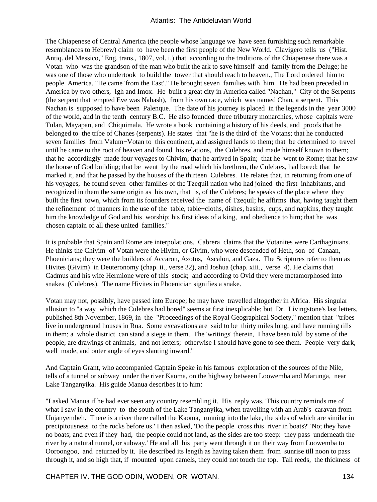The Chiapenese of Central America (the people whose language we have seen furnishing such remarkable resemblances to Hebrew) claim to have been the first people of the New World. Clavigero tells us ("Hist. Antiq. del Messico," Eng. trans., 1807, vol. i.) that according to the traditions of the Chiapenese there was a Votan who was the grandson of the man who built the ark to save himself and family from the Deluge; he was one of those who undertook to build the tower that should reach to heaven., The Lord ordered him to people America. "He came 'from the East'." He brought seven families with him. He had been preceded in America by two others, Igh and Imox. He built a great city in America called "Nachan," City of the Serpents (the serpent that tempted Eve was Nahash), from his own race, which was named Chan, a serpent. This Nachan is supposed to have been Palenque. The date of his journey is placed in the legends in the year 3000 of the world, and in the tenth century B.C. He also founded three tributary monarchies, whose capitals were Tulan, Mayapan, and Chiquimala. He wrote a book containing a history of his deeds, and proofs that he belonged to the tribe of Chanes (serpents). He states that "he is the third of the Votans; that he conducted seven families from Valum−Votan to this continent, and assigned lands to them; that be determined to travel until he came to the root of heaven and found his relations, the Culebres, and made himself known to them; that he accordingly made four voyages to Chivim; that he arrived in Spain; that he went to Rome; that he saw the house of God building; that be went by the road which his brethren, the Culebres, had bored; that he marked it, and that he passed by the houses of the thirteen Culebres. He relates that, in returning from one of his voyages, he found seven other families of the Tzequil nation who had joined the first inhabitants, and recognized in them the same origin as his own, that is, of the Culebres; he speaks of the place where they built the first town, which from its founders received the name of Tzequil; he affirms that, having taught them the refinement of manners in the use of the table, table−cloths, dishes, basins, cups, and napkins, they taught him the knowledge of God and his worship; his first ideas of a king, and obedience to him; that he was chosen captain of all these united families."

It is probable that Spain and Rome are interpolations. Cabrera claims that the Votanites were Carthaginians. He thinks the Chivim of Votan were the Hivim, or Givim, who were descended of Heth, son of Canaan, Phoenicians; they were the builders of Accaron, Azotus, Ascalon, and Gaza. The Scriptures refer to them as Hivites (Givim) in Deuteronomy (chap. ii., verse 32), and Joshua (chap. xiii., verse 4). He claims that Cadmus and his wife Hermione were of this stock; and according to Ovid they were metamorphosed into snakes (Culebres). The name Hivites in Phoenician signifies a snake.

Votan may not, possibly, have passed into Europe; be may have travelled altogether in Africa. His singular allusion to "a way which the Culebres had bored" seems at first inexplicable; but Dr. Livingstone's last letters, published 8th November, 1869, in the "Proceedings of the Royal Geographical Society," mention that "tribes live in underground houses in Rua. Some excavations are said to be thirty miles long, and have running rills in them; a whole district can stand a siege in them. The 'writings' therein, I have been told by some of the people, are drawings of animals, and not letters; otherwise I should have gone to see them. People very dark, well made, and outer angle of eyes slanting inward."

And Captain Grant, who accompanied Captain Speke in his famous exploration of the sources of the Nile, tells of a tunnel or subway under the river Kaoma, on the highway between Loowemba and Marunga, near Lake Tanganyika. His guide Manua describes it to him:

"I asked Manua if he had ever seen any country resembling it. His reply was, 'This country reminds me of what I saw in the country to the south of the Lake Tanganyika, when travelling with an Arab's caravan from Unjanyembeh. There is a river there called the Kaoma, running into the lake, the sides of which are similar in precipitousness to the rocks before us.' I then asked, 'Do the people cross this river in boats?' 'No; they have no boats; and even if they had, the people could not land, as the sides are too steep: they pass underneath the river by a natural tunnel, or subway.' He and all his party went through it on their way from Loowemba to Ooroongoo, and returned by it. He described its length as having taken them from sunrise till noon to pass through it, and so high that, if mounted upon camels, they could not touch the top. Tall reeds, the thickness of

CHAPTER IV. THE GOD ODIN, WODEN, OR WOTAN. THE COLLECT AND THE RESERVE THAT A 134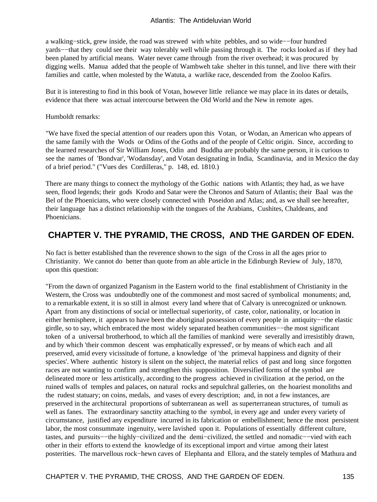a walking−stick, grew inside, the road was strewed with white pebbles, and so wide−−four hundred yards−−that they could see their way tolerably well while passing through it. The rocks looked as if they had been planed by artificial means. Water never came through from the river overhead; it was procured by digging wells. Manua added that the people of Wambweh take shelter in this tunnel, and live there with their families and cattle, when molested by the Watuta, a warlike race, descended from the Zooloo Kafirs.

But it is interesting to find in this book of Votan, however little reliance we may place in its dates or details, evidence that there was actual intercourse between the Old World and the New in remote ages.

#### Humboldt remarks:

"We have fixed the special attention of our readers upon this Votan, or Wodan, an American who appears of the same family with the Wods or Odins of the Goths and of the people of Celtic origin. Since, according to the learned researches of Sir William Jones, Odin and Buddha are probably the same person, it is curious to see the names of 'Bondvar', 'Wodansday', and Votan designating in India, Scandinavia, and in Mexico the day of a brief period." ("Vues des Cordilleras," p. 148, ed. 1810.)

There are many things to connect the mythology of the Gothic nations with Atlantis; they had, as we have seen, flood legends; their gods Krodo and Satar were the Chronos and Saturn of Atlantis; their Baal was the Bel of the Phoenicians, who were closely connected with Poseidon and Atlas; and, as we shall see hereafter, their language has a distinct relationship with the tongues of the Arabians, Cushites, Chaldeans, and Phoenicians.

### **CHAPTER V. THE PYRAMID, THE CROSS, AND THE GARDEN OF EDEN.**

No fact is better established than the reverence shown to the sign of the Cross in all the ages prior to Christianity. We cannot do better than quote from an able article in the Edinburgh Review of July, 1870, upon this question:

"From the dawn of organized Paganism in the Eastern world to the final establishment of Christianity in the Western, the Cross was undoubtedly one of the commonest and most sacred of symbolical monuments; and, to a remarkable extent, it is so still in almost every land where that of Calvary is unrecognized or unknown. Apart from any distinctions of social or intellectual superiority, of caste, color, nationality, or location in either hemisphere, it appears to have been the aboriginal possession of every people in antiquity−−the elastic girdle, so to say, which embraced the most widely separated heathen communities−−the most significant token of a universal brotherhood, to which all the families of mankind were severally and irresistibly drawn, and by which 'their common descent was emphatically expressed', or by means of which each and all preserved, amid every vicissitude of fortune, a knowledge of 'the primeval happiness and dignity of their species'. Where authentic history is silent on the subject, the material relics of past and long since forgotten races are not wanting to confirm and strengthen this supposition. Diversified forms of the symbol are delineated more or less artistically, according to the progress achieved in civilization at the period, on the ruined walls of temples and palaces, on natural rocks and sepulchral galleries, on the hoariest monoliths and the rudest statuary; on coins, medals, and vases of every description; and, in not a few instances, are preserved in the architectural proportions of subterranean as well as superterranean structures, of tumuli as well as fanes. The extraordinary sanctity attaching to the symbol, in every age and under every variety of circumstance, justified any expenditure incurred in its fabrication or embellishment; hence the most persistent labor, the most consummate ingenuity, were lavished upon it. Populations of essentially different culture, tastes, and pursuits−−the highly−civilized and the demi−civilized, the settled and nomadic−−vied with each other in their efforts to extend the knowledge of its exceptional import and virtue among their latest posterities. The marvellous rock−hewn caves of Elephanta and Ellora, and the stately temples of Mathura and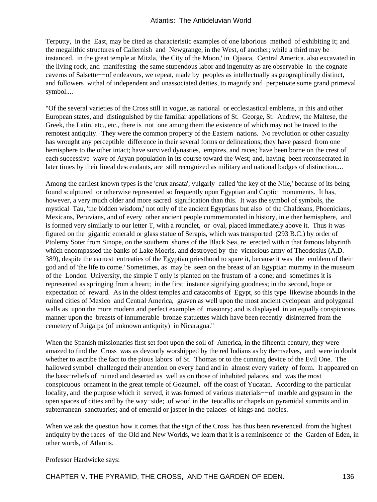Terputty, in the East, may be cited as characteristic examples of one laborious method of exhibiting it; and the megalithic structures of Callernish and Newgrange, in the West, of another; while a third may be instanced. in the great temple at Mitzla, 'the City of the Moon,' in Ojaaca, Central America. also excavated in the living rock, and manifesting the same stupendous labor and ingenuity as are observable in the cognate caverns of Salsette−−of endeavors, we repeat, made by peoples as intellectually as geographically distinct, and followers withal of independent and unassociated deities, to magnify and perpetuate some grand primeval symbol....

"Of the several varieties of the Cross still in vogue, as national or ecclesiastical emblems, in this and other European states, and distinguished by the familiar appellations of St. George, St. Andrew, the Maltese, the Greek, the Latin, etc., etc., there is not one among them the existence of which may not be traced to the remotest antiquity. They were the common property of the Eastern nations. No revolution or other casualty has wrought any perceptible difference in their several forms or delineations; they have passed from one hemisphere to the other intact; have survived dynasties, empires, and races; have been borne on the crest of each successive wave of Aryan population in its course toward the West; and, having been reconsecrated in later times by their lineal descendants, are still recognized as military and national badges of distinction....

Among the earliest known types is the 'crux ansata', vulgarly called 'the key of the Nile,' because of its being found sculptured or otherwise represented so frequently upon Egyptian and Coptic monuments. It has, however, a very much older and more sacred signification than this. It was the symbol of symbols, the mystical Tau, 'the bidden wisdom,' not only of the ancient Egyptians but also of the Chaldeans, Phoenicians, Mexicans, Peruvians, and of every other ancient people commemorated in history, in either hemisphere, and is formed very similarly to our letter T, with a roundlet, or oval, placed immediately above it. Thus it was figured on the gigantic emerald or glass statue of Serapis, which was transported (293 B.C.) by order of Ptolemy Soter from Sinope, on the southern shores of the Black Sea, re−erected within that famous labyrinth which encompassed the banks of Lake Moeris, and destroyed by the victorious army of Theodosius (A.D. 389), despite the earnest entreaties of the Egyptian priesthood to spare it, because it was the emblem of their god and of 'the life to come.' Sometimes, as may be seen on the breast of an Egyptian mummy in the museum of the London University, the simple T only is planted on the frustum of a cone; and sometimes it is represented as springing from a heart; in the first instance signifying goodness; in the second, hope or expectation of reward. As in the oldest temples and catacombs of Egypt, so this type likewise abounds in the ruined cities of Mexico and Central America, graven as well upon the most ancient cyclopean and polygonal walls as upon the more modern and perfect examples of masonry; and is displayed in an equally conspicuous manner upon the breasts of innumerable bronze statuettes which have been recently disinterred from the cemetery of Juigalpa (of unknown antiquity) in Nicaragua."

When the Spanish missionaries first set foot upon the soil of America, in the fifteenth century, they were amazed to find the Cross was as devoutly worshipped by the red Indians as by themselves, and were in doubt whether to ascribe the fact to the pious labors of St. Thomas or to the cunning device of the Evil One. The hallowed symbol challenged their attention on every hand and in almost every variety of form. It appeared on the bass−reliefs of ruined and deserted as well as on those of inhabited palaces, and was the most conspicuous ornament in the great temple of Gozumel, off the coast of Yucatan. According to the particular locality, and the purpose which it served, it was formed of various materials−−of marble and gypsum in the open spaces of cities and by the way−side; of wood in the teocallis or chapels on pyramidal summits and in subterranean sanctuaries; and of emerald or jasper in the palaces of kings and nobles.

When we ask the question how it comes that the sign of the Cross has thus been reverenced. from the highest antiquity by the races of the Old and New Worlds, we learn that it is a reminiscence of the Garden of Eden, in other words, of Atlantis.

Professor Hardwicke says:

CHAPTER V. THE PYRAMID, THE CROSS, AND THE GARDEN OF EDEN. 136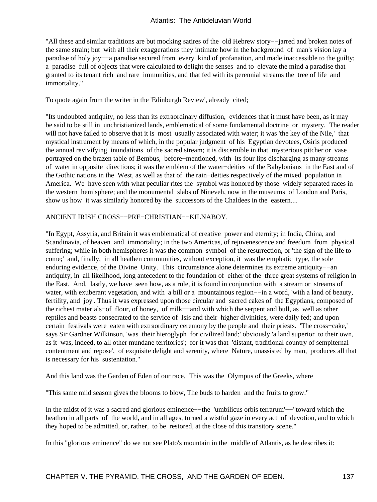"All these and similar traditions are but mocking satires of the old Hebrew story−−jarred and broken notes of the same strain; but with all their exaggerations they intimate how in the background of man's vision lay a paradise of holy joy−−a paradise secured from every kind of profanation, and made inaccessible to the guilty; a paradise full of objects that were calculated to delight the senses and to elevate the mind a paradise that granted to its tenant rich and rare immunities, and that fed with its perennial streams the tree of life and immortality."

To quote again from the writer in the 'Edinburgh Review', already cited;

"Its undoubted antiquity, no less than its extraordinary diffusion, evidences that it must have been, as it may be said to be still in unchristianized lands, emblematical of some fundamental doctrine or mystery. The reader will not have failed to observe that it is most usually associated with water; it was 'the key of the Nile,' that mystical instrument by means of which, in the popular judgment of his Egyptian devotees, Osiris produced the annual revivifying inundations of the sacred stream; it is discernible in that mysterious pitcher or vase portrayed on the brazen table of Bembus, before−mentioned, with its four lips discharging as many streams of water in opposite directions; it was the emblem of the water−deities of the Babylonians in the East and of the Gothic nations in the West, as well as that of the rain−deities respectively of the mixed population in America. We have seen with what peculiar rites the symbol was honored by those widely separated races in the western hemisphere; and the monumental slabs of Nineveh, now in the museums of London and Paris, show us how it was similarly honored by the successors of the Chaldees in the eastern....

#### ANCIENT IRISH CROSS−−PRE−CHRISTIAN−−KILNABOY.

"In Egypt, Assyria, and Britain it was emblematical of creative power and eternity; in India, China, and Scandinavia, of heaven and immortality; in the two Americas, of rejuvenescence and freedom from physical suffering; while in both hemispheres it was the common symbol of the resurrection, or 'the sign of the life to come;' and, finally, in all heathen communities, without exception, it was the emphatic type, the sole enduring evidence, of the Divine Unity. This circumstance alone determines its extreme antiquity−−an antiquity, in all likelihood, long antecedent to the foundation of either of the three great systems of religion in the East. And, lastly, we have seen how, as a rule, it is found in conjunction with a stream or streams of water, with exuberant vegetation, and with a bill or a mountainous region—−in a word, 'with a land of beauty, fertility, and joy'. Thus it was expressed upon those circular and sacred cakes of the Egyptians, composed of the richest materials−of flour, of honey, of milk−−and with which the serpent and bull, as well as other reptiles and beasts consecrated to the service of Isis and their higher divinities, were daily fed; and upon certain festivals were eaten with extraordinary ceremony by the people and their priests. 'The cross−cake,' says Sir Gardner Wilkinson, 'was their hieroglyph for civilized land;' obviously 'a land superior to their own, as it was, indeed, to all other mundane territories'; for it was that 'distant, traditional country of sempiternal contentment and repose', of exquisite delight and serenity, where Nature, unassisted by man, produces all that is necessary for his sustentation."

And this land was the Garden of Eden of our race. This was the Olympus of the Greeks, where

"This same mild season gives the blooms to blow, The buds to harden and the fruits to grow."

In the midst of it was a sacred and glorious eminence−−the 'umbilicus orbis terrarum'−−"toward which the heathen in all parts of the world, and in all ages, turned a wistful gaze in every act of devotion, and to which they hoped to be admitted, or, rather, to be restored, at the close of this transitory scene."

In this "glorious eminence" do we not see Plato's mountain in the middle of Atlantis, as he describes it: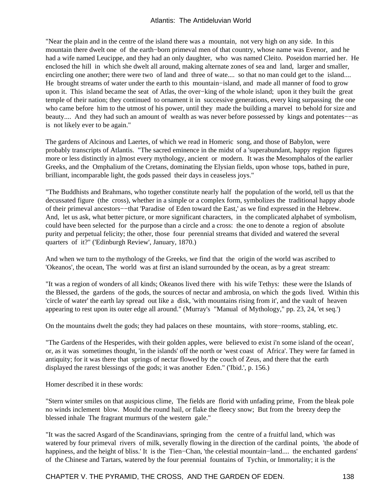#### Atlantis: The Antideluvian World

"Near the plain and in the centre of the island there was a mountain, not very high on any side. In this mountain there dwelt one of the earth−born primeval men of that country, whose name was Evenor, and he had a wife named Leucippe, and they had an only daughter, who was named Cleito. Poseidon married her. He enclosed the hill in which she dwelt all around, making alternate zones of sea and land, larger and smaller, encircling one another; there were two of land and three of wate.... so that no man could get to the island.... He brought streams of water under the earth to this mountain−island, and made all manner of food to grow upon it. This island became the seat of Atlas, the over−king of the whole island; upon it they built the great temple of their nation; they continued to ornament it in successive generations, every king surpassing the one who came before him to the utmost of his power, until they made the building a marvel to behold for size and beauty.... And they had such an amount of wealth as was never before possessed by kings and potentates−−as is not likely ever to be again."

The gardens of Alcinous and Laertes, of which we read in Homeric song, and those of Babylon, were probably transcripts of Atlantis. "The sacred eminence in the midst of a 'superabundant, happy region figures more or less distinctly in a]most every mythology, ancient or modern. It was the Mesomphalos of the earlier Greeks, and the Omphalium of the Cretans, dominating the Elysian fields, upon whose tops, bathed in pure, brilliant, incomparable light, the gods passed their days in ceaseless joys."

"The Buddhists and Brahmans, who together constitute nearly half the population of the world, tell us that the decussated figure (the cross), whether in a simple or a complex form, symbolizes the traditional happy abode of their primeval ancestors−−that 'Paradise of Eden toward the East,' as we find expressed in the Hebrew. And, let us ask, what better picture, or more significant characters, in the complicated alphabet of symbolism, could have been selected for the purpose than a circle and a cross: the one to denote a region of absolute purity and perpetual felicity; the other, those four perennial streams that divided and watered the several quarters of it?" ('Edinburgh Review', January, 1870.)

And when we turn to the mythology of the Greeks, we find that the origin of the world was ascribed to 'Okeanos', the ocean, The world was at first an island surrounded by the ocean, as by a great stream:

"It was a region of wonders of all kinds; Okeanos lived there with his wife Tethys: these were the Islands of the Blessed, the gardens of the gods, the sources of nectar and ambrosia, on which the gods lived. Within this 'circle of water' the earth lay spread out like a disk, 'with mountains rising from it', and the vault of heaven appearing to rest upon its outer edge all around." (Murray's "Manual of Mythology," pp. 23, 24, 'et seq.')

On the mountains dwelt the gods; they had palaces on these mountains, with store−rooms, stabling, etc.

"The Gardens of the Hesperides, with their golden apples, were believed to exist i'n some island of the ocean', or, as it was sometimes thought, 'in the islands' off the north or 'west coast of Africa'. They were far famed in antiquity; for it was there that springs of nectar flowed by the couch of Zeus, and there that the earth displayed the rarest blessings of the gods; it was another Eden." ('Ibid.', p. 156.)

Homer described it in these words:

"Stern winter smiles on that auspicious clime, The fields are florid with unfading prime, From the bleak pole no winds inclement blow. Mould the round hail, or flake the fleecy snow; But from the breezy deep the blessed inhale The fragrant murmurs of the western gale."

"It was the sacred Asgard of the Scandinavians, springing from the centre of a fruitful land, which was watered by four primeval rivers of milk, severally flowing in the direction of the cardinal points, 'the abode of happiness, and the height of bliss.' It is the Tien−Chan, 'the celestial mountain−land.... the enchanted gardens' of the Chinese and Tartars, watered by the four perennial fountains of Tychin, or Immortality; it is the

CHAPTER V. THE PYRAMID, THE CROSS, AND THE GARDEN OF EDEN. 138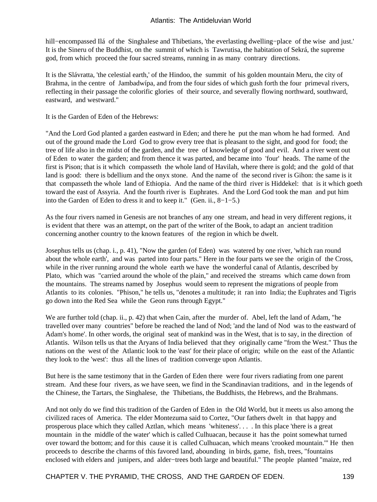#### Atlantis: The Antideluvian World

hill−encompassed Ilá of the Singhalese and Thibetians, 'the everlasting dwelling−place of the wise and just.' It is the Sineru of the Buddhist, on the summit of which is Tawrutisa, the habitation of Sekrá, the supreme god, from which proceed the four sacred streams, running in as many contrary directions.

It is the Slávratta, 'the celestial earth,' of the Hindoo, the summit of his golden mountain Meru, the city of Brahma, in the centre of Jambadwípa, and from the four sides of which gush forth the four primeval rivers, reflecting in their passage the colorific glories of their source, and severally flowing northward, southward, eastward, and westward."

It is the Garden of Eden of the Hebrews:

"And the Lord God planted a garden eastward in Eden; and there he put the man whom he had formed. And out of the ground made the Lord God to grow every tree that is pleasant to the sight, and good for food; the tree of life also in the midst of the garden, and the tree of knowledge of good and evil. And a river went out of Eden to water the garden; and from thence it was parted, and became into 'four' heads. The name of the first is Pison; that is it which compasseth the whole land of Havilah, where there is gold; and the gold of that land is good: there is bdellium and the onyx stone. And the name of the second river is Gihon: the same is it that compasseth the whole land of Ethiopia. And the name of the third river is Hiddekel: that is it which goeth toward the east of Assyria. And the fourth river is Euphrates. And the Lord God took the man and put him into the Garden of Eden to dress it and to keep it." (Gen. ii., 8−1−5.)

As the four rivers named in Genesis are not branches of any one stream, and head in very different regions, it is evident that there was an attempt, on the part of the writer of the Book, to adapt an ancient tradition concerning another country to the known features of the region in which be dwelt.

Josephus tells us (chap. i., p. 41), "Now the garden (of Eden) was watered by one river, 'which ran round about the whole earth', and was parted into four parts." Here in the four parts we see the origin of the Cross, while in the river running around the whole earth we have the wonderful canal of Atlantis, described by Plato, which was "carried around the whole of the plain," and received the streams which came down from the mountains. The streams named by Josephus would seem to represent the migrations of people from Atlantis to its colonies. "Phison," he tells us, "denotes a multitude; it ran into India; the Euphrates and Tigris go down into the Red Sea while the Geon runs through Egypt."

We are further told (chap. ii., p. 42) that when Cain, after the murder of. Abel, left the land of Adam, "he travelled over many countries" before be reached the land of Nod; 'and the land of Nod was to the eastward of Adam's home'. In other words, the original seat of mankind was in the West, that is to say, in the direction of Atlantis. Wilson tells us that the Aryans of India believed that they originally came "from the West." Thus the nations on the west of the Atlantic look to the 'east' for their place of origin; while on the east of the Atlantic they look to the 'west': thus all the lines of tradition converge upon Atlantis.

But here is the same testimony that in the Garden of Eden there were four rivers radiating from one parent stream. And these four rivers, as we have seen, we find in the Scandinavian traditions, and in the legends of the Chinese, the Tartars, the Singhalese, the Thibetians, the Buddhists, the Hebrews, and the Brahmans.

And not only do we find this tradition of the Garden of Eden in the Old World, but it meets us also among the civilized races of America. The elder Montezuma said to Cortez, "Our fathers dwelt in that happy and prosperous place which they called Aztlan, which means 'whiteness'. . . . In this place 'there is a great mountain in the middle of the water' which is called Culhuacan, because it has the point somewhat turned over toward the bottom; and for this cause it is called Culhuacan, which means 'crooked mountain.'" He then proceeds to describe the charms of this favored land, abounding in birds, game, fish, trees, "fountains enclosed with elders and junipers, and alder−trees both large and beautiful." The people planted "maize, red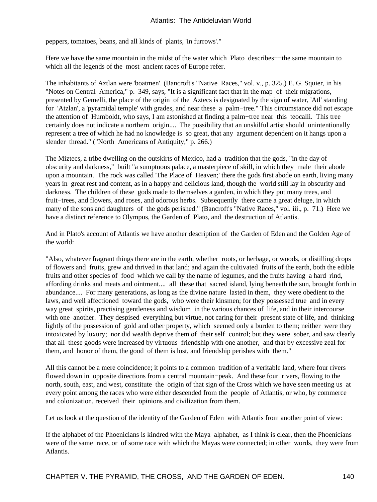peppers, tomatoes, beans, and all kinds of plants, 'in furrows'."

Here we have the same mountain in the midst of the water which Plato describes−−the same mountain to which all the legends of the most ancient races of Europe refer.

The inhabitants of Aztlan were 'boatmen'. (Bancroft's "Native Races," vol. v., p. 325.) E. G. Squier, in his "Notes on Central America," p. 349, says, "It is a significant fact that in the map of their migrations, presented by Gemelli, the place of the origin of the Aztecs is designated by the sign of water, 'Atl' standing for 'Atzlan', a 'pyramidal temple' with grades, and near these a palm−tree." This circumstance did not escape the attention of Humboldt, who says, I am astonished at finding a palm−tree near this teocalli. This tree certainly does not indicate a northern origin.... The possibility that an unskilful artist should unintentionally represent a tree of which he had no knowledge is so great, that any argument dependent on it hangs upon a slender thread." ("North Americans of Antiquity," p. 266.)

The Miztecs, a tribe dwelling on the outskirts of Mexico, had a tradition that the gods, "in the day of obscurity and darkness," built "a sumptuous palace, a masterpiece of skill, in which they male their abode upon a mountain. The rock was called 'The Place of Heaven;' there the gods first abode on earth, living many years in great rest and content, as in a happy and delicious land, though the world still lay in obscurity and darkness. The children of these gods made to themselves a garden, in which they put many trees, and fruit−trees, and flowers, and roses, and odorous herbs. Subsequently there came a great deluge, in which many of the sons and daughters of the gods perished." (Bancroft's "Native Races," vol. iii., p. 71.) Here we have a distinct reference to Olympus, the Garden of Plato, and the destruction of Atlantis.

And in Plato's account of Atlantis we have another description of the Garden of Eden and the Golden Age of the world:

"Also, whatever fragrant things there are in the earth, whether roots, or herbage, or woods, or distilling drops of flowers and fruits, grew and thrived in that land; and again the cultivated fruits of the earth, both the edible fruits and other species of food which we call by the name of legumes, and the fruits having a hard rind, affording drinks and meats and ointment.... all these that sacred island, lying beneath the sun, brought forth in abundance.... For many generations, as long as the divine nature lasted in them, they were obedient to the laws, and well affectioned toward the gods, who were their kinsmen; for they possessed true and in every way great spirits, practising gentleness and wisdom in the various chances of life, and in their intercourse with one another. They despised everything but virtue, not caring for their present state of life, and thinking lightly of the possession of gold and other property, which seemed only a burden to them; neither were they intoxicated by luxury; nor did wealth deprive them of their self−control; but they were sober, and saw clearly that all these goods were increased by virtuous friendship with one another, and that by excessive zeal for them, and honor of them, the good of them is lost, and friendship perishes with them."

All this cannot be a mere coincidence; it points to a common tradition of a veritable land, where four rivers flowed down in opposite directions from a central mountain−peak. And these four rivers, flowing to the north, south, east, and west, constitute the origin of that sign of the Cross which we have seen meeting us at every point among the races who were either descended from the people of Atlantis, or who, by commerce and colonization, received their opinions and civilization from them.

Let us look at the question of the identity of the Garden of Eden with Atlantis from another point of view:

If the alphabet of the Phoenicians is kindred with the Maya alphabet, as I think is clear, then the Phoenicians were of the same race, or of some race with which the Mayas were connected; in other words, they were from Atlantis.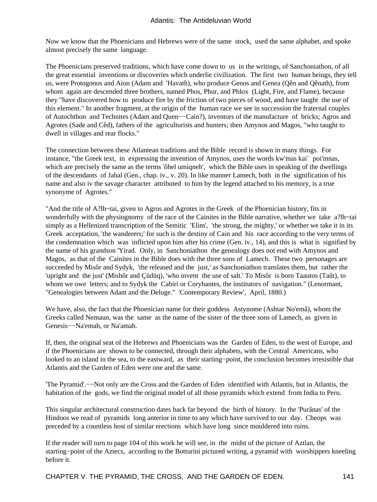Now we know that the Phoenicians and Hebrews were of the same stock, used the same alphabet, and spoke almost precisely the same language.

The Phoenicians preserved traditions, which have come down to us in the writings, of Sanchoniathon, of all the great essential inventions or discoveries which underlie civilization. The first two human beings, they tell us, were Protogonos and Aion (Adam and 'Havath), who produce Genos and Genea (Qên and Qênath), from whom again are descended three brothers, named Phos, Phur, and Phlox (Light, Fire, and Flame), because they "have discovered how to produce fire by the friction of two pieces of wood, and have taught the use of this element." In another fragment, at the origin of the human race we see in succession the fraternal couples of Autochthon and Technites (Adam and Quen−−Cain?), inventors of the manufacture of bricks; Agros and Agrotes (Sade and Cêd), fathers of the agriculturists and hunters; then Amynos and Magos, "who taught to dwell in villages and rear flocks."

The connection between these Atlantean traditions and the Bible record is shown in many things. For instance, "the Greek text, in expressing the invention of Amynos, uses the words kw'mas kai` poi'mnas, which are precisely the same as the terms 'ôhel umiqneh', which the Bible uses in speaking of the dwellings of the descendants of Jabal (Gen., chap. iv., v. 20). In like manner Lamech, both in the signification of his name and also iv the savage character attributed to him by the legend attached to his memory, is a true synonyme of Agrotes."

"And the title of A?lh~tai, given to Agros and Agrotes in the Greek of the Phoenician history, fits in wonderfully with the physiognomy of the race of the Cainites in the Bible narrative, whether we take a?lh~tai simply as a Hellenized transcription of the Semitic 'Elim', 'the strong, the mighty,' or whether we take it in its Greek acceptation, 'the wanderers;' for such is the destiny of Cain and his race according to the very terms of the condemnation which was inflicted upon him after his crime (Gen. iv., 14), and this is what is signified by the name of his grandson 'Yirad. Only, in Sanchoniathon the genealogy does not end with Amynos and Magos, as that of the Cainites in the Bible does with the three sons of Lamech. These two personages are succeeded by Misôr and Sydyk, 'the released and the just,' as Sanchoniathon translates them, but rather the 'upright and the just' (Mishôr and Çüdüq), 'who invent the use of salt.' To Misôr is born Taautos (Taût), to whom we owe letters; and to Sydyk the Cabiri or Corybantes, the institutors of navigation." (Lenormant, "Genealogies between Adam and the Deluge." 'Contemporary Review', April, 1880.)

We have, also, the fact that the Phoenician name for their goddess Astynome (Ashtar No'emâ), whom the Greeks called Nemaun, was the same as the name of the sister of the three sons of Lamech, as given in Genesis−−Na'emah, or Na'amah.

If, then, the original seat of the Hebrews and Phoenicians was the Garden of Eden, to the west of Europe, and if the Phoenicians are shown to be connected, through their alphabets, with the Central Americans, who looked to an island in the sea, to the eastward, as their starting−point, the conclusion becomes irresistible that Atlantis and the Garden of Eden were one and the same.

'The Pyramid'.−−Not only are the Cross and the Garden of Eden identified with Atlantis, but in Atlantis, the habitation of the gods, we find the original model of all those pyramids which extend from India to Peru.

This singular architectural construction dates back far beyond the birth of history. In the 'Purânas' of the Hindoos we read of pyramids long anterior in time to any which have survived to our day. Cheops was preceded by a countless host of similar erections which have long since mouldered into ruins.

If the reader will turn to page 104 of this work he will see, in the midst of the picture of Aztlan, the starting−point of the Aztecs, according to the Botturini pictured writing, a pyramid with worshippers kneeling before it.

CHAPTER V. THE PYRAMID, THE CROSS, AND THE GARDEN OF EDEN. 141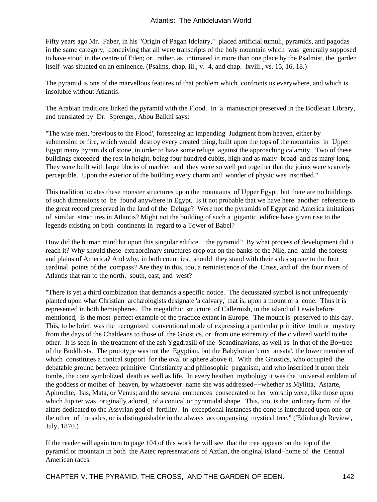Fifty years ago Mr. Faber, in his "Origin of Pagan Idolatry," placed artificial tumuli, pyramids, and pagodas in the same category, conceiving that all were transcripts of the holy mountain which was generally supposed to have stood in the centre of Eden; or, rather. as intimated in more than one place by the Psalmist, the garden itself was situated on an eminence. (Psalms, chap. iii., v. 4, and chap. lxviii., vs. 15, 16, 18.)

The pyramid is one of the marvellous features of that problem which confronts us everywhere, and which is insoluble without Atlantis.

The Arabian traditions linked the pyramid with the Flood. In a manuscript preserved in the Bodleian Library, and translated by Dr. Sprenger, Abou Balkhi says:

"The wise men, 'previous to the Flood', foreseeing an impending Judgment from heaven, either by submersion or fire, which would destroy every created thing, built upon the tops of the mountains in Upper Egypt many pyramids of stone, in order to have some refuge against the approaching calamity. Two of these buildings exceeded the rest in height, being four hundred cubits, high and as many broad and as many long. They were built with large blocks of marble, and they were so well put together that the joints were scarcely perceptible. Upon the exterior of the building every charm and wonder of physic was inscribed."

This tradition locates these monster structures upon the mountains of Upper Egypt, but there are no buildings of such dimensions to be found anywhere in Egypt. Is it not probable that we have here another reference to the great record preserved in the land of the Deluge? Were not the pyramids of Egypt and America imitations of similar structures in Atlantis? Might not the building of such a gigantic edifice have given rise to the legends existing on both continents in regard to a Tower of Babel?

How did the human mind hit upon this singular edifice—−the pyramid? By what process of development did it reach it? Why should these extraordinary structures crop out on the banks of the Nile, and amid the forests and plains of America? And why, in both countries, should they stand with their sides square to the four cardinal points of the compass? Are they in this, too, a reminiscence of the Cross, and of the four rivers of Atlantis that ran to the north, south, east, and west?

"There is yet a third combination that demands a specific notice. The decussated symbol is not unfrequently planted upon what Christian archæologists designate 'a calvary,' that is, upon a mount or a cone. Thus it is represented in both hemispheres. The megalithic structure of Callernish, in the island of Lewis before mentioned, is the most perfect example of the practice extant in Europe. The mount is preserved to this day. This, to be brief, was the recognized conventional mode of expressing a particular primitive truth or mystery from the days of the Chaldeans to those of the Gnostics, or from one extremity of the civilized world to the other. It is seen in the treatment of the ash Yggdrasill of the Scandinavians, as well as in that of the Bo−tree of the Buddhists. The prototype was not the Egyptian, but the Babylonian 'crux ansata', the lower member of which constitutes a conical support for the oval or sphere above it. With the Gnostics, who occupied the debatable ground between primitive Christianity and philosophic paganism, and who inscribed it upon their tombs, the cone symbolized death as well as life. In every heathen mythology it was the universal emblem of the goddess or mother of heaven, by whatsoever name she was addressed−−whether as Mylitta, Astarte, Aphrodite, Isis, Mata, or Venus; and the several eminences consecrated to her worship were, like those upon which Jupiter was originally adored, of a conical or pyramidal shape. This, too, is the ordinary form of the altars dedicated to the Assyrian god of fertility. In exceptional instances the cone is introduced upon one or the other of the sides, or is distinguishable in the always accompanying mystical tree." ('Edinburgh Review', July, 1870.)

If the reader will again turn to page 104 of this work he will see that the tree appears on the top of the pyramid or mountain in both the Aztec representations of Aztlan, the original island−home of the Central American races.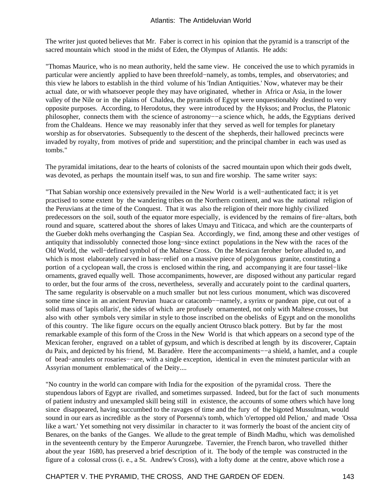The writer just quoted believes that Mr. Faber is correct in his opinion that the pyramid is a transcript of the sacred mountain which stood in the midst of Eden, the Olympus of Atlantis. He adds:

"Thomas Maurice, who is no mean authority, held the same view. He conceived the use to which pyramids in particular were anciently applied to have been threefold−namely, as tombs, temples, and observatories; and this view he labors to establish in the third volume of his 'Indian Antiquities.' Now, whatever may be their actual date, or with whatsoever people they may have originated, whether in Africa or Asia, in the lower valley of the Nile or in the plains of Chaldea, the pyramids of Egypt were unquestionably destined to very opposite purposes. According, to Herodotus, they were introduced by the Hyksos; and Proclus, the Platonic philosopher, connects them with the science of astronomy−−a science which, he adds, the Egyptians derived from the Chaldeans. Hence we may reasonably infer that they served as well for temples for planetary worship as for observatories. Subsequently to the descent of the shepherds, their hallowed precincts were invaded by royalty, from motives of pride and superstition; and the principal chamber in each was used as tombs."

The pyramidal imitations, dear to the hearts of colonists of the sacred mountain upon which their gods dwelt, was devoted, as perhaps the mountain itself was, to sun and fire worship. The same writer says:

"That Sabian worship once extensively prevailed in the New World is a well−authenticated fact; it is yet practised to some extent by the wandering tribes on the Northern continent, and was the national religion of the Peruvians at the time of the Conquest. That it was also the religion of their more highly civilized predecessors on the soil, south of the equator more especially, is evidenced by the remains of fire−altars, both round and square, scattered about the shores of lakes Umayu and Titicaca, and which are the counterparts of the Gueber dokh mehs overhanging the Caspian Sea. Accordingly, we find, among these and other vestiges of antiquity that indissolubly connected those long−since extinct populations in the New with the races of the Old World, the well−defined symbol of the Maltese Cross. On the Mexican feroher before alluded to, and which is most elaborately carved in bass−relief on a massive piece of polygonous granite, constituting a portion of a cyclopean wall, the cross is enclosed within the ring, and accompanying it are four tassel−like ornaments, graved equally well. Those accompaniments, however, are disposed without any particular regard to order, but the four arms of the cross, nevertheless, severally and accurately point to the cardinal quarters, The same regularity is observable on a much smaller but not less curious monument, which was discovered some time since in an ancient Peruvian huaca or catacomb−−namely, a syrinx or pandean pipe, cut out of a solid mass of 'lapis ollaris', the sides of which are profusely ornamented, not only with Maltese crosses, but also with other symbols very similar in style to those inscribed on the obelisks of Egypt and on the monoliths of this country. The like figure occurs on the equally ancient Otrusco black pottery. But by far the most remarkable example of this form of the Cross in the New World is that which appears on a second type of the Mexican feroher, engraved on a tablet of gypsum, and which is described at length by its discoverer, Captain du Paix, and depicted by his friend, M. Baradère. Here the accompaniments−−a shield, a hamlet, and a couple of bead−annulets or rosaries−−are, with a single exception, identical in even the minutest particular with an Assyrian monument emblematical of the Deity....

"No country in the world can compare with India for the exposition of the pyramidal cross. There the stupendous labors of Egypt are rivalled, and sometimes surpassed. Indeed, but for the fact of such monuments of patient industry and unexampled skill being still in existence, the accounts of some others which have long since disappeared, having succumbed to the ravages of time and the fury of the bigoted Mussulman, would sound in our ears as incredible as the story of Porsenna's tomb, which 'o'ertopped old Pelion,' and made 'Ossa like a wart.' Yet something not very dissimilar in character to it was formerly the boast of the ancient city of Benares, on the banks of the Ganges. We allude to the great temple of Bindh Madhu, which was demolished in the seventeenth century by the Emperor Aurungzebe. Tavernier, the French baron, who travelled thither about the year 1680, has preserved a brief description of it. The body of the temple was constructed in the figure of a colossal cross (i. e., a St. Andrew's Cross), with a lofty dome at the centre, above which rose a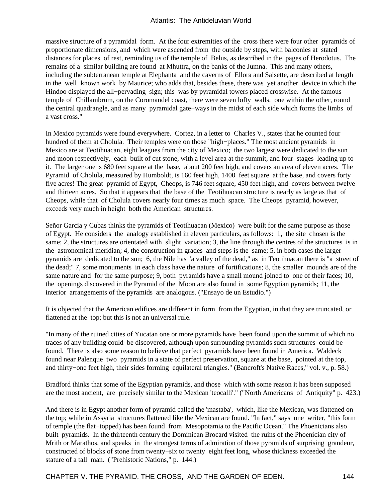massive structure of a pyramidal form. At the four extremities of the cross there were four other pyramids of proportionate dimensions, and which were ascended from the outside by steps, with balconies at stated distances for places of rest, reminding us of the temple of Belus, as described in the pages of Herodotus. The remains of a similar building are found at Mhuttra, on the banks of the Jumna. This and many others, including the subterranean temple at Elephanta and the caverns of Ellora and Salsette, are described at length in the well−known work by Maurice; who adds that, besides these, there was yet another device in which the Hindoo displayed the all−pervading sign; this was by pyramidal towers placed crosswise. At the famous temple of Chillambrum, on the Coromandel coast, there were seven lofty walls, one within the other, round the central quadrangle, and as many pyramidal gate−ways in the midst of each side which forms the limbs of a vast cross."

In Mexico pyramids were found everywhere. Cortez, in a letter to Charles V., states that he counted four hundred of them at Cholula. Their temples were on those "high−places." The most ancient pyramids in Mexico are at Teotihuacan, eight leagues from the city of Mexico; the two largest were dedicated to the sun and moon respectively, each built of cut stone, with a level area at the summit, and four stages leading up to it. The larger one is 680 feet square at the base, about 200 feet high, and covers an area of eleven acres. The Pyramid of Cholula, measured by Humboldt, is 160 feet high, 1400 feet square at the base, and covers forty five acres! The great pyramid of Egypt, Cheops, is 746 feet square, 450 feet high, and covers between twelve and thirteen acres. So that it appears that the base of the Teotihuacan structure is nearly as large as that of Cheops, while that of Cholula covers nearly four times as much space. The Cheops pyramid, however, exceeds very much in height both the American structures.

Señor Garcia y Cubas thinks the pyramids of Teotihuacan (Mexico) were built for the same purpose as those of Egypt. He considers the analogy established in eleven particulars, as follows: 1, the site chosen is the same; 2, the structures are orientated with slight variation; 3, the line through the centres of the structures is in the astronomical meridian; 4, the construction in grades and steps is the same; 5, in both cases the larger pyramids are dedicated to the sun; 6, the Nile has "a valley of the dead," as in Teotihuacan there is "a street of the dead;" 7, some monuments in each class have the nature of fortifications; 8, the smaller mounds are of the same nature and for the same purpose; 9, both pyramids have a small mound joined to one of their faces; 10, the openings discovered in the Pyramid of the Moon are also found in some Egyptian pyramids; 11, the interior arrangements of the pyramids are analogous. ("Ensayo de un Estudio.")

It is objected that the American edifices are different in form from the Egyptian, in that they are truncated, or flattened at the top; but this is not an universal rule.

"In many of the ruined cities of Yucatan one or more pyramids have been found upon the summit of which no traces of any building could be discovered, although upon surrounding pyramids such structures could be found. There is also some reason to believe that perfect pyramids have been found in America. Waldeck found near Palenque two pyramids in a state of perfect preservation, square at the base, pointed at the top, and thirty−one feet high, their sides forming equilateral triangles." (Bancroft's Native Races," vol. v., p. 58.)

Bradford thinks that some of the Egyptian pyramids, and those which with some reason it has been supposed are the most ancient, are precisely similar to the Mexican 'teocalli'." ("North Americans of Antiquity" p. 423.)

And there is in Egypt another form of pyramid called the 'mastaba', which, like the Mexican, was flattened on the top; while in Assyria structures flattened like the Mexican are found. "In fact," says one writer, "this form of temple (the flat−topped) has been found from Mesopotamia to the Pacific Ocean." The Phoenicians also built pyramids. In the thirteenth century the Dominican Brocard visited the ruins of the Phoenician city of Mrith or Marathos, and speaks in the strongest terms of admiration of those pyramids of surprising grandeur, constructed of blocks of stone from twenty−six to twenty eight feet long, whose thickness exceeded the stature of a tall man. ("Prehistoric Nations," p. 144.)

CHAPTER V. THE PYRAMID, THE CROSS, AND THE GARDEN OF EDEN. 144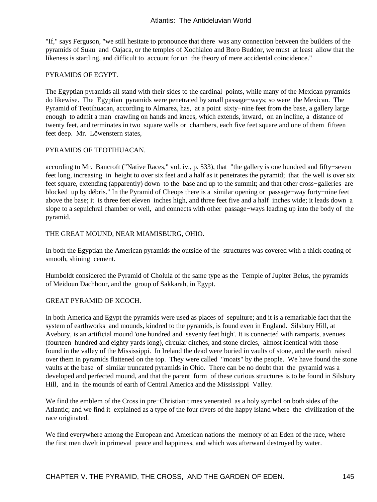"If," says Ferguson, "we still hesitate to pronounce that there was any connection between the builders of the pyramids of Suku and Oajaca, or the temples of Xochialco and Boro Buddor, we must at least allow that the likeness is startling, and difficult to account for on the theory of mere accidental coincidence."

### PYRAMIDS OF EGYPT.

The Egyptian pyramids all stand with their sides to the cardinal points, while many of the Mexican pyramids do likewise. The Egyptian pyramids were penetrated by small passage−ways; so were the Mexican. The Pyramid of Teotihuacan, according to Almarez, has, at a point sixty−nine feet from the base, a gallery large enough to admit a man crawling on hands and knees, which extends, inward, on an incline, a distance of twenty feet, and terminates in two square wells or chambers, each five feet square and one of them fifteen feet deep. Mr. Löwenstern states,

#### PYRAMIDS OF TEOTIHUACAN.

according to Mr. Bancroft ("Native Races," vol. iv., p. 533), that "the gallery is one hundred and fifty−seven feet long, increasing in height to over six feet and a half as it penetrates the pyramid; that the well is over six feet square, extending (apparently) down to the base and up to the summit; and that other cross−galleries are blocked up by débris." In the Pyramid of Cheops there is a similar opening or passage−way forty−nine feet above the base; it is three feet eleven inches high, and three feet five and a half inches wide; it leads down a slope to a sepulchral chamber or well, and connects with other passage−ways leading up into the body of the pyramid.

#### THE GREAT MOUND, NEAR MIAMISBURG, OHIO.

In both the Egyptian the American pyramids the outside of the structures was covered with a thick coating of smooth, shining cement.

Humboldt considered the Pyramid of Cholula of the same type as the Temple of Jupiter Belus, the pyramids of Meidoun Dachhour, and the group of Sakkarah, in Egypt.

### GREAT PYRAMID OF XCOCH.

In both America and Egypt the pyramids were used as places of sepulture; and it is a remarkable fact that the system of earthworks and mounds, kindred to the pyramids, is found even in England. Silsbury Hill, at Avebury, is an artificial mound 'one hundred and seventy feet high'. It is connected with ramparts, avenues (fourteen hundred and eighty yards long), circular ditches, and stone circles, almost identical with those found in the valley of the Mississippi. In Ireland the dead were buried in vaults of stone, and the earth raised over them in pyramids flattened on the top. They were called "moats" by the people. We have found the stone vaults at the base of similar truncated pyramids in Ohio. There can be no doubt that the pyramid was a developed and perfected mound, and that the parent form of these curious structures is to be found in Silsbury Hill, and in the mounds of earth of Central America and the Mississippi Valley.

We find the emblem of the Cross in pre−Christian times venerated as a holy symbol on both sides of the Atlantic; and we find it explained as a type of the four rivers of the happy island where the civilization of the race originated.

We find everywhere among the European and American nations the memory of an Eden of the race, where the first men dwelt in primeval peace and happiness, and which was afterward destroyed by water.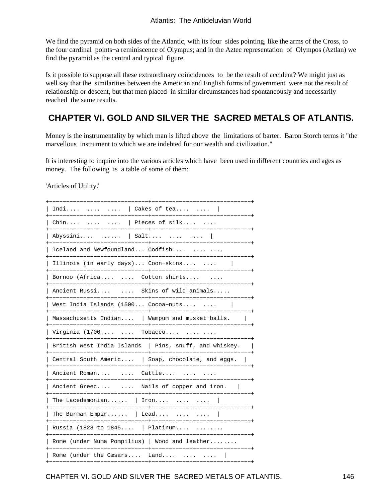We find the pyramid on both sides of the Atlantic, with its four sides pointing, like the arms of the Cross, to the four cardinal points−a reminiscence of Olympus; and in the Aztec representation of Olympos (Aztlan) we find the pyramid as the central and typical figure.

Is it possible to suppose all these extraordinary coincidences to be the result of accident? We might just as well say that the similarities between the American and English forms of government were not the result of relationship or descent, but that men placed in similar circumstances had spontaneously and necessarily reached the same results.

# **CHAPTER VI. GOLD AND SILVER THE SACRED METALS OF ATLANTIS.**

Money is the instrumentality by which man is lifted above the limitations of barter. Baron Storch terms it "the marvellous instrument to which we are indebted for our wealth and civilization."

It is interesting to inquire into the various articles which have been used in different countries and ages as money. The following is a table of some of them:

'Articles of Utility.'

| Indi     Cakes of tea                                                                                      |
|------------------------------------------------------------------------------------------------------------|
| Pieces of silk<br>$\text{Chin}\ldots \quad \ldots \quad \ldots$<br>__________________                      |
| Abyssini $\dots$ $ $ Salt $\dots$<br>----------------------                                                |
| Iceland and Newfoundland Codfish<br>-----------------                                                      |
| Illinois (in early days) Coon-skins                                                                        |
| Bornoo (Africa  Cotton shirts<br>-------------------                                                       |
| Skins of wild animals<br>Ancient Russi                                                                     |
| West India Islands $(1500$ Cocoa-nuts $$                                                                   |
| Massachusetts Indian   Wampum and musket-balls.<br>---------                                               |
| Virginia (1700  Tobacco                                                                                    |
| British West India Islands   Pins, snuff, and whiskey.                                                     |
| Central South Americ   Soap, chocolate, and eggs.<br>-----------+-                                         |
| Ancient Roman<br>$Cattle$ $\ldots$                                                                         |
| Nails of copper and iron.<br>Ancient Greec<br>$\cdots$                                                     |
| The Lacedemonian $\vert$<br>$\text{Iron} \ldots \ldots \ldots \ldots$<br>. _ _ _ _ _ _ _ _ _ _ _ _ _ _ _ _ |
| The Burman Empir   Lead $\ldots$ $\ldots$                                                                  |
| Russia (1828 to 1845   Platinum                                                                            |
| Rome (under Numa Pompilius)   Wood and leather                                                             |
| Rome (under the Cæsars<br>Land                                                                             |

CHAPTER VI. GOLD AND SILVER THE SACRED METALS OF ATLANTIS. 146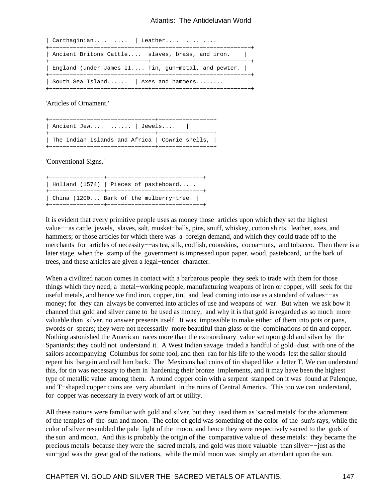| Carthaginian    Leather                             |
|-----------------------------------------------------|
| Ancient Britons Cattle slaves, brass, and iron.     |
| England (under James II Tin, gun-metal, and pewter. |
| South Sea Island   Axes and hammers                 |
|                                                     |

'Articles of Ornament.'

+−−−−−−−−−−−−−−−−−−−−−−−−−−−−−−−+−−−−−−−−−−−−−−−−+ | Ancient Jew.... ...... | Jewels.... | +−−−−−−−−−−−−−−−−−−−−−−−−−−−−−−−+−−−−−−−−−−−−−−−−+ | The Indian Islands and Africa | Cowrie shells, | +−−−−−−−−−−−−−−−−−−−−−−−−−−−−−−−+−−−−−−−−−−−−−−−−+

'Conventional Signs.'

+−−−−−−−−−−−−−−−−+−−−−−−−−−−−−−−−−−−−−−−−−−−−−+ | Holland (1574) | Pieces of pasteboard..... +−−−−−−−−−−−−−−−−+−−−−−−−−−−−−−−−−−−−−−−−−−−−−+ | China (1200... Bark of the mulberry−tree. | +−−−−−−−−−−−−−−−−+−−−−−−−−−−−−−−−−−−−−−−−−−−−−+

It is evident that every primitive people uses as money those articles upon which they set the highest value−−as cattle, jewels, slaves, salt, musket−balls, pins, snuff, whiskey, cotton shirts, leather, axes, and hammers; or those articles for which there was a foreign demand, and which they could trade off to the merchants for articles of necessity−−as tea, silk, codfish, coonskins, cocoa−nuts, and tobacco. Then there is a later stage, when the stamp of the government is impressed upon paper, wood, pasteboard, or the bark of trees, and these articles are given a legal−tender character.

When a civilized nation comes in contact with a barbarous people they seek to trade with them for those things which they need; a metal−working people, manufacturing weapons of iron or copper, will seek for the useful metals, and hence we find iron, copper, tin, and lead coming into use as a standard of values−−as money; for they can always be converted into articles of use and weapons of war. But when we ask bow it chanced that gold and silver came to be used as money, and why it is that gold is regarded as so much more valuable than silver, no answer presents itself. It was impossible to make either of them into pots or pans, swords or spears; they were not necessarily more beautiful than glass or the combinations of tin and copper. Nothing astonished the American races more than the extraordinary value set upon gold and silver by the Spaniards; they could not understand it. A West Indian savage traded a handful of gold−dust with one of the sailors accompanying Columbus for some tool, and then ran for his life to the woods lest the sailor should repent his bargain and call him back. The Mexicans had coins of tin shaped like a letter T. We can understand this, for tin was necessary to them in hardening their bronze implements, and it may have been the highest type of metallic value among them. A round copper coin with a serpent stamped on it was found at Palenque, and T−shaped copper coins are very abundant in the ruins of Central America. This too we can understand, for copper was necessary in every work of art or utility.

All these nations were familiar with gold and silver, but they used them as 'sacred metals' for the adornment of the temples of the sun and moon. The color of gold was something of the color of the sun's rays, while the color of silver resembled the pale light of the moon, and hence they were respectively sacred to the gods of the sun and moon. And this is probably the origin of the comparative value of these metals: they became the precious metals because they were the sacred metals, and gold was more valuable than silver−−just as the sun–god was the great god of the nations, while the mild moon was simply an attendant upon the sun.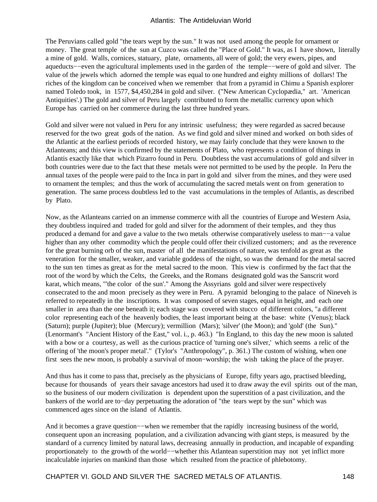The Peruvians called gold "the tears wept by the sun." It was not used among the people for ornament or money. The great temple of the sun at Cuzco was called the "Place of Gold." It was, as I have shown, literally a mine of gold. Walls, cornices, statuary, plate, ornaments, all were of gold; the very ewers, pipes, and aqueducts−−even the agricultural implements used in the garden of the temple−−were of gold and silver. The value of the jewels which adorned the temple was equal to one hundred and eighty millions of dollars! The riches of the kingdom can be conceived when we remember that from a pyramid in Chimu a Spanish explorer named Toledo took, in 1577, \$4,450,284 in gold and silver. ("New American Cyclopædia," art. 'American Antiquities'.) The gold and silver of Peru largely contributed to form the metallic currency upon which Europe has carried on her commerce during the last three hundred years.

Gold and silver were not valued in Peru for any intrinsic usefulness; they were regarded as sacred because reserved for the two great gods of the nation. As we find gold and silver mined and worked on both sides of the Atlantic at the earliest periods of recorded history, we may fairly conclude that they were known to the Atlanteans; and this view is confirmed by the statements of Plato, who represents a condition of things in Atlantis exactly like that which Pizarro found in Peru. Doubtless the vast accumulations of gold and silver in both countries were due to the fact that these metals were not permitted to be used by the people. In Peru the annual taxes of the people were paid to the Inca in part in gold and silver from the mines, and they were used to ornament the temples; and thus the work of accumulating the sacred metals went on from generation to generation. The same process doubtless led to the vast accumulations in the temples of Atlantis, as described by Plato.

Now, as the Atlanteans carried on an immense commerce with all the countries of Europe and Western Asia, they doubtless inquired and traded for gold and silver for the adornment of their temples, and they thus produced a demand for and gave a value to the two metals otherwise comparatively useless to man−−a value higher than any other commodity which the people could offer their civilized customers; and as the reverence for the great burning orb of the sun, master of all the manifestations of nature, was tenfold as great as the veneration for the smaller, weaker, and variable goddess of the night, so was the demand for the metal sacred to the sun ten times as great as for the metal sacred to the moon. This view is confirmed by the fact that the root of the word by which the Celts, the Greeks, and the Romans designated gold was the Sanscrit word karat, which means, "'the color of the sun'." Among the Assyrians gold and silver were respectively consecrated to the and moon precisely as they were in Peru. A pyramid belonging to the palace of Nineveh is referred to repeatedly in the inscriptions. It was composed of seven stages, equal in height, and each one smaller in area than the one beneath it; each stage was covered with stucco of different colors, "a different color representing each of the heavenly bodies, the least important being at the base: white (Venus); black (Saturn); purple (Jupiter); blue (Mercury); vermillion (Mars); 'silver' (the Moon); and 'gold' (the Sun)." (Lenormant's "Ancient History of the East," vol. i., p. 463.) "In England, to this day the new moon is saluted with a bow or a courtesy, as well as the curious practice of 'turning one's silver,' which seems a relic of the offering of 'the moon's proper metal'." (Tylor's "Anthropology", p. 361.) The custom of wishing, when one first sees the new moon, is probably a survival of moon−worship; the wish taking the place of the prayer.

And thus has it come to pass that, precisely as the physicians of Europe, fifty years ago, practised bleeding, because for thousands of years their savage ancestors had used it to draw away the evil spirits out of the man, so the business of our modern civilization is dependent upon the superstition of a past civilization, and the bankers of the world are to−day perpetuating the adoration of "the tears wept by the sun" which was commenced ages since on the island of Atlantis.

And it becomes a grave question−−when we remember that the rapidly increasing business of the world, consequent upon an increasing population, and a civilization advancing with giant steps, is measured by the standard of a currency limited by natural laws, decreasing annually in production, and incapable of expanding proportionately to the growth of the world−−whether this Atlantean superstition may not yet inflict more incalculable injuries on mankind than those which resulted from the practice of phlebotomy.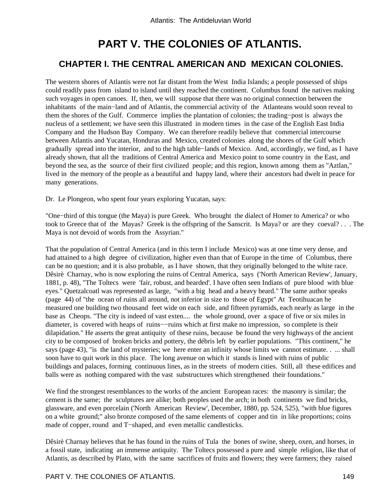# **PART V. THE COLONIES OF ATLANTIS.**

# **CHAPTER I. THE CENTRAL AMERICAN AND MEXICAN COLONIES.**

The western shores of Atlantis were not far distant from the West India Islands; a people possessed of ships could readily pass from island to island until they reached the continent. Columbus found the natives making such voyages in open canoes. If, then, we will suppose that there was no original connection between the inhabitants of the main−land and of Atlantis, the commercial activity of the Atlanteans would soon reveal to them the shores of the Gulf. Commerce implies the plantation of colonies; the trading−post is always the nucleus of a settlement; we have seen this illustrated in modern times in the case of the English East India Company and the Hudson Bay Company. We can therefore readily believe that commercial intercourse between Atlantis and Yucatan, Honduras and Mexico, created colonies along the shores of the Gulf which gradually spread into the interior, and to the high table−lands of Mexico. And, accordingly, we find, as I have already shown, that all the traditions of Central America and Mexico point to some country in the East, and beyond the sea, as the source of their first civilized people; and this region, known among them as "Aztlan," lived in the memory of the people as a beautiful and happy land, where their ancestors had dwelt in peace for many generations.

Dr. Le Plongeon, who spent four years exploring Yucatan, says:

"One−third of this tongue (the Maya) is pure Greek. Who brought the dialect of Homer to America? or who took to Greece that of the Mayas? Greek is the offspring of the Sanscrit. Is Maya? or are they coeval? . . . The Maya is not devoid of words from the Assyrian."

That the population of Central America (and in this term I include Mexico) was at one time very dense, and had attained to a high degree of civilization, higher even than that of Europe in the time of Columbus, there can be no question; and it is also probable, as I have shown, that they originally belonged to the white race. Dêsirè Charnay, who is now exploring the ruins of Central America, says ('North American Review', January, 1881, p. 48), "The Toltecs were 'fair, robust, and bearded'. I have often seen Indians of pure blood with blue eyes." Quetzalcoatl was represented as large, "with a big head and a heavy beard." The same author speaks (page 44) of "the ocean of ruins all around, not inferior in size to those of Egypt" At Teotihuacan he measured one building two thousand feet wide on each side, and fifteen pyramids, each nearly as large in the base as Cheops. "The city is indeed of vast exten.... the whole ground, over a space of five or six miles in diameter, is covered with heaps of ruins−−ruins which at first make no impression, so complete is their dilapidation." He asserts the great antiquity of these ruins, because be found the very highways of the ancient city to be composed of broken bricks and pottery, the débris left by earlier populations. "This continent," he says (page 43), "is the land of mysteries; we here enter an infinity whose limits we cannot estimate. . ... shall soon have to quit work in this place. The long avenue on which it stands is lined with ruins of public buildings and palaces, forming continuous lines, as in the streets of modern cities. Still, all these edifices and balls were as nothing compared with the vast substructures which strengthened their foundations."

We find the strongest resemblances to the works of the ancient European races: the masonry is similar; the cement is the same; the sculptures are alike; both peoples used the arch; in both continents we find bricks, glassware, and even porcelain ('North American Review', December, 1880, pp. 524, 525), "with blue figures on a white ground;" also bronze composed of the same elements of copper and tin in like proportions; coins made of copper, round and T−shaped, and even metallic candlesticks.

Dêsirè Charnay believes that he has found in the ruins of Tula the bones of swine, sheep, oxen, and horses, in a fossil state, indicating an immense antiquity. The Toltecs possessed a pure and simple religion, like that of Atlantis, as described by Plato, with the same sacrifices of fruits and flowers; they were farmers; they raised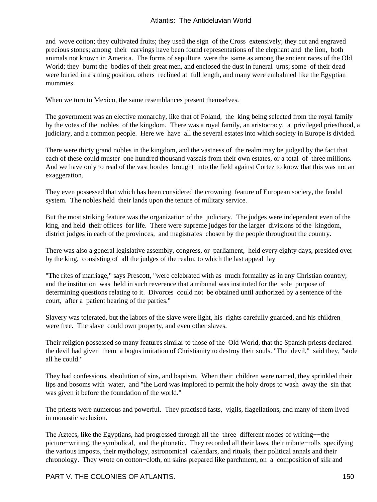and wove cotton; they cultivated fruits; they used the sign of the Cross extensively; they cut and engraved precious stones; among their carvings have been found representations of the elephant and the lion, both animals not known in America. The forms of sepulture were the same as among the ancient races of the Old World; they burnt the bodies of their great men, and enclosed the dust in funeral urns; some of their dead were buried in a sitting position, others reclined at full length, and many were embalmed like the Egyptian mummies.

When we turn to Mexico, the same resemblances present themselves.

The government was an elective monarchy, like that of Poland, the king being selected from the royal family by the votes of the nobles of the kingdom. There was a royal family, an aristocracy, a privileged priesthood, a judiciary, and a common people. Here we have all the several estates into which society in Europe is divided.

There were thirty grand nobles in the kingdom, and the vastness of the realm may be judged by the fact that each of these could muster one hundred thousand vassals from their own estates, or a total of three millions. And we have only to read of the vast hordes brought into the field against Cortez to know that this was not an exaggeration.

They even possessed that which has been considered the crowning feature of European society, the feudal system. The nobles held their lands upon the tenure of military service.

But the most striking feature was the organization of the judiciary. The judges were independent even of the king, and held their offices for life. There were supreme judges for the larger divisions of the kingdom, district judges in each of the provinces, and magistrates chosen by the people throughout the country.

There was also a general legislative assembly, congress, or parliament, held every eighty days, presided over by the king, consisting of all the judges of the realm, to which the last appeal lay

"The rites of marriage," says Prescott, "were celebrated with as much formality as in any Christian country; and the institution was held in such reverence that a tribunal was instituted for the sole purpose of determining questions relating to it. Divorces could not be obtained until authorized by a sentence of the court, after a patient hearing of the parties."

Slavery was tolerated, but the labors of the slave were light, his rights carefully guarded, and his children were free. The slave could own property, and even other slaves.

Their religion possessed so many features similar to those of the Old World, that the Spanish priests declared the devil had given them a bogus imitation of Christianity to destroy their souls. "The devil," said they, "stole all he could."

They had confessions, absolution of sins, and baptism. When their children were named, they sprinkled their lips and bosoms with water, and "the Lord was implored to permit the holy drops to wash away the sin that was given it before the foundation of the world."

The priests were numerous and powerful. They practised fasts, vigils, flagellations, and many of them lived in monastic seclusion.

The Aztecs, like the Egyptians, had progressed through all the three different modes of writing−−the picture−writing, the symbolical, and the phonetic. They recorded all their laws, their tribute−rolls specifying the various imposts, their mythology, astronomical calendars, and rituals, their political annals and their chronology. They wrote on cotton−cloth, on skins prepared like parchment, on a composition of silk and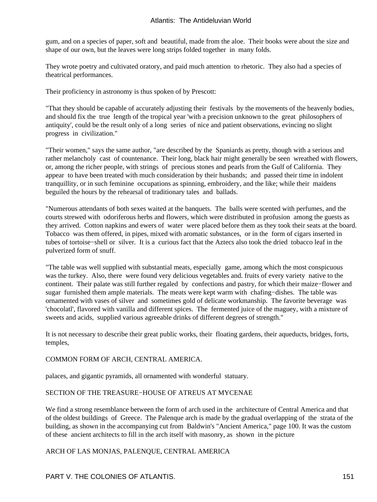gum, and on a species of paper, soft and beautiful, made from the aloe. Their books were about the size and shape of our own, but the leaves were long strips folded together in many folds.

They wrote poetry and cultivated oratory, and paid much attention to rhetoric. They also had a species of theatrical performances.

Their proficiency in astronomy is thus spoken of by Prescott:

"That they should be capable of accurately adjusting their festivals by the movements of the heavenly bodies, and should fix the true length of the tropical year 'with a precision unknown to the great philosophers of antiquity', could be the result only of a long series of nice and patient observations, evincing no slight progress in civilization."

"Their women," says the same author, "are described by the Spaniards as pretty, though with a serious and rather melancholy cast of countenance. Their long, black hair might generally be seen wreathed with flowers, or, among the richer people, with strings of precious stones and pearls from the Gulf of California. They appear to have been treated with much consideration by their husbands; and passed their time in indolent tranquillity, or in such feminine occupations as spinning, embroidery, and the like; while their maidens beguiled the hours by the rehearsal of traditionary tales and ballads.

"Numerous attendants of both sexes waited at the banquets. The balls were scented with perfumes, and the courts strewed with odoriferous herbs and flowers, which were distributed in profusion among the guests as they arrived. Cotton napkins and ewers of water were placed before them as they took their seats at the board. Tobacco was them offered, in pipes, mixed with aromatic substances, or in the form of cigars inserted in tubes of tortoise−shell or silver. It is a curious fact that the Aztecs also took the dried tobacco leaf in the pulverized form of snuff.

"The table was well supplied with substantial meats, especially game, among which the most conspicuous was the turkey. Also, there were found very delicious vegetables and. fruits of every variety native to the continent. Their palate was still further regaled by confections and pastry, for which their maize−flower and sugar furnished them ample materials. The meats were kept warm with chafing−dishes. The table was ornamented with vases of silver and sometimes gold of delicate workmanship. The favorite beverage was 'chocolatl', flavored with vanilla and different spices. The fermented juice of the maguey, with a mixture of sweets and acids, supplied various agreeable drinks of different degrees of strength."

It is not necessary to describe their great public works, their floating gardens, their aqueducts, bridges, forts, temples,

### COMMON FORM OF ARCH, CENTRAL AMERICA.

palaces, and gigantic pyramids, all ornamented with wonderful statuary.

### SECTION OF THE TREASURE−HOUSE OF ATREUS AT MYCENAE

We find a strong resemblance between the form of arch used in the architecture of Central America and that of the oldest buildings of Greece. The Palenque arch is made by the gradual overlapping of the strata of the building, as shown in the accompanying cut from Baldwin's "Ancient America," page 100. It was the custom of these ancient architects to fill in the arch itself with masonry, as shown in the picture

ARCH OF LAS MONJAS, PALENQUE, CENTRAL AMERICA

PART V. THE COLONIES OF ATLANTIS. 151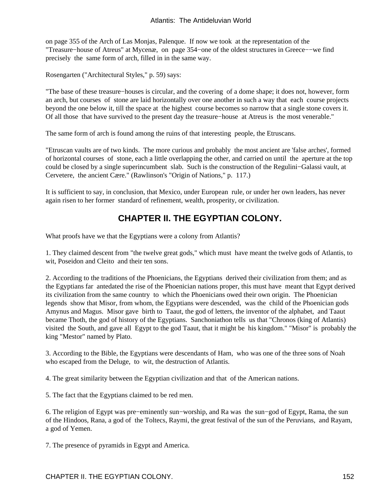on page 355 of the Arch of Las Monjas, Palenque. If now we took at the representation of the "Treasure−house of Atreus" at Mycenæ, on page 354−one of the oldest structures in Greece−−we find precisely the same form of arch, filled in in the same way.

Rosengarten ("Architectural Styles," p. 59) says:

"The base of these treasure−houses is circular, and the covering of a dome shape; it does not, however, form an arch, but courses of stone are laid horizontally over one another in such a way that each course projects beyond the one below it, till the space at the highest course becomes so narrow that a single stone covers it. Of all those that have survived to the present day the treasure−house at Atreus is the most venerable."

The same form of arch is found among the ruins of that interesting people, the Etruscans.

"Etruscan vaults are of two kinds. The more curious and probably the most ancient are 'false arches', formed of horizontal courses of stone, each a little overlapping the other, and carried on until the aperture at the top could be closed by a single superincumbent slab. Such is the construction of the Regulini−Galassi vault, at Cervetere, the ancient Cære." (Rawlinson's "Origin of Nations," p. 117.)

It is sufficient to say, in conclusion, that Mexico, under European rule, or under her own leaders, has never again risen to her former standard of refinement, wealth, prosperity, or civilization.

# **CHAPTER II. THE EGYPTIAN COLONY.**

What proofs have we that the Egyptians were a colony from Atlantis?

1. They claimed descent from "the twelve great gods," which must have meant the twelve gods of Atlantis, to wit, Poseidon and Cleito and their ten sons.

2. According to the traditions of the Phoenicians, the Egyptians derived their civilization from them; and as the Egyptians far antedated the rise of the Phoenician nations proper, this must have meant that Egypt derived its civilization from the same country to which the Phoenicians owed their own origin. The Phoenician legends show that Misor, from whom, the Egyptians were descended, was the child of the Phoenician gods Amynus and Magus. Misor gave birth to Taaut, the god of letters, the inventor of the alphabet, and Taaut became Thoth, the god of history of the Egyptians. Sanchoniathon tells us that "Chronos (king of Atlantis) visited the South, and gave all Egypt to the god Taaut, that it might be his kingdom." "Misor" is probably the king "Mestor" named by Plato.

3. According to the Bible, the Egyptians were descendants of Ham, who was one of the three sons of Noah who escaped from the Deluge, to wit, the destruction of Atlantis.

4. The great similarity between the Egyptian civilization and that of the American nations.

5. The fact that the Egyptians claimed to be red men.

6. The religion of Egypt was pre−eminently sun−worship, and Ra was the sun−god of Egypt, Rama, the sun of the Hindoos, Rana, a god of the Toltecs, Raymi, the great festival of the sun of the Peruvians, and Rayam, a god of Yemen.

7. The presence of pyramids in Egypt and America.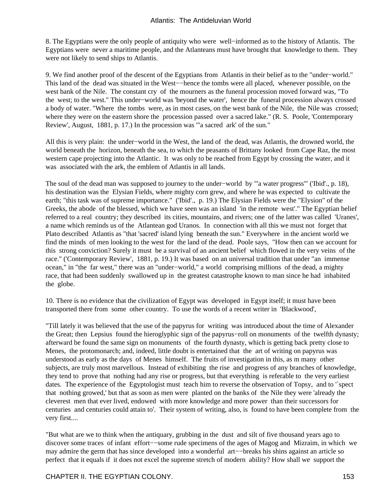8. The Egyptians were the only people of antiquity who were well−informed as to the history of Atlantis. The Egyptians were never a maritime people, and the Atlanteans must have brought that knowledge to them. They were not likely to send ships to Atlantis.

9. We find another proof of the descent of the Egyptians from Atlantis in their belief as to the "under−world." This land of the dead was situated in the West−−hence the tombs were all placed, whenever possible, on the west bank of the Nile. The constant cry of the mourners as the funeral procession moved forward was, "To the west; to the west." This under−world was 'beyond the water', hence the funeral procession always crossed a body of water. "Where the tombs were, as in most cases, on the west bank of the Nile, the Nile was crossed; where they were on the eastern shore the procession passed over a sacred lake." (R. S. Poole, 'Contemporary Review', August, 1881, p. 17.) In the procession was "'a sacred ark' of the sun."

All this is very plain: the under−world in the West, the land of the dead, was Atlantis, the drowned world, the world beneath the horizon, beneath the sea, to which the peasants of Brittany looked from Cape Raz, the most western cape projecting into the Atlantic. It was only to be reached from Egypt by crossing the water, and it was associated with the ark, the emblem of Atlantis in all lands.

The soul of the dead man was supposed to journey to the under−world by "'a water progress'" ('Ibid'., p. 18), his destination was the Elysian Fields, where mighty corn grew, and where he was expected to cultivate the earth; "this task was of supreme importance." ('Ibid'., p. 19.) The Elysian Fields were the "Elysion" of the Greeks, the abode of the blessed, which we have seen was an island 'in the remote west'." The Egyptian belief referred to a real country; they described its cities, mountains, and rivers; one of the latter was called 'Uranes', a name which reminds us of the Atlantean god Uranos. In connection with all this we must not forget that Plato described Atlantis as "that 'sacred' island lying beneath the sun." Everywhere in the ancient world we find the minds of men looking to the west for the land of the dead. Poole says, "How then can we account for this strong conviction? Surely it must be a survival of an ancient belief which flowed in the very veins of the race." ('Contemporary Review', 1881, p. 19.) It was based on an universal tradition that under "an immense ocean," in "the far west," there was an "under−world," a world comprising millions of the dead, a mighty race, that had been suddenly swallowed up in the greatest catastrophe known to man since he had inhabited the globe.

10. There is no evidence that the civilization of Egypt was developed in Egypt itself; it must have been transported there from some other country. To use the words of a recent writer in 'Blackwood',

"Till lately it was believed that the use of the papyrus for writing was introduced about the time of Alexander the Great; then Lepsius found the hieroglyphic sign of the papyrus−roll on monuments of the twelfth dynasty; afterward be found the same sign on monuments of the fourth dynasty, which is getting back pretty close to Menes, the protomonarch; and, indeed, little doubt is entertained that the art of writing on papyrus was understood as early as the days of Menes himself. The fruits of investigation in this, as m many other subjects, are truly most marvellous. Instead of exhibiting the rise and progress of any branches of knowledge, they tend to prove that nothing had any rise or progress, but that everything is referable to the very earliest dates. The experience of the Egyptologist must teach him to reverse the observation of Topsy, and to "spect" that nothing growed,' but that as soon as men were planted on the banks of the Nile they were 'already the cleverest men that ever lived, endowed with more knowledge and more power than their successors for centuries and centuries could attain to'. Their system of writing, also, is found to have been complete from the very first....

"But what are we to think when the antiquary, grubbing in the dust and silt of five thousand years ago to discover some traces of infant effort−−some rude specimens of the ages of Magog and Mizraim, in which we may admire the germ that has since developed into a wonderful art−−breaks his shins against an article so perfect that it equals if it does not excel the supreme stretch of modern ability? How shall we support the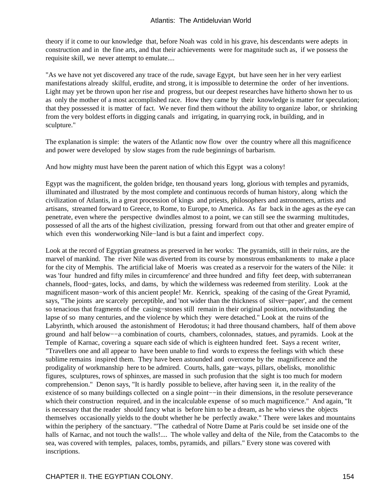theory if it come to our knowledge that, before Noah was cold in his grave, his descendants were adepts in construction and in the fine arts, and that their achievements were for magnitude such as, if we possess the requisite skill, we never attempt to emulate....

"As we have not yet discovered any trace of the rude, savage Egypt, but have seen her in her very earliest manifestations already skilful, erudite, and strong, it is impossible to determine the order of her inventions. Light may yet be thrown upon her rise and progress, but our deepest researches have hitherto shown her to us as only the mother of a most accomplished race. How they came by their knowledge is matter for speculation; that they possessed it is matter of fact. We never find them without the ability to organize labor, or shrinking from the very boldest efforts in digging canals and irrigating, in quarrying rock, in building, and in sculpture."

The explanation is simple: the waters of the Atlantic now flow over the country where all this magnificence and power were developed by slow stages from the rude beginnings of barbarism.

And how mighty must have been the parent nation of which this Egypt was a colony!

Egypt was the magnificent, the golden bridge, ten thousand years long, glorious with temples and pyramids, illuminated and illustrated by the most complete and continuous records of human history, along which the civilization of Atlantis, in a great procession of kings and priests, philosophers and astronomers, artists and artisans, streamed forward to Greece, to Rome, to Europe, to America. As far back in the ages as the eye can penetrate, even where the perspective dwindles almost to a point, we can still see the swarming multitudes, possessed of all the arts of the highest civilization, pressing forward from out that other and greater empire of which even this wonderworking Nile−land is but a faint and imperfect copy.

Look at the record of Egyptian greatness as preserved in her works: The pyramids, still in their ruins, are the marvel of mankind. The river Nile was diverted from its course by monstrous embankments to make a place for the city of Memphis. The artificial lake of Moeris was created as a reservoir for the waters of the Nile: it was 'four hundred and fifty miles in circumference' and three hundred and fifty feet deep, with subterranean channels, flood−gates, locks, and dams, by which the wilderness was redeemed from sterility. Look at the magnificent mason−work of this ancient people! Mr. Kenrick, speaking of the casing of the Great Pyramid, says, "The joints are scarcely perceptible, and 'not wider than the thickness of silver−paper', and the cement so tenacious that fragments of the casing−stones still remain in their original position, notwithstanding the lapse of so many centuries, and the violence by which they were detached." Look at the ruins of the Labyrinth, which aroused the astonishment of Herodotus; it had three thousand chambers, half of them above ground and half below−−a combination of courts, chambers, colonnades, statues, and pyramids. Look at the Temple of Karnac, covering a square each side of which is eighteen hundred feet. Says a recent writer, "Travellers one and all appear to have been unable to find words to express the feelings with which these sublime remains inspired them. They have been astounded and overcome by the magnificence and the prodigality of workmanship here to be admired. Courts, halls, gate−ways, pillars, obelisks, monolithic figures, sculptures, rows of sphinxes, are massed in such profusion that the sight is too much for modern comprehension." Denon says, "It is hardly possible to believe, after having seen it, in the reality of the existence of so many buildings collected on a single point−−in their dimensions, in the resolute perseverance which their construction required, and in the incalculable expense of so much magnificence." And again, "It is necessary that the reader should fancy what is before him to be a dream, as he who views the objects themselves occasionally yields to the doubt whether he be perfectly awake." There were lakes and mountains within the periphery of the sanctuary. "'The cathedral of Notre Dame at Paris could be set inside one of the halls of Karnac, and not touch the walls!.... The whole valley and delta of the Nile, from the Catacombs to the sea, was covered with temples, palaces, tombs, pyramids, and pillars." Every stone was covered with inscriptions.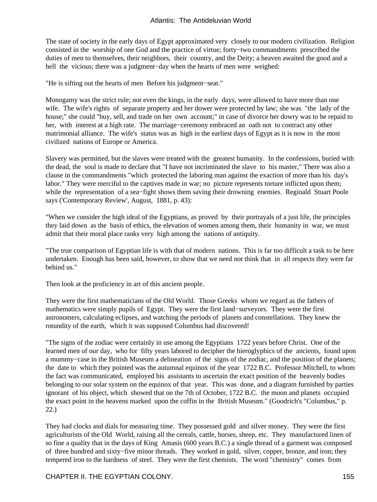The state of society in the early days of Egypt approximated very closely to our modern civilization. Religion consisted in the worship of one God and the practice of virtue; forty−two commandments prescribed the duties of men to themselves, their neighbors, their country, and the Deity; a heaven awaited the good and a hell the vicious; there was a judgment−day when the hearts of men were weighed:

"He is sifting out the hearts of men Before his judgment−seat."

Monogamy was the strict rule; not even the kings, in the early days, were allowed to have more than one wife. The wife's rights of separate property and her dower were protected by law; she was "the lady of the house;" she could "buy, sell, and trade on her own account;" in case of divorce her dowry was to be repaid to her, with interest at a high rate. The marriage−ceremony embraced an oath not to contract any other matrimonial alliance. The wife's status was as high in the earliest days of Egypt as it is now in the most civilized nations of Europe or America.

Slavery was permitted, but the slaves were treated with the greatest humanity. In the confessions, buried with the dead, the soul is made to declare that "I have not incriminated the slave to his master," There was also a clause in the commandments "which protected the laboring man against the exaction of more than his day's labor." They were merciful to the captives made in war; no picture represents torture inflicted upon them; while the representation of a sea−fight shows them saving their drowning enemies. Reginald Stuart Poole says ('Contemporary Review', August, 1881, p. 43):

"When we consider the high ideal of the Egyptians, as proved by their portrayals of a just life, the principles they laid down as the basis of ethics, the elevation of women among them, their humanity in war, we must admit that their moral place ranks very high among the nations of antiquity.

"The true comparison of Egyptian life is with that of modern nations. This is far too difficult a task to be here undertaken. Enough has been said, however, to show that we need not think that in all respects they were far behind us."

Then look at the proficiency in art of this ancient people.

They were the first mathematicians of the Old World. Those Greeks whom we regard as the fathers of mathematics were simply pupils of Egypt. They were the first land−surveyors. They were the first astronomers, calculating eclipses, and watching the periods of planets and constellations. They knew the rotundity of the earth, which it was supposed Columbus had discovered!

"The signs of the zodiac were certainly in use among the Egyptians 1722 years before Christ. One of the learned men of our day, who for fifty years labored to decipher the hieroglyphics of the ancients, found upon a mummy−case in the British Museum a delineation of the signs of the zodiac, and the position of the planets; the date to which they pointed was the autumnal equinox of the year 1722 B.C. Professor Mitchell, to whom the fact was communicated, employed his assistants to ascertain the exact position of the heavenly bodies belonging to our solar system on the equinox of that year. This was done, and a diagram furnished by parties ignorant of his object, which showed that on the 7th of October, 1722 B.C. the moon and planets occupied the exact point in the heavens marked upon the coffin in the British Museum." (Goodrich's "Columbus," p. 22.)

They had clocks and dials for measuring time. They possessed gold and silver money. They were the first agriculturists of the Old World, raising all the cereals, cattle, horses, sheep, etc. They manufactured linen of so fine a quality that in the days of King Amasis (600 years B.C.) a single thread of a garment was composed of three hundred and sixty−five minor threads. They worked in gold, silver, copper, bronze, and iron; they tempered iron to the hardness of steel. They were the first chemists. The word "chemistry" comes from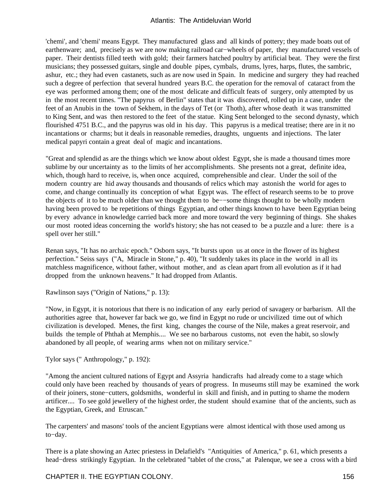'chemi', and 'chemi' means Egypt. They manufactured glass and all kinds of pottery; they made boats out of earthenware; and, precisely as we are now making railroad car−wheels of paper, they manufactured vessels of paper. Their dentists filled teeth with gold; their farmers hatched poultry by artificial beat. They were the first musicians; they possessed guitars, single and double pipes, cymbals, drums, lyres, harps, flutes, the sambric, ashur, etc.; they had even castanets, such as are now used in Spain. In medicine and surgery they had reached such a degree of perfection that several hundred years B.C. the operation for the removal of cataract from the eye was performed among them; one of the most delicate and difficult feats of surgery, only attempted by us in the most recent times. "The papyrus of Berlin" states that it was discovered, rolled up in a case, under the feet of an Anubis in the town of Sekhem, in the days of Tet (or Thoth), after whose death it was transmitted to King Sent, and was then restored to the feet of the statue. King Sent belonged to the second dynasty, which flourished 4751 B.C., and the papyrus was old in his day. This papyrus is a medical treatise; there are in it no incantations or charms; but it deals in reasonable remedies, draughts, unguents and injections. The later medical papyri contain a great deal of magic and incantations.

"Great and splendid as are the things which we know about oldest Egypt, she is made a thousand times more sublime by our uncertainty as to the limits of her accomplishments. She presents not a great, definite idea, which, though hard to receive, is, when once acquired, comprehensible and clear. Under the soil of the modern country are hid away thousands and thousands of relics which may astonish the world for ages to come, and change continually its conception of what Egypt was. The effect of research seems to be to prove the objects of it to be much older than we thought them to be−−some things thought to be wholly modern having been proved to be repetitions of things Egyptian, and other things known to have been Egyptian being by every advance in knowledge carried back more and more toward the very beginning of things. She shakes our most rooted ideas concerning the world's history; she has not ceased to be a puzzle and a lure: there is a spell over her still."

Renan says, "It has no archaic epoch." Osborn says, "It bursts upon us at once in the flower of its highest perfection." Seiss says ("A, Miracle in Stone," p. 40), "It suddenly takes its place in the world in all its matchless magnificence, without father, without mother, and as clean apart from all evolution as if it had dropped from the unknown heavens." It had dropped from Atlantis.

Rawlinson says ("Origin of Nations," p. 13):

"Now, in Egypt, it is notorious that there is no indication of any early period of savagery or barbarism. All the authorities agree that, however far back we go, we find in Egypt no rude or uncivilized time out of which civilization is developed. Menes, the first king, changes the course of the Nile, makes a great reservoir, and builds the temple of Phthah at Memphis.... We see no barbarous customs, not even the habit, so slowly abandoned by all people, of wearing arms when not on military service."

Tylor says (" Anthropology," p. 192):

"Among the ancient cultured nations of Egypt and Assyria handicrafts had already come to a stage which could only have been reached by thousands of years of progress. In museums still may be examined the work of their joiners, stone−cutters, goldsmiths, wonderful in skill and finish, and in putting to shame the modern artificer.... To see gold jewellery of the highest order, the student should examine that of the ancients, such as the Egyptian, Greek, and Etruscan."

The carpenters' and masons' tools of the ancient Egyptians were almost identical with those used among us to−day.

There is a plate showing an Aztec priestess in Delafield's "Antiquities of America," p. 61, which presents a head−dress strikingly Egyptian. In the celebrated "tablet of the cross," at Palenque, we see a cross with a bird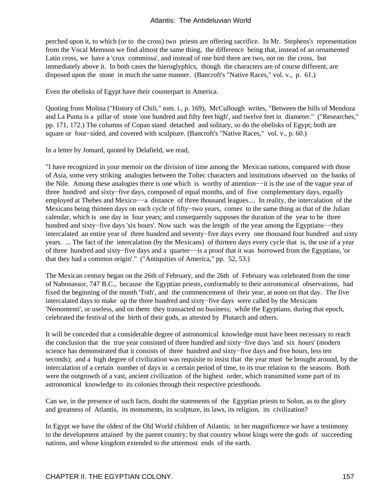perched upon it, to which (or to the cross) two priests are offering sacrifice. In Mr. Stephens's representation from the Vocal Memnon we find almost the same thing, the difference being that, instead of an ornamented Latin cross, we have a 'crux commissa', and instead of one bird there are two, not on the cross, but immediately above it. In both cases the hieroglyphics, though the characters are of course different, are disposed upon the stone in much the same manner. (Bancroft's "Native Races," vol. v., p. 61.)

Even the obelisks of Egypt have their counterpart in America.

Quoting from Molina ("History of Chili," tom. i., p. 169), McCullough writes, "Between the hills of Mendoza and La Punta is a pillar of stone 'one hundred and fifty feet high', and twelve feet in diameter." ("Researches," pp. 171, 172.) The columns of Copan stand detached and solitary, so do the obelisks of Egypt; both are square or four–sided, and covered with sculpture. (Bancroft's "Native Races," vol. v., p. 60.)

In a letter by Jomard, quoted by Delafield, we read,

"I have recognized in your memoir on the division of time among the Mexican nations, compared with those of Asia, some very striking analogies between the Toltec characters and institutions observed on the banks of the Nile. Among these analogies there is one which is worthy of attention−−it is the use of the vague year of three hundred and sixty−five days, composed of equal months, and of five complementary days, equally employed at Thebes and Mexico−−a distance of three thousand leagues.... In reality, the intercalation of the Mexicans being thirteen days on each cycle of fifty−two years, comes to the same thing as that of the Julian calendar, which is one day in four years; and consequently supposes the duration of the year to be three hundred and sixty−five days 'six hours'. Now such was the length of the year among the Egyptians−−they intercalated an entire year of three hundred and seventy−five days every one thousand four hundred and sixty years. ... The fact of the intercalation (by the Mexicans) of thirteen days every cycle that is, the use of a year of three hundred and sixty−five days and a quarter−−is a proof that it was borrowed from the Egyptians, 'or that they had a common origin'." ("Antiquities of America," pp. 52, 53.)

The Mexican century began on the 26th of February, and the 26th of February was celebrated from the time of Nabonassor, 747 B.C., because the Egyptian priests, conformably to their astronomical observations, had fixed the beginning of the month 'Toth', and the commencement of their year, at noon on that day. The five intercalated days to make up the three hundred and sixty−five days were called by the Mexicans 'Nemontemi', or useless, and on them they transacted no business; while the Egyptians, during that epoch, celebrated the festival of the birth of their gods, as attested by Plutarch and others.

It will be conceded that a considerable degree of astronomical knowledge must have been necessary to reach the conclusion that the true year consisted of three hundred and sixty−five days 'and six hours' (modern science has demonstrated that it consists of three hundred and sixty−five days and five hours, less ten seconds); and a high degree of civilization was requisite to insist that the year must be brought around, by the intercalation of a certain number of days in a certain period of time, to its true relation to the seasons. Both were the outgrowth of a vast, ancient civilization of the highest order, which transmitted some part of its astronomical knowledge to its colonies through their respective priesthoods.

Can we, in the presence of such facts, doubt the statements of the Egyptian priests to Solon, as to the glory and greatness of Atlantis, its monuments, its sculpture, its laws, its religion, its civilization?

In Egypt we have the oldest of the Old World children of Atlantis; in her magnificence we have a testimony to the development attained by the parent country; by that country whose kings were the gods of succeeding nations, and whose kingdom extended to the uttermost ends of the earth.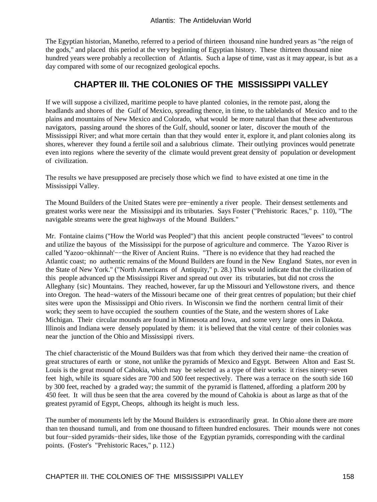The Egyptian historian, Manetho, referred to a period of thirteen thousand nine hundred years as "the reign of the gods," and placed this period at the very beginning of Egyptian history. These thirteen thousand nine hundred years were probably a recollection of Atlantis. Such a lapse of time, vast as it may appear, is but as a day compared with some of our recognized geological epochs.

# **CHAPTER III. THE COLONIES OF THE MISSISSIPPI VALLEY**

If we will suppose a civilized, maritime people to have planted colonies, in the remote past, along the headlands and shores of the Gulf of Mexico, spreading thence, in time, to the tablelands of Mexico and to the plains and mountains of New Mexico and Colorado, what would be more natural than that these adventurous navigators, passing around the shores of the Gulf, should, sooner or later, discover the mouth of the Mississippi River; and what more certain than that they would enter it, explore it, and plant colonies along its shores, wherever they found a fertile soil and a salubrious climate. Their outlying provinces would penetrate even into regions where the severity of the climate would prevent great density of population or development of civilization.

The results we have presupposed are precisely those which we find to have existed at one time in the Mississippi Valley.

The Mound Builders of the United States were pre−eminently a river people. Their densest settlements and greatest works were near the Mississippi and its tributaries. Says Foster ("Prehistoric Races," p. 110), "The navigable streams were the great highways of the Mound Builders."

Mr. Fontaine claims ("How the World was Peopled") that this ancient people constructed "levees" to control and utilize the bayous of the Mississippi for the purpose of agriculture and commerce. The Yazoo River is called 'Yazoo−okhinnah'−−the River of Ancient Ruins. "There is no evidence that they had reached the Atlantic coast; no authentic remains of the Mound Builders are found in the New England States, nor even in the State of New York." ("North Americans of Antiquity," p. 28.) This would indicate that the civilization of this people advanced up the Mississippi River and spread out over its tributaries, but did not cross the Alleghany {sic} Mountains. They reached, however, far up the Missouri and Yellowstone rivers, and thence into Oregon. The head−waters of the Missouri became one of their great centres of population; but their chief sites were upon the Mississippi and Ohio rivers. In Wisconsin we find the northern central limit of their work; they seem to have occupied the southern counties of the State, and the western shores of Lake Michigan. Their circular mounds are found in Minnesota and Iowa, and some very large ones in Dakota. Illinois and Indiana were densely populated by them: it is believed that the vital centre of their colonies was near the junction of the Ohio and Mississippi rivers.

The chief characteristic of the Mound Builders was that from which they derived their name−the creation of great structures of earth or stone, not unlike the pyramids of Mexico and Egypt. Between Alton and East St. Louis is the great mound of Cahokia, which may be selected as a type of their works: it rises ninety−seven feet high, while its square sides are 700 and 500 feet respectively. There was a terrace on the south side 160 by 300 feet, reached by a graded way; the summit of the pyramid is flattened, affording a platform 200 by 450 feet. It will thus be seen that the area covered by the mound of Cahokia is about as large as that of the greatest pyramid of Egypt, Cheops, although its height is much less.

The number of monuments left by the Mound Builders is extraordinarily great. In Ohio alone there are more than ten thousand tumuli, and from one thousand to fifteen hundred enclosures. Their mounds were not cones but four−sided pyramids−their sides, like those of the Egyptian pyramids, corresponding with the cardinal points. (Foster's "Prehistoric Races," p. 112.)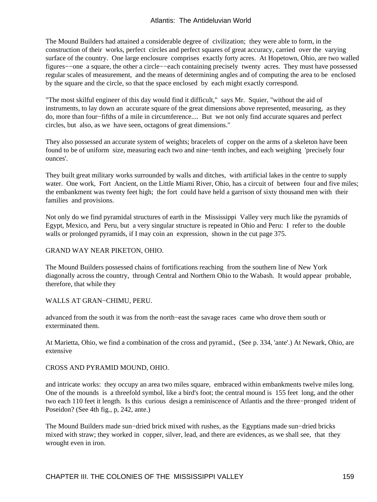The Mound Builders had attained a considerable degree of civilization; they were able to form, in the construction of their works, perfect circles and perfect squares of great accuracy, carried over the varying surface of the country. One large enclosure comprises exactly forty acres. At Hopetown, Ohio, are two walled figures−−one a square, the other a circle−−each containing precisely twenty acres. They must have possessed regular scales of measurement, and the means of determining angles and of computing the area to be enclosed by the square and the circle, so that the space enclosed by each might exactly correspond.

"The most skilful engineer of this day would find it difficult," says Mr. Squier, "without the aid of instruments, to lay down an accurate square of the great dimensions above represented, measuring, as they do, more than four−fifths of a mile in circumference.... But we not only find accurate squares and perfect circles, but also, as we have seen, octagons of great dimensions."

They also possessed an accurate system of weights; bracelets of copper on the arms of a skeleton have been found to be of uniform size, measuring each two and nine−tenth inches, and each weighing 'precisely four ounces'.

They built great military works surrounded by walls and ditches, with artificial lakes in the centre to supply water. One work, Fort Ancient, on the Little Miami River, Ohio, has a circuit of between four and five miles; the embankment was twenty feet high; the fort could have held a garrison of sixty thousand men with their families and provisions.

Not only do we find pyramidal structures of earth in the Mississippi Valley very much like the pyramids of Egypt, Mexico, and Peru, but a very singular structure is repeated in Ohio and Peru: I refer to the double walls or prolonged pyramids, if I may coin an expression, shown in the cut page 375.

#### GRAND WAY NEAR PIKETON, OHIO.

The Mound Builders possessed chains of fortifications reaching from the southern line of New York diagonally across the country, through Central and Northern Ohio to the Wabash. It would appear probable, therefore, that while they

#### WALLS AT GRAN−CHIMU, PERU.

advanced from the south it was from the north−east the savage races came who drove them south or exterminated them.

At Marietta, Ohio, we find a combination of the cross and pyramid., (See p. 334, 'ante'.) At Newark, Ohio, are extensive

#### CROSS AND PYRAMID MOUND, OHIO.

and intricate works: they occupy an area two miles square, embraced within embankments twelve miles long. One of the mounds is a threefold symbol, like a bird's foot; the central mound is 155 feet long, and the other two each 110 feet it length. Is this curious design a reminiscence of Atlantis and the three−pronged trident of Poseidon? (See 4th fig., p, 242, ante.)

The Mound Builders made sun−dried brick mixed with rushes, as the Egyptians made sun−dried bricks mixed with straw; they worked in copper, silver, lead, and there are evidences, as we shall see, that they wrought even in iron.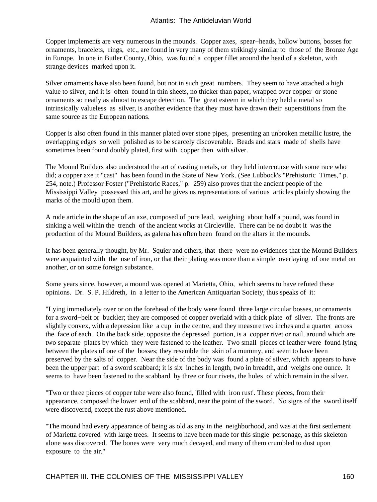Copper implements are very numerous in the mounds. Copper axes, spear−heads, hollow buttons, bosses for ornaments, bracelets, rings, etc., are found in very many of them strikingly similar to those of the Bronze Age in Europe. In one in Butler County, Ohio, was found a copper fillet around the head of a skeleton, with strange devices marked upon it.

Silver ornaments have also been found, but not in such great numbers. They seem to have attached a high value to silver, and it is often found in thin sheets, no thicker than paper, wrapped over copper or stone ornaments so neatly as almost to escape detection. The great esteem in which they held a metal so intrinsically valueless as silver, is another evidence that they must have drawn their superstitions from the same source as the European nations.

Copper is also often found in this manner plated over stone pipes, presenting an unbroken metallic lustre, the overlapping edges so well polished as to be scarcely discoverable. Beads and stars made of shells have sometimes been found doubly plated, first with copper then with silver.

The Mound Builders also understood the art of casting metals, or they held intercourse with some race who did; a copper axe it "cast" has been found in the State of New York. (See Lubbock's "Prehistoric Times," p. 254, note.) Professor Foster ("Prehistoric Races," p. 259) also proves that the ancient people of the Mississippi Valley possessed this art, and he gives us representations of various articles plainly showing the marks of the mould upon them.

A rude article in the shape of an axe, composed of pure lead, weighing about half a pound, was found in sinking a well within the trench of the ancient works at Circleville. There can be no doubt it was the production of the Mound Builders, as galena has often been found on the altars in the mounds.

It has been generally thought, by Mr. Squier and others, that there were no evidences that the Mound Builders were acquainted with the use of iron, or that their plating was more than a simple overlaying of one metal on another, or on some foreign substance.

Some years since, however, a mound was opened at Marietta, Ohio, which seems to have refuted these opinions. Dr. S. P. Hildreth, in a letter to the American Antiquarian Society, thus speaks of it:

"Lying immediately over or on the forehead of the body were found three large circular bosses, or ornaments for a sword−belt or buckler; they are composed of copper overlaid with a thick plate of silver. The fronts are slightly convex, with a depression like a cup in the centre, and they measure two inches and a quarter across the face of each. On the back side, opposite the depressed portion, is a copper rivet or nail, around which are two separate plates by which they were fastened to the leather. Two small pieces of leather were found lying between the plates of one of the bosses; they resemble the skin of a mummy, and seem to have been preserved by the salts of copper. Near the side of the body was found a plate of silver, which appears to have been the upper part of a sword scabbard; it is six inches in length, two in breadth, and weighs one ounce. It seems to have been fastened to the scabbard by three or four rivets, the holes of which remain in the silver.

"Two or three pieces of copper tube were also found, 'filled with iron rust'. These pieces, from their appearance, composed the lower end of the scabbard, near the point of the sword. No signs of the sword itself were discovered, except the rust above mentioned.

"The mound had every appearance of being as old as any in the neighborhood, and was at the first settlement of Marietta covered with large trees. It seems to have been made for this single personage, as this skeleton alone was discovered. The bones were very much decayed, and many of them crumbled to dust upon exposure to the air."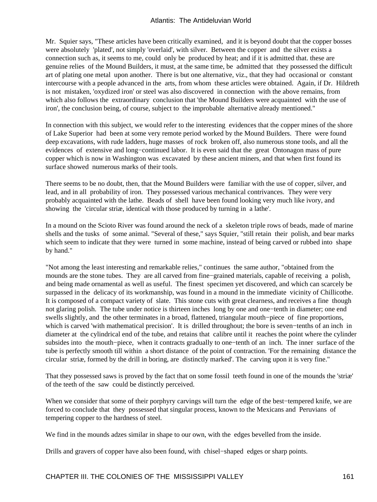Mr. Squier says, "These articles have been critically examined, and it is beyond doubt that the copper bosses were absolutely 'plated', not simply 'overlaid', with silver. Between the copper and the silver exists a connection such as, it seems to me, could only be produced by heat; and if it is admitted that. these are genuine relies of the Mound Builders, it must, at the same time, be admitted that they possessed the difficult art of plating one metal upon another. There is but one alternative, viz., that they had occasional or constant intercourse with a people advanced in the arts, from whom these articles were obtained. Again, if Dr. Hildreth is not mistaken, 'oxydized iron' or steel was also discovered in connection with the above remains, from which also follows the extraordinary conclusion that 'the Mound Builders were acquainted with the use of iron', the conclusion being, of course, subject to the improbable alternative already mentioned."

In connection with this subject, we would refer to the interesting evidences that the copper mines of the shore of Lake Superior had been at some very remote period worked by the Mound Builders. There were found deep excavations, with rude ladders, huge masses of rock broken off, also numerous stone tools, and all the evidences of extensive and long−continued labor. It is even said that the great Ontonagon mass of pure copper which is now in Washington was excavated by these ancient miners, and that when first found its surface showed numerous marks of their tools.

There seems to be no doubt, then, that the Mound Builders were familiar with the use of copper, silver, and lead, and in all probability of iron. They possessed various mechanical contrivances. They were very probably acquainted with the lathe. Beads of shell have been found looking very much like ivory, and showing the 'circular striæ, identical with those produced by turning in a lathe'.

In a mound on the Scioto River was found around the neck of a skeleton triple rows of beads, made of marine shells and the tusks of some animal. "Several of these," says Squier, "still retain their polish, and bear marks which seem to indicate that they were turned in some machine, instead of being carved or rubbed into shape by hand."

"Not among the least interesting and remarkable relies," continues the same author, "obtained from the mounds are the stone tubes. They are all carved from fine−grained materials, capable of receiving a polish, and being made ornamental as well as useful. The finest specimen yet discovered, and which can scarcely be surpassed in the delicacy of its workmanship, was found in a mound in the immediate vicinity of Chillicothe. It is composed of a compact variety of slate. This stone cuts with great clearness, and receives a fine though not glaring polish. The tube under notice is thirteen inches long by one and one−tenth in diameter; one end swells slightly, and the other terminates in a broad, flattened, triangular mouth–piece of fine proportions, which is carved 'with mathematical precision'. It is drilled throughout; the bore is seven−tenths of an inch in diameter at the cylindrical end of the tube, and retains that calibre until it reaches the point where the cylinder subsides into the mouth−piece, when it contracts gradually to one−tenth of an inch. The inner surface of the tube is perfectly smooth till within a short distance of the point of contraction. 'For the remaining distance the circular striæ, formed by the drill in boring, are distinctly marked'. The carving upon it is very fine."

That they possessed saws is proved by the fact that on some fossil teeth found in one of the mounds the 'striæ' of the teeth of the saw could be distinctly perceived.

When we consider that some of their porphyry carvings will turn the edge of the best−tempered knife, we are forced to conclude that they possessed that singular process, known to the Mexicans and Peruvians of tempering copper to the hardness of steel.

We find in the mounds adzes similar in shape to our own, with the edges bevelled from the inside.

Drills and gravers of copper have also been found, with chisel−shaped edges or sharp points.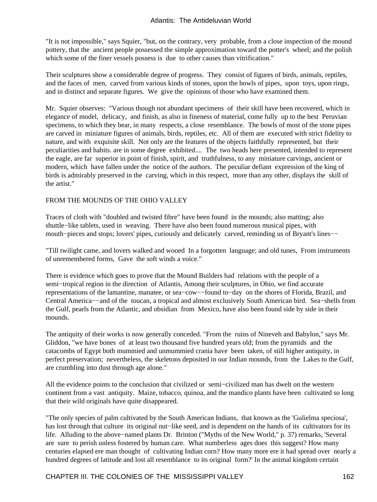"It is not impossible," says Squier, "but, on the contrary, very probable, from a close inspection of the mound pottery, that the ancient people possessed the simple approximation toward the potter's wheel; and the polish which some of the finer vessels possess is due to other causes than vitrification."

Their sculptures show a considerable degree of progress. They consist of figures of birds, animals, reptiles, and the faces of men, carved from various kinds of stones, upon the bowls of pipes, upon toys, upon rings, and in distinct and separate figures. We give the opinions of those who have examined them.

Mr. Squier observes: "Various though not abundant specimens of their skill have been recovered, which in elegance of model, delicacy, and finish, as also in fineness of material, come fully up to the best Peruvian specimens, to which they bear, in many respects, a close resemblance. The bowls of most of the stone pipes are carved in miniature figures of animals, birds, reptiles, etc. All of them are executed with strict fidelity to nature, and with exquisite skill. Not only are the features of the objects faithfully represented, but their peculiarities and habits. are in some degree exhibited.... The two heads here presented, intended to represent the eagle, are far superior in point of finish, spirit, and truthfulness, to any miniature carvings, ancient or modern, which have fallen under the notice of the authors. The peculiar defiant expression of the king of birds is admirably preserved in the carving, which in this respect, more than any other, displays the skill of the artist."

# FROM THE MOUNDS OF THE OHIO VALLEY

Traces of cloth with "doubled and twisted fibre" have been found in the mounds; also matting; also shuttle−like tablets, used in weaving. There have also been found numerous musical pipes, with mouth–pieces and stops; lovers' pipes, curiously and delicately carved, reminding us of Bryant's lines−−

"Till twilight came, and lovers walked and wooed In a forgotten language; and old tunes, From instruments of unremembered forms, Gave the soft winds a voice."

There is evidence which goes to prove that the Mound Builders had relations with the people of a semi−tropical region in the direction of Atlantis, Among their sculptures, in Ohio, we find accurate representations of the lamantine, manatee, or sea−cow−−found to−day on the shores of Florida, Brazil, and Central America−−and of the toucan, a tropical and almost exclusively South American bird. Sea−shells from the Gulf, pearls from the Atlantic, and obsidian from Mexico, have also been found side by side in their mounds.

The antiquity of their works is now generally conceded. "From the ruins of Nineveh and Babylon," says Mr. Gliddon, "we have bones of at least two thousand five hundred years old; from the pyramids and the catacombs of Egypt both mummied and unmummied crania have been taken, of still higher antiquity, in perfect preservation; nevertheless, the skeletons deposited in our Indian mounds, from the Lakes to the Gulf, are crumbling into dust through age alone."

All the evidence points to the conclusion that civilized or semi−civilized man has dwelt on the western continent from a vast antiquity. Maize, tobacco, quinoa, and the mandico plants have been cultivated so long that their wild originals have quite disappeared.

"The only species of palm cultivated by the South American Indians, that known as the 'Gulielma speciosa', has lost through that culture its original nut−like seed, and is dependent on the hands of its cultivators for its life. Alluding to the above−named plants Dr. Brinton ("Myths of the New World," p. 37) remarks, 'Several are sure to perish unless fostered by human care. What numberless ages does this suggest? How many centuries elapsed ere man thought of cultivating Indian corn? How many more ere it had spread over nearly a hundred degrees of latitude and lost all resemblance to its original form?' In the animal kingdom certain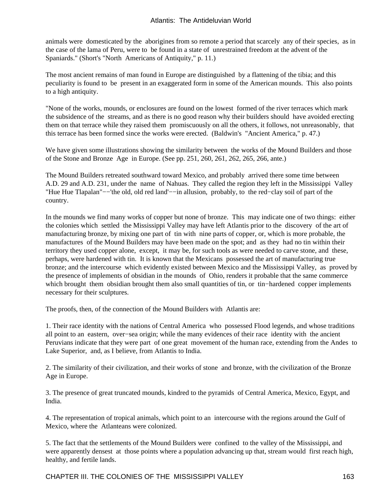animals were domesticated by the aborigines from so remote a period that scarcely any of their species, as in the case of the lama of Peru, were to be found in a state of unrestrained freedom at the advent of the Spaniards." (Short's "North Americans of Antiquity," p. 11.)

The most ancient remains of man found in Europe are distinguished by a flattening of the tibia; and this peculiarity is found to be present in an exaggerated form in some of the American mounds. This also points to a high antiquity.

"None of the works, mounds, or enclosures are found on the lowest formed of the river terraces which mark the subsidence of the streams, and as there is no good reason why their builders should have avoided erecting them on that terrace while they raised them promiscuously on all the others, it follows, not unreasonably, that this terrace has been formed since the works were erected. (Baldwin's "Ancient America," p. 47.)

We have given some illustrations showing the similarity between the works of the Mound Builders and those of the Stone and Bronze Age in Europe. (See pp. 251, 260, 261, 262, 265, 266, ante.)

The Mound Builders retreated southward toward Mexico, and probably arrived there some time between A.D. 29 and A.D. 231, under the name of Nahuas. They called the region they left in the Mississippi Valley "Hue Hue Tlapalan"−−'the old, old red land'−−in allusion, probably, to the red−clay soil of part of the country.

In the mounds we find many works of copper but none of bronze. This may indicate one of two things: either the colonies which settled the Mississippi Valley may have left Atlantis prior to the discovery of the art of manufacturing bronze, by mixing one part of tin with nine parts of copper, or, which is more probable, the manufactures of the Mound Builders may have been made on the spot; and as they had no tin within their territory they used copper alone, except, it may be, for such tools as were needed to carve stone, and these, perhaps, were hardened with tin. It is known that the Mexicans possessed the art of manufacturing true bronze; and the intercourse which evidently existed between Mexico and the Mississippi Valley, as proved by the presence of implements of obsidian in the mounds of Ohio, renders it probable that the same commerce which brought them obsidian brought them also small quantities of tin, or tin−hardened copper implements necessary for their sculptures.

The proofs, then, of the connection of the Mound Builders with Atlantis are:

1. Their race identity with the nations of Central America who possessed Flood legends, and whose traditions all point to an eastern, over−sea origin; while the many evidences of their race identity with the ancient Peruvians indicate that they were part of one great movement of the human race, extending from the Andes to Lake Superior, and, as I believe, from Atlantis to India.

2. The similarity of their civilization, and their works of stone and bronze, with the civilization of the Bronze Age in Europe.

3. The presence of great truncated mounds, kindred to the pyramids of Central America, Mexico, Egypt, and India.

4. The representation of tropical animals, which point to an intercourse with the regions around the Gulf of Mexico, where the Atlanteans were colonized.

5. The fact that the settlements of the Mound Builders were confined to the valley of the Mississippi, and were apparently densest at those points where a population advancing up that, stream would first reach high, healthy, and fertile lands.

CHAPTER III. THE COLONIES OF THE MISSISSIPPI VALLEY 163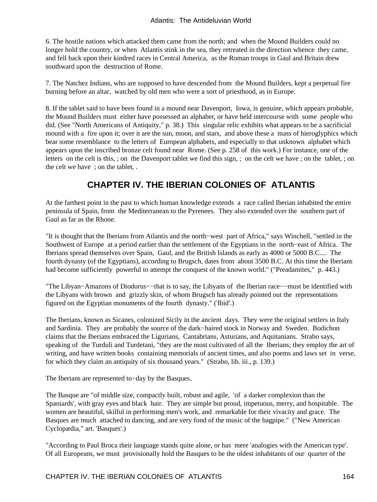6. The hostile nations which attacked them came from the north; and when the Mound Builders could no longer hold the country, or when Atlantis stink in the sea, they retreated in the direction whence they came, and fell back upon their kindred races in Central America, as the Roman troops in Gaul and Britain drew southward upon the destruction of Rome.

7. The Natchez Indians, who are supposed to have descended from the Mound Builders, kept a perpetual fire burning before an altar, watched by old men who were a sort of priesthood, as in Europe.

8. If the tablet said to have been found in a mound near Davenport, Iowa, is genuine, which appears probable, the Mound Builders must either have possessed an alphabet, or have held intercourse with some people who did. (See "North Americans of Antiquity," p. 38.) This singular relic exhibits what appears to be a sacrificial mound with a fire upon it; over it are the sun, moon, and stars, and above these a mass of hieroglyphics which bear some resemblance to the letters of European alphabets, and especially to that unknown alphabet which appears upon the inscribed bronze celt found near Rome. (See p. 258 of this work.) For instance, one of the letters on the celt is this, ; on the Davenport tablet we find this sign, ; on the celt we have ; on the tablet, ; on the celt we have ; on the tablet, .

# **CHAPTER IV. THE IBERIAN COLONIES OF ATLANTIS**

At the farthest point in the past to which human knowledge extends a race called Iberian inhabited the entire peninsula of Spain, from the Mediterranean to the Pyrenees. They also extended over the southern part of Gaul as far as the Rhone.

"It is thought that the Iberians from Atlantis and the north−west part of Africa," says Winchell, "settled in the Southwest of Europe at a period earlier than the settlement of the Egyptians in the north−east of Africa. The Iberians spread themselves over Spain, Gaul, and the British Islands as early as 4000 or 5000 B.C.... The fourth dynasty (of the Egyptians), according to Brugsch, dates from about 3500 B.C. At this time the Iberians had become sufficiently powerful to attempt the conquest of the known world." ("Preadamites," p. 443.)

"The Libyan−Amazons of Diodorus−−that is to say, the Libyans of the Iberian race−−must be identified with the Libyans with brown and grizzly skin, of whom Brugsch has already pointed out the representations figured on the Egyptian monuments of the fourth dynasty." ('Ibid'.)

The Iberians, known as Sicanes, colonized Sicily in the ancient days. They were the original settlers in Italy and Sardinia. They are probably the source of the dark−haired stock in Norway and Sweden. Bodichon claims that the Iberians embraced the Ligurians, Cantabrians, Asturians, and Aquitanians. Strabo says, speaking of the Turduli and Turdetani, "they are the most cultivated of all the Iberians; they employ the art of writing, and have written books containing memorials of ancient times, and also poems and laws set in verse, for which they claim an antiquity of six thousand years." (Strabo, lib. iii., p. 139.)

The Iberians are represented to−day by the Basques.

The Basque are "of middle size, compactly built, robust and agile, 'of a darker complexion than the Spaniards', with gray eyes and black hair. They are simple but proud, impetuous, merry, and hospitable. The women are beautiful, skilful in performing men's work, and remarkable for their vivacity and grace. The Basques are much attached to dancing, and are very fond of the music of the bagpipe." ("New American Cyclopædia," art. 'Basques'.)

"According to Paul Broca their language stands quite alone, or has mere 'analogies with the American type'. Of all Europeans, we must provisionally hold the Basques to be the oldest inhabitants of our quarter of the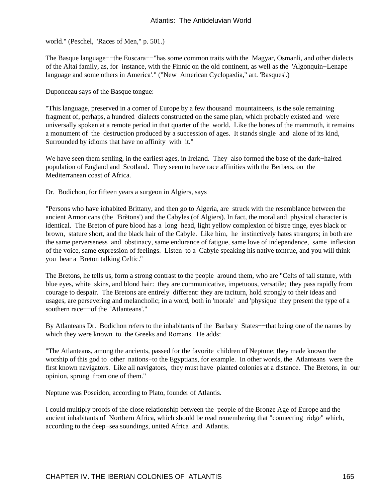world." (Peschel, "Races of Men," p. 501.)

The Basque language−−the Euscara−−"has some common traits with the Magyar, Osmanli, and other dialects of the Altai family, as, for instance, with the Finnic on the old continent, as well as the 'Algonquin−Lenape language and some others in America'." ("New American Cyclopædia," art. 'Basques'.)

Duponceau says of the Basque tongue:

"This language, preserved in a corner of Europe by a few thousand mountaineers, is the sole remaining fragment of, perhaps, a hundred dialects constructed on the same plan, which probably existed and were universally spoken at a remote period in that quarter of the world. Like the bones of the mammoth, it remains a monument of the destruction produced by a succession of ages. It stands single and alone of its kind, Surrounded by idioms that have no affinity with it."

We have seen them settling, in the earliest ages, in Ireland. They also formed the base of the dark−haired population of England and Scotland. They seem to have race affinities with the Berbers, on the Mediterranean coast of Africa.

Dr. Bodichon, for fifteen years a surgeon in Algiers, says

"Persons who have inhabited Brittany, and then go to Algeria, are struck with the resemblance between the ancient Armoricans (the 'Brètons') and the Cabyles (of Algiers). In fact, the moral and physical character is identical. The Breton of pure blood has a long head, light yellow complexion of bistre tinge, eyes black or brown, stature short, and the black hair of the Cabyle. Like him, he instinctively hates strangers; in both are the same perverseness and obstinacy, same endurance of fatigue, same love of independence, same inflexion of the voice, same expression of feelings. Listen to a Cabyle speaking his native ton(rue, and you will think you bear a Breton talking Celtic."

The Bretons, he tells us, form a strong contrast to the people around them, who are "Celts of tall stature, with blue eyes, white skins, and blond hair: they are communicative, impetuous, versatile; they pass rapidly from courage to despair. The Bretons are entirely different: they are taciturn, hold strongly to their ideas and usages, are persevering and melancholic; in a word, both in 'morale' and 'physique' they present the type of a southern race−−of the 'Atlanteans'."

By Atlanteans Dr. Bodichon refers to the inhabitants of the Barbary States−−that being one of the names by which they were known to the Greeks and Romans. He adds:

"The Atlanteans, among the ancients, passed for the favorite children of Neptune; they made known the worship of this god to other nations−to the Egyptians, for example. In other words, the Atlanteans were the first known navigators. Like all navigators, they must have planted colonies at a distance. The Bretons, in our opinion, sprung from one of them."

Neptune was Poseidon, according to Plato, founder of Atlantis.

I could multiply proofs of the close relationship between the people of the Bronze Age of Europe and the ancient inhabitants of Northern Africa, which should be read remembering that "connecting ridge" which, according to the deep−sea soundings, united Africa and Atlantis.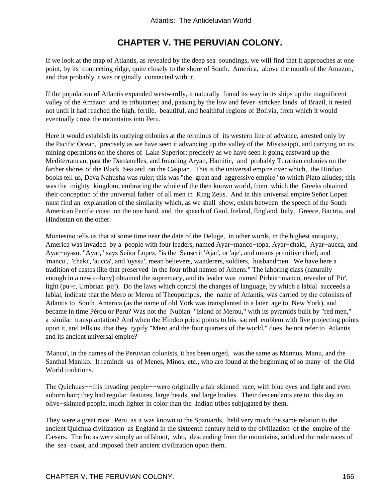# **CHAPTER V. THE PERUVIAN COLONY.**

If we look at the map of Atlantis, as revealed by the deep sea soundings, we will find that it approaches at one point, by its connecting ridge, quite closely to the shore of South. America, above the mouth of the Amazon, and that probably it was originally connected with it.

If the population of Atlantis expanded westwardly, it naturally found its way in its ships up the magnificent valley of the Amazon and its tributaries; and, passing by the low and fever−stricken lands of Brazil, it rested not until it had reached the high, fertile, beautiful, and healthful regions of Bolivia, from which it would eventually cross the mountains into Peru.

Here it would establish its outlying colonies at the terminus of its western line of advance, arrested only by the Pacific Ocean, precisely as we have seen it advancing up the valley of the Mississippi, and carrying on its mining operations on the shores of Lake Superior; precisely as we have seen it going eastward up the Mediterranean, past the Dardanelles, and founding Aryan, Hamitic, and probably Turanian colonies on the farther shores of the Black Sea and on the Caspian. This is the universal empire over which, the Hindoo books tell us, Deva Nahusha was ruler; this was "the great and aggressive empire" to which Plato alludes; this was the mighty kingdom, embracing the whole of the then known world, from which the Greeks obtained their conception of the universal father of all men in King Zeus. And in this universal empire Señor Lopez must find an explanation of the similarity which, as we shall show, exists between the speech of the South American Pacific coast on the one hand, and the speech of Gaul, Ireland, England, Italy, Greece, Bactria, and Hindostan on the other.

Montesino tells us that at some time near the date of the Deluge, in other words, in the highest antiquity, America was invaded by a people with four leaders, named Ayar−manco−topa, Ayar−chaki, Ayar−aucca, and Ayar−uyssu. "Ayar," says Señor Lopez, "is the Sanscrit 'Ajar', or 'aje', and means primitive chief; and 'manco', 'chaki', 'aucca', and 'uyssu', mean believers, wanderers, soldiers, husbandmen. We have here a tradition of castes like that preserved in the four tribal names of Athens." The laboring class (naturally enough in a new colony) obtained the supremacy, and its leader was named Pirhua−manco, revealer of 'Pir', light (pu~r, Umbrian 'pir'). Do the laws which control the changes of language, by which a labial succeeds a labial, indicate that the Mero or Merou of Theopompus, the name of Atlantis, was carried by the colonists of Atlantis to South America (as the name of old York was transplanted in a later age to New York), and became in time Pérou or Peru? Was not the Nubian "Island of Merou," with its pyramids built by "red men," a similar transplantation? And when the Hindoo priest points to his sacred emblem with five projecting points upon it, and tells us that they typify "Mero and the four quarters of the world," does he not refer to Atlantis and its ancient universal empire?

'Manco', in the names of the Peruvian colonists, it has been urged, was the same as Mannus, Manu, and the Santhal Maniko. It reminds us of Menes, Minos, etc., who are found at the beginning of so many of the Old World traditions.

The Quichuas–−this invading people––were originally a fair skinned race, with blue eyes and light and even auburn hair; they had regular features, large heads, and large bodies. Their descendants are to this day an olive−skinned people, much lighter in color than the Indian tribes subjugated by them.

They were a great race. Peru, as it was known to the Spaniards, held very much the same relation to the ancient Quichua civilization as England in the sixteenth century held to the civilization of the empire of the Cæsars. The Incas were simply an offshoot, who, descending from the mountains, subdued the rude races of the sea−coast, and imposed their ancient civilization upon them.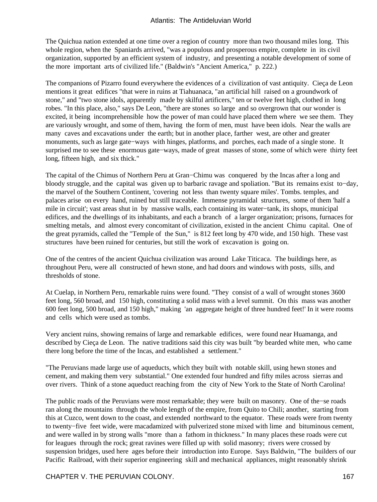The Quichua nation extended at one time over a region of country more than two thousand miles long. This whole region, when the Spaniards arrived, "was a populous and prosperous empire, complete in its civil organization, supported by an efficient system of industry, and presenting a notable development of some of the more important arts of civilized life." (Baldwin's "Ancient America," p. 222.)

The companions of Pizarro found everywhere the evidences of a civilization of vast antiquity. Cieça de Leon mentions it great edifices "that were in ruins at Tiahuanaca, "an artificial hill raised on a groundwork of stone," and "two stone idols, apparently made by skilful artificers," ten or twelve feet high, clothed in long robes. "In this place, also," says De Leon, "there are stones so large and so overgrown that our wonder is excited, it being incomprehensible how the power of man could have placed them where we see them. They are variously wrought, and some of them, having the form of men, must have been idols. Near the walls are many caves and excavations under the earth; but in another place, farther west, are other and greater monuments, such as large gate−ways with hinges, platforms, and porches, each made of a single stone. It surprised me to see these enormous gate−ways, made of great masses of stone, some of which were thirty feet long, fifteen high, and six thick."

The capital of the Chimus of Northern Peru at Gran−Chimu was conquered by the Incas after a long and bloody struggle, and the capital was given up to barbaric ravage and spoliation. "But its remains exist to−day, the marvel of the Southern Continent, 'covering not less than twenty square miles'. Tombs. temples, and palaces arise on every hand, ruined but still traceable. Immense pyramidal structures, some of them 'half a mile in circuit'; vast areas shut in by massive walls, each containing its water−tank, its shops, municipal edifices, and the dwellings of its inhabitants, and each a branch of a larger organization; prisons, furnaces for smelting metals, and almost every concomitant of civilization, existed in the ancient Chimu capital. One of the great pyramids, called the "Temple of the Sun," is 812 feet long by 470 wide, and 150 high. These vast structures have been ruined for centuries, but still the work of excavation is going on.

One of the centres of the ancient Quichua civilization was around Lake Titicaca. The buildings here, as throughout Peru, were all constructed of hewn stone, and had doors and windows with posts, sills, and thresholds of stone.

At Cuelap, in Northern Peru, remarkable ruins were found. "They consist of a wall of wrought stones 3600 feet long, 560 broad, and 150 high, constituting a solid mass with a level summit. On this mass was another 600 feet long, 500 broad, and 150 high," making 'an aggregate height of three hundred feet!' In it were rooms and cells which were used as tombs.

Very ancient ruins, showing remains of large and remarkable edifices, were found near Huamanga, and described by Cieça de Leon. The native traditions said this city was built "by bearded white men, who came there long before the time of the Incas, and established a settlement."

"The Peruvians made large use of aqueducts, which they built with notable skill, using hewn stones and cement, and making them very substantial." One extended four hundred and fifty miles across sierras and over rivers. Think of a stone aqueduct reaching from the city of New York to the State of North Carolina!

The public roads of the Peruvians were most remarkable; they were built on masonry. One of the−se roads ran along the mountains through the whole length of the empire, from Quito to Chili; another, starting from this at Cuzco, went down to the coast, and extended northward to the equator. These roads were from twenty to twenty−five feet wide, were macadamized with pulverized stone mixed with lime and bituminous cement, and were walled in by strong walls "more than a fathom in thickness." In many places these roads were cut for leagues through the rock; great ravines were filled up with solid masonry; rivers were crossed by suspension bridges, used here ages before their introduction into Europe. Says Baldwin, "The builders of our Pacific Railroad, with their superior engineering skill and mechanical appliances, might reasonably shrink

CHAPTER V. THE PERUVIAN COLONY. 167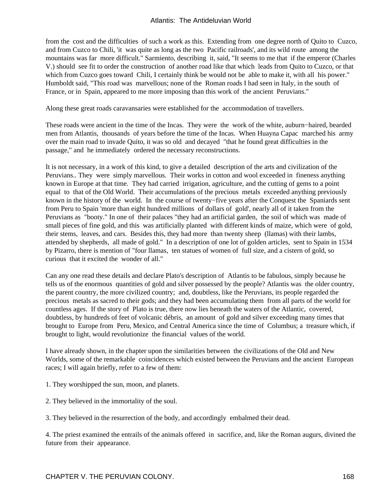from the cost and the difficulties of such a work as this. Extending from one degree north of Quito to Cuzco, and from Cuzco to Chili, 'it was quite as long as the two Pacific railroads', and its wild route among the mountains was far more difficult." Sarmiento, describing it, said, "It seems to me that if the emperor (Charles V.) should see fit to order the construction of another road like that which leads from Quito to Cuzco, or that which from Cuzco goes toward Chili, I certainly think be would not be able to make it, with all his power." Humboldt said, "This road was marvellous; none of the Roman roads I had seen in Italy, in the south of France, or in Spain, appeared to me more imposing than this work of the ancient Peruvians."

Along these great roads caravansaries were established for the accommodation of travellers.

These roads were ancient in the time of the Incas. They were the work of the white, auburn−haired, bearded men from Atlantis, thousands of years before the time of the Incas. When Huayna Capac marched his army over the main road to invade Quito, it was so old and decayed "that he found great difficulties in the passage," and he immediately ordered the necessary reconstructions.

It is not necessary, in a work of this kind, to give a detailed description of the arts and civilization of the Peruvians.. They were simply marvellous. Their works in cotton and wool exceeded in fineness anything known in Europe at that time. They had carried irrigation, agriculture, and the cutting of gems to a point equal to that of the Old World. Their accumulations of the precious metals exceeded anything previously known in the history of the world. In the course of twenty−five years after the Conquest the Spaniards sent from Peru to Spain 'more than eight hundred millions of dollars of gold', nearly all of it taken from the Peruvians as "booty." In one of their palaces "they had an artificial garden, the soil of which was made of small pieces of fine gold, and this was artificially planted with different kinds of maize, which were of gold, their stems, leaves, and cars. Besides this, they had more than twenty sheep (llamas) with their lambs, attended by shepherds, all made of gold." In a description of one lot of golden articles, sent to Spain in 1534 by Pizarro, there is mention of "four llamas, ten statues of women of full size, and a cistern of gold, so curious that it excited the wonder of all."

Can any one read these details and declare Plato's description of Atlantis to be fabulous, simply because he tells us of the enormous quantities of gold and silver possessed by the people? Atlantis was the older country, the parent country, the more civilized country; and, doubtless, like the Peruvians, its people regarded the precious metals as sacred to their gods; and they had been accumulating them from all parts of the world for countless ages. If the story of Plato is true, there now lies beneath the waters of the Atlantic, covered, doubtless, by hundreds of feet of volcanic débris, an amount of gold and silver exceeding many times that brought to Europe from Peru, Mexico, and Central America since the time of Columbus; a treasure which, if brought to light, would revolutionize the financial values of the world.

I have already shown, in the chapter upon the similarities between the civilizations of the Old and New Worlds, some of the remarkable coincidences which existed between the Peruvians and the ancient European races; I will again briefly, refer to a few of them:

- 1. They worshipped the sun, moon, and planets.
- 2. They believed in the immortality of the soul.
- 3. They believed in the resurrection of the body, and accordingly embalmed their dead.

4. The priest examined the entrails of the animals offered in sacrifice, and, like the Roman augurs, divined the future from their appearance.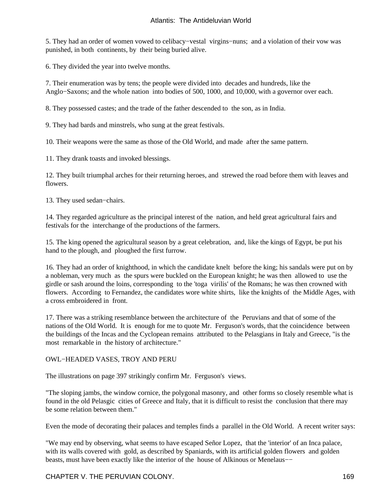5. They had an order of women vowed to celibacy−vestal virgins−nuns; and a violation of their vow was punished, in both continents, by their being buried alive.

6. They divided the year into twelve months.

7. Their enumeration was by tens; the people were divided into decades and hundreds, like the Anglo−Saxons; and the whole nation into bodies of 500, 1000, and 10,000, with a governor over each.

8. They possessed castes; and the trade of the father descended to the son, as in India.

9. They had bards and minstrels, who sung at the great festivals.

10. Their weapons were the same as those of the Old World, and made after the same pattern.

11. They drank toasts and invoked blessings.

12. They built triumphal arches for their returning heroes, and strewed the road before them with leaves and flowers.

13. They used sedan−chairs.

14. They regarded agriculture as the principal interest of the nation, and held great agricultural fairs and festivals for the interchange of the productions of the farmers.

15. The king opened the agricultural season by a great celebration, and, like the kings of Egypt, be put his hand to the plough, and ploughed the first furrow.

16. They had an order of knighthood, in which the candidate knelt before the king; his sandals were put on by a nobleman, very much as the spurs were buckled on the European knight; he was then allowed to use the girdle or sash around the loins, corresponding to the 'toga virilis' of the Romans; he was then crowned with flowers. According to Fernandez, the candidates wore white shirts, like the knights of the Middle Ages, with a cross embroidered in front.

17. There was a striking resemblance between the architecture of the Peruvians and that of some of the nations of the Old World. It is enough for me to quote Mr. Ferguson's words, that the coincidence between the buildings of the Incas and the Cyclopean remains attributed to the Pelasgians in Italy and Greece, "is the most remarkable in the history of architecture."

### OWL−HEADED VASES, TROY AND PERU

The illustrations on page 397 strikingly confirm Mr. Ferguson's views.

"The sloping jambs, the window cornice, the polygonal masonry, and other forms so closely resemble what is found in the old Pelasgic cities of Greece and Italy, that it is difficult to resist the conclusion that there may be some relation between them."

Even the mode of decorating their palaces and temples finds a parallel in the Old World. A recent writer says:

"We may end by observing, what seems to have escaped Señor Lopez, that the 'interior' of an Inca palace, with its walls covered with gold, as described by Spaniards, with its artificial golden flowers and golden beasts, must have been exactly like the interior of the house of Alkinous or Menelaus−−

CHAPTER V. THE PERUVIAN COLONY. 169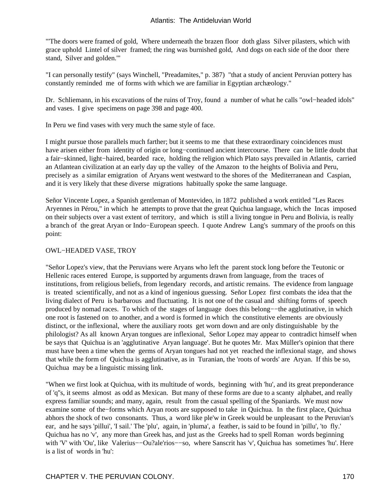"'The doors were framed of gold, Where underneath the brazen floor doth glass Silver pilasters, which with grace uphold Lintel of silver framed; the ring was burnished gold, And dogs on each side of the door there stand, Silver and golden.'"

"I can personally testify" (says Winchell, "Preadamites," p. 387) "that a study of ancient Peruvian pottery has constantly reminded me of forms with which we are familiar in Egyptian archæology."

Dr. Schliemann, in his excavations of the ruins of Troy, found a number of what he calls "owl−headed idols" and vases. I give specimens on page 398 and page 400.

In Peru we find vases with very much the same style of face.

I might pursue those parallels much farther; but it seems to me that these extraordinary coincidences must have arisen either from identity of origin or long−continued ancient intercourse. There can be little doubt that a fair−skinned, light−haired, bearded race, holding the religion which Plato says prevailed in Atlantis, carried an Atlantean civilization at an early day up the valley of the Amazon to the heights of Bolivia and Peru, precisely as a similar emigration of Aryans went westward to the shores of the Mediterranean and Caspian, and it is very likely that these diverse migrations habitually spoke the same language.

Señor Vincente Lopez, a Spanish gentleman of Montevideo, in 1872 published a work entitled "Les Races Aryennes in Pérou," in which he attempts to prove that the great Quichua language, which the Incas imposed on their subjects over a vast extent of territory, and which is still a living tongue in Peru and Bolivia, is really a branch of the great Aryan or Indo−European speech. I quote Andrew Lang's summary of the proofs on this point:

### OWL−HEADED VASE, TROY

"Señor Lopez's view, that the Peruvians were Aryans who left the parent stock long before the Teutonic or Hellenic races entered Europe, is supported by arguments drawn from language, from the traces of institutions, from religious beliefs, from legendary records, and artistic remains. The evidence from language is treated scientifically, and not as a kind of ingenious guessing. Señor Lopez first combats the idea that the living dialect of Peru is barbarous and fluctuating. It is not one of the casual and shifting forms of speech produced by nomad races. To which of the stages of language does this belong−−the agglutinative, in which one root is fastened on to another, and a word is formed in which the constitutive elements are obviously distinct, or the inflexional, where the auxiliary roots get worn down and are only distinguishable by the philologist? As all known Aryan tongues are inflexional, Señor Lopez may appear to contradict himself when be says that Quichua is an 'agglutinative Aryan language'. But he quotes Mr. Max Müller's opinion that there must have been a time when the germs of Aryan tongues had not yet reached the inflexional stage, and shows that while the form of Quichua is agglutinative, as in Turanian, the 'roots of words' are Aryan. If this be so, Quichua may be a linguistic missing link.

"When we first look at Quichua, with its multitude of words, beginning with 'hu', and its great preponderance of 'q''s, it seems almost as odd as Mexican. But many of these forms are due to a scanty alphabet, and really express familiar sounds; and many, again, result from the casual spelling of the Spaniards. We must now examine some of the−forms which Aryan roots are supposed to take in Quichua. In the first place, Quichua abhors the shock of two consonants. Thus, a word like ple'w in Greek would be unpleasant to the Peruvian's ear, and he says 'pillui', 'I sail.' The 'plu', again, in 'pluma', a feather, is said to be found in 'pillu', 'to fly.' Quichua has no 'v', any more than Greek has, and just as the Greeks had to spell Roman words beginning with 'V' with 'Ou', like Valerius-−Ou?ale'rios-−so, where Sanscrit has 'v', Quichua has sometimes 'hu'. Here is a list of words in 'hu':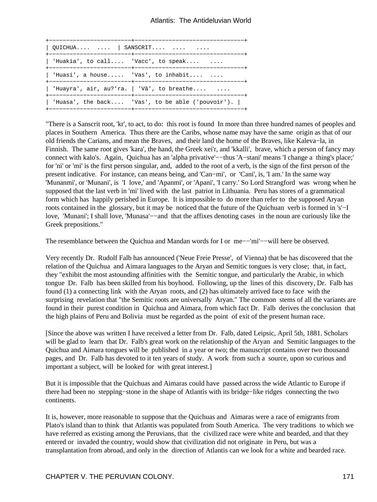| $\vert$ QUICHUA $\vert$ SANSCRIT |                                                    |  |  |
|----------------------------------|----------------------------------------------------|--|--|
|                                  | 'Huakia', to call 'Vacc', to speak $\ldots$        |  |  |
|                                  | 'Huasi', a house 'Vas', to inhabit $\ldots$        |  |  |
|                                  | 'Huayra', air, au?'ra.   'Vâ', to breathe $\ldots$ |  |  |
|                                  | 'Huasa', the back 'Vas', to be able ('pouvoir').   |  |  |

"There is a Sanscrit root, 'kr', to act, to do: this root is found In more than three hundred names of peoples and places in Southern America. Thus there are the Caribs, whose name may have the same origin as that of our old friends the Carians, and mean the Braves, and their land the home of the Braves, like Kaleva−la, in Finnish. The same root gives 'kara', the hand, the Greek xei'r, and 'kkalli', brave, which a person of fancy may connect with kalo's. Again, Quichua has an 'alpha privative'−−thus 'A−stani' means 'I change a thing's place;' for 'ni' or 'mi' is the first person singular, and, added to the root of a verb, is the sign of the first person of the present indicative. For instance, can means being, and 'Can−mi', or 'Cani', is, 'I am.' In the same way 'Munanmi', or 'Munani', is 'I love,' and 'Apanmi', or 'Apani', 'I carry.' So Lord Strangford was wrong when he supposed that the last verb in 'mi' lived with the last patriot in Lithuania. Peru has stores of a grammatical form which has happily perished in Europe. It is impossible to do more than refer to the supposed Aryan roots contained in the glossary, but it may be noticed that the future of the Quichuan verb is formed in 's'−I love, 'Munani'; I shall love, 'Munasa'–−and that the affixes denoting cases in the noun are curiously like the Greek prepositions."

The resemblance between the Quichua and Mandan words for I or me−−'mi'−−will here be observed.

Very recently Dr. Rudolf Falb has announced ('Neue Freie Presse', of Vienna) that be has discovered that the relation of the Quichua and Aimara languages to the Aryan and Semitic tongues is very close; that, in fact, they "exhibit the most astounding affinities with the Semitic tongue, and particularly the Arabic, in which tongue Dr. Falb has been skilled from his boyhood. Following, up the lines of this discovery, Dr. Falb has found (1) a connecting link with the Aryan roots, and (2) has ultimately arrived face to face with the surprising revelation that "the Semitic roots are universally Aryan." The common stems of all the variants are found in their purest condition in Quichua and Aimara, from which fact Dr. Falb derives the conclusion that the high plains of Peru and Bolivia must be regarded as the point of exit of the present human race.

[Since the above was written I have received a letter from Dr. Falb, dated Leipsic, April 5th, 1881. Scholars will be glad to learn that Dr. Falb's great work on the relationship of the Aryan and Semitic languages to the Quichua and Aimara tongues will be published in a year or two; the manuscript contains over two thousand pages, and Dr. Falb has devoted to it ten years of study. A work from such a source, upon so curious and important a subject, will be looked for with great interest.]

But it is impossible that the Quichuas and Aimaras could have passed across the wide Atlantic to Europe if there had been no stepping−stone in the shape of Atlantis with its bridge−like ridges connecting the two continents.

It is, however, more reasonable to suppose that the Quichuas and Aimaras were a race of emigrants from Plato's island than to think that Atlantis was populated from South America. The very traditions to which we have referred as existing among the Peruvians, that the civilized race were white and bearded, and that they entered or invaded the country, would show that civilization did not originate in Peru, but was a transplantation from abroad, and only in the direction of Atlantis can we look for a white and bearded race.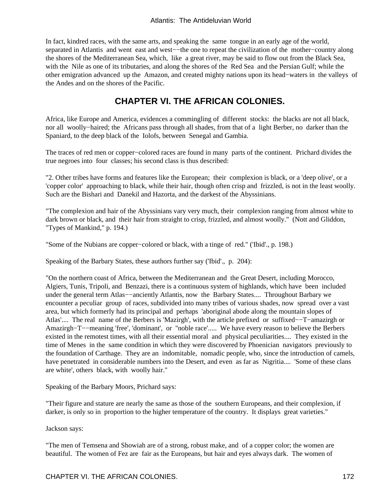In fact, kindred races, with the same arts, and speaking the same tongue in an early age of the world, separated in Atlantis and went east and west–−the one to repeat the civilization of the mother–country along the shores of the Mediterranean Sea, which, like a great river, may be said to flow out from the Black Sea, with the Nile as one of its tributaries, and along the shores of the Red Sea and the Persian Gulf; while the other emigration advanced up the Amazon, and created mighty nations upon its head−waters in the valleys of the Andes and on the shores of the Pacific.

# **CHAPTER VI. THE AFRICAN COLONIES.**

Africa, like Europe and America, evidences a commingling of different stocks: the blacks are not all black, nor all woolly−haired; the Africans pass through all shades, from that of a light Berber, no darker than the Spaniard, to the deep black of the Iolofs, between Senegal and Gambia.

The traces of red men or copper−colored races are found in many parts of the continent. Prichard divides the true negroes into four classes; his second class is thus described:

"2. Other tribes have forms and features like the European; their complexion is black, or a 'deep olive', or a 'copper color' approaching to black, while their hair, though often crisp and frizzled, is not in the least woolly. Such are the Bishari and Danekil and Hazorta, and the darkest of the Abyssinians.

"The complexion and hair of the Abyssinians vary very much, their complexion ranging from almost white to dark brown or black, and their hair from straight to crisp, frizzled, and almost woolly." (Nott and Gliddon, "Types of Mankind," p. 194.)

"Some of the Nubians are copper−colored or black, with a tinge of red." ('Ibid'., p. 198.)

Speaking of the Barbary States, these authors further say ('Ibid'., p. 204):

"On the northern coast of Africa, between the Mediterranean and the Great Desert, including Morocco, Algiers, Tunis, Tripoli, and Benzazi, there is a continuous system of highlands, which have been included under the general term Atlas−−anciently Atlantis, now the Barbary States.... Throughout Barbary we encounter a peculiar group of races, subdivided into many tribes of various shades, now spread over a vast area, but which formerly had its principal and perhaps 'aboriginal abode along the mountain slopes of Atlas'.... The real name of the Berbers is 'Mazirgh', with the article prefixed or suffixed−−T−amazirgh or Amazirgh−T−−meaning 'free', 'dominant', or ''noble race'..... We have every reason to believe the Berbers existed in the remotest times, with all their essential moral and physical peculiarities.... They existed in the time of Menes in the same condition in which they were discovered by Phoenician navigators previously to the foundation of Carthage. They are an indomitable, nomadic people, who, since the introduction of camels, have penetrated in considerable numbers into the Desert, and even as far as Nigritia.... 'Some of these clans are white', others black, with woolly hair."

Speaking of the Barbary Moors, Prichard says:

"Their figure and stature are nearly the same as those of the southern Europeans, and their complexion, if darker, is only so in proportion to the higher temperature of the country. It displays great varieties."

Jackson says:

"The men of Temsena and Showiah are of a strong, robust make, and of a copper color; the women are beautiful. The women of Fez are fair as the Europeans, but hair and eyes always dark. The women of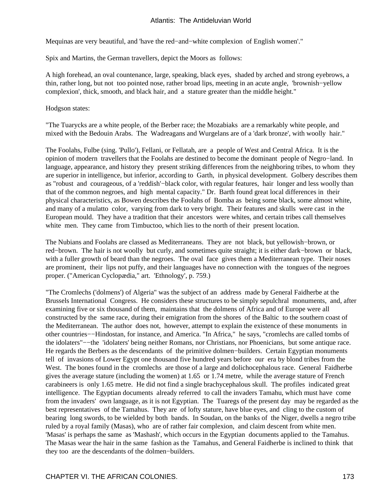Mequinas are very beautiful, and 'have the red−and−white complexion of English women'."

Spix and Martins, the German travellers, depict the Moors as follows:

A high forehead, an oval countenance, large, speaking, black eyes, shaded by arched and strong eyebrows, a thin, rather long, but not too pointed nose, rather broad lips, meeting in an acute angle, 'brownish−yellow complexion', thick, smooth, and black hair, and a stature greater than the middle height."

Hodgson states:

"The Tuarycks are a white people, of the Berber race; the Mozabiaks are a remarkably white people, and mixed with the Bedouin Arabs. The Wadreagans and Wurgelans are of a 'dark bronze', with woolly hair."

The Foolahs, Fulbe (sing. 'Pullo'), Fellani, or Fellatah, are a people of West and Central Africa. It is the opinion of modern travellers that the Foolahs are destined to become the dominant people of Negro−land. In language, appearance, and history they present striking differences from the neighboring tribes, to whom they are superior in intelligence, but inferior, according to Garth, in physical development. Golbery describes them as "robust and courageous, of a 'reddish'−black color, with regular features, hair longer and less woolly than that of the common negroes, and high mental capacity." Dr. Barth found great local differences in their physical characteristics, as Bowen describes the Foolahs of Bomba as being some black, some almost white, and many of a mulatto color, varying from dark to very bright. Their features and skulls were cast in the European mould. They have a tradition that their ancestors were whites, and certain tribes call themselves white men. They came from Timbuctoo, which lies to the north of their present location.

The Nubians and Foolahs are classed as Mediterraneans. They are not black, but yellowish−brown, or red−brown. The hair is not woolly but curly, and sometimes quite straight; it is either dark−brown or black, with a fuller growth of beard than the negroes. The oval face gives them a Mediterranean type. Their noses are prominent, their lips not puffy, and their languages have no connection with the tongues of the negroes proper. ("American Cyclopædia," art. 'Ethnology', p. 759.)

"The Cromlechs ('dolmens') of Algeria" was the subject of an address made by General Faidherbe at the Brussels International Congress. He considers these structures to be simply sepulchral monuments, and, after examining five or six thousand of them, maintains that the dolmens of Africa and of Europe were all constructed by the same race, during their emigration from the shores of the Baltic to the southern coast of the Mediterranean. The author does not, however, attempt to explain the existence of these monuments in other countries−−Hindostan, for instance, and America. "In Africa," he says, "cromlechs are called tombs of the idolaters"−−the 'idolaters' being neither Romans, nor Christians, nor Phoenicians, but some antique race. He regards the Berbers as the descendants of the primitive dolmen−builders. Certain Egyptian monuments tell of invasions of Lower Egypt one thousand five hundred years before our era by blond tribes from the West. The bones found in the cromlechs are those of a large and dolichocephalous race. General Faidherbe gives the average stature (including the women) at 1.65 or 1.74 metre, while the average stature of French carabineers is only 1.65 metre. He did not find a single brachycephalous skull. The profiles indicated great intelligence. The Egyptian documents already referred to call the invaders Tamahu, which must have come from the invaders' own language, as it is not Egyptian. The Tuaregs of the present day may be regarded as the best representatives of the Tamahus. They are of lofty stature, have blue eyes, and cling to the custom of bearing long swords, to be wielded by both bands. In Soudan, on the banks of the Niger, dwells a negro tribe ruled by a royal family (Masas), who are of rather fair complexion, and claim descent from white men. 'Masas' is perhaps the same as 'Mashash', which occurs in the Egyptian documents applied to the Tamahus. The Masas wear the hair in the same fashion as the Tamahus, and General Faidherbe is inclined to think that they too are the descendants of the dolmen−builders.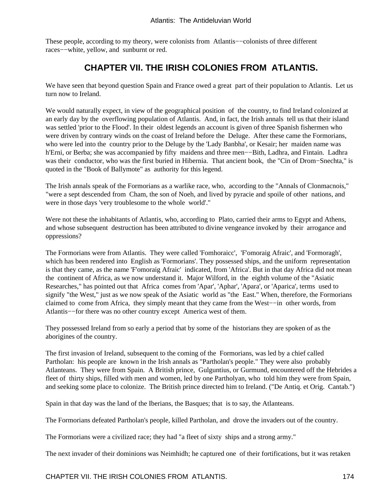These people, according to my theory, were colonists from Atlantis−−colonists of three different races−−white, yellow, and sunburnt or red.

# **CHAPTER VII. THE IRISH COLONIES FROM ATLANTIS.**

We have seen that beyond question Spain and France owed a great part of their population to Atlantis. Let us turn now to Ireland.

We would naturally expect, in view of the geographical position of the country, to find Ireland colonized at an early day by the overflowing population of Atlantis. And, in fact, the Irish annals tell us that their island was settled 'prior to the Flood'. In their oldest legends an account is given of three Spanish fishermen who were driven by contrary winds on the coast of Ireland before the Deluge. After these came the Formorians, who were led into the country prior to the Deluge by the 'Lady Banbha', or Kesair; her maiden name was h'Erni, or Berba; she was accompanied by fifty maidens and three men−−Bith, Ladhra, and Fintain. Ladhra was their conductor, who was the first buried in Hibernia. That ancient book, the "Cin of Drom−Snechta," is quoted in the "Book of Ballymote" as authority for this legend.

The Irish annals speak of the Formorians as a warlike race, who, according to the "Annals of Clonmacnois," "were a sept descended from Cham, the son of Noeh, and lived by pyracie and spoile of other nations, and were in those days 'very troublesome to the whole world'."

Were not these the inhabitants of Atlantis, who, according to Plato, carried their arms to Egypt and Athens, and whose subsequent destruction has been attributed to divine vengeance invoked by their arrogance and oppressions?

The Formorians were from Atlantis. They were called 'Fomhoraicc', 'F'omoraig Afraic', and 'Formoragh', which has been rendered into English as 'Formorians'. They possessed ships, and the uniform representation is that they came, as the name 'F'omoraig Afraic' indicated, from 'Africa'. But in that day Africa did not mean the continent of Africa, as we now understand it. Major Wilford, in the eighth volume of the "Asiatic Researches," has pointed out that Africa comes from 'Apar', 'Aphar', 'Apara', or 'Aparica', terms used to signify "the West," just as we now speak of the Asiatic world as "the East." When, therefore, the Formorians claimed to come from Africa, they simply meant that they came from the West−−in other words, from Atlantis−−for there was no other country except America west of them.

They possessed Ireland from so early a period that by some of the historians they are spoken of as the aborigines of the country.

The first invasion of Ireland, subsequent to the coming of the Formorians, was led by a chief called Partholan: his people are known in the Irish annals as "Partholan's people." They were also probably Atlanteans. They were from Spain. A British prince, Gulguntius, or Gurmund, encountered off the Hebrides a fleet of thirty ships, filled with men and women, led by one Partholyan, who told him they were from Spain, and seeking some place to colonize. The British prince directed him to Ireland. ("De Antiq. et Orig. Cantab.")

Spain in that day was the land of the Iberians, the Basques; that is to say, the Atlanteans.

The Formorians defeated Partholan's people, killed Partholan, and drove the invaders out of the country.

The Formorians were a civilized race; they had "a fleet of sixty ships and a strong army."

The next invader of their dominions was Neimhidh; he captured one of their fortifications, but it was retaken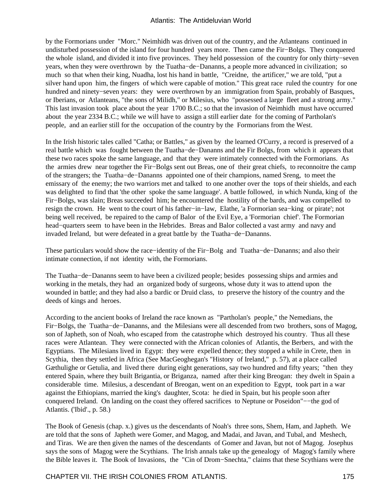by the Formorians under "Morc." Neimhidh was driven out of the country, and the Atlanteans continued in undisturbed possession of the island for four hundred years more. Then came the Fir−Bolgs. They conquered the whole island, and divided it into five provinces. They held possession of the country for only thirty−seven years, when they were overthrown by the Tuatha−de−Dananns, a people more advanced in civilization; so much so that when their king, Nuadha, lost his hand in battle, "Creidne, the artificer," we are told, "put a silver hand upon him, the fingers of which were capable of motion." This great race ruled the country for one hundred and ninety−seven years: they were overthrown by an immigration from Spain, probably of Basques, or Iberians, or Atlanteans, "the sons of Milidh," or Milesius, who "possessed a large fleet and a strong army." This last invasion took place about the year 1700 B.C.; so that the invasion of Neimhidh must have occurred about the year 2334 B.C.; while we will have to assign a still earlier date for the coming of Partholan's people, and an earlier still for the occupation of the country by the Formorians from the West.

In the Irish historic tales called "Catha; or Battles," as given by the learned O'Curry, a record is preserved of a real battle which was fought between the Tuatha−de−Dananns and the Fir Bolgs, from which it appears that these two races spoke the same language, and that they were intimately connected with the Formorians. As the armies drew near together the Fir−Bolgs sent out Breas, one of their great chiefs, to reconnoitre the camp of the strangers; the Tuatha−de−Dananns appointed one of their champions, named Sreng, to meet the emissary of the enemy; the two warriors met and talked to one another over the tops of their shields, and each was delighted to find that 'the other spoke the same language'. A battle followed, in which Nunda, king of the Fir−Bolgs, was slain; Breas succeeded him; he encountered the hostility of the bards, and was compelled to resign the crown. He went to the court of his father−in−law, Elathe, 'a Formorian sea−king or pirate'; not being well received, be repaired to the camp of Balor of the Evil Eye, a 'Formorian chief'. The Formorian head−quarters seem to have been in the Hebrides. Breas and Balor collected a vast army and navy and invaded Ireland, but were defeated in a great battle by the Tuatha−de−Dananns.

These particulars would show the race−identity of the Fir−Bolg and Tuatha−de−Dananns; and also their intimate connection, if not identity with, the Formorians.

The Tuatha−de−Dananns seem to have been a civilized people; besides possessing ships and armies and working in the metals, they had an organized body of surgeons, whose duty it was to attend upon the wounded in battle; and they had also a bardic or Druid class, to preserve the history of the country and the deeds of kings and heroes.

According to the ancient books of Ireland the race known as "Partholan's people," the Nemedians, the Fir−Bolgs, the Tuatha−de−Dananns, and the Milesians were all descended from two brothers, sons of Magog, son of Japheth, son of Noah, who escaped from the catastrophe which destroyed his country. Thus all these races were Atlantean. They were connected with the African colonies of Atlantis, the Berbers, and with the Egyptians. The Milesians lived in Egypt: they were expelled thence; they stopped a while in Crete, then in Scythia, then they settled in Africa (See MacGeoghegan's "History of Ireland," p. 57), at a place called Gæthulighe or Getulia, and lived there during eight generations, say two hundred and fifty years; "then they entered Spain, where they built Brigantia, or Briganza, named after their king Breogan: they dwelt in Spain a considerable time. Milesius, a descendant of Breogan, went on an expedition to Egypt, took part in a war against the Ethiopians, married the king's daughter, Scota: he died in Spain, but his people soon after conquered Ireland. On landing on the coast they offered sacrifices to Neptune or Poseidon"−−the god of Atlantis. ('Ibid'., p. 58.)

The Book of Genesis (chap. x.) gives us the descendants of Noah's three sons, Shem, Ham, and Japheth. We are told that the sons of Japheth were Gomer, and Magog, and Madai, and Javan, and Tubal, and Meshech, and Tiras. We are then given the names of the descendants of Gomer and Javan, but not of Magog. Josephus says the sons of Magog were the Scythians. The Irish annals take up the genealogy of Magog's family where the Bible leaves it. The Book of Invasions, the "Cin of Drom−Snechta," claims that these Scythians were the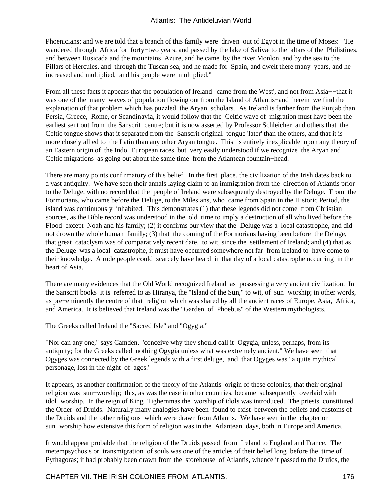Phoenicians; and we are told that a branch of this family were driven out of Egypt in the time of Moses: "He wandered through Africa for forty−two years, and passed by the lake of Salivæ to the altars of the Philistines, and between Rusicada and the mountains Azure, and he came by the river Monlon, and by the sea to the Pillars of Hercules, and through the Tuscan sea, and he made for Spain, and dwelt there many years, and he increased and multiplied, and his people were multiplied."

From all these facts it appears that the population of Ireland 'came from the West', and not from Asia−−that it was one of the many waves of population flowing out from the Island of Atlantis−and herein we find the explanation of that problem which has puzzled the Aryan scholars. As Ireland is farther from the Punjab than Persia, Greece, Rome, or Scandinavia, it would follow that the Celtic wave of migration must have been the earliest sent out from the Sanscrit centre; but it is now asserted by Professor Schleicher and others that the Celtic tongue shows that it separated from the Sanscrit original tongue 'later' than the others, and that it is more closely allied to the Latin than any other Aryan tongue. This is entirely inexplicable upon any theory of an Eastern origin of the Indo−European races, but very easily understood if we recognize the Aryan and Celtic migrations as going out about the same time from the Atlantean fountain−head.

There are many points confirmatory of this belief. In the first place, the civilization of the Irish dates back to a vast antiquity. We have seen their annals laying claim to an immigration from the direction of Atlantis prior to the Deluge, with no record that the people of Ireland were subsequently destroyed by the Deluge. From the Formorians, who came before the Deluge, to the Milesians, who came from Spain in the Historic Period, the island was continuously inhabited. This demonstrates (1) that these legends did not come from Christian sources, as the Bible record was understood in the old time to imply a destruction of all who lived before the Flood except Noah and his family; (2) it confirms our view that the Deluge was a local catastrophe, and did not drown the whole human family; (3) that the coming of the Formorians having been before the Deluge, that great cataclysm was of comparatively recent date, to wit, since the settlement of Ireland; and (4) that as the Deluge was a local catastrophe, it must have occurred somewhere not far from Ireland to have come to their knowledge. A rude people could scarcely have heard in that day of a local catastrophe occurring in the heart of Asia.

There are many evidences that the Old World recognized Ireland as possessing a very ancient civilization. In the Sanscrit books it is referred to as Hiranya, the "Island of the Sun," to wit, of sun−worship; in other words, as pre−eminently the centre of that religion which was shared by all the ancient races of Europe, Asia, Africa, and America. It is believed that Ireland was the "Garden of Phoebus" of the Western mythologists.

The Greeks called Ireland the "Sacred Isle" and "Ogygia."

"Nor can any one," says Camden, "conceive why they should call it Ogygia, unless, perhaps, from its antiquity; for the Greeks called nothing Ogygia unless what was extremely ancient." We have seen that Ogyges was connected by the Greek legends with a first deluge, and that Ogyges was "a quite mythical personage, lost in the night of ages."

It appears, as another confirmation of the theory of the Atlantis origin of these colonies, that their original religion was sun−worship; this, as was the case in other countries, became subsequently overlaid with idol−worship. In the reign of King Tighernmas the worship of idols was introduced. The priests constituted the Order of Druids. Naturally many analogies have been found to exist between the beliefs and customs of the Druids and the other religions which were drawn from Atlantis. We have seen in the chapter on sun−worship how extensive this form of religion was in the Atlantean days, both in Europe and America.

It would appear probable that the religion of the Druids passed from Ireland to England and France. The metempsychosis or transmigration of souls was one of the articles of their belief long before the time of Pythagoras; it had probably been drawn from the storehouse of Atlantis, whence it passed to the Druids, the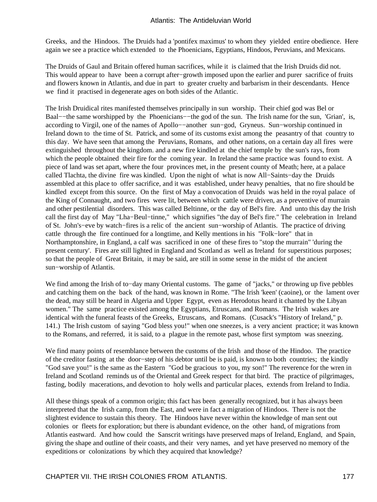Greeks, and the Hindoos. The Druids had a 'pontifex maximus' to whom they yielded entire obedience. Here again we see a practice which extended to the Phoenicians, Egyptians, Hindoos, Peruvians, and Mexicans.

The Druids of Gaul and Britain offered human sacrifices, while it is claimed that the Irish Druids did not. This would appear to have been a corrupt after−growth imposed upon the earlier and purer sacrifice of fruits and flowers known in Atlantis, and due in part to greater cruelty and barbarism in their descendants. Hence we find it practised in degenerate ages on both sides of the Atlantic.

The Irish Druidical rites manifested themselves principally in sun worship. Their chief god was Bel or Baal−−the same worshipped by the Phoenicians−−the god of the sun. The Irish name for the sun, 'Grian', is, according to Virgil, one of the names of Apollo−−another sun−god, Gryneus. Sun−worship continued in Ireland down to the time of St. Patrick, and some of its customs exist among the peasantry of that country to this day. We have seen that among the Peruvians, Romans, and other nations, on a certain day all fires were extinguished throughout the kingdom. and a new fire kindled at the chief temple by the sun's rays, from which the people obtained their fire for the coming year. In Ireland the same practice was found to exist. A piece of land was set apart, where the four provinces met, in the present county of Meath; here, at a palace called Tlachta, the divine fire was kindled. Upon the night of what is now All−Saints−day the Druids assembled at this place to offer sacrifice, and it was established, under heavy penalties, that no fire should be kindled except from this source. On the first of May a convocation of Druids was held in the royal palace of the King of Connaught, and two fires were lit, between which cattle were driven, as a preventive of murrain and other pestilential disorders. This was called Beltinne, or the day of Bel's fire. And unto this day the Irish call the first day of May "Lha−Beul−tinne," which signifies "the day of Bel's fire." The celebration in Ireland of St. John's−eve by watch−fires is a relic of the ancient sun−worship of Atlantis. The practice of driving cattle through the fire continued for a longtime, and Kelly mentions in his "Folk−lore" that in Northamptonshire, in England, a calf was sacrificed in one of these fires to "stop the murrain" 'during the present century'. Fires are still lighted in England and Scotland as well as Ireland for superstitious purposes; so that the people of Great Britain, it may be said, are still in some sense in the midst of the ancient sun−worship of Atlantis.

We find among the Irish of to−day many Oriental customs. The game of "jacks," or throwing up five pebbles and catching them on the back of the hand, was known in Rome. "The Irish 'keen' (caoine), or the lament over the dead, may still be heard in Algeria and Upper Egypt, even as Herodotus heard it chanted by the Libyan women." The same practice existed among the Egyptians, Etruscans, and Romans. The Irish wakes are identical with the funeral feasts of the Greeks, Etruscans, and Romans. (Cusack's "History of Ireland," p. 141.) The Irish custom of saying "God bless you!" when one sneezes, is a very ancient practice; it was known to the Romans, and referred, it is said, to a plague in the remote past, whose first symptom was sneezing.

We find many points of resemblance between the customs of the Irish and those of the Hindoo. The practice of the creditor fasting at the door−step of his debtor until be is paid, is known to both countries; the kindly "God save you!" is the same as the Eastern "God be gracious to you, my son!" The reverence for the wren in Ireland and Scotland reminds us of the Oriental and Greek respect for that bird. The practice of pilgrimages, fasting, bodily macerations, and devotion to holy wells and particular places, extends from Ireland to India.

All these things speak of a common origin; this fact has been generally recognized, but it has always been interpreted that the Irish camp, from the East, and were in fact a migration of Hindoos. There is not the slightest evidence to sustain this theory. The Hindoos have never within the knowledge of man sent out colonies or fleets for exploration; but there is abundant evidence, on the other hand, of migrations from Atlantis eastward. And how could the Sanscrit writings have preserved maps of Ireland, England, and Spain, giving the shape and outline of their coasts, and their very names, and yet have preserved no memory of the expeditions or colonizations by which they acquired that knowledge?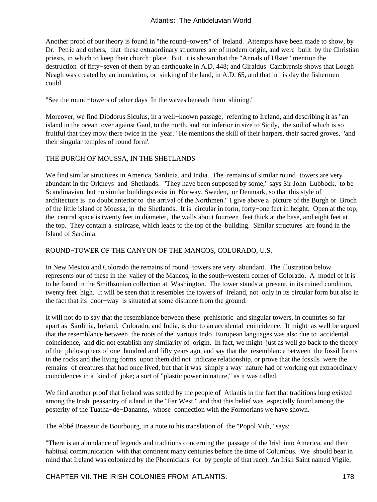Another proof of our theory is found in "the round−towers" of Ireland. Attempts have been made to show, by Dr. Petrie and others, that these extraordinary structures are of modern origin, and were built by the Christian priests, in which to keep their church−plate. But it is shown that the "Annals of Ulster" mention the destruction of fifty−seven of them by an earthquake in A.D. 448; and Giraldus Cambrensis shows that Lough Neagh was created by an inundation, or sinking of the laud, in A.D. 65, and that in his day the fishermen could

"See the round−towers of other days In the waves beneath them shining."

Moreover, we find Diodorus Siculus, in a well−known passage, referring to Ireland, and describing it as "an island in the ocean over against Gaul, to the north, and not inferior in size to Sicily, the soil of which is so fruitful that they mow there twice in the year." He mentions the skill of their harpers, their sacred groves, 'and their singular temples of round form'.

### THE BURGH OF MOUSSA, IN THE SHETLANDS

We find similar structures in America, Sardinia, and India. The remains of similar round−towers are very abundant in the Orkneys and Shetlands. "They have been supposed by some," says Sir John Lubbock, to be Scandinavian, but no similar buildings exist in Norway, Sweden, or Denmark, so that this style of architecture is no doubt anterior to the arrival of the Northmen." I give above a picture of the Burgh or Broch of the little island of Moussa, in the Shetlands. It is circular in form, forty−one feet in height. Open at the top; the central space is twenty feet in diameter, the walls about fourteen feet thick at the base, and eight feet at the top. They contain a staircase, which leads to the top of the building. Similar structures are found in the Island of Sardinia.

#### ROUND−TOWER OF THE CANYON OF THE MANCOS, COLORADO, U.S.

In New Mexico and Colorado the remains of round−towers are very abundant. The illustration below represents our of these in the valley of the Mancos, in the south−western corner of Colorado. A model of it is to be found in the Smithsonian collection at Washington. The tower stands at present, in its ruined condition, twenty feet high. It will be seen that it resembles the towers of Ireland, not only in its circular form but also in the fact that its door−way is situated at some distance from the ground.

It will not do to say that the resemblance between these prehistoric and singular towers, in countries so far apart as Sardinia, Ireland, Colorado, and India, is due to an accidental coincidence. It might as well be argued that the resemblance between the roots of the various Indo−European languages was also due to accidental coincidence, and did not establish any similarity of origin. In fact, we might just as well go back to the theory of the philosophers of one hundred and fifty years ago, and say that the resemblance between the fossil forms in the rocks and the living forms upon them did not indicate relationship, or prove that the fossils were the remains of creatures that had once lived, but that it was simply a way nature had of working out extraordinary coincidences in a kind of joke; a sort of "plastic power in nature," as it was called.

We find another proof that Ireland was settled by the people of Atlantis in the fact that traditions long existed among the Irish peasantry of a land in the "Far West," and that this belief was especially found among the posterity of the Tuatha−de−Dananns, whose connection with the Formorians we have shown.

The Abbé Brasseur de Bourbourg, in a note to his translation of the "Popol Vuh," says:

"There is an abundance of legends and traditions concerning the passage of the Irish into America, and their habitual communication with that continent many centuries before the time of Columbus. We should bear in mind that Ireland was colonized by the Phoenicians (or by people of that race). An Irish Saint named Vigile,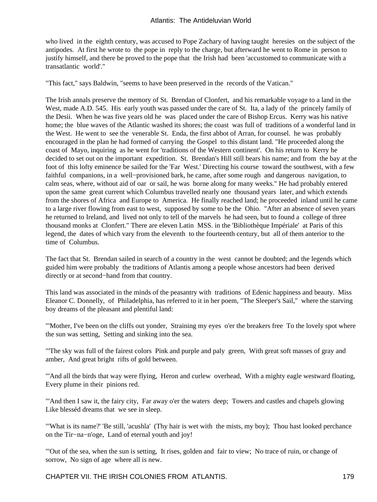who lived in the eighth century, was accused to Pope Zachary of having taught heresies on the subject of the antipodes. At first he wrote to the pope in reply to the charge, but afterward he went to Rome in person to justify himself, and there be proved to the pope that the Irish had been 'accustomed to communicate with a transatlantic world'."

"This fact," says Baldwin, "seems to have been preserved in the records of the Vatican."

The Irish annals preserve the memory of St. Brendan of Clonfert, and his remarkable voyage to a land in the West, made A.D. 545. His early youth was passed under the care of St. Ita, a lady of the princely family of the Desii. When he was five years old he was placed under the care of Bishop Ercus. Kerry was his native home; the blue waves of the Atlantic washed its shores; the coast was full of traditions of a wonderful land in the West. He went to see the venerable St. Enda, the first abbot of Arran, for counsel. he was probably encouraged in the plan he had formed of carrying the Gospel to this distant land. "He proceeded along the coast of Mayo, inquiring as he went for 'traditions of the Western continent'. On his return to Kerry he decided to set out on the important expedition. St. Brendan's Hill still bears his name; and from the bay at the foot of this lofty eminence be sailed for the 'Far West.' Directing his course toward the southwest, with a few faithful companions, in a well−provisioned bark, he came, after some rough and dangerous navigation, to calm seas, where, without aid of oar or sail, he was borne along for many weeks." He had probably entered upon the same great current which Columbus travelled nearly one thousand years later, and which extends from the shores of Africa and Europe to America. He finally reached land; he proceeded inland until he came to a large river flowing from east to west, supposed by some to be the Ohio. "After an absence of seven years he returned to Ireland, and lived not only to tell of the marvels he had seen, but to found a college of three thousand monks at Clonfert." There are eleven Latin MSS. in the 'Bibliothèque Impériale' at Paris of this legend, the dates of which vary from the eleventh to the fourteenth century, but all of them anterior to the time of Columbus.

The fact that St. Brendan sailed in search of a country in the west cannot be doubted; and the legends which guided him were probably the traditions of Atlantis among a people whose ancestors had been derived directly or at second−hand from that country.

This land was associated in the minds of the peasantry with traditions of Edenic happiness and beauty. Miss Eleanor C. Donnelly, of Philadelphia, has referred to it in her poem, "The Sleeper's Sail," where the starving boy dreams of the pleasant and plentiful land:

"'Mother, I've been on the cliffs out yonder, Straining my eyes o'er the breakers free To the lovely spot where the sun was setting, Setting and sinking into the sea.

"'The sky was full of the fairest colors Pink and purple and paly green, With great soft masses of gray and amber, And great bright rifts of gold between.

"'And all the birds that way were flying, Heron and curlew overhead, With a mighty eagle westward floating, Every plume in their pinions red.

"'And then I saw it, the fairy city, Far away o'er the waters deep; Towers and castles and chapels glowing Like blesséd dreams that we see in sleep.

"'What is its name?' 'Be still, 'acushla' (Thy hair is wet with the mists, my boy); Thou hast looked perchance on the Tir−na−n'oge, Land of eternal youth and joy!

"'Out of the sea, when the sun is setting, It rises, golden and fair to view; No trace of ruin, or change of sorrow, No sign of age where all is new.

CHAPTER VII. THE IRISH COLONIES FROM ATLANTIS. 179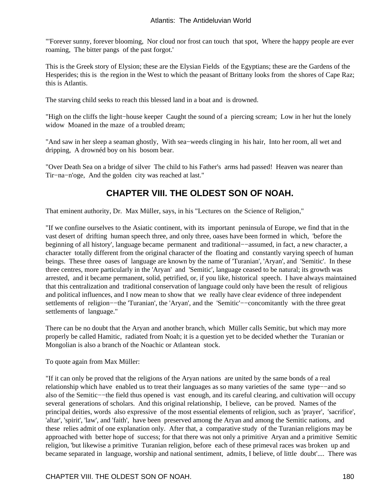"'Forever sunny, forever blooming, Nor cloud nor frost can touch that spot, Where the happy people are ever roaming, The bitter pangs of the past forgot.'

This is the Greek story of Elysion; these are the Elysian Fields of the Egyptians; these are the Gardens of the Hesperides; this is the region in the West to which the peasant of Brittany looks from the shores of Cape Raz; this is Atlantis.

The starving child seeks to reach this blessed land in a boat and is drowned.

"High on the cliffs the light−house keeper Caught the sound of a piercing scream; Low in her hut the lonely widow Moaned in the maze of a troubled dream;

"And saw in her sleep a seaman ghostly, With sea−weeds clinging in his hair, Into her room, all wet and dripping, A drownéd boy on his bosom bear.

"Over Death Sea on a bridge of silver The child to his Father's arms had passed! Heaven was nearer than Tir−na−n'oge, And the golden city was reached at last."

# **CHAPTER VIII. THE OLDEST SON OF NOAH.**

That eminent authority, Dr. Max Müller, says, in his "Lectures on the Science of Religion,"

"If we confine ourselves to the Asiatic continent, with its important peninsula of Europe, we find that in the vast desert of drifting human speech three, and only three, oases have been formed in which, 'before the beginning of all history', language became permanent and traditional−−assumed, in fact, a new character, a character totally different from the original character of the floating and constantly varying speech of human beings. These three oases of language are known by the name of 'Turanian', 'Aryan', and 'Semitic'. In these three centres, more particularly in the 'Aryan' and 'Semitic', language ceased to be natural; its growth was arrested, and it became permanent, solid, petrified, or, if you like, historical speech. I have always maintained that this centralization and traditional conservation of language could only have been the result of religious and political influences, and I now mean to show that we really have clear evidence of three independent settlements of religion−−the 'Turanian', the 'Aryan', and the 'Semitic'−−concomitantly with the three great settlements of language."

There can be no doubt that the Aryan and another branch, which Müller calls Semitic, but which may more properly be called Hamitic, radiated from Noah; it is a question yet to be decided whether the Turanian or Mongolian is also a branch of the Noachic or Atlantean stock.

To quote again from Max Müller:

"If it can only be proved that the religions of the Aryan nations are united by the same bonds of a real relationship which have enabled us to treat their languages as so many varieties of the same type−−and so also of the Semitic−−the field thus opened is vast enough, and its careful clearing, and cultivation will occupy several generations of scholars. And this original relationship, I believe, can be proved. Names of the principal deities, words also expressive of the most essential elements of religion, such as 'prayer', 'sacrifice', 'altar', 'spirit', 'law', and 'faith', have been preserved among the Aryan and among the Semitic nations, and these relies admit of one explanation only. After that, a comparative study of the Turanian religions may be approached with better hope of success; for that there was not only a primitive Aryan and a primitive Semitic religion, 'but likewise a primitive Turanian religion, before each of these primeval races was broken up and became separated in language, worship and national sentiment, admits, I believe, of little doubt'.... There was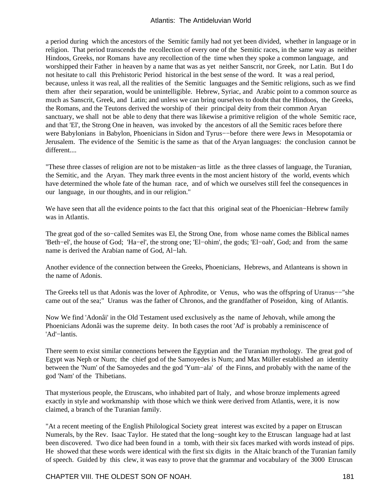a period during which the ancestors of the Semitic family had not yet been divided, whether in language or in religion. That period transcends the recollection of every one of the Semitic races, in the same way as neither Hindoos, Greeks, nor Romans have any recollection of the time when they spoke a common language, and worshipped their Father in heaven by a name that was as yet neither Sanscrit, nor Greek, nor Latin. But I do not hesitate to call this Prehistoric Period historical in the best sense of the word. It was a real period, because, unless it was real, all the realities of the Semitic languages and the Semitic religions, such as we find them after their separation, would be unintelligible. Hebrew, Syriac, and Arabic point to a common source as much as Sanscrit, Greek, and Latin; and unless we can bring ourselves to doubt that the Hindoos, the Greeks, the Romans, and the Teutons derived the worship of their principal deity from their common Aryan sanctuary, we shall not be able to deny that there was likewise a primitive religion of the whole Semitic race, and that 'El', the Strong One in heaven, was invoked by the ancestors of all the Semitic races before there were Babylonians in Babylon, Phoenicians in Sidon and Tyrus−−before there were Jews in Mesopotamia or Jerusalem. The evidence of the Semitic is the same as that of the Aryan languages: the conclusion cannot be different....

"These three classes of religion are not to be mistaken−as little as the three classes of language, the Turanian, the Semitic, and the Aryan. They mark three events in the most ancient history of the world, events which have determined the whole fate of the human race, and of which we ourselves still feel the consequences in our language, in our thoughts, and in our religion."

We have seen that all the evidence points to the fact that this original seat of the Phoenician−Hebrew family was in Atlantis.

The great god of the so−called Semites was El, the Strong One, from whose name comes the Biblical names 'Beth−el', the house of God; 'Ha−el', the strong one; 'El−ohim', the gods; 'El−oah', God; and from the same name is derived the Arabian name of God, Al−lah.

Another evidence of the connection between the Greeks, Phoenicians, Hebrews, and Atlanteans is shown in the name of Adonis.

The Greeks tell us that Adonis was the lover of Aphrodite, or Venus, who was the offspring of Uranus––"she came out of the sea;" Uranus was the father of Chronos, and the grandfather of Poseidon, king of Atlantis.

Now We find 'Adonâi' in the Old Testament used exclusively as the name of Jehovah, while among the Phoenicians Adonâi was the supreme deity. In both cases the root 'Ad' is probably a reminiscence of 'Ad'−lantis.

There seem to exist similar connections between the Egyptian and the Turanian mythology. The great god of Egypt was Neph or Num; the chief god of the Samoyedes is Num; and Max Müller established an identity between the 'Num' of the Samoyedes and the god 'Yum−ala' of the Finns, and probably with the name of the god 'Nam' of the Thibetians.

That mysterious people, the Etruscans, who inhabited part of Italy, and whose bronze implements agreed exactly in style and workmanship with those which we think were derived from Atlantis, were, it is now claimed, a branch of the Turanian family.

"At a recent meeting of the English Philological Society great interest was excited by a paper on Etruscan Numerals, by the Rev. Isaac Taylor. He stated that the long−sought key to the Etruscan language had at last been discovered. Two dice had been found in a tomb, with their six faces marked with words instead of pips. He showed that these words were identical with the first six digits in the Altaic branch of the Turanian family of speech. Guided by this clew, it was easy to prove that the grammar and vocabulary of the 3000 Etruscan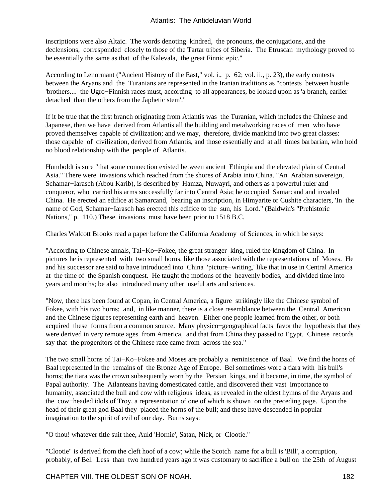inscriptions were also Altaic. The words denoting kindred, the pronouns, the conjugations, and the declensions, corresponded closely to those of the Tartar tribes of Siberia. The Etruscan mythology proved to be essentially the same as that of the Kalevala, the great Finnic epic."

According to Lenormant ("Ancient History of the East," vol. i., p. 62; vol. ii., p. 23), the early contests between the Aryans and the Turanians are represented in the Iranian traditions as "contests between hostile 'brothers.... the Ugro−Finnish races must, according to all appearances, be looked upon as 'a branch, earlier detached than the others from the Japhetic stem'."

If it be true that the first branch originating from Atlantis was the Turanian, which includes the Chinese and Japanese, then we have derived from Atlantis all the building and metalworking races of men who have proved themselves capable of civilization; and we may, therefore, divide mankind into two great classes: those capable of civilization, derived from Atlantis, and those essentially and at all times barbarian, who hold no blood relationship with the people of Atlantis.

Humboldt is sure "that some connection existed between ancient Ethiopia and the elevated plain of Central Asia." There were invasions which reached from the shores of Arabia into China. "An Arabian sovereign, Schamar−Iarasch (Abou Karib), is described by Hamza, Nuwayri, and others as a powerful ruler and conqueror, who carried his arms successfully far into Central Asia; he occupied Samarcand and invaded China. He erected an edifice at Samarcand, bearing an inscription, in Himyarite or Cushite characters, 'In the name of God, Schamar−Iarasch has erected this edifice to the sun, his Lord." (Baldwin's "Prehistoric Nations," p. 110.) These invasions must have been prior to 1518 B.C.

Charles Walcott Brooks read a paper before the California Academy of Sciences, in which be says:

"According to Chinese annals, Tai−Ko−Fokee, the great stranger king, ruled the kingdom of China. In pictures he is represented with two small horns, like those associated with the representations of Moses. He and his successor are said to have introduced into China 'picture−writing,' like that in use in Central America at the time of the Spanish conquest. He taught the motions of the heavenly bodies, and divided time into years and months; be also introduced many other useful arts and sciences.

"Now, there has been found at Copan, in Central America, a figure strikingly like the Chinese symbol of Fokee, with his two horns; and, in like manner, there is a close resemblance between the Central American and the Chinese figures representing earth and heaven. Either one people learned from the other, or both acquired these forms from a common source. Many physico−geographical facts favor the hypothesis that they were derived in very remote ages from America, and that from China they passed to Egypt. Chinese records say that the progenitors of the Chinese race came from across the sea."

The two small horns of Tai−Ko−Fokee and Moses are probably a reminiscence of Baal. We find the horns of Baal represented in the remains of the Bronze Age of Europe. Bel sometimes wore a tiara with his bull's horns; the tiara was the crown subsequently worn by the Persian kings, and it became, in time, the symbol of Papal authority. The Atlanteans having domesticated cattle, and discovered their vast importance to humanity, associated the bull and cow with religious ideas, as revealed in the oldest hymns of the Aryans and the cow−headed idols of Troy, a representation of one of which is shown on the preceding page. Upon the head of their great god Baal they placed the horns of the bull; and these have descended in popular imagination to the spirit of evil of our day. Burns says:

"O thou! whatever title suit thee, Auld 'Hornie', Satan, Nick, or Clootie."

"Clootie" is derived from the cleft hoof of a cow; while the Scotch name for a bull is 'Bill', a corruption, probably, of Bel. Less than two hundred years ago it was customary to sacrifice a bull on the 25th of August

CHAPTER VIII. THE OLDEST SON OF NOAH. 182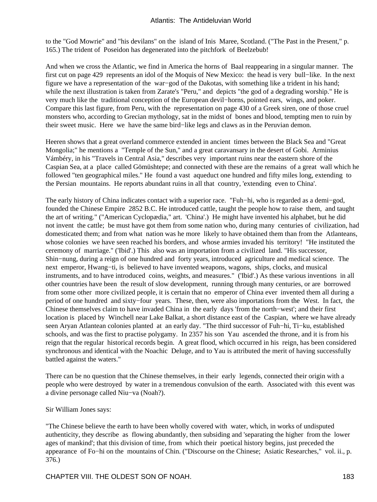to the "God Mowrie" and "his devilans" on the island of Inis Maree, Scotland. ("The Past in the Present," p. 165.) The trident of Poseidon has degenerated into the pitchfork of Beelzebub!

And when we cross the Atlantic, we find in America the horns of Baal reappearing in a singular manner. The first cut on page 429 represents an idol of the Moquis of New Mexico: the head is very bull−like. In the next figure we have a representation of the war−god of the Dakotas, with something like a trident in his hand; while the next illustration is taken from Zarate's "Peru," and depicts "the god of a degrading worship." He is very much like the traditional conception of the European devil−horns, pointed ears, wings, and poker. Compare this last figure, from Peru, with the representation on page 430 of a Greek siren, one of those cruel monsters who, according to Grecian mythology, sat in the midst of bones and blood, tempting men to ruin by their sweet music. Here we have the same bird−like legs and claws as in the Peruvian demon.

Heeren shows that a great overland commerce extended in ancient times between the Black Sea and "Great Mongolia;" he mentions a "Temple of the Sun," and a great caravansary in the desert of Gobi. Arminius Vámbéry, in his "Travels in Central Asia," describes very important ruins near the eastern shore of the Caspian Sea, at a place called Gömüshtepe; and connected with these are the remains of a great wall which he followed "ten geographical miles." He found a vast aqueduct one hundred and fifty miles long, extending to the Persian mountains. He reports abundant ruins in all that country, 'extending even to China'.

The early history of China indicates contact with a superior race. "Fuh−hi, who is regarded as a demi−god, founded the Chinese Empire 2852 B.C. He introduced cattle, taught the people how to raise them, and taught the art of writing." ("American Cyclopædia," art. 'China'.) He might have invented his alphabet, but he did not invent the cattle; be must have got them from some nation who, during many centuries of civilization, had domesticated them; and from what nation was he more likely to have obtained them than from the Atlanteans, whose colonies we have seen reached his borders, and whose armies invaded his territory! "He instituted the ceremony of marriage." ('Ibid'.) This also was an importation from a civilized land. "His successor, Shin−nung, during a reign of one hundred and forty years, introduced agriculture and medical science. The next emperor, Hwang−ti, is believed to have invented weapons, wagons, ships, clocks, and musical instruments, and to have introduced coins, weights, and measures." ('Ibid'.) As these various inventions in all other countries have been the result of slow development, running through many centuries, or are borrowed from some other more civilized people, it is certain that no emperor of China ever invented them all during a period of one hundred and sixty−four years. These, then, were also importations from the West. In fact, the Chinese themselves claim to have invaded China in the early days 'from the north−west'; and their first location is placed by Winchell near Lake Balkat, a short distance east of the Caspian, where we have already seen Aryan Atlantean colonies planted at an early day. "The third successor of Fuh−hi, Ti−ku, established schools, and was the first to practise polygamy. In 2357 his son Yau ascended the throne, and it is from his reign that the regular historical records begin. A great flood, which occurred in his reign, has been considered synchronous and identical with the Noachic Deluge, and to Yau is attributed the merit of having successfully battled against the waters."

There can be no question that the Chinese themselves, in their early legends, connected their origin with a people who were destroyed by water in a tremendous convulsion of the earth. Associated with this event was a divine personage called Niu−va (Noah?).

Sir William Jones says:

"The Chinese believe the earth to have been wholly covered with water, which, in works of undisputed authenticity, they describe as flowing abundantly, then subsiding and 'separating the higher from the lower ages of mankind'; that this division of time, from which their poetical history begins, just preceded the appearance of Fo−hi on the mountains of Chin. ("Discourse on the Chinese; Asiatic Researches," vol. ii., p. 376.)

CHAPTER VIII. THE OLDEST SON OF NOAH. 183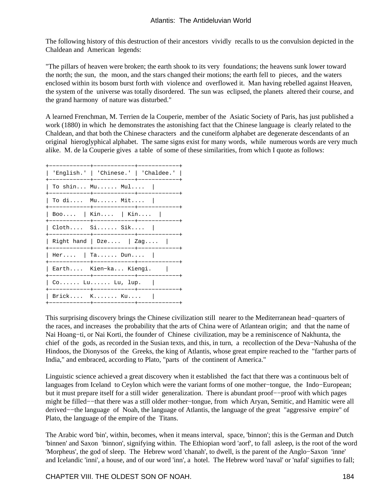The following history of this destruction of their ancestors vividly recalls to us the convulsion depicted in the Chaldean and American legends:

"The pillars of heaven were broken; the earth shook to its very foundations; the heavens sunk lower toward the north; the sun, the moon, and the stars changed their motions; the earth fell to pieces, and the waters enclosed within its bosom burst forth with violence and overflowed it. Man having rebelled against Heaven, the system of the universe was totally disordered. The sun was eclipsed, the planets altered their course, and the grand harmony of nature was disturbed."

A learned Frenchman, M. Terrien de la Couperie, member of the Asiatic Society of Paris, has just published a work (1880) in which he demonstrates the astonishing fact that the Chinese language is clearly related to the Chaldean, and that both the Chinese characters and the cuneiform alphabet are degenerate descendants of an original hieroglyphical alphabet. The same signs exist for many words, while numerous words are very much alike. M. de la Couperie gives a table of some of these similarities, from which I quote as follows:

| ------------+-------------+-------<br>$'English.'$   'Chinese.'   'Chaldee.'  <br>L       |           |
|-------------------------------------------------------------------------------------------|-----------|
| To shin $Mu$ $Mul$  <br>+------------+------------+-----------+                           |           |
| To di   Mu  Mit                                                                           |           |
| Boo   Kin   Kin  <br>+------------+------------+-----------+                              |           |
| Cloth Si Sik  <br>+------------+------------+-------                                      | $- - - +$ |
| Right hand $ $ Dze $ $ Zag $ $<br>$\mathbf{L}$<br>+------------+------------+-----------+ |           |
| Her   Ta Dun  <br>+------------+------------+-------                                      | $---+$    |
| Earth Kien-ka Kiengi.<br>+-----------+------------+----------+                            |           |
| Co Lu Lu, lup.   <br>+------------+------------+----------+                               |           |
| Brick K Ku<br>+------------+------------+-----                                            |           |

This surprising discovery brings the Chinese civilization still nearer to the Mediterranean head−quarters of the races, and increases the probability that the arts of China were of Atlantean origin; and that the name of Nai Hoang−ti, or Nai Korti, the founder of Chinese civilization, may be a reminiscence of Nakhunta, the chief of the gods, as recorded in the Susian texts, and this, in turn, a recollection of the Deva−Nahusha of the Hindoos, the Dionysos of the Greeks, the king of Atlantis, whose great empire reached to the "farther parts of India," and embraced, according to Plato, "parts of the continent of America."

Linguistic science achieved a great discovery when it established the fact that there was a continuous belt of languages from Iceland to Ceylon which were the variant forms of one mother−tongue, the Indo−European; but it must prepare itself for a still wider generalization. There is abundant proof−−proof with which pages might be filled−−that there was a still older mother−tongue, from which Aryan, Semitic, and Hamitic were all derived−−the language of Noah, the language of Atlantis, the language of the great "aggressive empire" of Plato, the language of the empire of the Titans.

The Arabic word 'bin', within, becomes, when it means interval, space, 'binnon'; this is the German and Dutch 'binnen' and Saxon 'binnon', signifying within. The Ethiopian word 'aorf', to fall asleep, is the root of the word 'Morpheus', the god of sleep. The Hebrew word 'chanah', to dwell, is the parent of the Anglo−Saxon 'inne' and Icelandic 'inni', a house, and of our word 'inn', a hotel. The Hebrew word 'naval' or 'nafal' signifies to fall;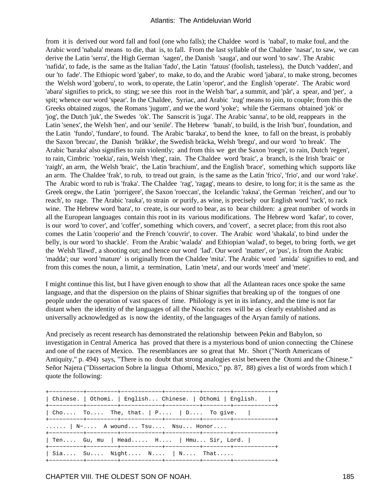#### Atlantis: The Antideluvian World

from it is derived our word fall and fool (one who falls); the Chaldee word is 'nabal', to make foul, and the Arabic word 'nabala' means to die, that is, to fall. From the last syllable of the Chaldee 'nasar', to saw, we can derive the Latin 'serra', the High German 'sagen', the Danish 'sauga', and our word 'to saw'. The Arabic 'nafida', to fade, is the same as the Italian 'fado', the Latin 'fatuus' (foolish, tasteless), the Dutch 'vadden', and our 'to fade'. The Ethiopic word 'gaber', to make, to do, and the Arabic word 'jabara', to make strong, becomes the Welsh word 'goberu', to work, to operate, the Latin 'operor', and the English 'operate'. The Arabic word 'abara' signifies to prick, to sting; we see this root in the Welsh 'bar', a summit, and 'pâr', a spear, and 'per', a spit; whence our word 'spear'. In the Chaldee, Syriac, and Arabic 'zug' means to join, to couple; from this the Greeks obtained zugos, the Romans 'jugum', and we the word 'yoke'; while the Germans obtained 'jok' or 'jog', the Dutch 'juk', the Swedes 'ok'. The Sanscrit is 'juga'. The Arabic 'sanna', to be old, reappears in the Latin 'senex', the Welsh 'hen', and our 'senile'. The Hebrew 'banah', to build, is the Irish 'bun', foundation, and the Latin 'fundo', 'fundare', to found. The Arabic 'baraka', to bend the knee, to fall on the breast, is probably the Saxon 'brecau', the Danish 'bräkke', the Swedish bräcka, Welsh 'bregu', and our word 'to break'. The Arabic 'baraka' also signifies to rain violently; and from this we get the Saxon 'roegn', to rain, Dutch 'regen', to rain, Cimbric 'roekia', rain, Welsh 'rheg', rain. The Chaldee word 'braic', a branch, is the Irish 'braic' or 'raigh', an arm, the Welsh 'braic', the Latin 'brachium', and the English 'brace', something which supports like an arm. The Chaldee 'frak', to rub, to tread out grain, is the same as the Latin 'frico', 'frio', and our word 'rake'. The Arabic word to rub is 'fraka'. The Chaldee 'rag', 'ragag', means to desire, to long for; it is the same as the Greek oregw, the Latin 'porrigere', the Saxon 'roeccan', the Icelandic 'rakna', the German 'reichen', and our 'to reach', to rage. The Arabic 'rauka', to strain or purify, as wine, is precisely our English word 'rack', to rack wine. The Hebrew word 'bara', to create, is our word to bear, as to bear children: a great number of words in all the European languages contain this root in its various modifications. The Hebrew word 'kafar', to cover, is our word 'to cover', and 'coffer', something which covers, and 'covert', a secret place; from this root also comes the Latin 'cooperio' and the French 'couvrir', to cover. The Arabic word 'shakala', to bind under the belly, is our word 'to shackle'. From the Arabic 'walada' and Ethiopian 'walad', to beget, to bring forth, we get the Welsh 'llawd', a shooting out; and hence our word 'lad'. Our word 'matter', or 'pus', is from the Arabic 'madda'; our word 'mature' is originally from the Chaldee 'mita'. The Arabic word 'amida' signifies to end, and from this comes the noun, a limit, a termination, Latin 'meta', and our words 'meet' and 'mete'.

I might continue this list, but I have given enough to show that all the Atlantean races once spoke the same language, and that the dispersion on the plains of Shinar signifies that breaking up of the tongues of one people under the operation of vast spaces of time. Philology is yet in its infancy, and the time is not far distant when the identity of the languages of all the Noachic races will be as clearly established and as universally acknowledged as is now the identity, of the languages of the Aryan family of nations.

And precisely as recent research has demonstrated the relationship between Pekin and Babylon, so investigation in Central America has proved that there is a mysterious bond of union connecting the Chinese and one of the races of Mexico. The resemblances are so great that Mr. Short ("North Americans of Antiquity," p. 494) says, "There is no doubt that strong analogies exist between the Otomi and the Chinese." Señor Najera ("Dissertacion Sobre la lingua Othomi, Mexico," pp. 87, 88) gives a list of words from which I quote the following:

+−−−−−−−−−−+−−−−−−−−−+−−−−−−−−−−−−+−−−−−−−−−−+−−−−−−−−+−−−−−−−−−−−−+ | Chinese. | Othomi. | English... Chinese. | Othomi | English. | +−−−−−−−−−−+−−−−−−−−−+−−−−−−−−−−−−+−−−−−−−−−−+−−−−−−−−+−−−−−−−−−−−−+ | Cho.... To.... The, that. | P.... | D.... To give. | +−−−−−−−−−−+−−−−−−−−−+−−−−−−−−−−−−+−−−−−−−−−−+−−−−−−−−+−−−−−−−−−−−−+ ...... | N-.... A wound... Tsu.... Nsu... Honor.... +−−−−−−−−−−+−−−−−−−−−+−−−−−−−−−−−−+−−−−−−−−−−+−−−−−−−−+−−−−−−−−−−−−+ | Ten.... Gu, mu | Head..... H.... | Hmu... Sir, Lord. | +−−−−−−−−−−+−−−−−−−−−+−−−−−−−−−−−−+−−−−−−−−−−+−−−−−−−−+−−−−−−−−−−−−+ | Sia.... Su.... Night.... N.... | N.... That..... +−−−−−−−−−−+−−−−−−−−−+−−−−−−−−−−−−+−−−−−−−−−−+−−−−−−−−+−−−−−−−−−−−−+

CHAPTER VIII. THE OLDEST SON OF NOAH. 185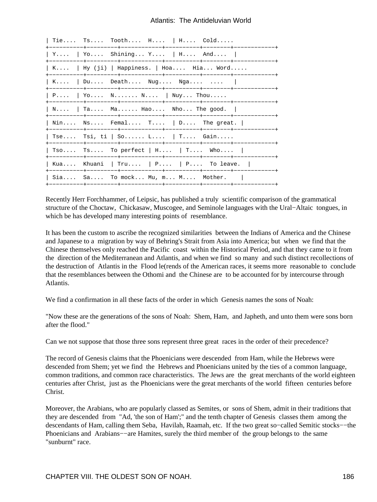|  | Tie $TS$ Tooth $H$   $H$ Cold                        |
|--|------------------------------------------------------|
|  | $\vert$ Y $\vert$ Yo Shining Y $\vert$ H And $\vert$ |
|  | K   Hy (ji)   Happiness.   Hoa Hia Word              |
|  | K   Du Death Nug Nga                                 |
|  | $\vert$ P $\vert$ Yo N N $\vert$ Nuy Thou            |
|  | $\vert$ N $\vert$ Ta Ma Hao Nho The good. $\vert$    |
|  | Nin $\texttt{Ns} \dots$ Femal T   D The great.       |
|  | Tse Tsi, ti   So L   T Gain                          |
|  | Tso Ts To perfect   H   T Who                        |
|  | Kua Khuani   Tru   P   P To leave.                   |
|  | $\vert$ Sia Sa To mock Mu, m M Mother. $\vert$       |

Recently Herr Forchhammer, of Leipsic, has published a truly scientific comparison of the grammatical structure of the Choctaw, Chickasaw, Muscogee, and Seminole languages with the Ural−Altaic tongues, in which be has developed many interesting points of resemblance.

It has been the custom to ascribe the recognized similarities between the Indians of America and the Chinese and Japanese to a migration by way of Behring's Strait from Asia into America; but when we find that the Chinese themselves only reached the Pacific coast within the Historical Period, and that they came to it from the direction of the Mediterranean and Atlantis, and when we find so many and such distinct recollections of the destruction of Atlantis in the Flood le(rends of the American races, it seems more reasonable to conclude that the resemblances between the Othomi and the Chinese are to be accounted for by intercourse through Atlantis.

We find a confirmation in all these facts of the order in which Genesis names the sons of Noah:

"Now these are the generations of the sons of Noah: Shem, Ham, and Japheth, and unto them were sons born after the flood."

Can we not suppose that those three sons represent three great races in the order of their precedence?

The record of Genesis claims that the Phoenicians were descended from Ham, while the Hebrews were descended from Shem; yet we find the Hebrews and Phoenicians united by the ties of a common language, common traditions, and common race characteristics. The Jews are the great merchants of the world eighteen centuries after Christ, just as the Phoenicians were the great merchants of the world fifteen centuries before Christ.

Moreover, the Arabians, who are popularly classed as Semites, or sons of Shem, admit in their traditions that they are descended from "Ad, 'the son of Ham';" and the tenth chapter of Genesis classes them among the descendants of Ham, calling them Seba, Havilah, Raamah, etc. If the two great so−called Semitic stocks−−the Phoenicians and Arabians−−are Hamites, surely the third member of the group belongs to the same "sunburnt" race.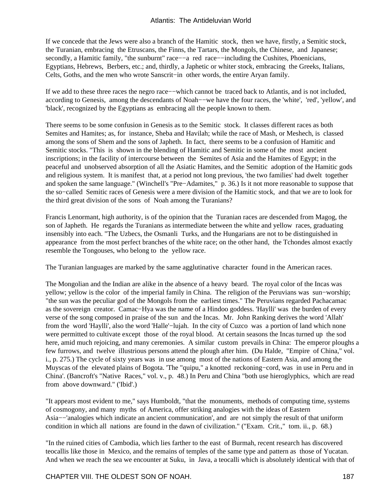If we concede that the Jews were also a branch of the Hamitic stock, then we have, firstly, a Semitic stock, the Turanian, embracing the Etruscans, the Finns, the Tartars, the Mongols, the Chinese, and Japanese; secondly, a Hamitic family, "the sunburnt" race−−a red race−−including the Cushites, Phoenicians, Egyptians, Hebrews, Berbers, etc.; and, thirdly, a Japhetic or whiter stock, embracing the Greeks, Italians, Celts, Goths, and the men who wrote Sanscrit−in other words, the entire Aryan family.

If we add to these three races the negro race−−which cannot be traced back to Atlantis, and is not included, according to Genesis, among the descendants of Noah−−we have the four races, the 'white', 'red', 'yellow', and 'black', recognized by the Egyptians as embracing all the people known to them.

There seems to be some confusion in Genesis as to the Semitic stock. It classes different races as both Semites and Hamites; as, for instance, Sheba and Havilah; while the race of Mash, or Meshech, is classed among the sons of Shem and the sons of Japheth. In fact, there seems to be a confusion of Hamitic and Semitic stocks. "This is shown in the blending of Hamitic and Semitic in some of the most ancient inscriptions; in the facility of intercourse between the Semites of Asia and the Hamites of Egypt; in the peaceful and unobserved absorption of all the Asiatic Hamites, and the Semitic adoption of the Hamitic gods and religious system. It is manifest that, at a period not long previous, 'the two families' had dwelt together and spoken the same language." (Winchell's "Pre−Adamites," p. 36.) Is it not more reasonable to suppose that the so−called Semitic races of Genesis were a mere division of the Hamitic stock, and that we are to look for the third great division of the sons of Noah among the Turanians?

Francis Lenormant, high authority, is of the opinion that the Turanian races are descended from Magog, the son of Japheth. He regards the Turanians as intermediate between the white and yellow races, graduating insensibly into each. "The Uzbecs, the Osmanli Turks, and the Hungarians are not to be distinguished in appearance from the most perfect branches of the white race; on the other hand, the Tchondes almost exactly resemble the Tongouses, who belong to the yellow race.

The Turanian languages are marked by the same agglutinative character found in the American races.

The Mongolian and the Indian are alike in the absence of a heavy beard. The royal color of the Incas was yellow; yellow is the color of the imperial family in China. The religion of the Peruvians was sun−worship; "the sun was the peculiar god of the Mongols from the earliest times." The Peruvians regarded Pachacamac as the sovereign creator. Camac−Hya was the name of a Hindoo goddess. 'Haylli' was the burden of every verse of the song composed in praise of the sun and the Incas. Mr. John Ranking derives the word 'Allah' from the word 'Haylli', also the word 'Halle'−lujah. In the city of Cuzco was a portion of land which none were permitted to cultivate except those of the royal blood. At certain seasons the Incas turned up the sod here, amid much rejoicing, and many ceremonies. A similar custom prevails in China: The emperor ploughs a few furrows, and twelve illustrious persons attend the plough after him. (Du Halde, "Empire of China," vol. i., p. 275.) The cycle of sixty years was in use among most of the nations of Eastern Asia, and among the Muyscas of the elevated plains of Bogota. 'The "quipu," a knotted reckoning−cord, was in use in Peru and in China'. (Bancroft's "Native Races," vol. v., p. 48.) In Peru and China "both use hieroglyphics, which are read from above downward." ('Ibid'.)

"It appears most evident to me," says Humboldt, "that the monuments, methods of computing time, systems of cosmogony, and many myths of America, offer striking analogies with the ideas of Eastern Asia−−'analogies which indicate an ancient communication', and are not simply the result of that uniform condition in which all nations are found in the dawn of civilization." ("Exam. Crit.," tom. ii., p. 68.)

"In the ruined cities of Cambodia, which lies farther to the east of Burmah, recent research has discovered teocallis like those in Mexico, and the remains of temples of the same type and pattern as those of Yucatan. And when we reach the sea we encounter at Suku, in Java, a teocalli which is absolutely identical with that of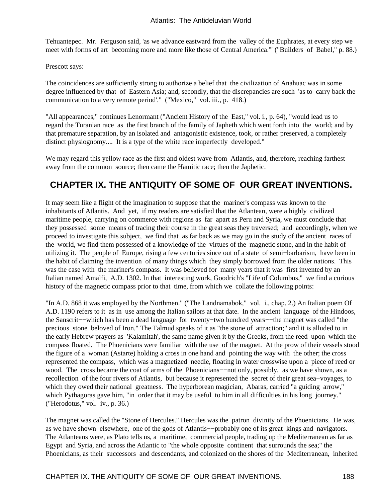Tehuantepec. Mr. Ferguson said, 'as we advance eastward from the valley of the Euphrates, at every step we meet with forms of art becoming more and more like those of Central America.'" ("Builders of Babel," p. 88.)

Prescott says:

The coincidences are sufficiently strong to authorize a belief that the civilization of Anahuac was in some degree influenced by that of Eastern Asia; and, secondly, that the discrepancies are such 'as to carry back the communication to a very remote period'." ("Mexico," vol. iii., p. 418.)

"All appearances," continues Lenormant ("Ancient History of the East," vol. i., p. 64), "would lead us to regard the Turanian race as the first branch of the family of Japheth which went forth into the world; and by that premature separation, by an isolated and antagonistic existence, took, or rather preserved, a completely distinct physiognomy.... It is a type of the white race imperfectly developed."

We may regard this yellow race as the first and oldest wave from Atlantis, and, therefore, reaching farthest away from the common source; then came the Hamitic race; then the Japhetic.

# **CHAPTER IX. THE ANTIQUITY OF SOME OF OUR GREAT INVENTIONS.**

It may seem like a flight of the imagination to suppose that the mariner's compass was known to the inhabitants of Atlantis. And yet, if my readers are satisfied that the Atlantean, were a highly civilized maritime people, carrying on commerce with regions as far apart as Peru and Syria, we must conclude that they possessed some means of tracing their course in the great seas they traversed; and accordingly, when we proceed to investigate this subject, we find that as far back as we may go in the study of the ancient races of the world, we find them possessed of a knowledge of the virtues of the magnetic stone, and in the habit of utilizing it. The people of Europe, rising a few centuries since out of a state of semi−barbarism, have been in the habit of claiming the invention of many things which they simply borrowed from the older nations. This was the case with the mariner's compass. It was believed for many years that it was first invented by an Italian named Amalfi, A.D. 1302. In that interesting work, Goodrich's "Life of Columbus," we find a curious history of the magnetic compass prior to that time, from which we collate the following points:

"In A.D. 868 it was employed by the Northmen." ("The Landnamabok," vol. i., chap. 2.) An Italian poem Of A.D. 1190 refers to it as in use among the Italian sailors at that date. In the ancient language of the Hindoos, the Sanscrit−−which has been a dead language for twenty−two hundred years−−the magnet was called "the precious stone beloved of Iron." The Talmud speaks of it as "the stone of attraction;" and it is alluded to in the early Hebrew prayers as 'Kalamitah', the same name given it by the Greeks, from the reed upon which the compass floated. The Phoenicians were familiar with the use of the magnet. At the prow of their vessels stood the figure of a woman (Astarte) holding a cross in one hand and pointing the way with the other; the cross represented the compass, which was a magnetized needle, floating in water crosswise upon a piece of reed or wood. The cross became the coat of arms of the Phoenicians–−not only, possibly, as we have shown, as a recollection of the four rivers of Atlantis, but because it represented the secret of their great sea−voyages, to which they owed their national greatness. The hyperborean magician, Abaras, carried "a guiding arrow," which Pythagoras gave him, "in order that it may be useful to him in all difficulties in his long journey." ("Herodotus," vol. iv., p. 36.)

The magnet was called the "Stone of Hercules." Hercules was the patron divinity of the Phoenicians. He was, as we have shown elsewhere, one of the gods of Atlantis−−probably one of its great kings and navigators. The Atlanteans were, as Plato tells us, a maritime, commercial people, trading up the Mediterranean as far as Egypt and Syria, and across the Atlantic to "the whole opposite continent that surrounds the sea;" the Phoenicians, as their successors and descendants, and colonized on the shores of the Mediterranean, inherited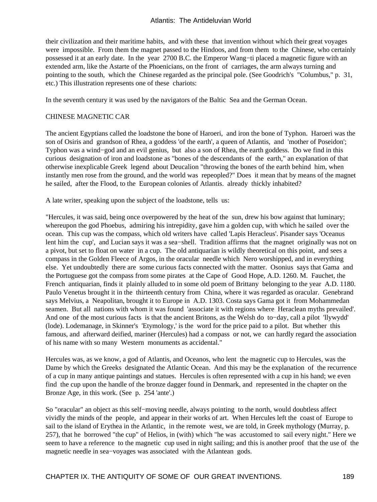### Atlantis: The Antideluvian World

their civilization and their maritime habits, and with these that invention without which their great voyages were impossible. From them the magnet passed to the Hindoos, and from them to the Chinese, who certainly possessed it at an early date. In the year 2700 B.C. the Emperor Wang−ti placed a magnetic figure with an extended arm, like the Astarte of the Phoenicians, on the front of carriages, the arm always turning and pointing to the south, which the Chinese regarded as the principal pole. (See Goodrich's "Columbus," p. 31, etc.) This illustration represents one of these chariots:

In the seventh century it was used by the navigators of the Baltic Sea and the German Ocean.

#### CHINESE MAGNETIC CAR

The ancient Egyptians called the loadstone the bone of Haroeri, and iron the bone of Typhon. Haroeri was the son of Osiris and grandson of Rhea, a goddess 'of the earth', a queen of Atlantis, and 'mother of Poseidon'; Typhon was a wind−god and an evil genius, but also a son of Rhea, the earth goddess. Do we find in this curious designation of iron and loadstone as "bones of the descendants of the earth," an explanation of that otherwise inexplicable Greek legend about Deucalion "throwing the bones of the earth behind him, when instantly men rose from the ground, and the world was repeopled?" Does it mean that by means of the magnet he sailed, after the Flood, to the European colonies of Atlantis. already thickly inhabited?

A late writer, speaking upon the subject of the loadstone, tells us:

"Hercules, it was said, being once overpowered by the heat of the sun, drew his bow against that luminary; whereupon the god Phoebus, admiring his intrepidity, gave him a golden cup, with which he sailed over the ocean. This cup was the compass, which old writers have called 'Lapis Heracleus'. Pisander says 'Oceanus lent him the cup', and Lucian says it was a sea−shell. Tradition affirms that the magnet originally was not on a pivot, but set to float on water in a cup. The old antiquarian is wildly theoretical on this point, and sees a compass in the Golden Fleece of Argos, in the oracular needle which Nero worshipped, and in everything else. Yet undoubtedly there are some curious facts connected with the matter. Osonius says that Gama and the Portuguese got the compass from some pirates at the Cape of Good Hope, A.D. 1260. M. Fauchet, the French antiquarian, finds it plainly alluded to in some old poem of Brittany belonging to the year A.D. 1180. Paulo Venetus brought it in the thirteenth century from China, where it was regarded as oracular. Genebrand says Melvius, a Neapolitan, brought it to Europe in A.D. 1303. Costa says Gama got it from Mohammedan seamen. But all nations with whom it was found 'associate it with regions where Heraclean myths prevailed'. And one of the most curious facts is that the ancient Britons, as the Welsh do to−day, call a pilot 'llywydd' (lode). Lodemanage, in Skinner's 'Etymology,' is the word for the price paid to a pilot. But whether this famous, and afterward deified, mariner (Hercules) had a compass or not, we can hardly regard the association of his name with so many Western monuments as accidental."

Hercules was, as we know, a god of Atlantis, and Oceanos, who lent the magnetic cup to Hercules, was the Dame by which the Greeks designated the Atlantic Ocean. And this may be the explanation of the recurrence of a cup in many antique paintings and statues. Hercules is often represented with a cup in his hand; we even find the cup upon the handle of the bronze dagger found in Denmark, and represented in the chapter on the Bronze Age, in this work. (See p. 254 'ante'.)

So "oracular" an object as this self−moving needle, always pointing to the north, would doubtless affect vividly the minds of the people, and appear in their works of art. When Hercules left the coast of Europe to sail to the island of Erythea in the Atlantic, in the remote west, we are told, in Greek mythology (Murray, p. 257), that he borrowed "the cup" of Helios, in (with) which "he was accustomed to sail every night." Here we seem to have a reference to the magnetic cup used in night sailing; and this is another proof that the use of the magnetic needle in sea−voyages was associated with the Atlantean gods.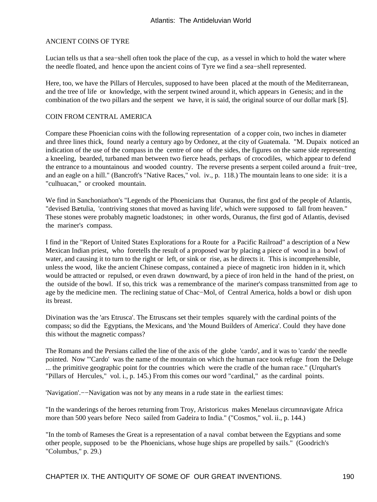### ANCIENT COINS OF TYRE

Lucian tells us that a sea−shell often took the place of the cup, as a vessel in which to hold the water where the needle floated, and hence upon the ancient coins of Tyre we find a sea−shell represented.

Here, too, we have the Pillars of Hercules, supposed to have been placed at the mouth of the Mediterranean, and the tree of life or knowledge, with the serpent twined around it, which appears in Genesis; and in the combination of the two pillars and the serpent we have, it is said, the original source of our dollar mark [\$].

### COIN FROM CENTRAL AMERICA

Compare these Phoenician coins with the following representation of a copper coin, two inches in diameter and three lines thick, found nearly a century ago by Ordonez, at the city of Guatemala. "M. Dupaix noticed an indication of the use of the compass in the centre of one of the sides, the figures on the same side representing a kneeling, bearded, turbaned man between two fierce heads, perhaps of crocodiles, which appear to defend the entrance to a mountainous and wooded country. The reverse presents a serpent coiled around a fruit−tree, and an eagle on a hill." (Bancroft's "Native Races," vol. iv., p. 118.) The mountain leans to one side: it is a "culhuacan," or crooked mountain.

We find in Sanchoniathon's "Legends of the Phoenicians that Ouranus, the first god of the people of Atlantis, "devised Bætulia, 'contriving stones that moved as having life', which were supposed to fall from heaven." These stones were probably magnetic loadstones; in other words, Ouranus, the first god of Atlantis, devised the mariner's compass.

I find in the "Report of United States Explorations for a Route for a Pacific Railroad" a description of a New Mexican Indian priest, who foretells the result of a proposed war by placing a piece of wood in a bowl of water, and causing it to turn to the right or left, or sink or rise, as he directs it. This is incomprehensible, unless the wood, like the ancient Chinese compass, contained a piece of magnetic iron hidden in it, which would be attracted or repulsed, or even drawn downward, by a piece of iron held in the hand of the priest, on the outside of the bowl. If so, this trick was a remembrance of the mariner's compass transmitted from age to age by the medicine men. The reclining statue of Chac−Mol, of Central America, holds a bowl or dish upon its breast.

Divination was the 'ars Etrusca'. The Etruscans set their temples squarely with the cardinal points of the compass; so did the Egyptians, the Mexicans, and 'the Mound Builders of America'. Could they have done this without the magnetic compass?

The Romans and the Persians called the line of the axis of the globe 'cardo', and it was to 'cardo' the needle pointed. Now "'Cardo' was the name of the mountain on which the human race took refuge from the Deluge ... the primitive geographic point for the countries which were the cradle of the human race." (Urquhart's "Pillars of Hercules," vol. i., p. 145.) From this comes our word "cardinal," as the cardinal points.

'Navigation'.−−Navigation was not by any means in a rude state in the earliest times:

"In the wanderings of the heroes returning from Troy, Aristoricus makes Menelaus circumnavigate Africa more than 500 years before Neco sailed from Gadeira to India." ("Cosmos," vol. ii., p. 144.)

"In the tomb of Rameses the Great is a representation of a naval combat between the Egyptians and some other people, supposed to be the Phoenicians, whose huge ships are propelled by sails." (Goodrich's "Columbus," p. 29.)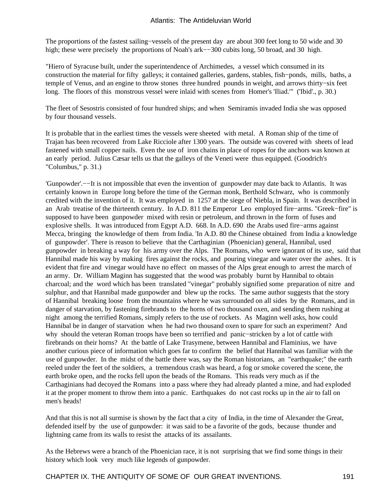The proportions of the fastest sailing−vessels of the present day are about 300 feet long to 50 wide and 30 high; these were precisely the proportions of Noah's ark−−300 cubits long, 50 broad, and 30 high.

"Hiero of Syracuse built, under the superintendence of Archimedes, a vessel which consumed in its construction the material for fifty galleys; it contained galleries, gardens, stables, fish−ponds, mills, baths, a temple of Venus, and an engine to throw stones three hundred pounds in weight, and arrows thirty−six feet long. The floors of this monstrous vessel were inlaid with scenes from Homer's 'Iliad.'" ('Ibid'., p. 30.)

The fleet of Sesostris consisted of four hundred ships; and when Semiramis invaded India she was opposed by four thousand vessels.

It is probable that in the earliest times the vessels were sheeted with metal. A Roman ship of the time of Trajan has been recovered from Lake Ricciole after 1300 years. The outside was covered with sheets of lead fastened with small copper nails. Even the use of iron chains in place of ropes for the anchors was known at an early period. Julius Cæsar tells us that the galleys of the Veneti were thus equipped. (Goodrich's "Columbus," p. 31.)

'Gunpowder'.−−It is not impossible that even the invention of gunpowder may date back to Atlantis. It was certainly known in Europe long before the time of the German monk, Berthold Schwarz, who is commonly credited with the invention of it. It was employed in 1257 at the siege of Niebla, in Spain. It was described in an Arab treatise of the thirteenth century. In A.D. 811 the Emperor Leo employed fire−arms. "Greek−fire" is supposed to have been gunpowder mixed with resin or petroleum, and thrown in the form of fuses and explosive shells. It was introduced from Egypt A.D. 668. In A.D. 690 the Arabs used fire−arms against Mecca, bringing the knowledge of them from India. 'In A.D. 80 the Chinese obtained from India a knowledge of gunpowder'. There is reason to believe that the Carthaginian (Phoenician) general, Hannibal, used gunpowder in breaking a way for his army over the Alps. The Romans, who were ignorant of its use, said that Hannibal made his way by making fires against the rocks, and pouring vinegar and water over the ashes. It is evident that fire and vinegar would have no effect on masses of the Alps great enough to arrest the march of an army. Dr. William Maginn has suggested that the wood was probably burnt by Hannibal to obtain charcoal; and the word which has been translated "vinegar" probably signified some preparation of nitre and sulphur, and that Hannibal made gunpowder and blew up the rocks. The same author suggests that the story of Hannibal breaking loose from the mountains where he was surrounded on all sides by the Romans, and in danger of starvation, by fastening firebrands to the horns of two thousand oxen, and sending them rushing at night among the terrified Romans, simply refers to the use of rockets. As Maginn well asks, how could Hannibal be in danger of starvation when he had two thousand oxen to spare for such an experiment? And why should the veteran Roman troops have been so terrified and panic−stricken by a lot of cattle with firebrands on their horns? At the battle of Lake Trasymene, between Hannibal and Flaminius, we have another curious piece of information which goes far to confirm the belief that Hannibal was familiar with the use of gunpowder. In the midst of the battle there was, say the Roman historians, an "earthquake;" the earth reeled under the feet of the soldiers, a tremendous crash was heard, a fog or smoke covered the scene, the earth broke open, and the rocks fell upon the beads of the Romans. This reads very much as if the Carthaginians had decoyed the Romans into a pass where they had already planted a mine, and had exploded it at the proper moment to throw them into a panic. Earthquakes do not cast rocks up in the air to fall on men's heads!

And that this is not all surmise is shown by the fact that a city of India, in the time of Alexander the Great, defended itself by the use of gunpowder: it was said to be a favorite of the gods, because thunder and lightning came from its walls to resist the attacks of its assailants.

As the Hebrews were a branch of the Phoenician race, it is not surprising that we find some things in their history which look very much like legends of gunpowder.

CHAPTER IX. THE ANTIQUITY OF SOME OF OUR GREAT INVENTIONS.  $191$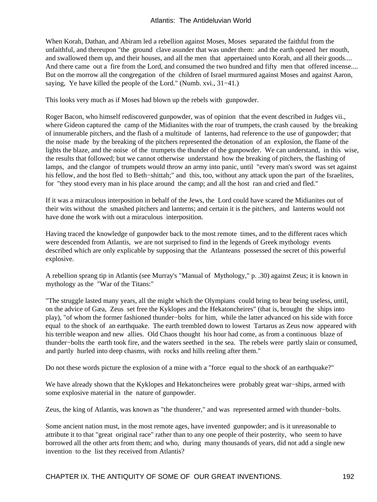When Korah, Dathan, and Abiram led a rebellion against Moses, Moses separated the faithful from the unfaithful, and thereupon "the ground clave asunder that was under them: and the earth opened her mouth, and swallowed them up, and their houses, and all the men that appertained unto Korah, and all their goods.... And there came out a fire from the Lord, and consumed the two hundred and fifty men that offered incense.... But on the morrow all the congregation of the children of Israel murmured against Moses and against Aaron, saying, Ye have killed the people of the Lord." (Numb. xvi., 31−41.)

This looks very much as if Moses had blown up the rebels with gunpowder.

Roger Bacon, who himself rediscovered gunpowder, was of opinion that the event described in Judges vii., where Gideon captured the camp of the Midianites with the roar of trumpets, the crash caused by the breaking of innumerable pitchers, and the flash of a multitude of lanterns, had reference to the use of gunpowder; that the noise made by the breaking of the pitchers represented the detonation of an explosion, the flame of the lights the blaze, and the noise of the trumpets the thunder of the gunpowder. We can understand, in this wise, the results that followed; but we cannot otherwise understand how the breaking of pitchers, the flashing of lamps, and the clangor of trumpets would throw an army into panic, until "every man's sword was set against his fellow, and the host fled to Beth−shittah;" and this, too, without any attack upon the part of the Israelites, for "they stood every man in his place around the camp; and all the host ran and cried and fled."

If it was a miraculous interposition in behalf of the Jews, the Lord could have scared the Midianites out of their wits without the smashed pitchers and lanterns; and certain it is the pitchers, and lanterns would not have done the work with out a miraculous interposition.

Having traced the knowledge of gunpowder back to the most remote times, and to the different races which were descended from Atlantis, we are not surprised to find in the legends of Greek mythology events described which are only explicable by supposing that the Atlanteans possessed the secret of this powerful explosive.

A rebellion sprang tip in Atlantis (see Murray's "Manual of Mythology," p. .30) against Zeus; it is known in mythology as the "War of the Titans:"

"The struggle lasted many years, all the might which the Olympians could bring to bear being useless, until, on the advice of Gæa, Zeus set free the Kyklopes and the Hekatoncheires" (that is, brought the ships into play), "of whom the former fashioned thunder−bolts for him, while the latter advanced on his side with force equal to the shock of an earthquake. The earth trembled down to lowest Tartarus as Zeus now appeared with his terrible weapon and new allies. Old Chaos thought his hour had come, as from a continuous blaze of thunder−bolts the earth took fire, and the waters seethed in the sea. The rebels were partly slain or consumed, and partly hurled into deep chasms, with rocks and hills reeling after them."

Do not these words picture the explosion of a mine with a "force equal to the shock of an earthquake?"

We have already shown that the Kyklopes and Hekatoncheires were probably great war−ships, armed with some explosive material in the nature of gunpowder.

Zeus, the king of Atlantis, was known as "the thunderer," and was represented armed with thunder−bolts.

Some ancient nation must, in the most remote ages, have invented gunpowder; and is it unreasonable to attribute it to that "great original race" rather than to any one people of their posterity, who seem to have borrowed all the other arts from them; and who, during many thousands of years, did not add a single new invention to the list they received from Atlantis?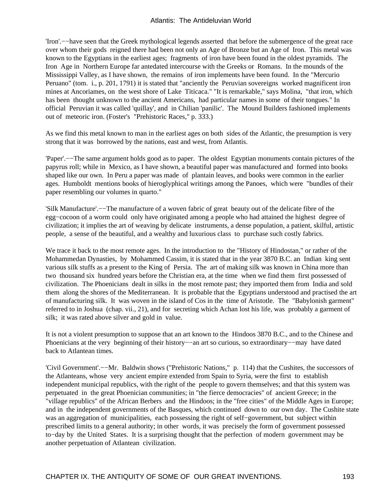'Iron'.−−have seen that the Greek mythological legends asserted that before the submergence of the great race over whom their gods reigned there had been not only an Age of Bronze but an Age of Iron. This metal was known to the Egyptians in the earliest ages; fragments of iron have been found in the oldest pyramids. The Iron Age in Northern Europe far antedated intercourse with the Greeks or Romans. In the mounds of the Mississippi Valley, as I have shown, the remains of iron implements have been found. In the "Mercurio Peruano" (tom. i., p. 201, 1791) it is stated that "anciently the Peruvian sovereigns worked magnificent iron mines at Ancoriames, on the west shore of Lake Titicaca." "It is remarkable," says Molina, "that iron, which has been thought unknown to the ancient Americans, had particular names in some of their tongues." In official Peruvian it was called 'quillay', and in Chilian 'panilic'. The Mound Builders fashioned implements out of meteoric iron. (Foster's "Prehistoric Races," p. 333.)

As we find this metal known to man in the earliest ages on both sides of the Atlantic, the presumption is very strong that it was borrowed by the nations, east and west, from Atlantis.

'Paper'.−−The same argument holds good as to paper. The oldest Egyptian monuments contain pictures of the papyrus roll; while in Mexico, as I have shown, a beautiful paper was manufactured and formed into books shaped like our own. In Peru a paper was made of plantain leaves, and books were common in the earlier ages. Humboldt mentions books of hieroglyphical writings among the Panoes, which were "bundles of their paper resembling our volumes in quarto."

'Silk Manufacture'.−−The manufacture of a woven fabric of great beauty out of the delicate fibre of the egg−cocoon of a worm could only have originated among a people who had attained the highest degree of civilization; it implies the art of weaving by delicate instruments, a dense population, a patient, skilful, artistic people, a sense of the beautiful, and a wealthy and luxurious class to purchase such costly fabrics.

We trace it back to the most remote ages. In the introduction to the "History of Hindostan," or rather of the Mohammedan Dynasties, by Mohammed Cassim, it is stated that in the year 3870 B.C. an Indian king sent various silk stuffs as a present to the King of Persia. The art of making silk was known in China more than two thousand six hundred years before the Christian era, at the time when we find them first possessed of civilization. The Phoenicians dealt in silks in the most remote past; they imported them from India and sold them along the shores of the Mediterranean. It is probable that the Egyptians understood and practised the art of manufacturing silk. It was woven in the island of Cos in the time of Aristotle. The "Babylonish garment" referred to in Joshua (chap. vii., 21), and for secreting which Achan lost his life, was probably a garment of silk; it was rated above silver and gold in value.

It is not a violent presumption to suppose that an art known to the Hindoos 3870 B.C., and to the Chinese and Phoenicians at the very beginning of their history−−an art so curious, so extraordinary−−may have dated back to Atlantean times.

'Civil Government'.−−Mr. Baldwin shows ("Prehistoric Nations," p. 114) that the Cushites, the successors of the Atlanteans, whose very ancient empire extended from Spain to Syria, were the first to establish independent municipal republics, with the right of the people to govern themselves; and that this system was perpetuated in the great Phoenician communities; in "the fierce democracies" of ancient Greece; in the "village republics" of the African Berbers and the Hindoos; in the "free cities" of the Middle Ages in Europe; and in the independent governments of the Basques, which continued down to our own day. The Cushite state was an aggregation of municipalities, each possessing the right of self−government, but subject within prescribed limits to a general authority; in other words, it was precisely the form of government possessed to−day by the United States. It is a surprising thought that the perfection of modern government may be another perpetuation of Atlantean civilization.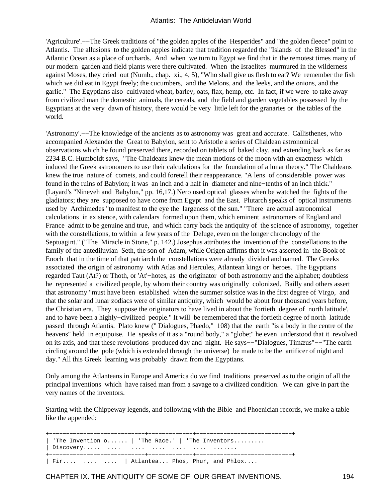'Agriculture'.−−The Greek traditions of "the golden apples of the Hesperides" and "the golden fleece" point to Atlantis. The allusions to the golden apples indicate that tradition regarded the "Islands of the Blessed" in the Atlantic Ocean as a place of orchards. And when we turn to Egypt we find that in the remotest times many of our modern garden and field plants were there cultivated. When the Israelites murmured in the wilderness against Moses, they cried out (Numb., chap. xi., 4, 5), "Who shall give us flesh to eat? We remember the fish which we did eat in Egypt freely; the cucumbers, and the Melons, and the leeks, and the onions, and the garlic." The Egyptians also cultivated wheat, barley, oats, flax, hemp, etc. In fact, if we were to take away from civilized man the domestic animals, the cereals, and the field and garden vegetables possessed by the Egyptians at the very dawn of history, there would be very little left for the granaries or the tables of the world.

'Astronomy'.−−The knowledge of the ancients as to astronomy was great and accurate. Callisthenes, who accompanied Alexander the Great to Babylon, sent to Aristotle a series of Chaldean astronomical observations which he found preserved there, recorded on tablets of baked clay, and extending back as far as 2234 B.C. Humboldt says, "The Chaldeans knew the mean motions of the moon with an exactness which induced the Greek astronomers to use their calculations for the foundation of a lunar theory." The Chaldeans knew the true nature of comets, and could foretell their reappearance. "A lens of considerable power was found in the ruins of Babylon; it was an inch and a half in diameter and nine−tenths of an inch thick." (Layard's "Nineveh and Babylon," pp. 16,17.) Nero used optical glasses when be watched the fights of the gladiators; they are supposed to have come from Egypt and the East. Plutarch speaks of optical instruments used by Archimedes "to manifest to the eye the largeness of the sun." "There are actual astronomical calculations in existence, with calendars formed upon them, which eminent astronomers of England and France admit to be genuine and true, and which carry back the antiquity of the science of astronomy, together with the constellations, to within a few years of the Deluge, even on the longer chronology of the Septuagint." ("The Miracle in Stone," p. 142.) Josephus attributes the invention of the constellations to the family of the antediluvian Seth, the son of Adam, while Origen affirms that it was asserted in the Book of Enoch that in the time of that patriarch the constellations were already divided and named. The Greeks associated the origin of astronomy with Atlas and Hercules, Atlantean kings or heroes. The Egyptians regarded Taut (At?) or Thoth, or 'At'−hotes, as the originator of both astronomy and the alphabet; doubtless he represented a civilized people, by whom their country was originally colonized. Bailly and others assert that astronomy "must have been established when the summer solstice was in the first degree of Virgo, and that the solar and lunar zodiacs were of similar antiquity, which would be about four thousand years before, the Christian era. They suppose the originators to have lived in about the 'fortieth degree of north latitude', and to have been a highly−civilized people." It will be remembered that the fortieth degree of north latitude passed through Atlantis. Plato knew (" Dialogues, Phædo," 108) that the earth "is a body in the centre of the heavens" held in equipoise. He speaks of it as a "round body," a "globe;" he even understood that it revolved on its axis, and that these revolutions produced day and night. He says−−"Dialogues, Timæus"−−"The earth circling around the pole (which is extended through the universe) be made to be the artificer of night and day." All this Greek learning was probably drawn from the Egyptians.

Only among the Atlanteans in Europe and America do we find traditions preserved as to the origin of all the principal inventions which have raised man from a savage to a civilized condition. We can give in part the very names of the inventors.

Starting with the Chippeway legends, and following with the Bible and Phoenician records, we make a table like the appended:

+−−−−−−−−−−−−−−−−−−−−−−−−−−−−+−−−−−−−−−−−−−+−−−−−−−−−−−−−−−−−−−−−−−−−−−−+ | 'The Invention o...... | 'The Race.' | 'The Inventors......... | Discovery..... .... .... .... .... .... ....... +−−−−−−−−−−−−−−−−−−−−−−−−−−−−+−−−−−−−−−−−−−+−−−−−−−−−−−−−−−−−−−−−−−−−−−−+ | Fir.... .... .... | Atlantea... Phos, Phur, and Phlox....

CHAPTER IX. THE ANTIQUITY OF SOME OF OUR GREAT INVENTIONS. 194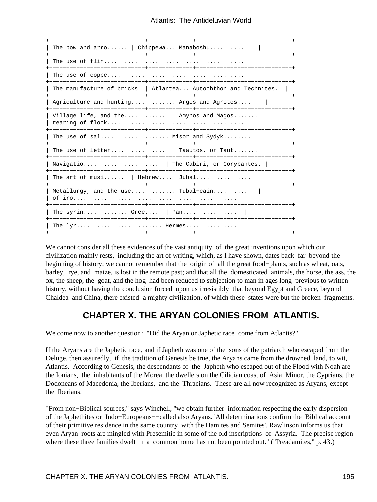+−−−−−−−−−−−−−−−−−−−−−−−−−−−−+−−−−−−−−−−−−−+−−−−−−−−−−−−−−−−−−−−−−−−−−−−+ | The bow and arro...... | Chippewa... Manaboshu.... .... | +−−−−−−−−−−−−−−−−−−−−−−−−−−−−+−−−−−−−−−−−−−+−−−−−−−−−−−−−−−−−−−−−−−−−−−−+ | The use of flin.... .... .... .... .... .... .... +−−−−−−−−−−−−−−−−−−−−−−−−−−−−+−−−−−−−−−−−−−+−−−−−−−−−−−−−−−−−−−−−−−−−−−−+ The use of coppe....  $\dots$  ....  $\dots$  .... .... .... .... +−−−−−−−−−−−−−−−−−−−−−−−−−−−−+−−−−−−−−−−−−−+−−−−−−−−−−−−−−−−−−−−−−−−−−−−+ | The manufacture of bricks | Atlantea... Autochthon and Technites. | +−−−−−−−−−−−−−−−−−−−−−−−−−−−−+−−−−−−−−−−−−−+−−−−−−−−−−−−−−−−−−−−−−−−−−−−+ | Agriculture and hunting.... ....... Argos and Agrotes.... | +−−−−−−−−−−−−−−−−−−−−−−−−−−−−+−−−−−−−−−−−−−+−−−−−−−−−−−−−−−−−−−−−−−−−−−−+ | Village life, and the.... ...... | Amynos and Magos.......  $\label{eq:rearing} \begin{array}{|ccc|} \hbox{\tt\footnotesize\sc I} & \hbox{\tt\sc T} & \hbox{\tt\sc T} & \hbox{\tt\sc T} & \hbox{\tt\sc T} & \hbox{\tt\sc T} & \hbox{\tt\sc T} & \hbox{\tt\sc T} & \hbox{\tt\sc T} & \hbox{\tt\sc T} & \hbox{\tt\sc T} & \hbox{\tt\sc T} & \hbox{\tt\sc T} & \hbox{\tt\sc T} & \hbox{\tt\sc T} & \hbox{\tt\sc T} & \hbox{\tt\sc T} & \hbox{\tt\sc T} & \hbox{\tt\sc T} & \hbox{\tt\sc T}$ +−−−−−−−−−−−−−−−−−−−−−−−−−−−−+−−−−−−−−−−−−−+−−−−−−−−−−−−−−−−−−−−−−−−−−−−+ | The use of sal.... ..... ....... Misor and Sydyk........ +−−−−−−−−−−−−−−−−−−−−−−−−−−−−+−−−−−−−−−−−−−+−−−−−−−−−−−−−−−−−−−−−−−−−−−−+ | The use of letter.... .... .... | Taautos, or Taut....... +−−−−−−−−−−−−−−−−−−−−−−−−−−−−+−−−−−−−−−−−−−+−−−−−−−−−−−−−−−−−−−−−−−−−−−−+ | Navigatio.... .... .... .... | The Cabiri, or Corybantes. | +−−−−−−−−−−−−−−−−−−−−−−−−−−−−+−−−−−−−−−−−−−+−−−−−−−−−−−−−−−−−−−−−−−−−−−−+ | The art of musi...... | Hebrew.... Jubal.... .... .... +−−−−−−−−−−−−−−−−−−−−−−−−−−−−+−−−−−−−−−−−−−+−−−−−−−−−−−−−−−−−−−−−−−−−−−−+ | Metallurgy, and the use.... ....... Tubal−cain.... .... |  $\begin{array}{|ccc|} \hline \text{of it0...} & \dots & \dots & \dots & \dots & \dots & \dots & \dots & \dots & \ \hline \end{array}$ +−−−−−−−−−−−−−−−−−−−−−−−−−−−−+−−−−−−−−−−−−−+−−−−−−−−−−−−−−−−−−−−−−−−−−−−+ | The syrin.... ....... Gree.... | Pan.... .... .... | +−−−−−−−−−−−−−−−−−−−−−−−−−−−−+−−−−−−−−−−−−−+−−−−−−−−−−−−−−−−−−−−−−−−−−−−+ | The lyr.... .... ..... ........ Hermes.... .... ..... +−−−−−−−−−−−−−−−−−−−−−−−−−−−−+−−−−−−−−−−−−−+−−−−−−−−−−−−−−−−−−−−−−−−−−−−+

We cannot consider all these evidences of the vast antiquity of the great inventions upon which our civilization mainly rests, including the art of writing, which, as I have shown, dates back far beyond the beginning of history; we cannot remember that the origin of all the great food−plants, such as wheat, oats, barley, rye, and maize, is lost in the remote past; and that all the domesticated animals, the horse, the ass, the ox, the sheep, the goat, and the hog had been reduced to subjection to man in ages long previous to written history, without having the conclusion forced upon us irresistibly that beyond Egypt and Greece, beyond Chaldea and China, there existed a mighty civilization, of which these states were but the broken fragments.

## **CHAPTER X. THE ARYAN COLONIES FROM ATLANTIS.**

We come now to another question: "Did the Aryan or Japhetic race come from Atlantis?"

If the Aryans are the Japhetic race, and if Japheth was one of the sons of the patriarch who escaped from the Deluge, then assuredly, if the tradition of Genesis be true, the Aryans came from the drowned land, to wit, Atlantis. According to Genesis, the descendants of the Japheth who escaped out of the Flood with Noah are the Ionians, the inhabitants of the Morea, the dwellers on the Cilician coast of Asia Minor, the Cyprians, the Dodoneans of Macedonia, the Iberians, and the Thracians. These are all now recognized as Aryans, except the Iberians.

"From non−Biblical sources," says Winchell, "we obtain further information respecting the early dispersion of the Japhethites or Indo−Europeans−−called also Aryans. 'All determinations confirm the Biblical account of their primitive residence in the same country with the Hamites and Semites'. Rawlinson informs us that even Aryan roots are mingled with Presemitic in some of the old inscriptions of Assyria. The precise region where these three families dwelt in a common home has not been pointed out." ("Preadamites," p. 43.)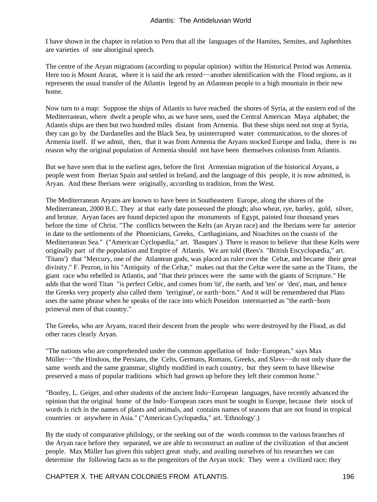I have shown in the chapter in relation to Peru that all the languages of the Hamites, Semites, and Japhethites are varieties of one aboriginal speech.

The centre of the Aryan migrations (according to popular opinion) within the Historical Period was Armenia. Here too is Mount Ararat, where it is said the ark rested−−another identification with the Flood regions, as it represents the usual transfer of the Atlantis legend by an Atlantean people to a high mountain in their new home.

Now turn to a map: Suppose the ships of Atlantis to have reached the shores of Syria, at the eastern end of the Mediterranean, where dwelt a people who, as we have seen, used the Central American Maya alphabet; the Atlantis ships are then but two hundred miles distant from Armenia. But these ships need not stop at Syria, they can go by the Dardanelles and the Black Sea, by uninterrupted water communication, to the shores of Armenia itself. If we admit, then, that it was from Armenia the Aryans stocked Europe and India, there is no reason why the original population of Armenia should not have been themselves colonists from Atlantis.

But we have seen that in the earliest ages, before the first Armenian migration of the historical Aryans, a people went from Iberian Spain and settled in Ireland, and the language of this people, it is now admitted, is Aryan. And these Iberians were originally, according to tradition, from the West.

The Mediterranean Aryans are known to have been in Southeastern Europe, along the shores of the Mediterranean, 2000 B.C. They at that early date possessed the plough; also wheat, rye, barley, gold, silver, and bronze. Aryan faces are found depicted upon the monuments of Egypt, painted four thousand years before the time of Christ. "The conflicts between the Kelts (an Aryan race) and the Iberians were far anterior in date to the settlements of the Phoenicians, Greeks, Carthaginians, and Noachites on the coasts of the Mediterranean Sea." ("American Cyclopædia," art. 'Basques'.) There is reason to believe that these Kelts were originally part of the population and Empire of Atlantis. We are told (Rees's "British Encyclopædia," art. 'Titans') that "Mercury, one of the Atlantean gods, was placed as ruler over the Celtæ, and became their great divinity." F. Pezron, in his "Antiquity of the Celtæ," makes out that the Celtæ were the same as the Titans, the giant race who rebelled in Atlantis, and "that their princes were the same with the giants of Scripture." He adds that the word Titan "is perfect Celtic, and comes from 'tit', the earth, and 'ten' or 'den', man, and hence the Greeks very properly also called them 'terriginæ', or earth−born." And it will be remembered that Plato uses the same phrase when he speaks of the race into which Poseidon intermarried as "the earth−born primeval men of that country."

The Greeks, who are Aryans, traced their descent from the people who were destroyed by the Flood, as did other races clearly Aryan.

"The nations who are comprehended under the common appellation of Indo−European," says Max Müller−−"the Hindoos, the Persians, the Celts, Germans, Romans, Greeks, and Slavs−−do not only share the same words and the same grammar, slightly modified in each country, but they seem to have likewise preserved a mass of popular traditions which had grown up before they left their common home."

"Bonfey, L. Geiger, and other students of the ancient Indo−European languages, have recently advanced the opinion that the original home of the Indo−European races must be sought in Europe, because their stock of words is rich in the names of plants and animals, and contains names of seasons that are not found in tropical countries or anywhere in Asia." ("American Cyclopædia," art. 'Ethnology'.)

By the study of comparative philology, or the seeking out of the words common to the various branches of the Aryan race before they separated, we are able to reconstruct an outline of the civilization of that ancient people. Max Müller has given this subject great study, and availing ourselves of his researches we can determine the following facts as to the progenitors of the Aryan stock: They were a civilized race; they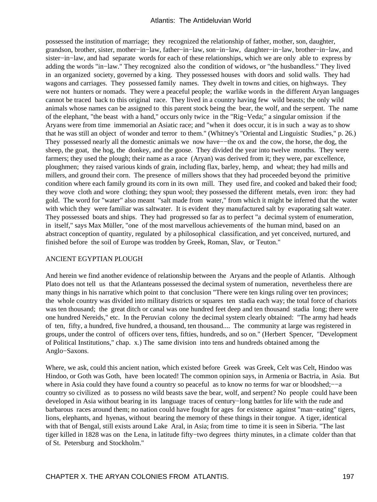possessed the institution of marriage; they recognized the relationship of father, mother, son, daughter, grandson, brother, sister, mother−in−law, father−in−law, son−in−law, daughter−in−law, brother−in−law, and sister−in−law, and had separate words for each of these relationships, which we are only able to express by adding the words "in−law." They recognized also the condition of widows, or "the husbandless." They lived in an organized society, governed by a king. They possessed houses with doors and solid walls. They had wagons and carriages. They possessed family names. They dwelt in towns and cities, on highways. They were not hunters or nomads. They were a peaceful people; the warlike words in the different Aryan languages cannot be traced back to this original race. They lived in a country having few wild beasts; the only wild animals whose names can be assigned to this parent stock being the bear, the wolf, and the serpent. The name of the elephant, "the beast with a hand," occurs only twice in the "Rig−Veda;" a singular omission if the Aryans were from time immemorial an Asiatic race; and "when it does occur, it is in such a way as to show that he was still an object of wonder and terror to them." (Whitney's "Oriental and Linguistic Studies," p. 26.) They possessed nearly all the domestic animals we now have−−the ox and the cow, the horse, the dog, the sheep, the goat, the hog, the donkey, and the goose. They divided the year into twelve months. They were farmers; they used the plough; their name as a race (Aryan) was derived from it; they were, par excellence, ploughmen; they raised various kinds of grain, including flax, barley, hemp, and wheat; they had mills and millers, and ground their corn. The presence of millers shows that they had proceeded beyond the primitive condition where each family ground its corn in its own mill. They used fire, and cooked and baked their food; they wove cloth and wore clothing; they spun wool; they possessed the different metals, even iron: they had gold. The word for "water" also meant "salt made from water," from which it might be inferred that the water with which they were familiar was saltwater. It is evident they manufactured salt by evaporating salt water. They possessed boats and ships. They had progressed so far as to perfect "a decimal system of enumeration, in itself," says Max Müller, "one of the most marvellous achievements of the human mind, based on an abstract conception of quantity, regulated by a philosophical classification, and yet conceived, nurtured, and finished before the soil of Europe was trodden by Greek, Roman, Slav, or Teuton."

#### ANCIENT EGYPTIAN PLOUGH

And herein we find another evidence of relationship between the Aryans and the people of Atlantis. Although Plato does not tell us that the Atlanteans possessed the decimal system of numeration, nevertheless there are many things in his narrative which point to that conclusion "There were ten kings ruling over ten provinces; the whole country was divided into military districts or squares ten stadia each way; the total force of chariots was ten thousand; the great ditch or canal was one hundred feet deep and ten thousand stadia long; there were one hundred Nereids," etc. In the Peruvian colony the decimal system clearly obtained: "The army had heads of ten, fifty, a hundred, five hundred, a thousand, ten thousand.... The community at large was registered in groups, under the control of officers over tens, fifties, hundreds, and so on." (Herbert Spencer, "Development of Political Institutions," chap. x.) The same division into tens and hundreds obtained among the Anglo−Saxons.

Where, we ask, could this ancient nation, which existed before Greek was Greek, Celt was Celt, Hindoo was Hindoo, or Goth was Goth, have been located! The common opinion says, in Armenia or Bactria, in Asia. But where in Asia could they have found a country so peaceful as to know no terms for war or bloodshed;—–a country so civilized as to possess no wild beasts save the bear, wolf, and serpent? No people could have been developed in Asia without bearing in its language traces of century−long battles for life with the rude and barbarous races around them; no nation could have fought for ages for existence against "man−eating" tigers, lions, elephants, and hyenas, without bearing the memory of these things in their tongue. A tiger, identical with that of Bengal, still exists around Lake Aral, in Asia; from time to time it is seen in Siberia. "The last tiger killed in 1828 was on the Lena, in latitude fifty−two degrees thirty minutes, in a climate colder than that of St. Petersburg and Stockholm."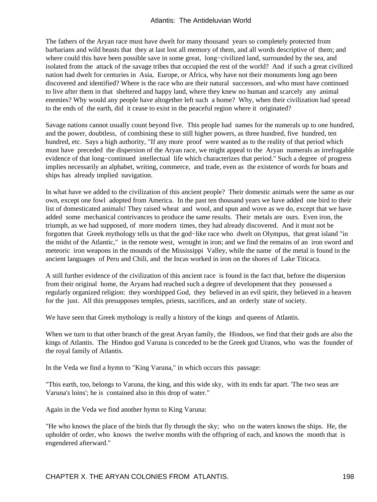The fathers of the Aryan race must have dwelt for many thousand years so completely protected from barbarians and wild beasts that they at last lost all memory of them, and all words descriptive of them; and where could this have been possible save in some great, long−civilized land, surrounded by the sea, and isolated from the attack of the savage tribes that occupied the rest of the world? And if such a great civilized nation had dwelt for centuries in Asia, Europe, or Africa, why have not their monuments long ago been discovered and identified? Where is the race who are their natural successors, and who must have continued to live after them in that sheltered and happy land, where they knew no human and scarcely any animal enemies? Why would any people have altogether left such a home? Why, when their civilization had spread to the ends of the earth, did it cease to exist in the peaceful region where it originated?

Savage nations cannot usually count beyond five. This people had names for the numerals up to one hundred, and the power, doubtless, of combining these to still higher powers, as three hundred, five hundred, ten hundred, etc. Says a high authority, "If any more proof were wanted as to the reality of that period which must have preceded the dispersion of the Aryan race, we might appeal to the Aryan numerals as irrefragable evidence of that long−continued intellectual life which characterizes that period." Such a degree of progress implies necessarily an alphabet, writing, commerce, and trade, even as the existence of words for boats and ships has already implied navigation.

In what have we added to the civilization of this ancient people? Their domestic animals were the same as our own, except one fowl adopted from America. In the past ten thousand years we have added one bird to their list of domesticated animals! They raised wheat and wool, and spun and wove as we do, except that we have added some mechanical contrivances to produce the same results. Their metals are ours. Even iron, the triumph, as we had supposed, of more modern times, they had already discovered. And it must not be forgotten that Greek mythology tells us that the god−like race who dwelt on Olympus, that great island "in the midst of the Atlantic," in the remote west, wrought in iron; and we find the remains of an iron sword and meteoric iron weapons in the mounds of the Mississippi Valley, while the name of the metal is found in the ancient languages of Peru and Chili, and the Incas worked in iron on the shores of Lake Titicaca.

A still further evidence of the civilization of this ancient race is found in the fact that, before the dispersion from their original home, the Aryans had reached such a degree of development that they possessed a regularly organized religion: they worshipped God, they believed in an evil spirit, they believed in a heaven for the just. All this presupposes temples, priests, sacrifices, and an orderly state of society.

We have seen that Greek mythology is really a history of the kings and queens of Atlantis.

When we turn to that other branch of the great Aryan family, the Hindoos, we find that their gods are also the kings of Atlantis. The Hindoo god Varuna is conceded to be the Greek god Uranos, who was the founder of the royal family of Atlantis.

In the Veda we find a hymn to "King Varuna," in which occurs this passage:

"This earth, too, belongs to Varuna, the king, and this wide sky, with its ends far apart. 'The two seas are Varuna's loins'; he is contained also in this drop of water."

Again in the Veda we find another hymn to King Varuna:

"He who knows the place of the birds that fly through the sky; who on the waters knows the ships. He, the upholder of order, who knows the twelve months with the offspring of each, and knows the month that is engendered afterward."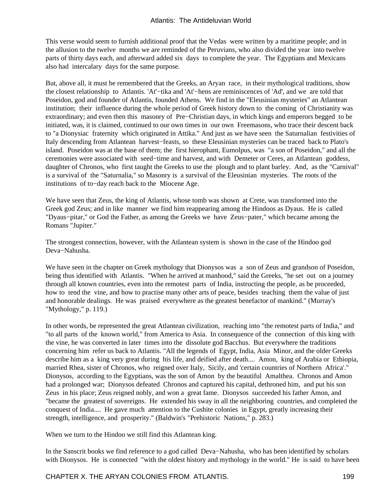This verse would seem to furnish additional proof that the Vedas were written by a maritime people; and in the allusion to the twelve months we are reminded of the Peruvians, who also divided the year into twelve parts of thirty days each, and afterward added six days to complete the year. The Egyptians and Mexicans also had intercalary days for the same purpose.

But, above all, it must be remembered that the Greeks, an Aryan race, in their mythological traditions, show the closest relationship to Atlantis. 'At'−tika and 'At'−hens are reminiscences of 'Ad', and we are told that Poseidon, god and founder of Atlantis, founded Athens. We find in the "Eleusinian mysteries" an Atlantean institution; their influence during the whole period of Greek history down to the coming of Christianity was extraordinary; and even then this masonry of Pre−Christian days, in which kings and emperors begged to be initiated, was, it is claimed, continued to our own times in our own Freemasons, who trace their descent back to "a Dionysiac fraternity which originated in Attika." And just as we have seen the Saturnalian festivities of Italy descending from Atlantean harvest−feasts, so these Eleusinian mysteries can be traced back to Plato's island. Poseidon was at the base of them; the first hierophant, Eumolpus, was "a son of Poseidon," and all the ceremonies were associated with seed−time and harvest, and with Demeter or Ceres, an Atlantean goddess, daughter of Chronos, who first taught the Greeks to use the plough and to plant barley. And, as the "Carnival" is a survival of the "Saturnalia," so Masonry is a survival of the Eleusinian mysteries. The roots of the institutions of to−day reach back to the Miocene Age.

We have seen that Zeus, the king of Atlantis, whose tomb was shown at Crete, was transformed into the Greek god Zeus; and in like manner we find him reappearing among the Hindoos as Dyaus. He is called "Dyaus−pitar," or God the Father, as among the Greeks we have Zeus−pater," which became among the Romans "Jupiter."

The strongest connection, however, with the Atlantean system is shown in the case of the Hindoo god Deva−Nahusha.

We have seen in the chapter on Greek mythology that Dionysos was a son of Zeus and grandson of Poseidon, being thus identified with Atlantis. "When he arrived at manhood," said the Greeks, "he set out on a journey through all known countries, even into the remotest parts of India, instructing the people, as be proceeded, how to tend the vine, and how to practise many other arts of peace, besides teaching them the value of just and honorable dealings. He was praised everywhere as the greatest benefactor of mankind." (Murray's "Mythology," p. 119.)

In other words, be represented the great Atlantean civilization, reaching into "the remotest parts of India," and "to all parts of the known world," from America to Asia. In consequence of the connection of this king with the vine, he was converted in later times into the dissolute god Bacchus. But everywhere the traditions concerning him refer us back to Atlantis. "All the legends of Egypt, India, Asia Minor, and the older Greeks describe him as a king very great during his life, and deified after death.... Amon, king of Arabia or Ethiopia, married Rhea, sister of Chronos, who reigned over Italy, Sicily, and 'certain countries of Northern Africa'." Dionysos, according to the Egyptians, was the son of Amon by the beautiful Amalthea. Chronos and Amon had a prolonged war; Dionysos defeated Chronos and captured his capital, dethroned him, and put his son Zeus in his place; Zeus reigned nobly, and won a great fame. Dionysos succeeded his father Amon, and "became the greatest of sovereigns. He extended his sway in all the neighboring countries, and completed the conquest of India.... He gave much attention to the Cushite colonies in Egypt, greatly increasing their strength, intelligence, and prosperity." (Baldwin's "Prehistoric Nations," p. 283.)

When we turn to the Hindoo we still find this Atlantean king.

In the Sanscrit books we find reference to a god called Deva−Nahusha, who has been identified by scholars with Dionysos. He is connected "with the oldest history and mythology in the world." He is said to have been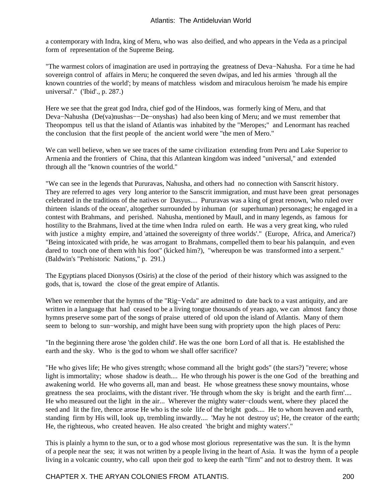a contemporary with Indra, king of Meru, who was also deified, and who appears in the Veda as a principal form of representation of the Supreme Being.

"The warmest colors of imagination are used in portraying the greatness of Deva−Nahusha. For a time he had sovereign control of affairs in Meru; he conquered the seven dwipas, and led his armies 'through all the known countries of the world'; by means of matchless wisdom and miraculous heroism 'he made his empire universal'." ('Ibid'., p. 287.)

Here we see that the great god Indra, chief god of the Hindoos, was formerly king of Meru, and that Deva−Nahusha (De(va)nushas−−De−onyshas) had also been king of Meru; and we must remember that Theopompus tell us that the island of Atlantis was inhabited by the "Meropes;" and Lenormant has reached the conclusion that the first people of the ancient world were "the men of Mero."

We can well believe, when we see traces of the same civilization extending from Peru and Lake Superior to Armenia and the frontiers of China, that this Atlantean kingdom was indeed "universal," and extended through all the "known countries of the world."

"We can see in the legends that Pururavas, Nahusha, and others had no connection with Sanscrit history. They are referred to ages very long anterior to the Sanscrit immigration, and must have been great personages celebrated in the traditions of the natives or Dasyus.... Pururavas was a king of great renown, 'who ruled over thirteen islands of the ocean', altogether surrounded by inhuman (or superhuman) personages; he engaged in a contest with Brahmans, and perished. Nahusha, mentioned by Maull, and in many legends, as famous for hostility to the Brahmans, lived at the time when Indra ruled on earth. He was a very great king, who ruled with justice a mighty empire, and 'attained the sovereignty of three worlds'." (Europe, Africa, and America?) "Being intoxicated with pride, he was arrogant to Brahmans, compelled them to bear his palanquin, and even dared to touch one of them with his foot" (kicked him?), "whereupon be was transformed into a serpent." (Baldwin's "Prehistoric Nations," p. 291.)

The Egyptians placed Dionysos (Osiris) at the close of the period of their history which was assigned to the gods, that is, toward the close of the great empire of Atlantis.

When we remember that the hymns of the "Rig−Veda" are admitted to date back to a vast antiquity, and are written in a language that had ceased to be a living tongue thousands of years ago, we can almost fancy those hymns preserve some part of the songs of praise uttered of old upon the island of Atlantis. Many of them seem to belong to sun−worship, and might have been sung with propriety upon the high places of Peru:

"In the beginning there arose 'the golden child'. He was the one born Lord of all that is. He established the earth and the sky. Who is the god to whom we shall offer sacrifice?

"He who gives life; He who gives strength; whose command all the bright gods" (the stars?) "revere; whose light is immortality; whose shadow is death.... He who through his power is the one God of the breathing and awakening world. He who governs all, man and beast. He whose greatness these snowy mountains, whose greatness the sea proclaims, with the distant river. 'He through whom the sky is bright and the earth firm'.... He who measured out the light in the air... Wherever the mighty water−clouds went, where they placed the seed and lit the fire, thence arose He who is the sole life of the bright gods.... He to whom heaven and earth, standing firm by His will, look up, trembling inwardly.... 'May he not destroy us'; He, the creator of the earth; He, the righteous, who created heaven. He also created 'the bright and mighty waters'."

This is plainly a hymn to the sun, or to a god whose most glorious representative was the sun. It is the hymn of a people near the sea; it was not written by a people living in the heart of Asia. It was the hymn of a people living in a volcanic country, who call upon their god to keep the earth "firm" and not to destroy them. It was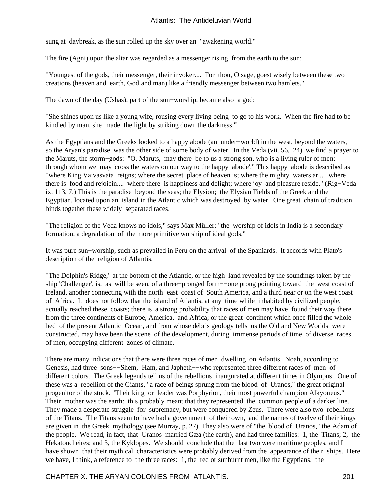### Atlantis: The Antideluvian World

sung at daybreak, as the sun rolled up the sky over an "awakening world."

The fire (Agni) upon the altar was regarded as a messenger rising from the earth to the sun:

"Youngest of the gods, their messenger, their invoker.... For thou, O sage, goest wisely between these two creations (heaven and earth, God and man) like a friendly messenger between two hamlets."

The dawn of the day (Ushas), part of the sun−worship, became also a god:

"She shines upon us like a young wife, rousing every living being to go to his work. When the fire had to be kindled by man, she made the light by striking down the darkness."

As the Egyptians and the Greeks looked to a happy abode (an under−world) in the west, beyond the waters, so the Aryan's paradise was the other side of some body of water. In the Veda (vii. 56, 24) we find a prayer to the Maruts, the storm−gods: "O, Maruts, may there be to us a strong son, who is a living ruler of men; through whom we may 'cross the waters on our way to the happy abode'." This happy abode is described as "where King Vaivasvata reigns; where the secret place of heaven is; where the mighty waters ar.... where there is food and rejoicin.... where there is happiness and delight; where joy and pleasure reside." (Rig−Veda ix. 113, 7.) This is the paradise beyond the seas; the Elysion; the Elysian Fields of the Greek and the Egyptian, located upon an island in the Atlantic which was destroyed by water. One great chain of tradition binds together these widely separated races.

"The religion of the Veda knows no idols," says Max Müller; "the worship of idols in India is a secondary formation, a degradation of the more primitive worship of ideal gods."

It was pure sun−worship, such as prevailed in Peru on the arrival of the Spaniards. It accords with Plato's description of the religion of Atlantis.

"The Dolphin's Ridge," at the bottom of the Atlantic, or the high land revealed by the soundings taken by the ship 'Challenger', is, as will be seen, of a three−pronged form−−one prong pointing toward the west coast of Ireland, another connecting with the north−east coast of South America, and a third near or on the west coast of Africa. It does not follow that the island of Atlantis, at any time while inhabited by civilized people, actually reached these coasts; there is a strong probability that races of men may have found their way there from the three continents of Europe, America, and Africa; or the great continent which once filled the whole bed of the present Atlantic Ocean, and from whose débris geology tells us the Old and New Worlds were constructed, may have been the scene of the development, during immense periods of time, of diverse races of men, occupying different zones of climate.

There are many indications that there were three races of men dwelling on Atlantis. Noah, according to Genesis, had three sons−−Shem, Ham, and Japheth−−who represented three different races of men of different colors. The Greek legends tell us of the rebellions inaugurated at different times in Olympus. One of these was a rebellion of the Giants, "a race of beings sprung from the blood of Uranos," the great original progenitor of the stock. "Their king or leader was Porphyrion, their most powerful champion Alkyoneus." Their mother was the earth: this probably meant that they represented the common people of a darker line. They made a desperate struggle for supremacy, but were conquered by Zeus. There were also two rebellions of the Titans. The Titans seem to have had a government of their own, and the names of twelve of their kings are given in the Greek mythology (see Murray, p. 27). They also were of "the blood of Uranos," the Adam of the people. We read, in fact, that Uranos married Gæa (the earth), and had three families: 1, the Titans; 2, the Hekatoncheires; and 3, the Kyklopes. We should conclude that the last two were maritime peoples, and I have shown that their mythical characteristics were probably derived from the appearance of their ships. Here we have, I think, a reference to the three races: 1, the red or sunburnt men, like the Egyptians, the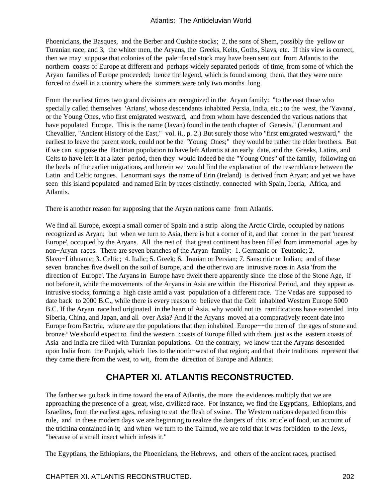Phoenicians, the Basques, and the Berber and Cushite stocks; 2, the sons of Shem, possibly the yellow or Turanian race; and 3, the whiter men, the Aryans, the Greeks, Kelts, Goths, Slavs, etc. If this view is correct, then we may suppose that colonies of the pale−faced stock may have been sent out from Atlantis to the northern coasts of Europe at different and perhaps widely separated periods of time, from some of which the Aryan families of Europe proceeded; hence the legend, which is found among them, that they were once forced to dwell in a country where the summers were only two months long.

From the earliest times two grand divisions are recognized in the Aryan family: "to the east those who specially called themselves 'Arians', whose descendants inhabited Persia, India, etc.; to the west, the 'Yavana', or the Young Ones, who first emigrated westward, and from whom have descended the various nations that have populated Europe. This is the name (Javan) found in the tenth chapter of Genesis." (Lenormant and Chevallier, "Ancient History of the East," vol. ii., p. 2.) But surely those who "first emigrated westward," the earliest to leave the parent stock, could not be the "Young Ones;" they would be rather the elder brothers. But if we can suppose the Bactrian population to have left Atlantis at an early date, and the Greeks, Latins, and Celts to have left it at a later period, then they would indeed be the "Young Ones" of the family, following on the heels of the earlier migrations, and herein we would find the explanation of the resemblance between the Latin and Celtic tongues. Lenormant says the name of Erin (Ireland) is derived from Aryan; and yet we have seen this island populated and named Erin by races distinctly. connected with Spain, Iberia, Africa, and Atlantis.

There is another reason for supposing that the Aryan nations came from Atlantis.

We find all Europe, except a small corner of Spain and a strip along the Arctic Circle, occupied by nations recognized as Aryan; but when we turn to Asia, there is but a corner of it, and that corner in the part 'nearest Europe', occupied by the Aryans. All the rest of that great continent has been filled from immemorial ages by non−Aryan races. There are seven branches of the Aryan family: 1. Germanic or Teutonic; 2. Slavo−Lithuanic; 3. Celtic; 4. Italic; 5. Greek; 6. Iranian or Persian; 7. Sanscritic or Indian; and of these seven branches five dwell on the soil of Europe, and the other two are intrusive races in Asia 'from the direction of Europe'. The Aryans in Europe have dwelt there apparently since the close of the Stone Age, if not before it, while the movements of the Aryans in Asia are within the Historical Period, and they appear as intrusive stocks, forming a high caste amid a vast population of a different race. The Vedas are supposed to date back to 2000 B.C., while there is every reason to believe that the Celt inhabited Western Europe 5000 B.C. If the Aryan race had originated in the heart of Asia, why would not its ramifications have extended into Siberia, China, and Japan, and all over Asia? And if the Aryans moved at a comparatively recent date into Europe from Bactria, where are the populations that then inhabited Europe−−the men of the ages of stone and bronze? We should expect to find the western coasts of Europe filled with them, just as the eastern coasts of Asia and India are filled with Turanian populations. On the contrary, we know that the Aryans descended upon India from the Punjab, which lies to the north−west of that region; and that their traditions represent that they came there from the west, to wit, from the direction of Europe and Atlantis.

# **CHAPTER XI. ATLANTIS RECONSTRUCTED.**

The farther we go back in time toward the era of Atlantis, the more the evidences multiply that we are approaching the presence of a great, wise, civilized race. For instance, we find the Egyptians, Ethiopians, and Israelites, from the earliest ages, refusing to eat the flesh of swine. The Western nations departed from this rule, and in these modern days we are beginning to realize the dangers of this article of food, on account of the trichina contained in it; and when we turn to the Talmud, we are told that it was forbidden to the Jews, "because of a small insect which infests it."

The Egyptians, the Ethiopians, the Phoenicians, the Hebrews, and others of the ancient races, practised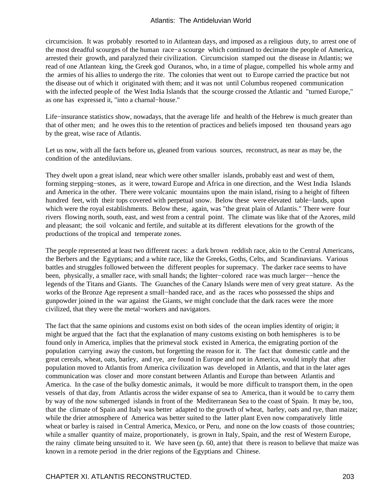circumcision. It was probably resorted to in Atlantean days, and imposed as a religious duty, to arrest one of the most dreadful scourges of the human race−a scourge which continued to decimate the people of America, arrested their growth, and paralyzed their civilization. Circumcision stamped out the disease in Atlantis; we read of one Atlantean king, the Greek god Ouranos, who, in a time of plague, compelled his whole army and the armies of his allies to undergo the rite. The colonies that went out to Europe carried the practice but not the disease out of which it originated with them; and it was not until Columbus reopened communication with the infected people of the West India Islands that the scourge crossed the Atlantic and "turned Europe," as one has expressed it, "into a charnal−house."

Life−insurance statistics show, nowadays, that the average life and health of the Hebrew is much greater than that of other men; and he owes this to the retention of practices and beliefs imposed ten thousand years ago by the great, wise race of Atlantis.

Let us now, with all the facts before us, gleaned from various sources, reconstruct, as near as may be, the condition of the antediluvians.

They dwelt upon a great island, near which were other smaller islands, probably east and west of them, forming stepping−stones, as it were, toward Europe and Africa in one direction, and the West India Islands and America in the other. There were volcanic mountains upon the main island, rising to a height of fifteen hundred feet, with their tops covered with perpetual snow. Below these were elevated table−lands, upon which were the royal establishments. Below these, again, was "the great plain of Atlantis." There were four rivers flowing north, south, east, and west from a central point. The climate was like that of the Azores, mild and pleasant; the soil volcanic and fertile, and suitable at its different elevations for the growth of the productions of the tropical and temperate zones.

The people represented at least two different races: a dark brown reddish race, akin to the Central Americans, the Berbers and the Egyptians; and a white race, like the Greeks, Goths, Celts, and Scandinavians. Various battles and struggles followed between the different peoples for supremacy. The darker race seems to have been, physically, a smaller race, with small hands; the lighter−colored race was much larger−−hence the legends of the Titans and Giants. The Guanches of the Canary Islands were men of very great stature. As the works of the Bronze Age represent a small−handed race, and as the races who possessed the ships and gunpowder joined in the war against the Giants, we might conclude that the dark races were the more civilized, that they were the metal−workers and navigators.

The fact that the same opinions and customs exist on both sides of the ocean implies identity of origin; it might be argued that the fact that the explanation of many customs existing on both hemispheres is to be found only in America, implies that the primeval stock existed in America, the emigrating portion of the population carrying away the custom, but forgetting the reason for it. The fact that domestic cattle and the great cereals, wheat, oats, barley, and rye, are found in Europe and not in America, would imply that after population moved to Atlantis from America civilization was developed in Atlantis, and that in the later ages communication was closer and more constant between Atlantis and Europe than between Atlantis and America. In the case of the bulky domestic animals, it would be more difficult to transport them, in the open vessels of that day, from Atlantis across the wider expanse of sea to America, than it would be to carry them by way of the now submerged islands in front of the Mediterranean Sea to the coast of Spain. It may be, too, that the climate of Spain and Italy was better adapted to the growth of wheat, barley, oats and rye, than maize; while the drier atmosphere of America was better suited to the latter plant Even now comparatively little wheat or barley is raised in Central America, Mexico, or Peru, and none on the low coasts of those countries; while a smaller quantity of maize, proportionately, is grown in Italy, Spain, and the rest of Western Europe, the rainy climate being unsuited to it. We have seen (p. 60, ante) that there is reason to believe that maize was known in a remote period in the drier regions of the Egyptians and Chinese.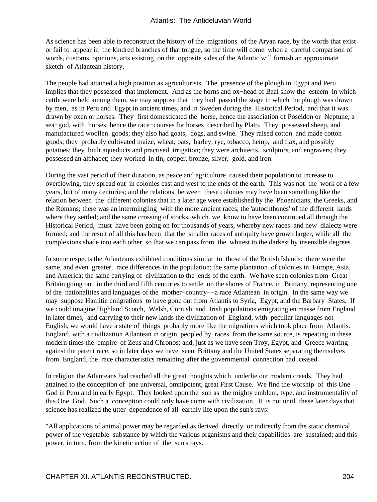As science has been able to reconstruct the history of the migrations of the Aryan race, by the words that exist or fail to appear in the kindred branches of that tongue, so the time will come when a careful comparison of words, customs, opinions, arts existing on the opposite sides of the Atlantic will furnish an approximate sketch of Atlantean history.

The people had attained a high position as agriculturists. The presence of the plough in Egypt and Peru implies that they possessed that implement. And as the horns and ox−head of Baal show the esteem in which cattle were held among them, we may suppose that they had passed the stage in which the plough was drawn by men, as in Peru and Egypt in ancient times, and in Sweden during the Historical Period, and that it was drawn by oxen or horses. They first domesticated the horse, hence the association of Poseidon or Neptune, a sea−god, with horses; hence the race−courses for horses described by Plato. They possessed sheep, and manufactured woollen goods; they also had goats, dogs, and swine. They raised cotton and made cotton goods; they probably cultivated maize, wheat, oats, barley, rye, tobacco, hemp, and flax, and possibly potatoes; they built aqueducts and practised irrigation; they were architects, sculptors, and engravers; they possessed an alphabet; they worked in tin, copper, bronze, silver, gold, and iron.

During the vast period of their duration, as peace and agriculture caused their population to increase to overflowing, they spread out in colonies east and west to the ends of the earth. This was not the work of a few years, but of many centuries; and the relations between these colonies may have been something like the relation between the different colonies that in a later age were established by the Phoenicians, the Greeks, and the Romans; there was an intermingling with the more ancient races, the 'autochthones' of the different lands where they settled; and the same crossing of stocks, which we know to have been continued all through the Historical Period, must have been going on for thousands of years, whereby new races and new dialects were formed; and the result of all this has been that the smaller races of antiquity have grown larger, while all the complexions shade into each other, so that we can pass from the whitest to the darkest by insensible degrees.

In some respects the Atlanteans exhibited conditions similar to those of the British Islands: there were the same, and even greater, race differences in the population; the same plantation of colonies in Europe, Asia, and America; the same carrying of civilization to the ends of the earth. We have seen colonies from Great Britain going out in the third and fifth centuries to settle on the shores of France, in Brittany, representing one of the nationalities and languages of the mother−country−−a race Atlantean in origin. In the same way we may suppose Hamitic emigrations to have gone out from Atlantis to Syria, Egypt, and the Barbary States. If we could imagine Highland Scotch, Welsh, Cornish, and Irish populations emigrating en masse from England in later times, and carrying to their new lands the civilization of England, with peculiar languages not English, we would have a state of things probably more like the migrations which took place from Atlantis. England, with a civilization Atlantean in origin, peopled by races from the same source, is repeating in these modern times the empire of Zeus and Chronos; and, just as we have seen Troy, Egypt, and Greece warring against the parent race, so in later days we have seen Brittany and the United States separating themselves from England, the race characteristics remaining after the governmental connection had ceased.

In religion the Atlanteans had reached all the great thoughts which underlie our modern creeds. They had attained to the conception of one universal, omnipotent, great First Cause. We find the worship of this One God in Peru and in early Egypt. They looked upon the sun as the mighty emblem, type, and instrumentality of this One God. Such a conception could only have come with civilization. It is not until these later days that science has realized the utter dependence of all earthly life upon the sun's rays:

"All applications of animal power may be regarded as derived directly or indirectly from the static chemical power of the vegetable substance by which the various organisms and their capabilities are sustained; and this power, in turn, from the kinetic action of the sun's rays.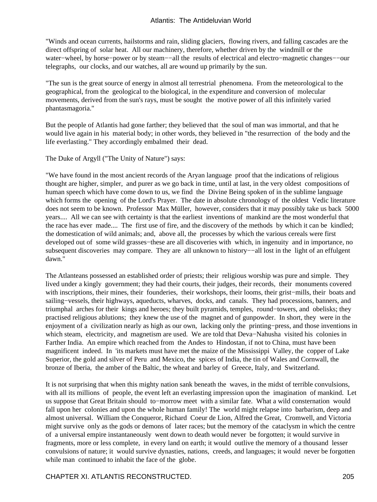"Winds and ocean currents, hailstorms and rain, sliding glaciers, flowing rivers, and falling cascades are the direct offspring of solar heat. All our machinery, therefore, whether driven by the windmill or the water−wheel, by horse−power or by steam−−all the results of electrical and electro−magnetic changes−−our telegraphs, our clocks, and our watches, all are wound up primarily by the sun.

"The sun is the great source of energy in almost all terrestrial phenomena. From the meteorological to the geographical, from the geological to the biological, in the expenditure and conversion of molecular movements, derived from the sun's rays, must be sought the motive power of all this infinitely varied phantasmagoria."

But the people of Atlantis had gone farther; they believed that the soul of man was immortal, and that he would live again in his material body; in other words, they believed in "the resurrection of the body and the life everlasting." They accordingly embalmed their dead.

The Duke of Argyll ("The Unity of Nature") says:

"We have found in the most ancient records of the Aryan language proof that the indications of religious thought are higher, simpler, and purer as we go back in time, until at last, in the very oldest compositions of human speech which have come down to us, we find the Divine Being spoken of in the sublime language which forms the opening of the Lord's Prayer. The date in absolute chronology of the oldest Vedic literature does not seem to be known. Professor Max Müller, however, considers that it may possibly take us back 5000 years.... All we can see with certainty is that the earliest inventions of mankind are the most wonderful that the race has ever made.... The first use of fire, and the discovery of the methods by which it can be kindled; the domestication of wild animals; and, above all, the processes by which the various cereals were first developed out of some wild grasses−these are all discoveries with which, in ingenuity and in importance, no subsequent discoveries may compare. They are all unknown to history−−all lost in the light of an effulgent dawn."

The Atlanteans possessed an established order of priests; their religious worship was pure and simple. They lived under a kingly government; they had their courts, their judges, their records, their monuments covered with inscriptions, their mines, their founderies, their workshops, their looms, their grist−mills, their boats and sailing−vessels, their highways, aqueducts, wharves, docks, and canals. They had processions, banners, and triumphal arches for their kings and heroes; they built pyramids, temples, round−towers, and obelisks; they practised religious ablutions; they knew the use of the magnet and of gunpowder. In short, they were in the enjoyment of a civilization nearly as high as our own, lacking only the printing−press, and those inventions in which steam, electricity, and magnetism are used. We are told that Deva−Nahusha visited his colonies in Farther India. An empire which reached from the Andes to Hindostan, if not to China, must have been magnificent indeed. In 'its markets must have met the maize of the Mississippi Valley, the copper of Lake Superior, the gold and silver of Peru and Mexico, the spices of India, the tin of Wales and Cornwall, the bronze of Iberia, the amber of the Baltic, the wheat and barley of Greece, Italy, and Switzerland.

It is not surprising that when this mighty nation sank beneath the waves, in the midst of terrible convulsions, with all its millions of people, the event left an everlasting impression upon the imagination of mankind. Let us suppose that Great Britain should to−morrow meet with a similar fate. What a wild consternation would fall upon her colonies and upon the whole human family! The world might relapse into barbarism, deep and almost universal. William the Conqueror, Richard Coeur de Lion, Alfred the Great, Cromwell, and Victoria might survive only as the gods or demons of later races; but the memory of the cataclysm in which the centre of a universal empire instantaneously went down to death would never be forgotten; it would survive in fragments, more or less complete, in every land on earth; it would outlive the memory of a thousand lesser convulsions of nature; it would survive dynasties, nations, creeds, and languages; it would never be forgotten while man continued to inhabit the face of the globe.